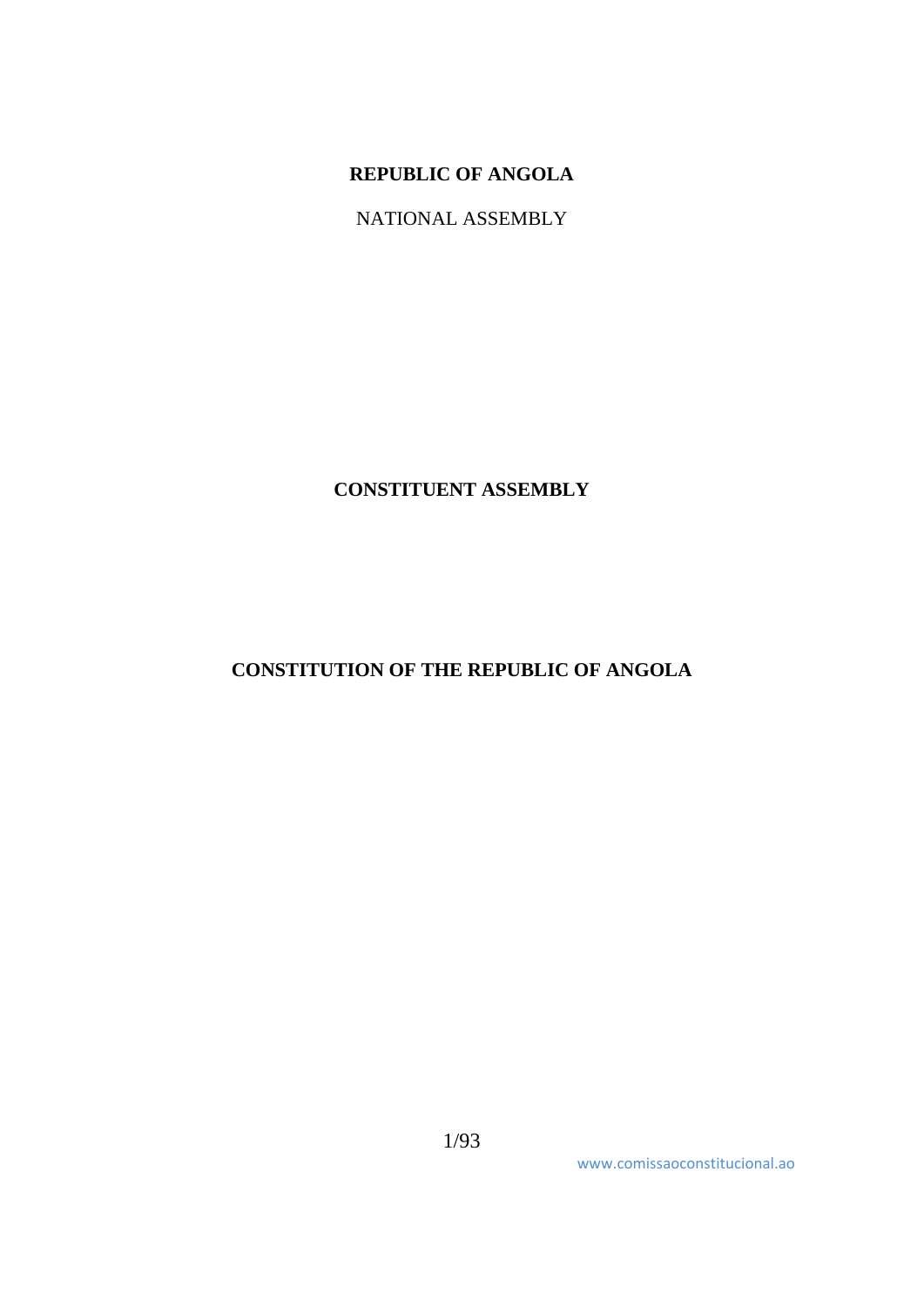# **REPUBLIC OF ANGOLA**

NATIONAL ASSEMBLY

**CONSTITUENT ASSEMBLY** 

**CONSTITUTION OF THE REPUBLIC OF ANGOLA** 

www.comissaoconstitucional.ao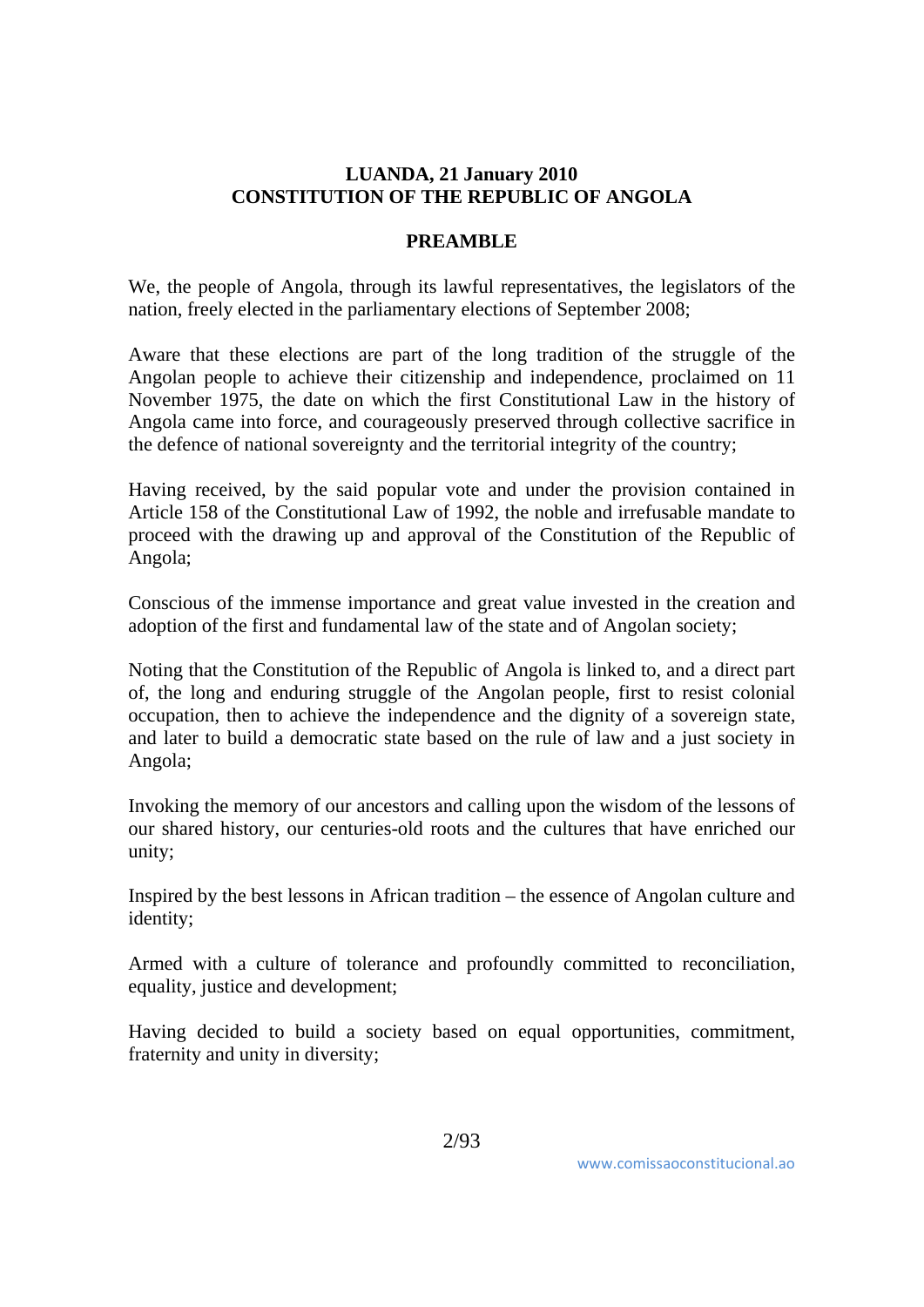### **LUANDA, 21 January 2010 CONSTITUTION OF THE REPUBLIC OF ANGOLA**

### **PREAMBLE**

We, the people of Angola, through its lawful representatives, the legislators of the nation, freely elected in the parliamentary elections of September 2008;

Aware that these elections are part of the long tradition of the struggle of the Angolan people to achieve their citizenship and independence, proclaimed on 11 November 1975, the date on which the first Constitutional Law in the history of Angola came into force, and courageously preserved through collective sacrifice in the defence of national sovereignty and the territorial integrity of the country;

Having received, by the said popular vote and under the provision contained in Article 158 of the Constitutional Law of 1992, the noble and irrefusable mandate to proceed with the drawing up and approval of the Constitution of the Republic of Angola;

Conscious of the immense importance and great value invested in the creation and adoption of the first and fundamental law of the state and of Angolan society;

Noting that the Constitution of the Republic of Angola is linked to, and a direct part of, the long and enduring struggle of the Angolan people, first to resist colonial occupation, then to achieve the independence and the dignity of a sovereign state, and later to build a democratic state based on the rule of law and a just society in Angola;

Invoking the memory of our ancestors and calling upon the wisdom of the lessons of our shared history, our centuries-old roots and the cultures that have enriched our unity;

Inspired by the best lessons in African tradition – the essence of Angolan culture and identity;

Armed with a culture of tolerance and profoundly committed to reconciliation, equality, justice and development;

Having decided to build a society based on equal opportunities, commitment, fraternity and unity in diversity;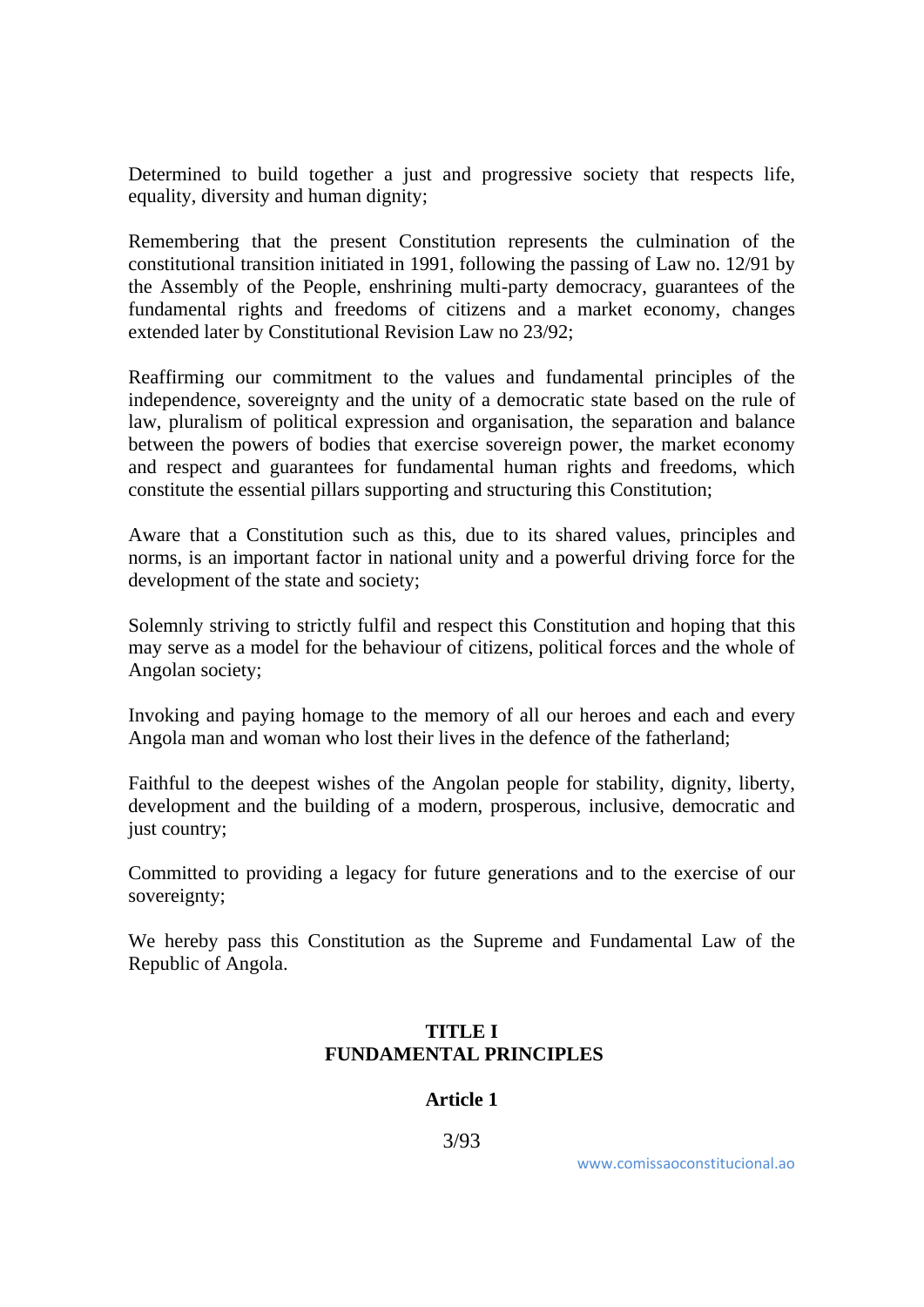Determined to build together a just and progressive society that respects life, equality, diversity and human dignity;

Remembering that the present Constitution represents the culmination of the constitutional transition initiated in 1991, following the passing of Law no. 12/91 by the Assembly of the People, enshrining multi-party democracy, guarantees of the fundamental rights and freedoms of citizens and a market economy, changes extended later by Constitutional Revision Law no 23/92;

Reaffirming our commitment to the values and fundamental principles of the independence, sovereignty and the unity of a democratic state based on the rule of law, pluralism of political expression and organisation, the separation and balance between the powers of bodies that exercise sovereign power, the market economy and respect and guarantees for fundamental human rights and freedoms, which constitute the essential pillars supporting and structuring this Constitution;

Aware that a Constitution such as this, due to its shared values, principles and norms, is an important factor in national unity and a powerful driving force for the development of the state and society;

Solemnly striving to strictly fulfil and respect this Constitution and hoping that this may serve as a model for the behaviour of citizens, political forces and the whole of Angolan society;

Invoking and paying homage to the memory of all our heroes and each and every Angola man and woman who lost their lives in the defence of the fatherland;

Faithful to the deepest wishes of the Angolan people for stability, dignity, liberty, development and the building of a modern, prosperous, inclusive, democratic and just country;

Committed to providing a legacy for future generations and to the exercise of our sovereignty;

We hereby pass this Constitution as the Supreme and Fundamental Law of the Republic of Angola.

## **TITLE I FUNDAMENTAL PRINCIPLES**

#### **Article 1**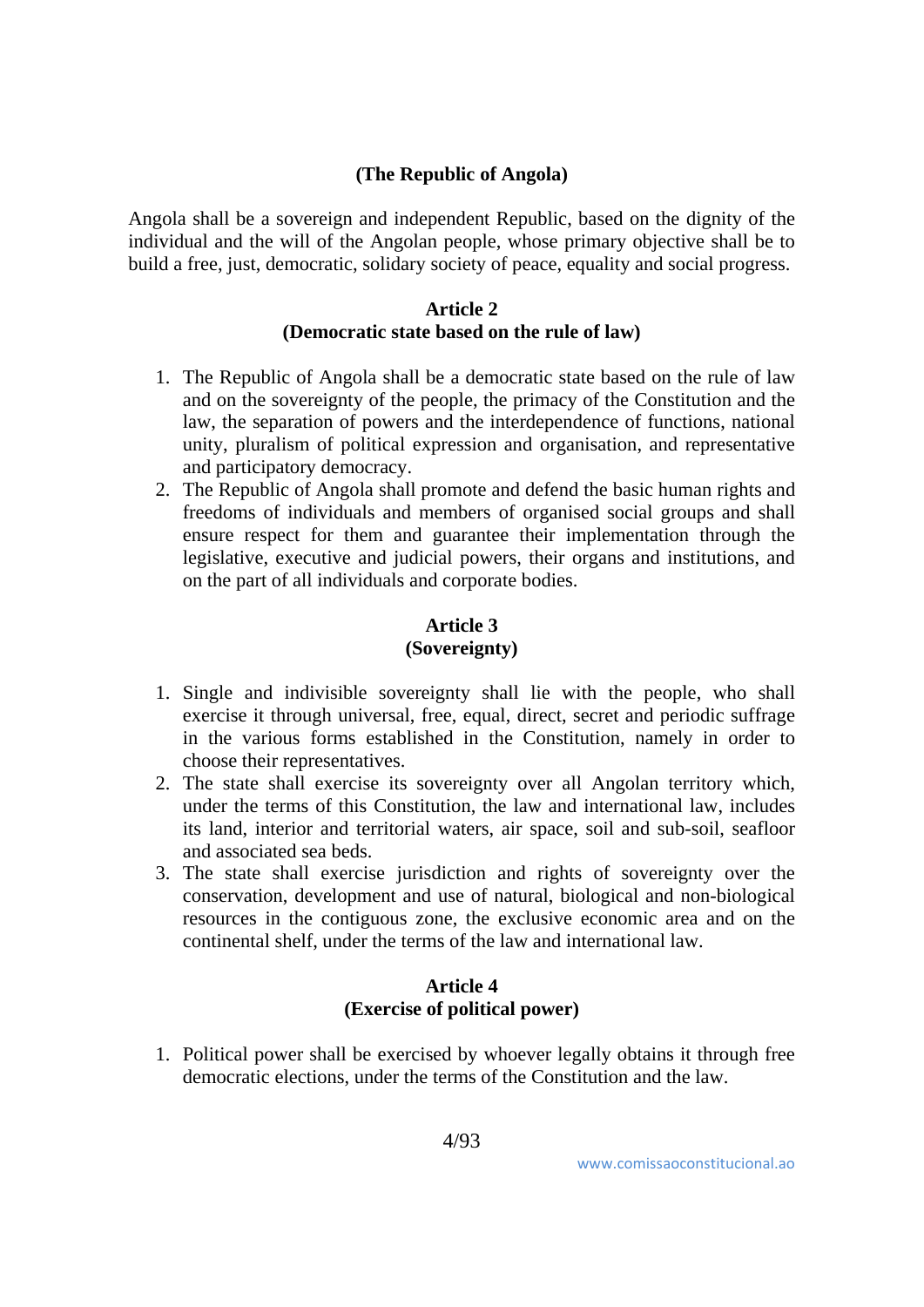## **(The Republic of Angola)**

Angola shall be a sovereign and independent Republic, based on the dignity of the individual and the will of the Angolan people, whose primary objective shall be to build a free, just, democratic, solidary society of peace, equality and social progress.

#### **Article 2 (Democratic state based on the rule of law)**

- 1. The Republic of Angola shall be a democratic state based on the rule of law and on the sovereignty of the people, the primacy of the Constitution and the law, the separation of powers and the interdependence of functions, national unity, pluralism of political expression and organisation, and representative and participatory democracy.
- 2. The Republic of Angola shall promote and defend the basic human rights and freedoms of individuals and members of organised social groups and shall ensure respect for them and guarantee their implementation through the legislative, executive and judicial powers, their organs and institutions, and on the part of all individuals and corporate bodies.

## **Article 3 (Sovereignty)**

- 1. Single and indivisible sovereignty shall lie with the people, who shall exercise it through universal, free, equal, direct, secret and periodic suffrage in the various forms established in the Constitution, namely in order to choose their representatives.
- 2. The state shall exercise its sovereignty over all Angolan territory which, under the terms of this Constitution, the law and international law, includes its land, interior and territorial waters, air space, soil and sub-soil, seafloor and associated sea beds.
- 3. The state shall exercise jurisdiction and rights of sovereignty over the conservation, development and use of natural, biological and non-biological resources in the contiguous zone, the exclusive economic area and on the continental shelf, under the terms of the law and international law.

## **Article 4 (Exercise of political power)**

1. Political power shall be exercised by whoever legally obtains it through free democratic elections, under the terms of the Constitution and the law.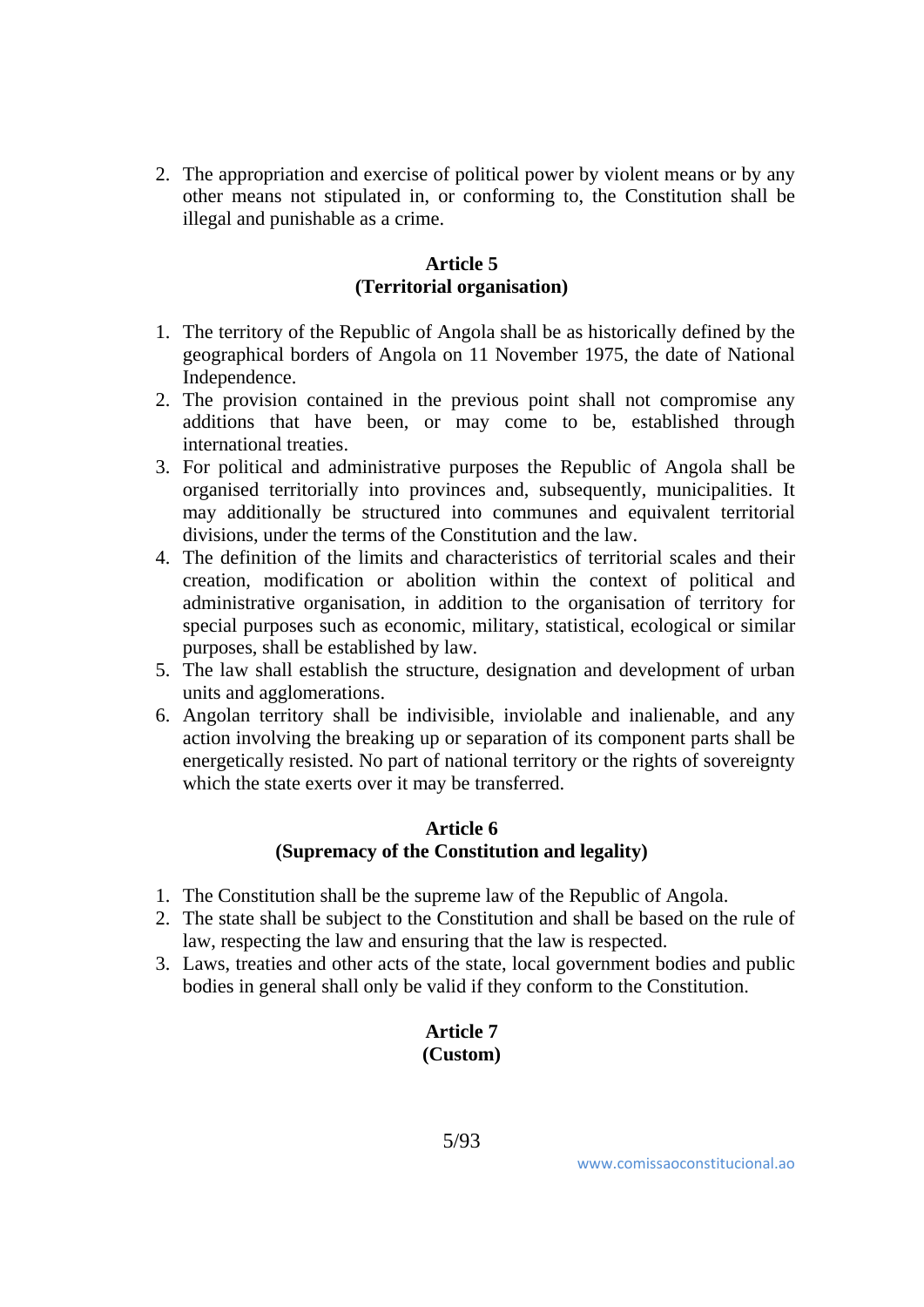2. The appropriation and exercise of political power by violent means or by any other means not stipulated in, or conforming to, the Constitution shall be illegal and punishable as a crime.

#### **Article 5 (Territorial organisation)**

- 1. The territory of the Republic of Angola shall be as historically defined by the geographical borders of Angola on 11 November 1975, the date of National Independence.
- 2. The provision contained in the previous point shall not compromise any additions that have been, or may come to be, established through international treaties.
- 3. For political and administrative purposes the Republic of Angola shall be organised territorially into provinces and, subsequently, municipalities. It may additionally be structured into communes and equivalent territorial divisions, under the terms of the Constitution and the law.
- 4. The definition of the limits and characteristics of territorial scales and their creation, modification or abolition within the context of political and administrative organisation, in addition to the organisation of territory for special purposes such as economic, military, statistical, ecological or similar purposes, shall be established by law.
- 5. The law shall establish the structure, designation and development of urban units and agglomerations.
- 6. Angolan territory shall be indivisible, inviolable and inalienable, and any action involving the breaking up or separation of its component parts shall be energetically resisted. No part of national territory or the rights of sovereignty which the state exerts over it may be transferred.

#### **Article 6 (Supremacy of the Constitution and legality)**

- 1. The Constitution shall be the supreme law of the Republic of Angola.
- 2. The state shall be subject to the Constitution and shall be based on the rule of law, respecting the law and ensuring that the law is respected.
- 3. Laws, treaties and other acts of the state, local government bodies and public bodies in general shall only be valid if they conform to the Constitution.

## **Article 7 (Custom)**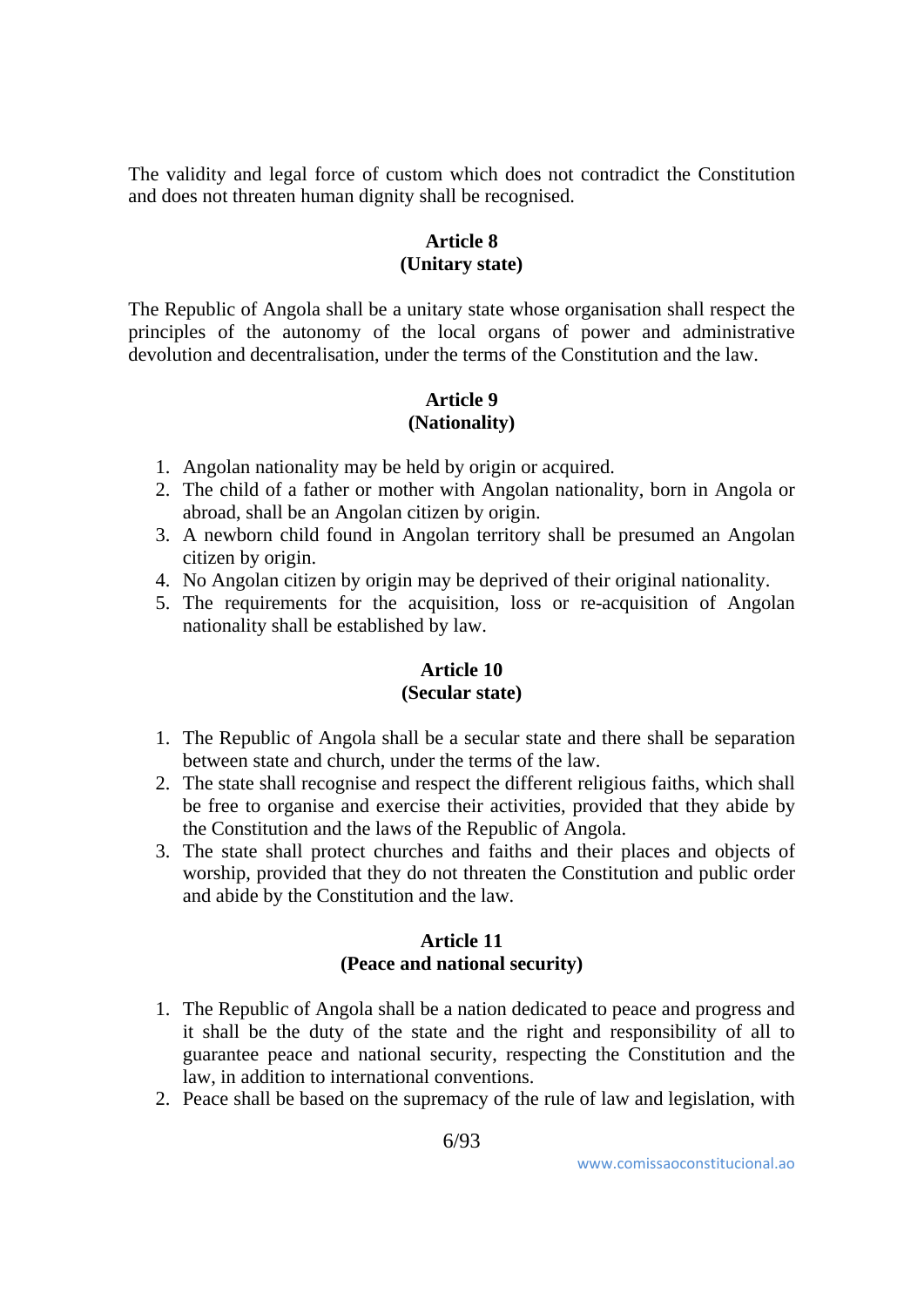The validity and legal force of custom which does not contradict the Constitution and does not threaten human dignity shall be recognised.

## **Article 8 (Unitary state)**

The Republic of Angola shall be a unitary state whose organisation shall respect the principles of the autonomy of the local organs of power and administrative devolution and decentralisation, under the terms of the Constitution and the law.

## **Article 9 (Nationality)**

- 1. Angolan nationality may be held by origin or acquired.
- 2. The child of a father or mother with Angolan nationality, born in Angola or abroad, shall be an Angolan citizen by origin.
- 3. A newborn child found in Angolan territory shall be presumed an Angolan citizen by origin.
- 4. No Angolan citizen by origin may be deprived of their original nationality.
- 5. The requirements for the acquisition, loss or re-acquisition of Angolan nationality shall be established by law.

#### **Article 10 (Secular state)**

- 1. The Republic of Angola shall be a secular state and there shall be separation between state and church, under the terms of the law.
- 2. The state shall recognise and respect the different religious faiths, which shall be free to organise and exercise their activities, provided that they abide by the Constitution and the laws of the Republic of Angola.
- 3. The state shall protect churches and faiths and their places and objects of worship, provided that they do not threaten the Constitution and public order and abide by the Constitution and the law.

## **Article 11 (Peace and national security)**

- 1. The Republic of Angola shall be a nation dedicated to peace and progress and it shall be the duty of the state and the right and responsibility of all to guarantee peace and national security, respecting the Constitution and the law, in addition to international conventions.
- 2. Peace shall be based on the supremacy of the rule of law and legislation, with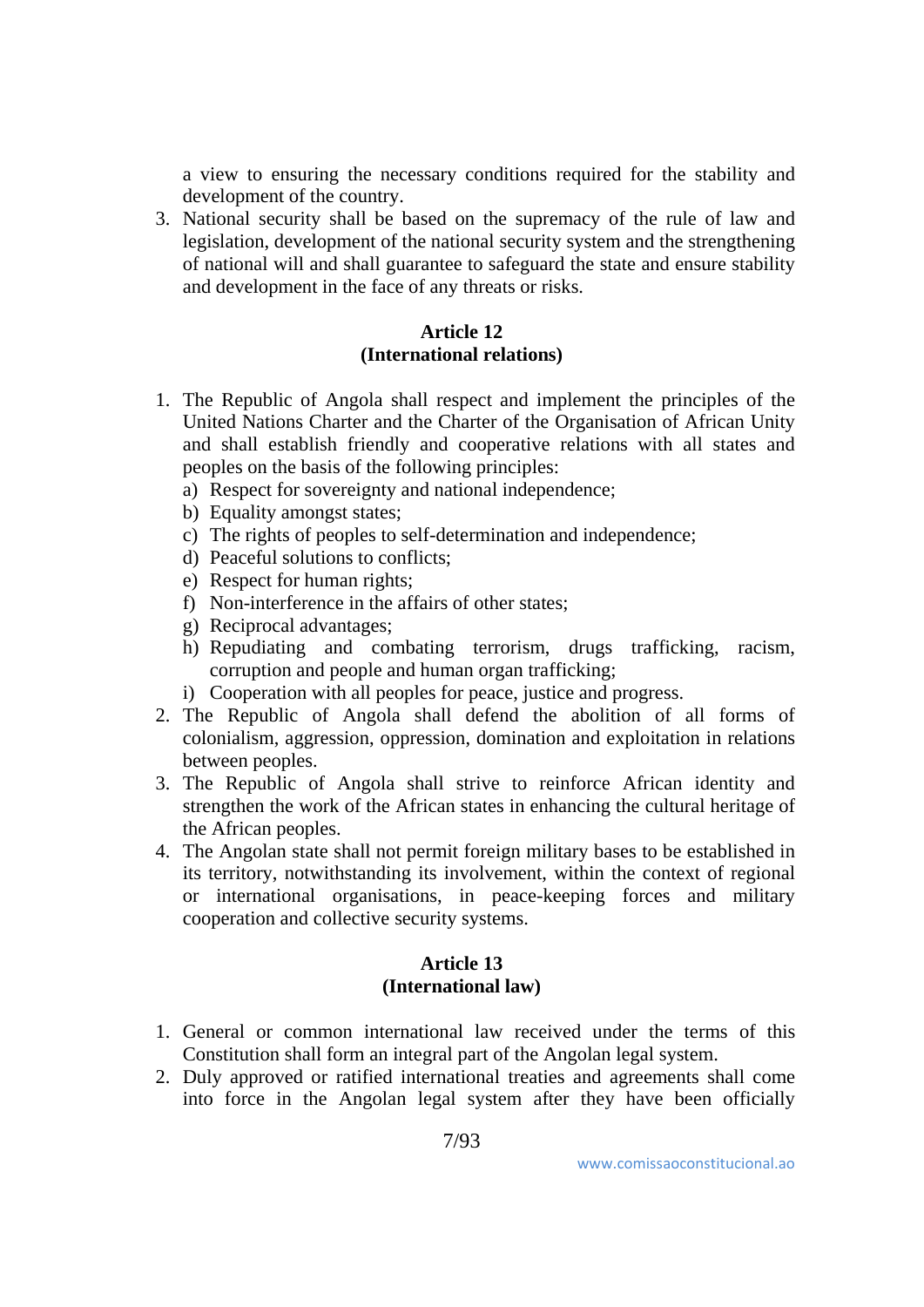a view to ensuring the necessary conditions required for the stability and development of the country.

3. National security shall be based on the supremacy of the rule of law and legislation, development of the national security system and the strengthening of national will and shall guarantee to safeguard the state and ensure stability and development in the face of any threats or risks.

#### **Article 12 (International relations)**

- 1. The Republic of Angola shall respect and implement the principles of the United Nations Charter and the Charter of the Organisation of African Unity and shall establish friendly and cooperative relations with all states and peoples on the basis of the following principles:
	- a) Respect for sovereignty and national independence;
	- b) Equality amongst states;
	- c) The rights of peoples to self-determination and independence;
	- d) Peaceful solutions to conflicts;
	- e) Respect for human rights;
	- f) Non-interference in the affairs of other states;
	- g) Reciprocal advantages;
	- h) Repudiating and combating terrorism, drugs trafficking, racism, corruption and people and human organ trafficking;
	- i) Cooperation with all peoples for peace, justice and progress.
- 2. The Republic of Angola shall defend the abolition of all forms of colonialism, aggression, oppression, domination and exploitation in relations between peoples.
- 3. The Republic of Angola shall strive to reinforce African identity and strengthen the work of the African states in enhancing the cultural heritage of the African peoples.
- 4. The Angolan state shall not permit foreign military bases to be established in its territory, notwithstanding its involvement, within the context of regional or international organisations, in peace-keeping forces and military cooperation and collective security systems.

#### **Article 13 (International law)**

- 1. General or common international law received under the terms of this Constitution shall form an integral part of the Angolan legal system.
- 2. Duly approved or ratified international treaties and agreements shall come into force in the Angolan legal system after they have been officially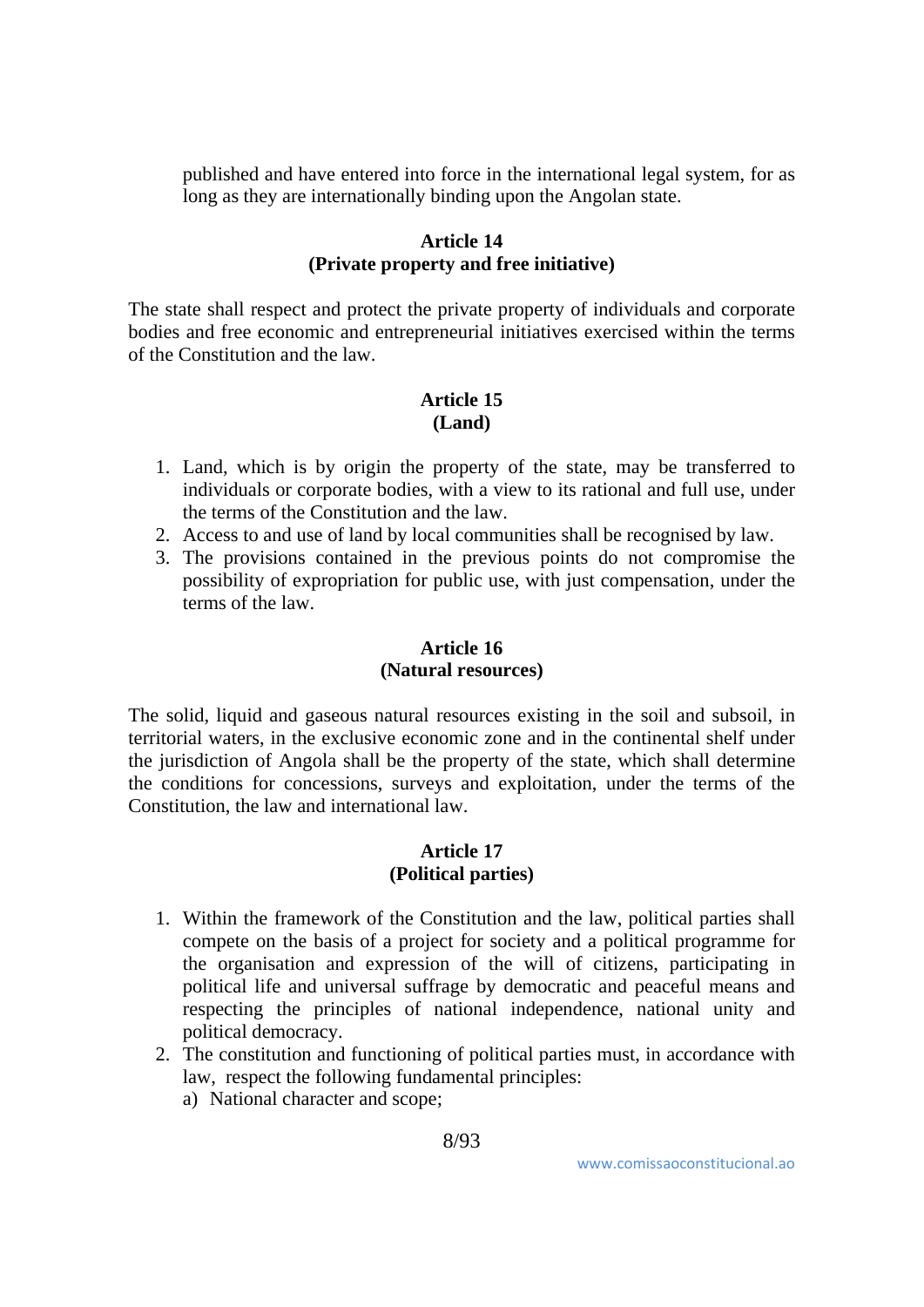published and have entered into force in the international legal system, for as long as they are internationally binding upon the Angolan state.

## **Article 14 (Private property and free initiative)**

The state shall respect and protect the private property of individuals and corporate bodies and free economic and entrepreneurial initiatives exercised within the terms of the Constitution and the law.

### **Article 15 (Land)**

- 1. Land, which is by origin the property of the state, may be transferred to individuals or corporate bodies, with a view to its rational and full use, under the terms of the Constitution and the law.
- 2. Access to and use of land by local communities shall be recognised by law.
- 3. The provisions contained in the previous points do not compromise the possibility of expropriation for public use, with just compensation, under the terms of the law.

## **Article 16 (Natural resources)**

The solid, liquid and gaseous natural resources existing in the soil and subsoil, in territorial waters, in the exclusive economic zone and in the continental shelf under the jurisdiction of Angola shall be the property of the state, which shall determine the conditions for concessions, surveys and exploitation, under the terms of the Constitution, the law and international law.

#### **Article 17 (Political parties)**

- 1. Within the framework of the Constitution and the law, political parties shall compete on the basis of a project for society and a political programme for the organisation and expression of the will of citizens, participating in political life and universal suffrage by democratic and peaceful means and respecting the principles of national independence, national unity and political democracy.
- 2. The constitution and functioning of political parties must, in accordance with law, respect the following fundamental principles:
	- a) National character and scope;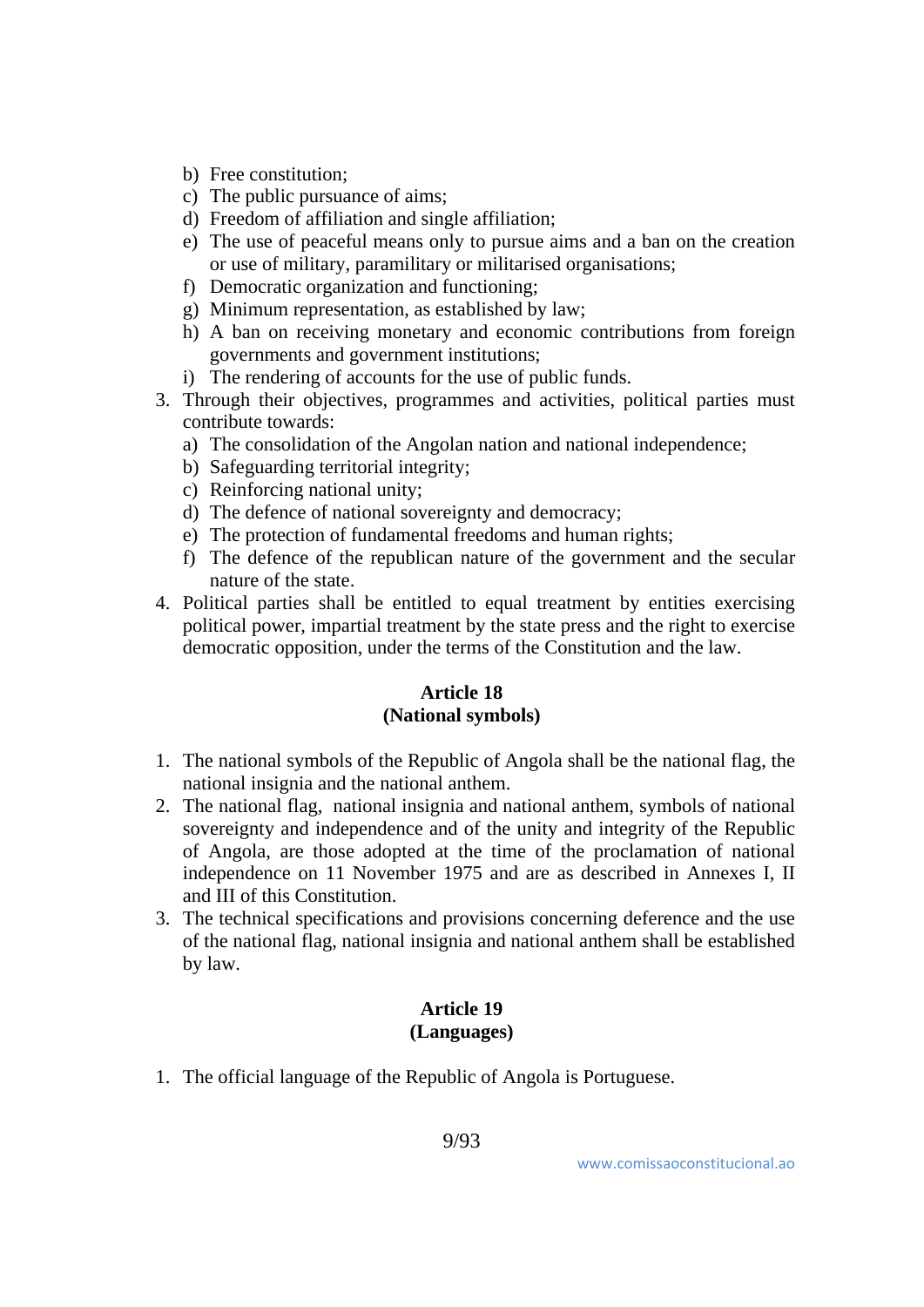- b) Free constitution;
- c) The public pursuance of aims;
- d) Freedom of affiliation and single affiliation;
- e) The use of peaceful means only to pursue aims and a ban on the creation or use of military, paramilitary or militarised organisations;
- f) Democratic organization and functioning;
- g) Minimum representation, as established by law;
- h) A ban on receiving monetary and economic contributions from foreign governments and government institutions;
- i) The rendering of accounts for the use of public funds.
- 3. Through their objectives, programmes and activities, political parties must contribute towards:
	- a) The consolidation of the Angolan nation and national independence;
	- b) Safeguarding territorial integrity;
	- c) Reinforcing national unity;
	- d) The defence of national sovereignty and democracy;
	- e) The protection of fundamental freedoms and human rights;
	- f) The defence of the republican nature of the government and the secular nature of the state.
- 4. Political parties shall be entitled to equal treatment by entities exercising political power, impartial treatment by the state press and the right to exercise democratic opposition, under the terms of the Constitution and the law.

#### **Article 18 (National symbols)**

- 1. The national symbols of the Republic of Angola shall be the national flag, the national insignia and the national anthem.
- 2. The national flag, national insignia and national anthem, symbols of national sovereignty and independence and of the unity and integrity of the Republic of Angola, are those adopted at the time of the proclamation of national independence on 11 November 1975 and are as described in Annexes I, II and III of this Constitution.
- 3. The technical specifications and provisions concerning deference and the use of the national flag, national insignia and national anthem shall be established by law.

#### **Article 19 (Languages)**

1. The official language of the Republic of Angola is Portuguese.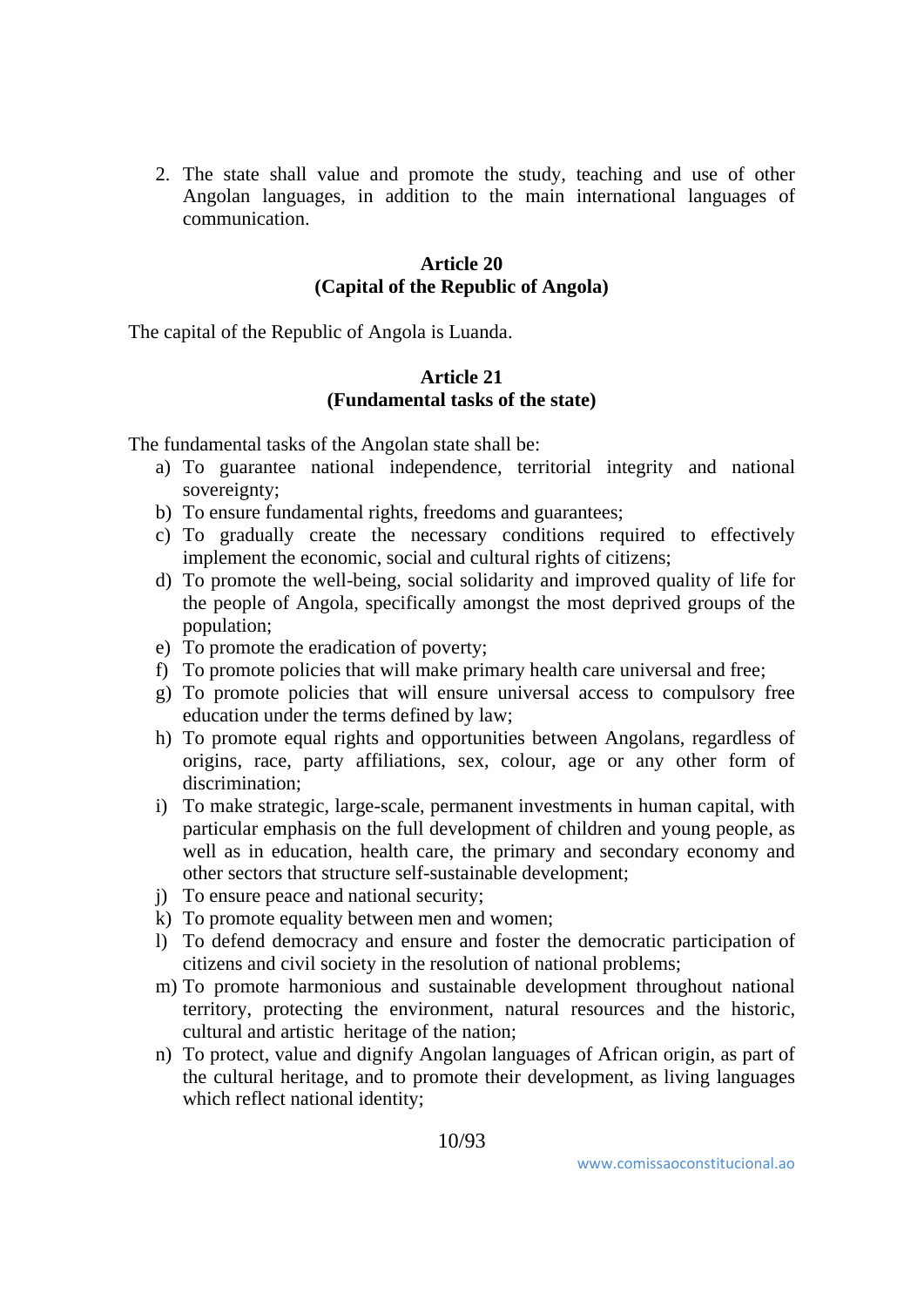2. The state shall value and promote the study, teaching and use of other Angolan languages, in addition to the main international languages of communication.

#### **Article 20 (Capital of the Republic of Angola)**

The capital of the Republic of Angola is Luanda.

#### **Article 21 (Fundamental tasks of the state)**

The fundamental tasks of the Angolan state shall be:

- a) To guarantee national independence, territorial integrity and national sovereignty;
- b) To ensure fundamental rights, freedoms and guarantees;
- c) To gradually create the necessary conditions required to effectively implement the economic, social and cultural rights of citizens;
- d) To promote the well-being, social solidarity and improved quality of life for the people of Angola, specifically amongst the most deprived groups of the population;
- e) To promote the eradication of poverty;
- f) To promote policies that will make primary health care universal and free;
- g) To promote policies that will ensure universal access to compulsory free education under the terms defined by law;
- h) To promote equal rights and opportunities between Angolans, regardless of origins, race, party affiliations, sex, colour, age or any other form of discrimination;
- i) To make strategic, large-scale, permanent investments in human capital, with particular emphasis on the full development of children and young people, as well as in education, health care, the primary and secondary economy and other sectors that structure self-sustainable development;
- j) To ensure peace and national security;
- k) To promote equality between men and women;
- l) To defend democracy and ensure and foster the democratic participation of citizens and civil society in the resolution of national problems;
- m) To promote harmonious and sustainable development throughout national territory, protecting the environment, natural resources and the historic, cultural and artistic heritage of the nation;
- n) To protect, value and dignify Angolan languages of African origin, as part of the cultural heritage, and to promote their development, as living languages which reflect national identity;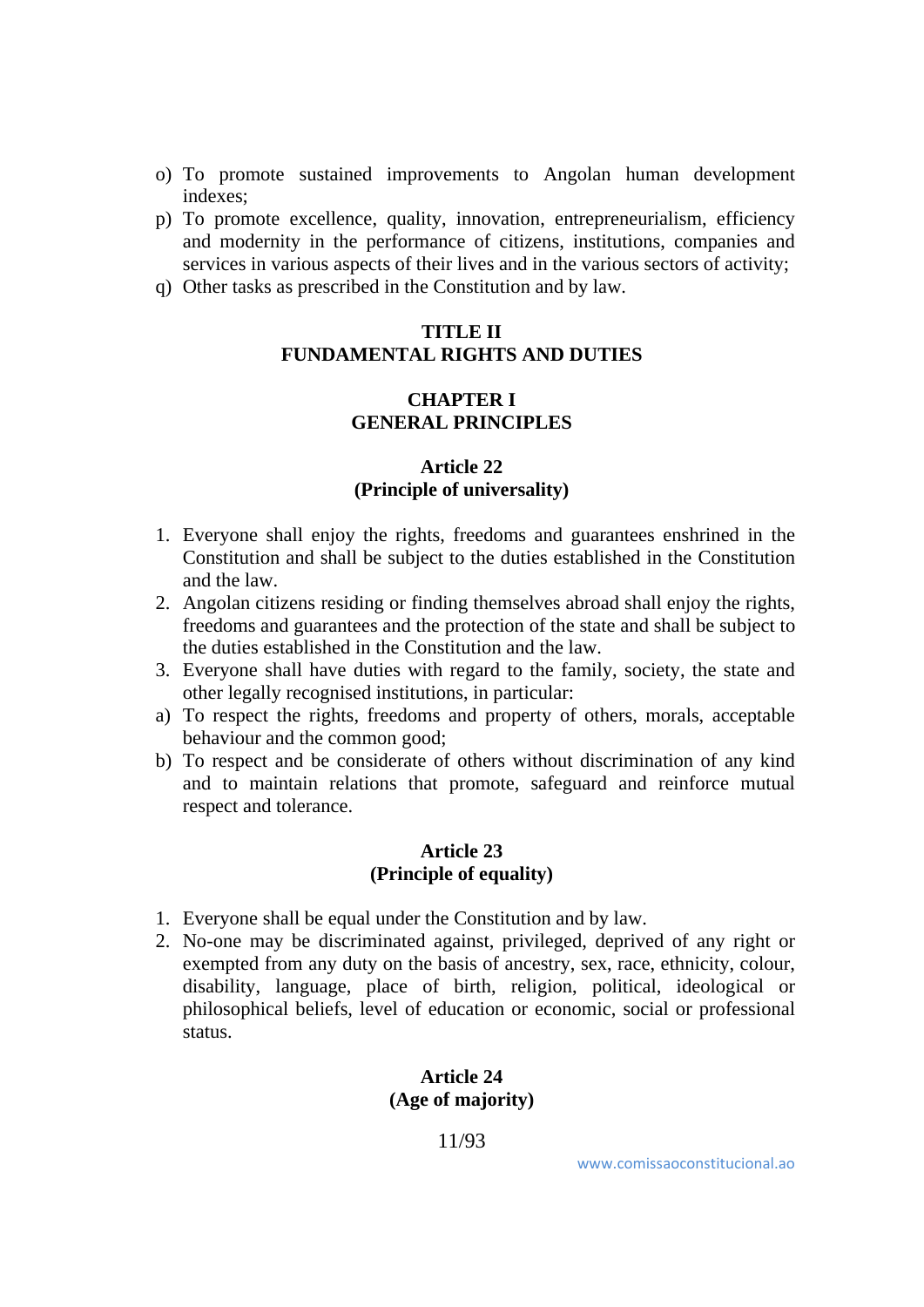- o) To promote sustained improvements to Angolan human development indexes;
- p) To promote excellence, quality, innovation, entrepreneurialism, efficiency and modernity in the performance of citizens, institutions, companies and services in various aspects of their lives and in the various sectors of activity;
- q) Other tasks as prescribed in the Constitution and by law.

#### **TITLE II FUNDAMENTAL RIGHTS AND DUTIES**

### **CHAPTER I GENERAL PRINCIPLES**

#### **Article 22 (Principle of universality)**

- 1. Everyone shall enjoy the rights, freedoms and guarantees enshrined in the Constitution and shall be subject to the duties established in the Constitution and the law.
- 2. Angolan citizens residing or finding themselves abroad shall enjoy the rights, freedoms and guarantees and the protection of the state and shall be subject to the duties established in the Constitution and the law.
- 3. Everyone shall have duties with regard to the family, society, the state and other legally recognised institutions, in particular:
- a) To respect the rights, freedoms and property of others, morals, acceptable behaviour and the common good;
- b) To respect and be considerate of others without discrimination of any kind and to maintain relations that promote, safeguard and reinforce mutual respect and tolerance.

#### **Article 23 (Principle of equality)**

- 1. Everyone shall be equal under the Constitution and by law.
- 2. No-one may be discriminated against, privileged, deprived of any right or exempted from any duty on the basis of ancestry, sex, race, ethnicity, colour, disability, language, place of birth, religion, political, ideological or philosophical beliefs, level of education or economic, social or professional status.

### **Article 24 (Age of majority)**

11/93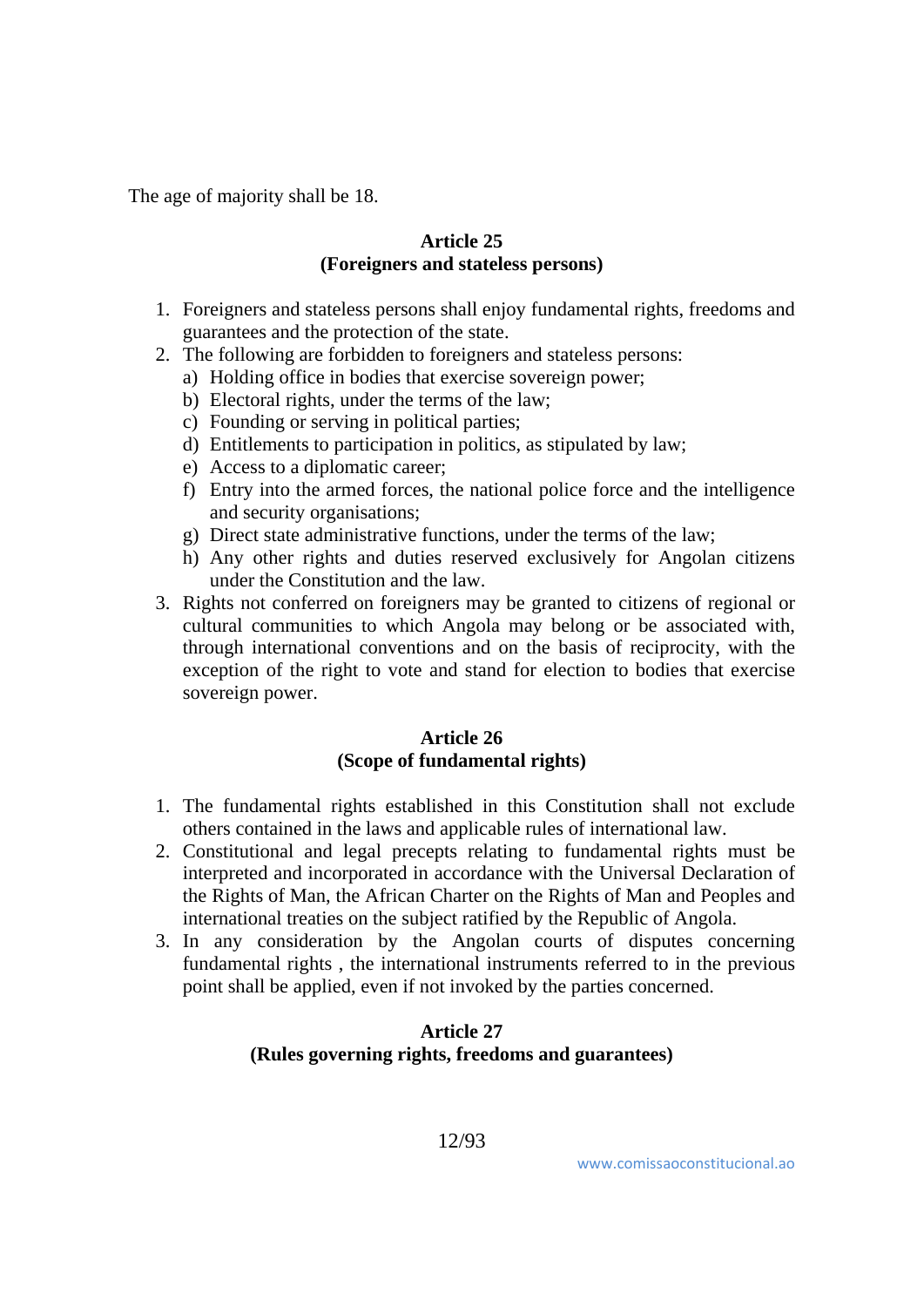The age of majority shall be 18.

### **Article 25 (Foreigners and stateless persons)**

- 1. Foreigners and stateless persons shall enjoy fundamental rights, freedoms and guarantees and the protection of the state.
- 2. The following are forbidden to foreigners and stateless persons:
	- a) Holding office in bodies that exercise sovereign power;
	- b) Electoral rights, under the terms of the law;
	- c) Founding or serving in political parties;
	- d) Entitlements to participation in politics, as stipulated by law;
	- e) Access to a diplomatic career;
	- f) Entry into the armed forces, the national police force and the intelligence and security organisations;
	- g) Direct state administrative functions, under the terms of the law;
	- h) Any other rights and duties reserved exclusively for Angolan citizens under the Constitution and the law.
- 3. Rights not conferred on foreigners may be granted to citizens of regional or cultural communities to which Angola may belong or be associated with, through international conventions and on the basis of reciprocity, with the exception of the right to vote and stand for election to bodies that exercise sovereign power.

### **Article 26 (Scope of fundamental rights)**

- 1. The fundamental rights established in this Constitution shall not exclude others contained in the laws and applicable rules of international law.
- 2. Constitutional and legal precepts relating to fundamental rights must be interpreted and incorporated in accordance with the Universal Declaration of the Rights of Man, the African Charter on the Rights of Man and Peoples and international treaties on the subject ratified by the Republic of Angola.
- 3. In any consideration by the Angolan courts of disputes concerning fundamental rights , the international instruments referred to in the previous point shall be applied, even if not invoked by the parties concerned.

### **Article 27 (Rules governing rights, freedoms and guarantees)**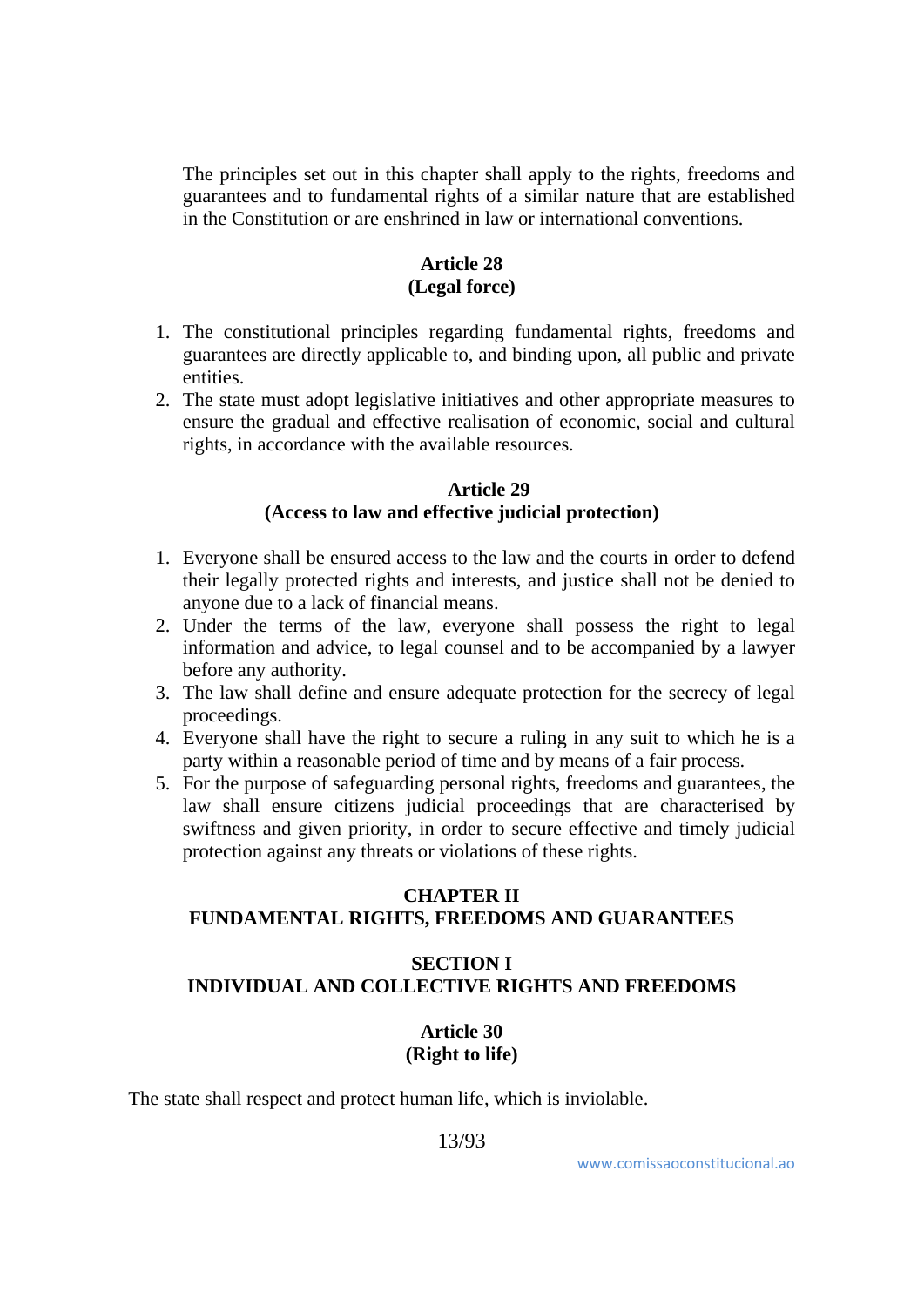The principles set out in this chapter shall apply to the rights, freedoms and guarantees and to fundamental rights of a similar nature that are established in the Constitution or are enshrined in law or international conventions.

#### **Article 28 (Legal force)**

- 1. The constitutional principles regarding fundamental rights, freedoms and guarantees are directly applicable to, and binding upon, all public and private entities.
- 2. The state must adopt legislative initiatives and other appropriate measures to ensure the gradual and effective realisation of economic, social and cultural rights, in accordance with the available resources.

#### **Article 29 (Access to law and effective judicial protection)**

- 1. Everyone shall be ensured access to the law and the courts in order to defend their legally protected rights and interests, and justice shall not be denied to anyone due to a lack of financial means.
- 2. Under the terms of the law, everyone shall possess the right to legal information and advice, to legal counsel and to be accompanied by a lawyer before any authority.
- 3. The law shall define and ensure adequate protection for the secrecy of legal proceedings.
- 4. Everyone shall have the right to secure a ruling in any suit to which he is a party within a reasonable period of time and by means of a fair process.
- 5. For the purpose of safeguarding personal rights, freedoms and guarantees, the law shall ensure citizens judicial proceedings that are characterised by swiftness and given priority, in order to secure effective and timely judicial protection against any threats or violations of these rights.

### **CHAPTER II FUNDAMENTAL RIGHTS, FREEDOMS AND GUARANTEES**

### **SECTION I INDIVIDUAL AND COLLECTIVE RIGHTS AND FREEDOMS**

### **Article 30 (Right to life)**

The state shall respect and protect human life, which is inviolable.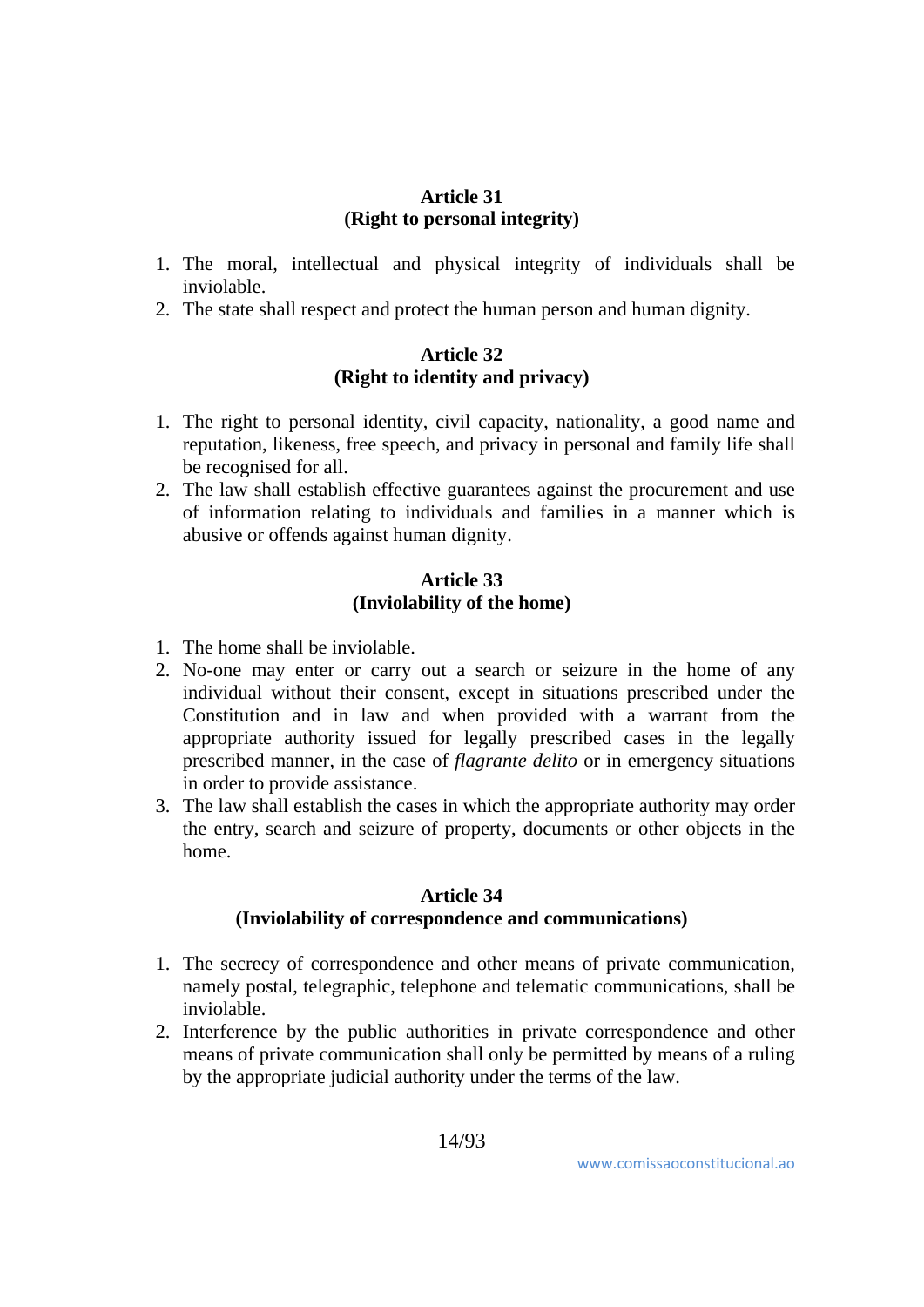#### **Article 31 (Right to personal integrity)**

- 1. The moral, intellectual and physical integrity of individuals shall be inviolable.
- 2. The state shall respect and protect the human person and human dignity.

## **Article 32 (Right to identity and privacy)**

- 1. The right to personal identity, civil capacity, nationality, a good name and reputation, likeness, free speech, and privacy in personal and family life shall be recognised for all.
- 2. The law shall establish effective guarantees against the procurement and use of information relating to individuals and families in a manner which is abusive or offends against human dignity.

#### **Article 33 (Inviolability of the home)**

- 1. The home shall be inviolable.
- 2. No-one may enter or carry out a search or seizure in the home of any individual without their consent, except in situations prescribed under the Constitution and in law and when provided with a warrant from the appropriate authority issued for legally prescribed cases in the legally prescribed manner, in the case of *flagrante delito* or in emergency situations in order to provide assistance.
- 3. The law shall establish the cases in which the appropriate authority may order the entry, search and seizure of property, documents or other objects in the home.

### **Article 34 (Inviolability of correspondence and communications)**

- 1. The secrecy of correspondence and other means of private communication, namely postal, telegraphic, telephone and telematic communications, shall be inviolable.
- 2. Interference by the public authorities in private correspondence and other means of private communication shall only be permitted by means of a ruling by the appropriate judicial authority under the terms of the law.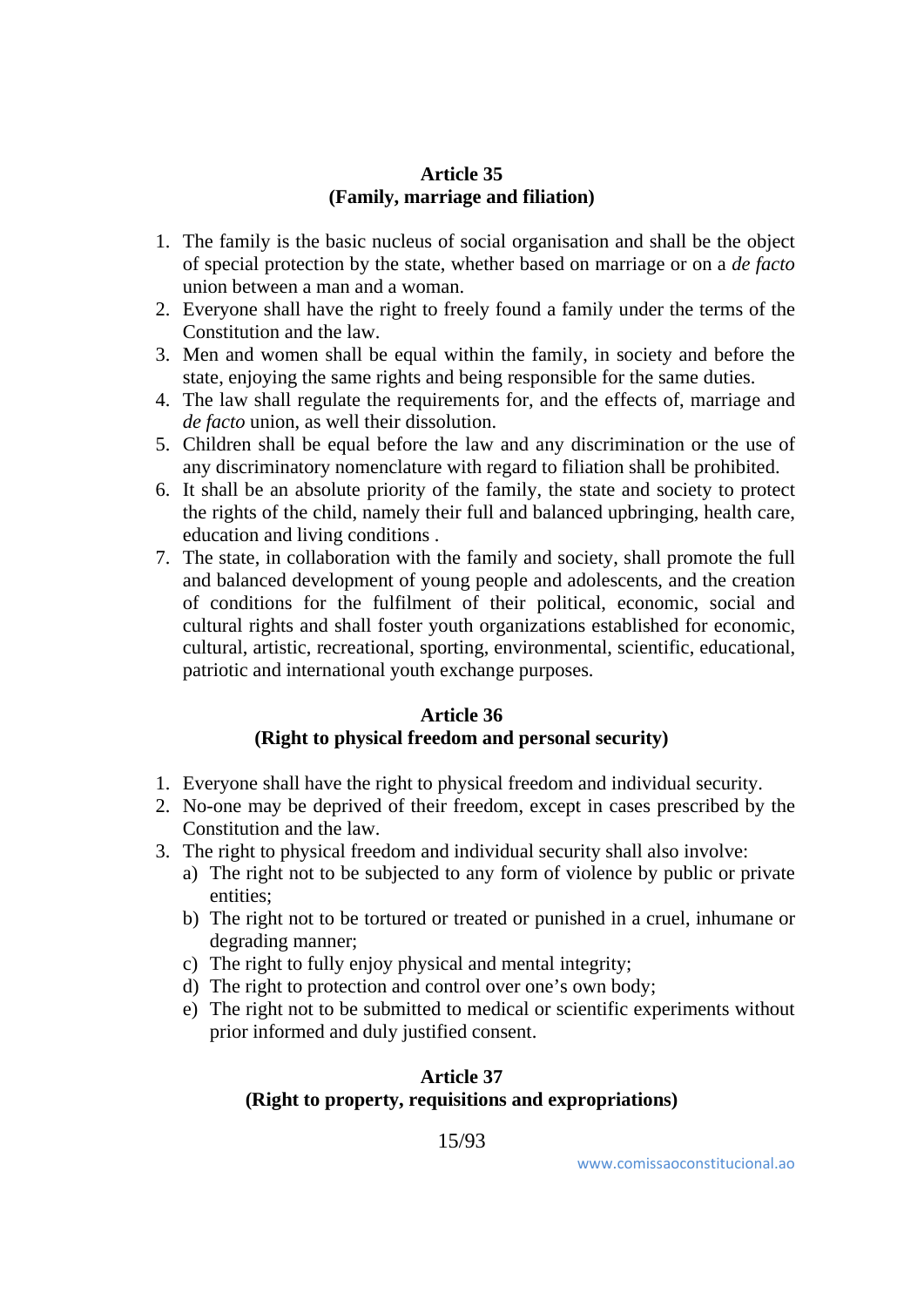#### **Article 35 (Family, marriage and filiation)**

- 1. The family is the basic nucleus of social organisation and shall be the object of special protection by the state, whether based on marriage or on a *de facto* union between a man and a woman.
- 2. Everyone shall have the right to freely found a family under the terms of the Constitution and the law.
- 3. Men and women shall be equal within the family, in society and before the state, enjoying the same rights and being responsible for the same duties.
- 4. The law shall regulate the requirements for, and the effects of, marriage and *de facto* union, as well their dissolution.
- 5. Children shall be equal before the law and any discrimination or the use of any discriminatory nomenclature with regard to filiation shall be prohibited.
- 6. It shall be an absolute priority of the family, the state and society to protect the rights of the child, namely their full and balanced upbringing, health care, education and living conditions .
- 7. The state, in collaboration with the family and society, shall promote the full and balanced development of young people and adolescents, and the creation of conditions for the fulfilment of their political, economic, social and cultural rights and shall foster youth organizations established for economic, cultural, artistic, recreational, sporting, environmental, scientific, educational, patriotic and international youth exchange purposes.

## **Article 36 (Right to physical freedom and personal security)**

- 1. Everyone shall have the right to physical freedom and individual security.
- 2. No-one may be deprived of their freedom, except in cases prescribed by the Constitution and the law.
- 3. The right to physical freedom and individual security shall also involve:
	- a) The right not to be subjected to any form of violence by public or private entities;
	- b) The right not to be tortured or treated or punished in a cruel, inhumane or degrading manner;
	- c) The right to fully enjoy physical and mental integrity;
	- d) The right to protection and control over one's own body;
	- e) The right not to be submitted to medical or scientific experiments without prior informed and duly justified consent.

### **Article 37 (Right to property, requisitions and expropriations)**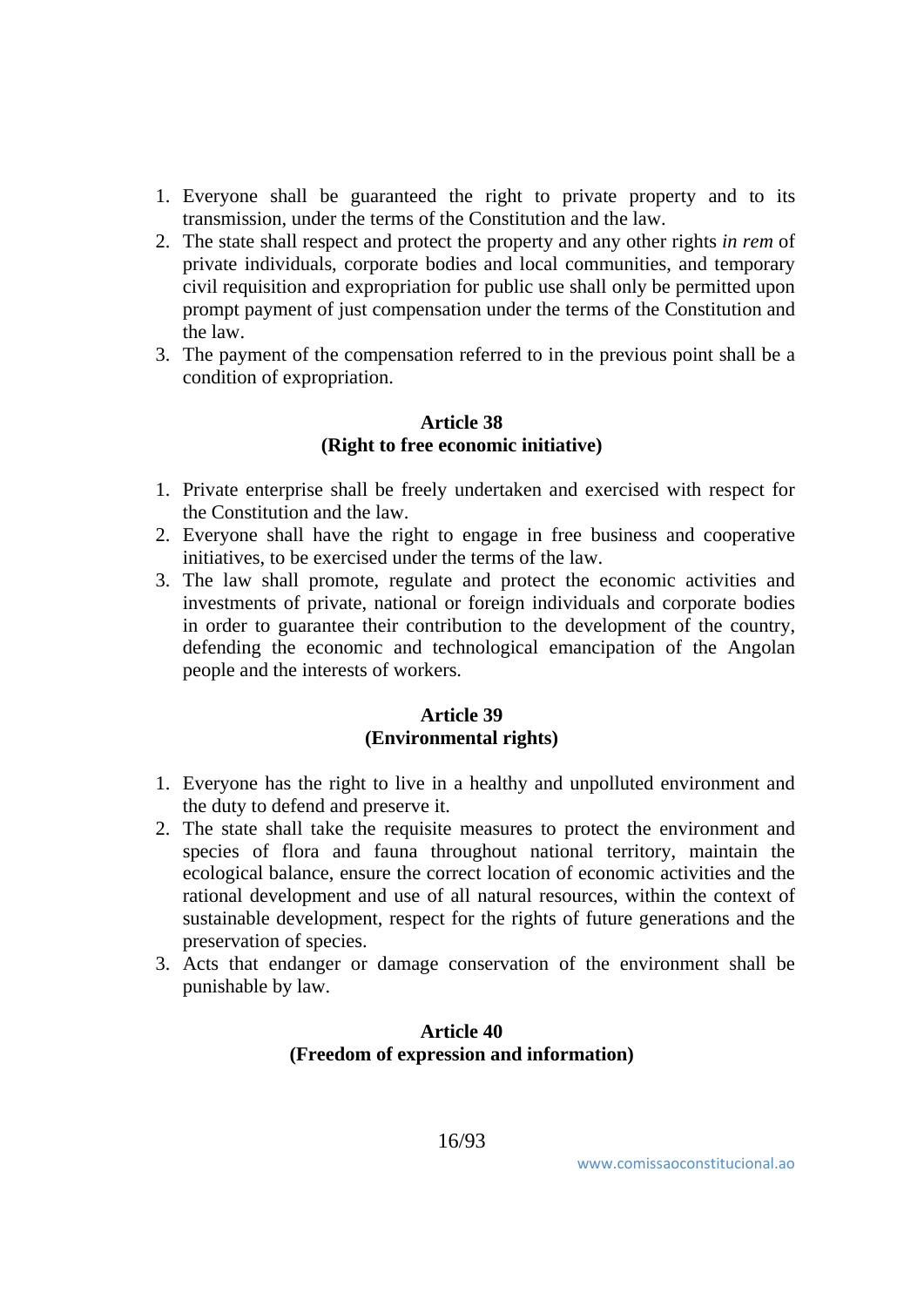- 1. Everyone shall be guaranteed the right to private property and to its transmission, under the terms of the Constitution and the law.
- 2. The state shall respect and protect the property and any other rights *in rem* of private individuals, corporate bodies and local communities, and temporary civil requisition and expropriation for public use shall only be permitted upon prompt payment of just compensation under the terms of the Constitution and the law.
- 3. The payment of the compensation referred to in the previous point shall be a condition of expropriation.

### **Article 38 (Right to free economic initiative)**

- 1. Private enterprise shall be freely undertaken and exercised with respect for the Constitution and the law.
- 2. Everyone shall have the right to engage in free business and cooperative initiatives, to be exercised under the terms of the law.
- 3. The law shall promote, regulate and protect the economic activities and investments of private, national or foreign individuals and corporate bodies in order to guarantee their contribution to the development of the country, defending the economic and technological emancipation of the Angolan people and the interests of workers.

### **Article 39 (Environmental rights)**

- 1. Everyone has the right to live in a healthy and unpolluted environment and the duty to defend and preserve it.
- 2. The state shall take the requisite measures to protect the environment and species of flora and fauna throughout national territory, maintain the ecological balance, ensure the correct location of economic activities and the rational development and use of all natural resources, within the context of sustainable development, respect for the rights of future generations and the preservation of species.
- 3. Acts that endanger or damage conservation of the environment shall be punishable by law.

### **Article 40 (Freedom of expression and information)**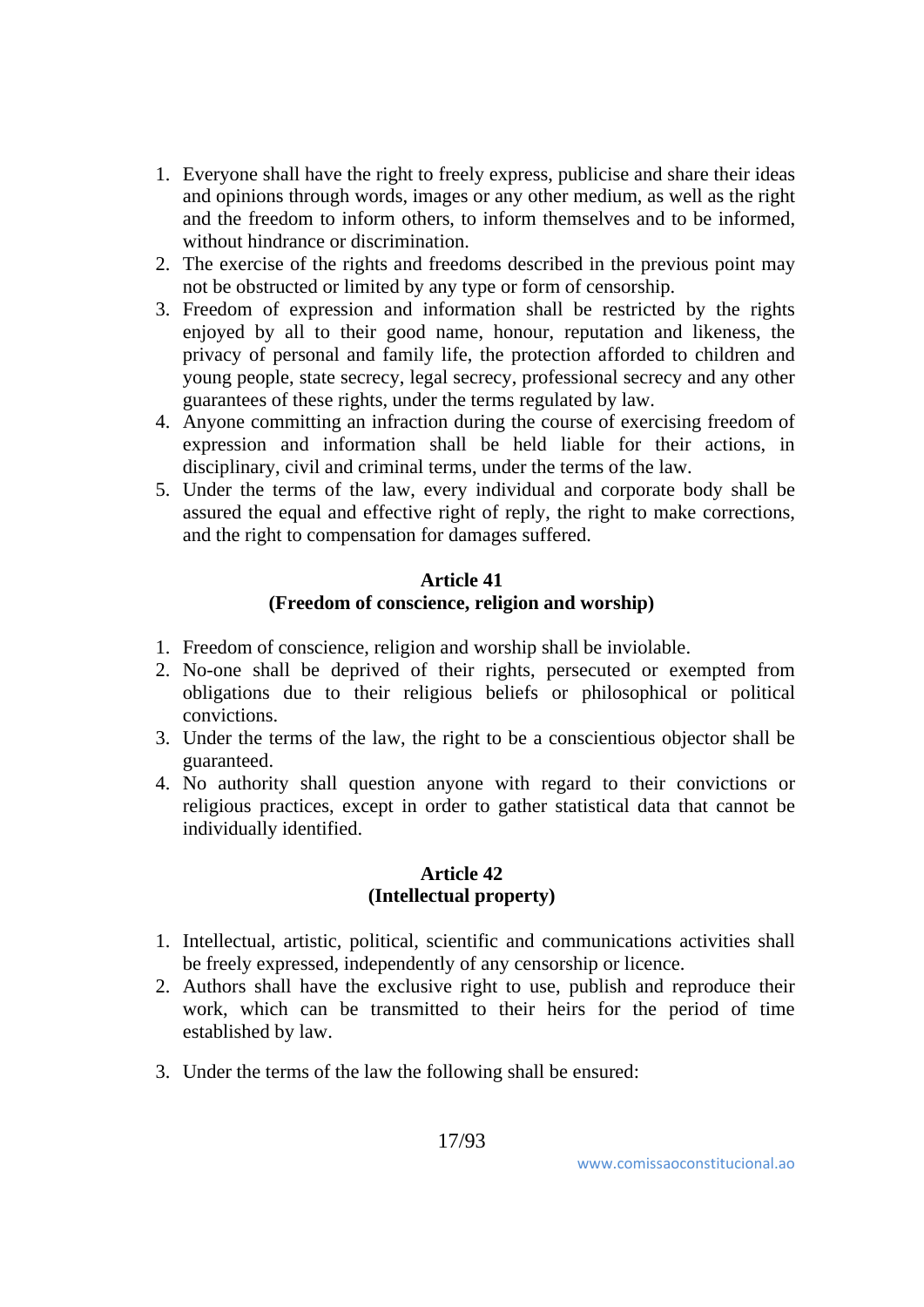- 1. Everyone shall have the right to freely express, publicise and share their ideas and opinions through words, images or any other medium, as well as the right and the freedom to inform others, to inform themselves and to be informed, without hindrance or discrimination.
- 2. The exercise of the rights and freedoms described in the previous point may not be obstructed or limited by any type or form of censorship.
- 3. Freedom of expression and information shall be restricted by the rights enjoyed by all to their good name, honour, reputation and likeness, the privacy of personal and family life, the protection afforded to children and young people, state secrecy, legal secrecy, professional secrecy and any other guarantees of these rights, under the terms regulated by law.
- 4. Anyone committing an infraction during the course of exercising freedom of expression and information shall be held liable for their actions, in disciplinary, civil and criminal terms, under the terms of the law.
- 5. Under the terms of the law, every individual and corporate body shall be assured the equal and effective right of reply, the right to make corrections, and the right to compensation for damages suffered.

## **Article 41 (Freedom of conscience, religion and worship)**

- 1. Freedom of conscience, religion and worship shall be inviolable.
- 2. No-one shall be deprived of their rights, persecuted or exempted from obligations due to their religious beliefs or philosophical or political convictions.
- 3. Under the terms of the law, the right to be a conscientious objector shall be guaranteed.
- 4. No authority shall question anyone with regard to their convictions or religious practices, except in order to gather statistical data that cannot be individually identified.

#### **Article 42 (Intellectual property)**

- 1. Intellectual, artistic, political, scientific and communications activities shall be freely expressed, independently of any censorship or licence.
- 2. Authors shall have the exclusive right to use, publish and reproduce their work, which can be transmitted to their heirs for the period of time established by law.
- 3. Under the terms of the law the following shall be ensured: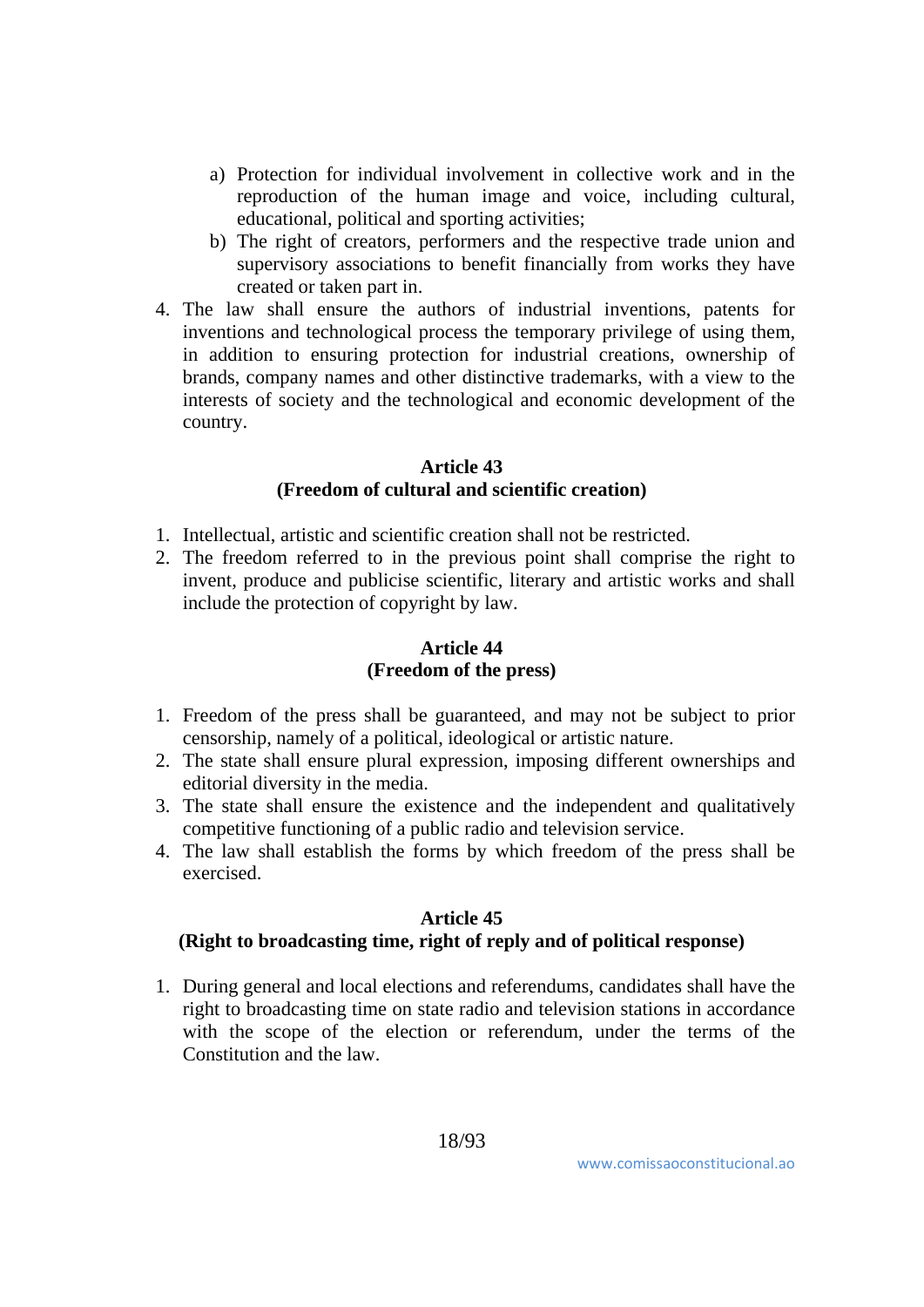- a) Protection for individual involvement in collective work and in the reproduction of the human image and voice, including cultural, educational, political and sporting activities;
- b) The right of creators, performers and the respective trade union and supervisory associations to benefit financially from works they have created or taken part in.
- 4. The law shall ensure the authors of industrial inventions, patents for inventions and technological process the temporary privilege of using them, in addition to ensuring protection for industrial creations, ownership of brands, company names and other distinctive trademarks, with a view to the interests of society and the technological and economic development of the country.

### **Article 43 (Freedom of cultural and scientific creation)**

- 1. Intellectual, artistic and scientific creation shall not be restricted.
- 2. The freedom referred to in the previous point shall comprise the right to invent, produce and publicise scientific, literary and artistic works and shall include the protection of copyright by law.

## **Article 44 (Freedom of the press)**

- 1. Freedom of the press shall be guaranteed, and may not be subject to prior censorship, namely of a political, ideological or artistic nature.
- 2. The state shall ensure plural expression, imposing different ownerships and editorial diversity in the media.
- 3. The state shall ensure the existence and the independent and qualitatively competitive functioning of a public radio and television service.
- 4. The law shall establish the forms by which freedom of the press shall be exercised.

## **Article 45**

## **(Right to broadcasting time, right of reply and of political response)**

1. During general and local elections and referendums, candidates shall have the right to broadcasting time on state radio and television stations in accordance with the scope of the election or referendum, under the terms of the Constitution and the law.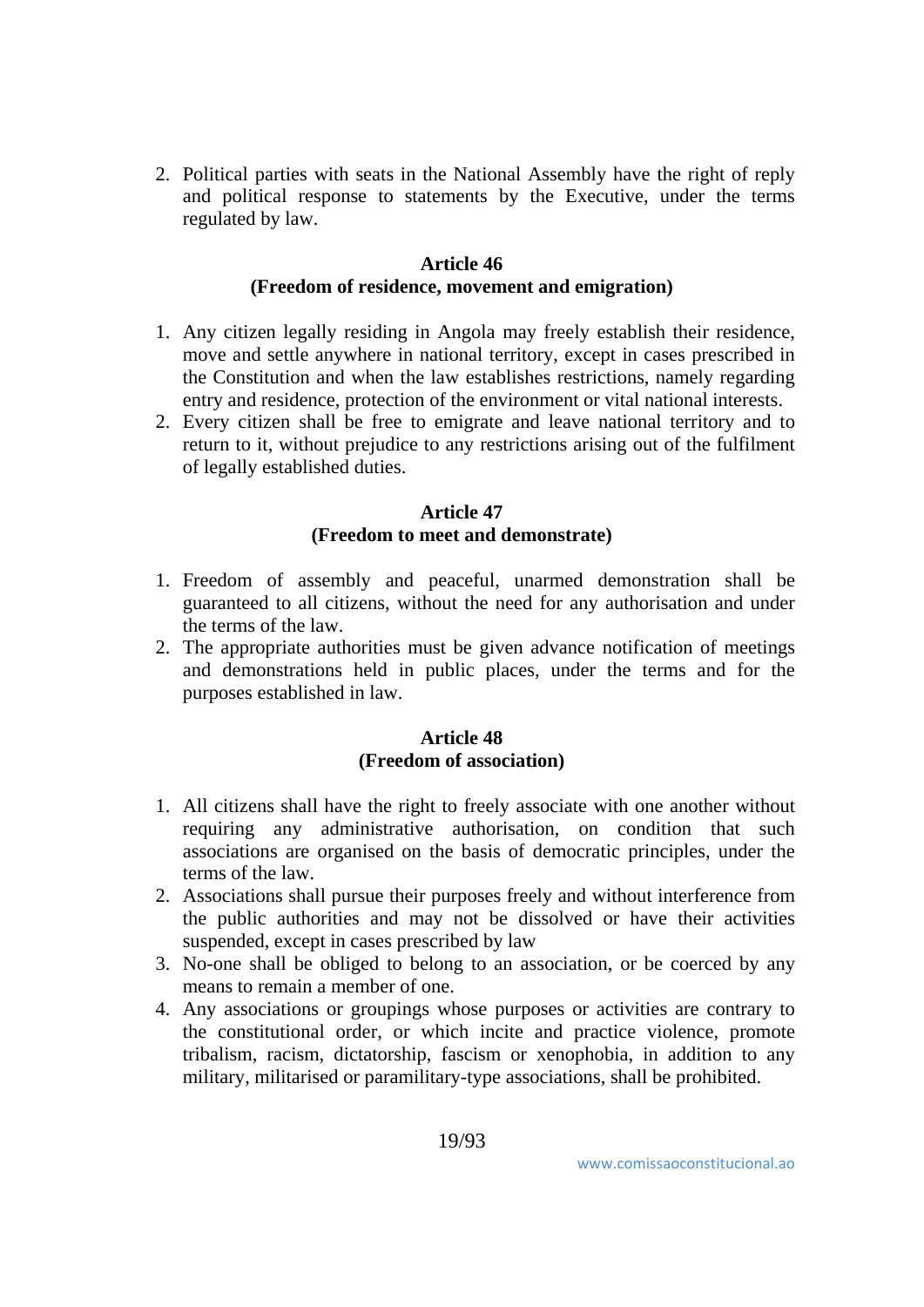2. Political parties with seats in the National Assembly have the right of reply and political response to statements by the Executive, under the terms regulated by law.

#### **Article 46 (Freedom of residence, movement and emigration)**

- 1. Any citizen legally residing in Angola may freely establish their residence, move and settle anywhere in national territory, except in cases prescribed in the Constitution and when the law establishes restrictions, namely regarding entry and residence, protection of the environment or vital national interests.
- 2. Every citizen shall be free to emigrate and leave national territory and to return to it, without prejudice to any restrictions arising out of the fulfilment of legally established duties.

### **Article 47 (Freedom to meet and demonstrate)**

- 1. Freedom of assembly and peaceful, unarmed demonstration shall be guaranteed to all citizens, without the need for any authorisation and under the terms of the law.
- 2. The appropriate authorities must be given advance notification of meetings and demonstrations held in public places, under the terms and for the purposes established in law.

#### **Article 48 (Freedom of association)**

- 1. All citizens shall have the right to freely associate with one another without requiring any administrative authorisation, on condition that such associations are organised on the basis of democratic principles, under the terms of the law.
- 2. Associations shall pursue their purposes freely and without interference from the public authorities and may not be dissolved or have their activities suspended, except in cases prescribed by law
- 3. No-one shall be obliged to belong to an association, or be coerced by any means to remain a member of one.
- 4. Any associations or groupings whose purposes or activities are contrary to the constitutional order, or which incite and practice violence, promote tribalism, racism, dictatorship, fascism or xenophobia, in addition to any military, militarised or paramilitary-type associations, shall be prohibited.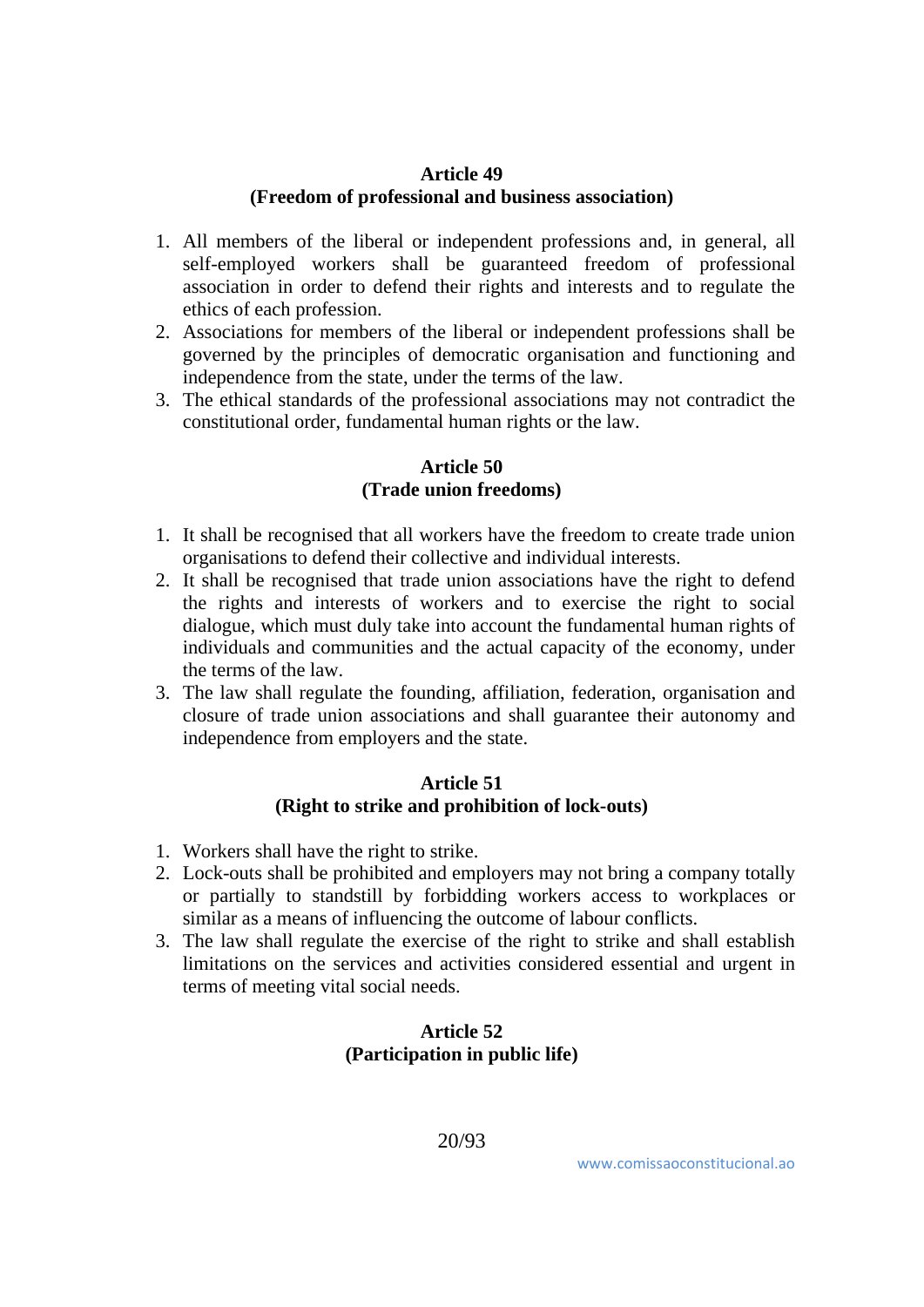# **Article 49 (Freedom of professional and business association)**

- 1. All members of the liberal or independent professions and, in general, all self-employed workers shall be guaranteed freedom of professional association in order to defend their rights and interests and to regulate the ethics of each profession.
- 2. Associations for members of the liberal or independent professions shall be governed by the principles of democratic organisation and functioning and independence from the state, under the terms of the law.
- 3. The ethical standards of the professional associations may not contradict the constitutional order, fundamental human rights or the law.

#### **Article 50 (Trade union freedoms)**

- 1. It shall be recognised that all workers have the freedom to create trade union organisations to defend their collective and individual interests.
- 2. It shall be recognised that trade union associations have the right to defend the rights and interests of workers and to exercise the right to social dialogue, which must duly take into account the fundamental human rights of individuals and communities and the actual capacity of the economy, under the terms of the law.
- 3. The law shall regulate the founding, affiliation, federation, organisation and closure of trade union associations and shall guarantee their autonomy and independence from employers and the state.

### **Article 51 (Right to strike and prohibition of lock-outs)**

- 1. Workers shall have the right to strike.
- 2. Lock-outs shall be prohibited and employers may not bring a company totally or partially to standstill by forbidding workers access to workplaces or similar as a means of influencing the outcome of labour conflicts.
- 3. The law shall regulate the exercise of the right to strike and shall establish limitations on the services and activities considered essential and urgent in terms of meeting vital social needs.

## **Article 52 (Participation in public life)**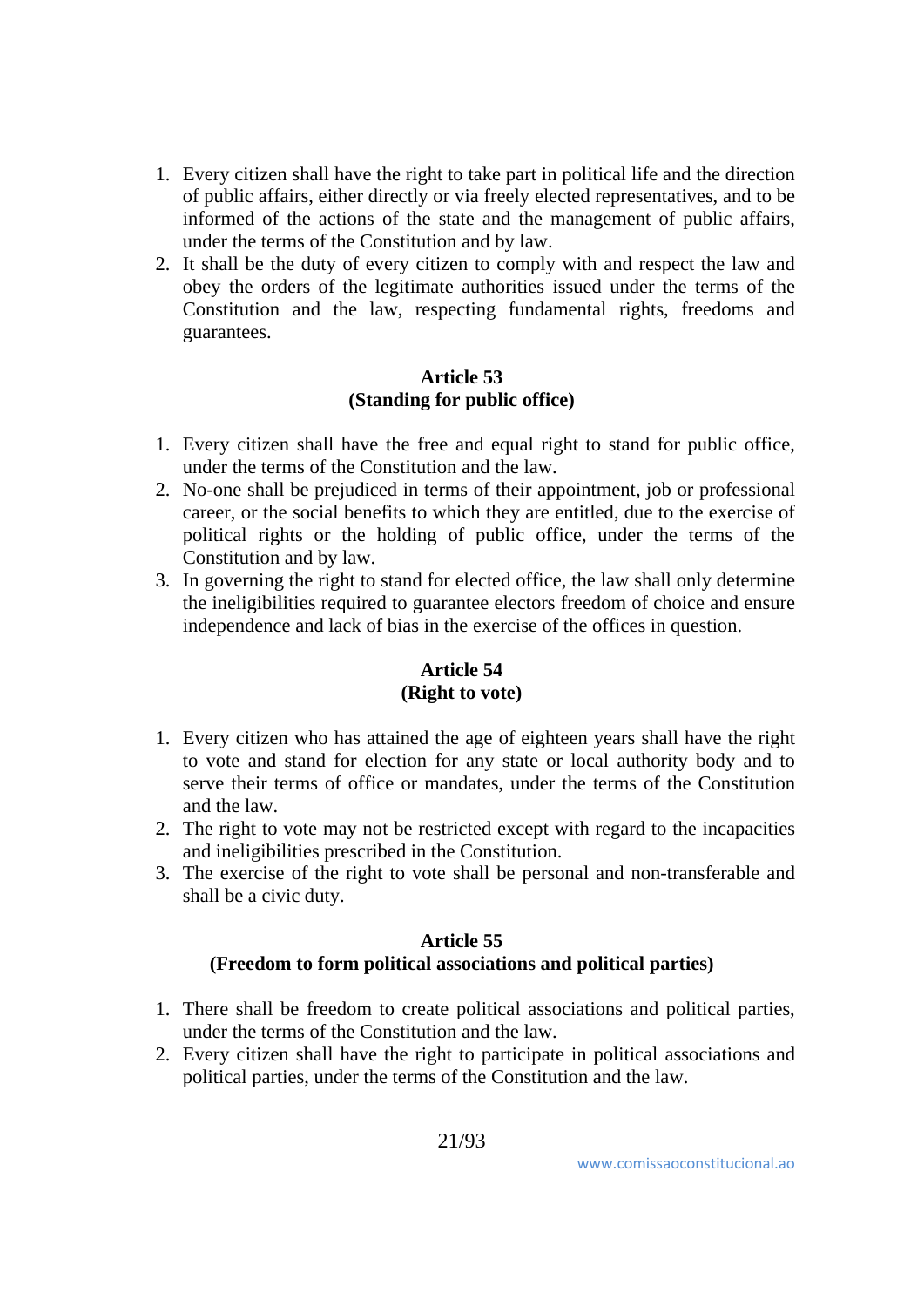- 1. Every citizen shall have the right to take part in political life and the direction of public affairs, either directly or via freely elected representatives, and to be informed of the actions of the state and the management of public affairs, under the terms of the Constitution and by law.
- 2. It shall be the duty of every citizen to comply with and respect the law and obey the orders of the legitimate authorities issued under the terms of the Constitution and the law, respecting fundamental rights, freedoms and guarantees.

### **Article 53 (Standing for public office)**

- 1. Every citizen shall have the free and equal right to stand for public office, under the terms of the Constitution and the law.
- 2. No-one shall be prejudiced in terms of their appointment, job or professional career, or the social benefits to which they are entitled, due to the exercise of political rights or the holding of public office, under the terms of the Constitution and by law.
- 3. In governing the right to stand for elected office, the law shall only determine the ineligibilities required to guarantee electors freedom of choice and ensure independence and lack of bias in the exercise of the offices in question.

### **Article 54 (Right to vote)**

- 1. Every citizen who has attained the age of eighteen years shall have the right to vote and stand for election for any state or local authority body and to serve their terms of office or mandates, under the terms of the Constitution and the law.
- 2. The right to vote may not be restricted except with regard to the incapacities and ineligibilities prescribed in the Constitution.
- 3. The exercise of the right to vote shall be personal and non-transferable and shall be a civic duty.

## **Article 55**

## **(Freedom to form political associations and political parties)**

- 1. There shall be freedom to create political associations and political parties, under the terms of the Constitution and the law.
- 2. Every citizen shall have the right to participate in political associations and political parties, under the terms of the Constitution and the law.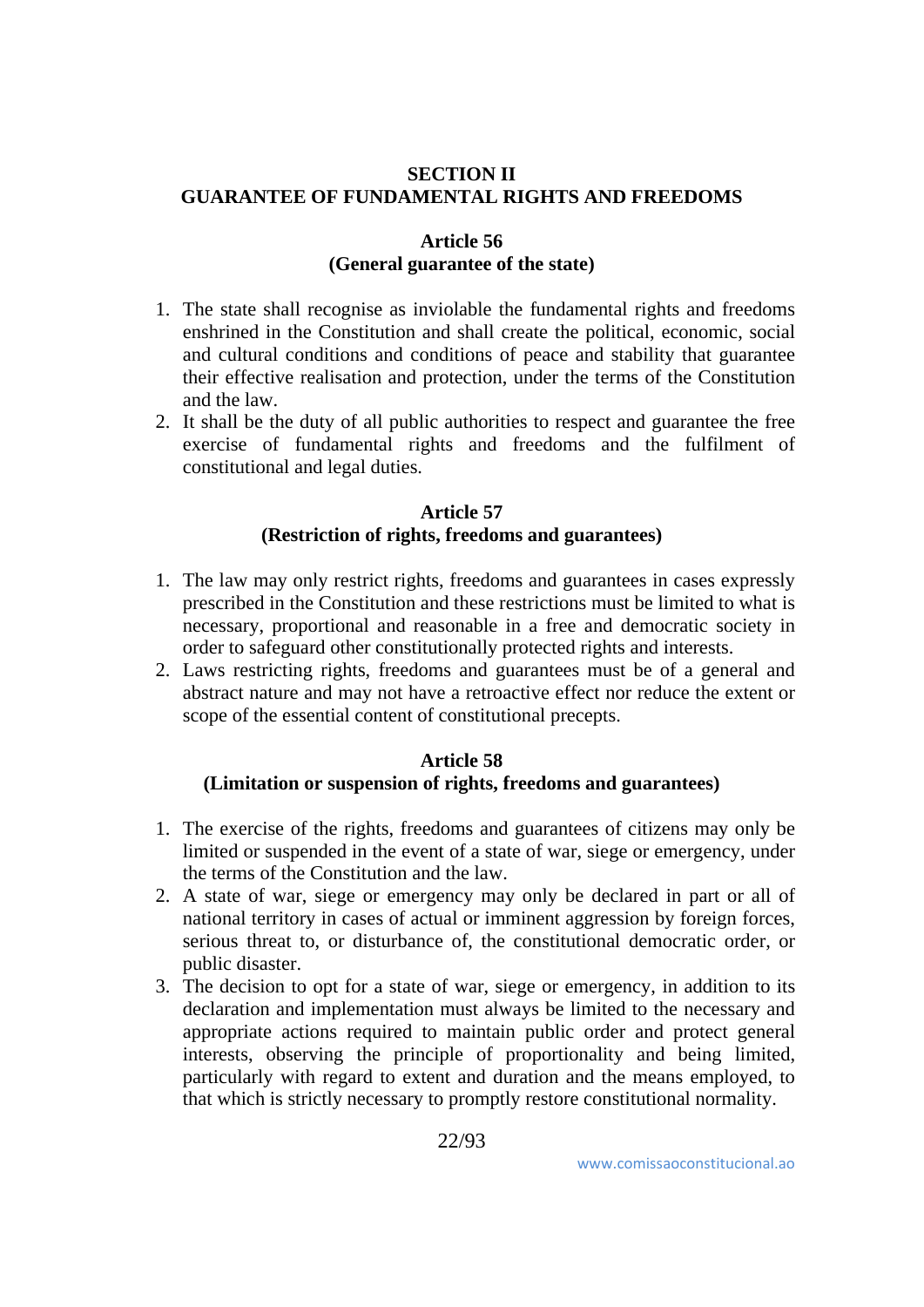# **SECTION II GUARANTEE OF FUNDAMENTAL RIGHTS AND FREEDOMS**

#### **Article 56 (General guarantee of the state)**

- 1. The state shall recognise as inviolable the fundamental rights and freedoms enshrined in the Constitution and shall create the political, economic, social and cultural conditions and conditions of peace and stability that guarantee their effective realisation and protection, under the terms of the Constitution and the law.
- 2. It shall be the duty of all public authorities to respect and guarantee the free exercise of fundamental rights and freedoms and the fulfilment of constitutional and legal duties.

#### **Article 57 (Restriction of rights, freedoms and guarantees)**

- 1. The law may only restrict rights, freedoms and guarantees in cases expressly prescribed in the Constitution and these restrictions must be limited to what is necessary, proportional and reasonable in a free and democratic society in order to safeguard other constitutionally protected rights and interests.
- 2. Laws restricting rights, freedoms and guarantees must be of a general and abstract nature and may not have a retroactive effect nor reduce the extent or scope of the essential content of constitutional precepts.

#### **Article 58 (Limitation or suspension of rights, freedoms and guarantees)**

- 1. The exercise of the rights, freedoms and guarantees of citizens may only be limited or suspended in the event of a state of war, siege or emergency, under the terms of the Constitution and the law.
- 2. A state of war, siege or emergency may only be declared in part or all of national territory in cases of actual or imminent aggression by foreign forces, serious threat to, or disturbance of, the constitutional democratic order, or public disaster.
- 3. The decision to opt for a state of war, siege or emergency, in addition to its declaration and implementation must always be limited to the necessary and appropriate actions required to maintain public order and protect general interests, observing the principle of proportionality and being limited, particularly with regard to extent and duration and the means employed, to that which is strictly necessary to promptly restore constitutional normality.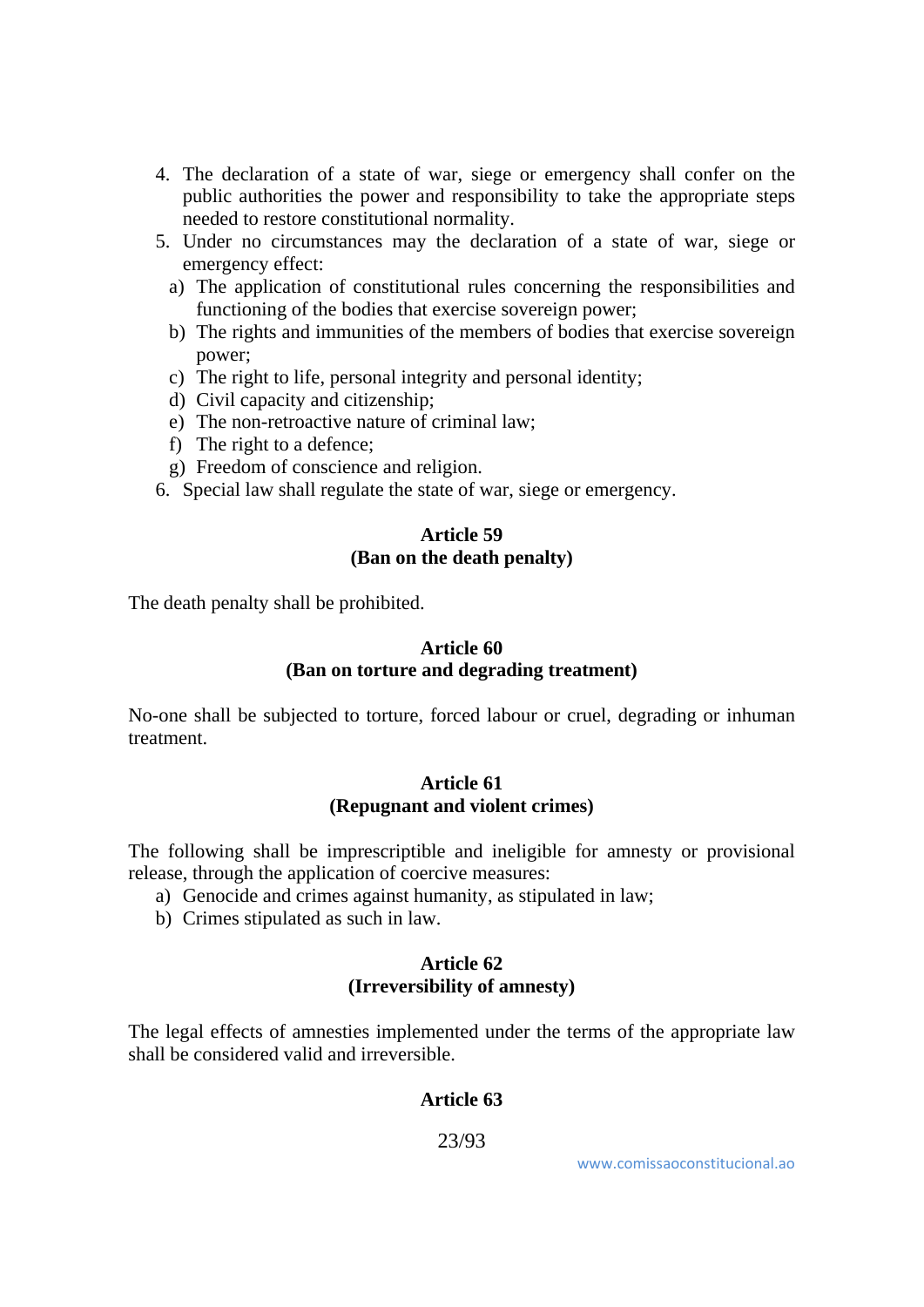- 4. The declaration of a state of war, siege or emergency shall confer on the public authorities the power and responsibility to take the appropriate steps needed to restore constitutional normality.
- 5. Under no circumstances may the declaration of a state of war, siege or emergency effect:
	- a) The application of constitutional rules concerning the responsibilities and functioning of the bodies that exercise sovereign power;
	- b) The rights and immunities of the members of bodies that exercise sovereign power;
	- c) The right to life, personal integrity and personal identity;
	- d) Civil capacity and citizenship;
	- e) The non-retroactive nature of criminal law;
	- f) The right to a defence;
	- g) Freedom of conscience and religion.
- 6. Special law shall regulate the state of war, siege or emergency.

#### **Article 59 (Ban on the death penalty)**

The death penalty shall be prohibited.

## **Article 60 (Ban on torture and degrading treatment)**

No-one shall be subjected to torture, forced labour or cruel, degrading or inhuman treatment.

#### **Article 61 (Repugnant and violent crimes)**

The following shall be imprescriptible and ineligible for amnesty or provisional release, through the application of coercive measures:

- a) Genocide and crimes against humanity, as stipulated in law;
- b) Crimes stipulated as such in law.

#### **Article 62 (Irreversibility of amnesty)**

The legal effects of amnesties implemented under the terms of the appropriate law shall be considered valid and irreversible.

## **Article 63**

23/93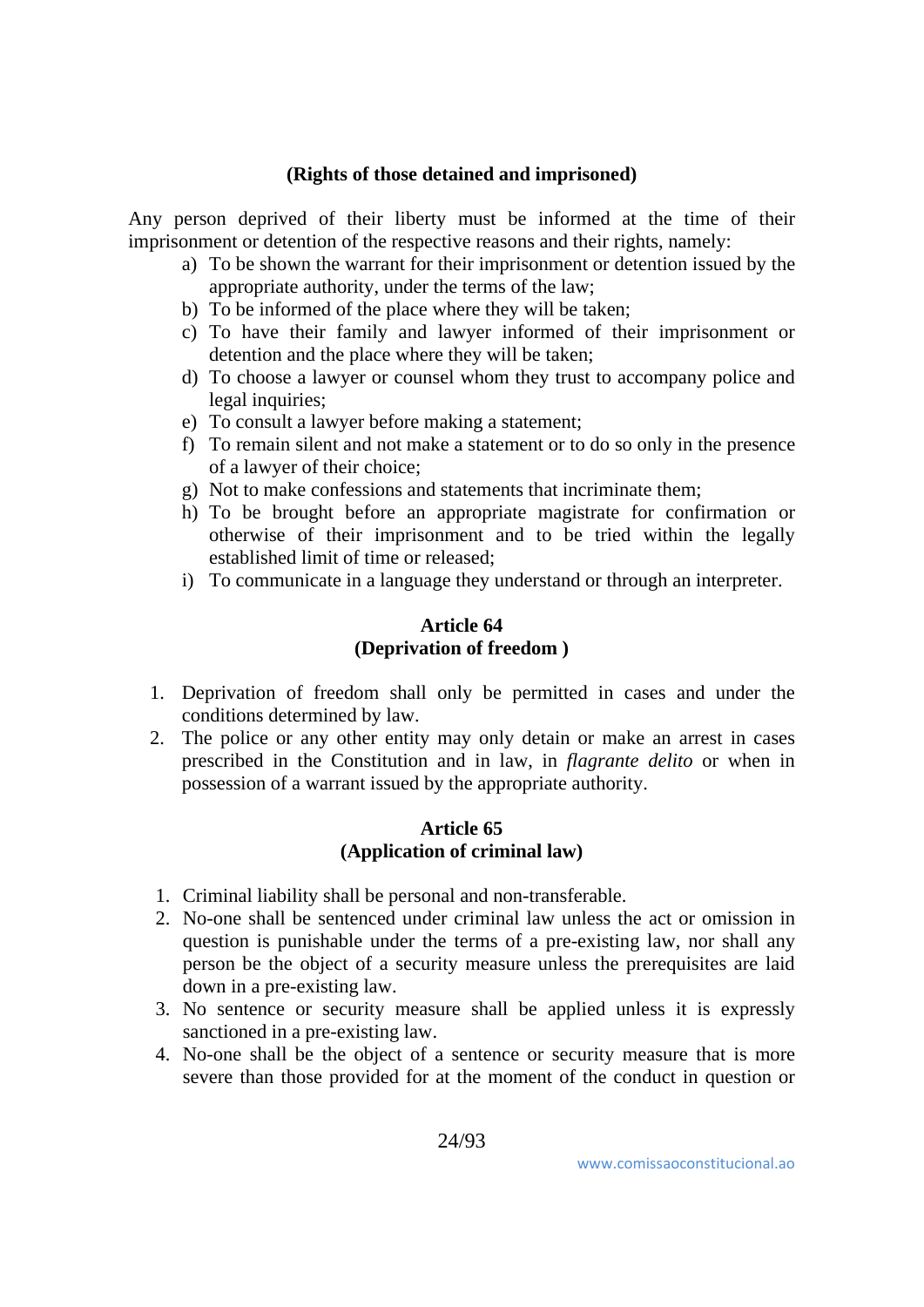### **(Rights of those detained and imprisoned)**

Any person deprived of their liberty must be informed at the time of their imprisonment or detention of the respective reasons and their rights, namely:

- a) To be shown the warrant for their imprisonment or detention issued by the appropriate authority, under the terms of the law;
- b) To be informed of the place where they will be taken;
- c) To have their family and lawyer informed of their imprisonment or detention and the place where they will be taken;
- d) To choose a lawyer or counsel whom they trust to accompany police and legal inquiries;
- e) To consult a lawyer before making a statement;
- f) To remain silent and not make a statement or to do so only in the presence of a lawyer of their choice;
- g) Not to make confessions and statements that incriminate them;
- h) To be brought before an appropriate magistrate for confirmation or otherwise of their imprisonment and to be tried within the legally established limit of time or released;
- i) To communicate in a language they understand or through an interpreter.

## **Article 64 (Deprivation of freedom )**

- 1. Deprivation of freedom shall only be permitted in cases and under the conditions determined by law.
- 2. The police or any other entity may only detain or make an arrest in cases prescribed in the Constitution and in law, in *flagrante delito* or when in possession of a warrant issued by the appropriate authority.

### **Article 65 (Application of criminal law)**

- 1. Criminal liability shall be personal and non-transferable.
- 2. No-one shall be sentenced under criminal law unless the act or omission in question is punishable under the terms of a pre-existing law, nor shall any person be the object of a security measure unless the prerequisites are laid down in a pre-existing law.
- 3. No sentence or security measure shall be applied unless it is expressly sanctioned in a pre-existing law.
- 4. No-one shall be the object of a sentence or security measure that is more severe than those provided for at the moment of the conduct in question or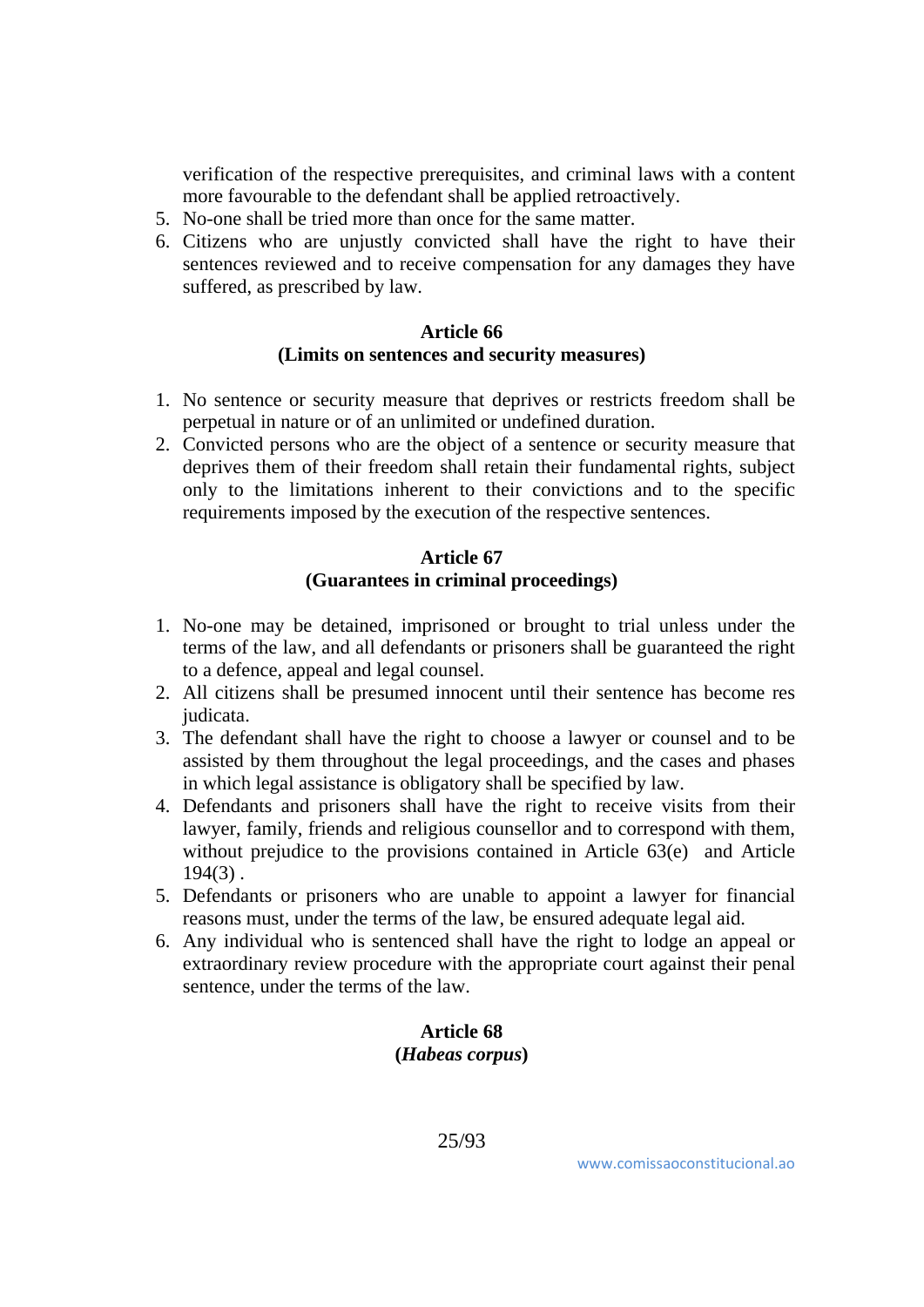verification of the respective prerequisites, and criminal laws with a content more favourable to the defendant shall be applied retroactively.

- 5. No-one shall be tried more than once for the same matter.
- 6. Citizens who are unjustly convicted shall have the right to have their sentences reviewed and to receive compensation for any damages they have suffered, as prescribed by law.

#### **Article 66 (Limits on sentences and security measures)**

- 1. No sentence or security measure that deprives or restricts freedom shall be perpetual in nature or of an unlimited or undefined duration.
- 2. Convicted persons who are the object of a sentence or security measure that deprives them of their freedom shall retain their fundamental rights, subject only to the limitations inherent to their convictions and to the specific requirements imposed by the execution of the respective sentences.

#### **Article 67 (Guarantees in criminal proceedings)**

- 1. No-one may be detained, imprisoned or brought to trial unless under the terms of the law, and all defendants or prisoners shall be guaranteed the right to a defence, appeal and legal counsel.
- 2. All citizens shall be presumed innocent until their sentence has become res judicata.
- 3. The defendant shall have the right to choose a lawyer or counsel and to be assisted by them throughout the legal proceedings, and the cases and phases in which legal assistance is obligatory shall be specified by law.
- 4. Defendants and prisoners shall have the right to receive visits from their lawyer, family, friends and religious counsellor and to correspond with them, without prejudice to the provisions contained in Article 63(e) and Article 194(3) .
- 5. Defendants or prisoners who are unable to appoint a lawyer for financial reasons must, under the terms of the law, be ensured adequate legal aid.
- 6. Any individual who is sentenced shall have the right to lodge an appeal or extraordinary review procedure with the appropriate court against their penal sentence, under the terms of the law.

# **Article 68 (***Habeas corpus***)**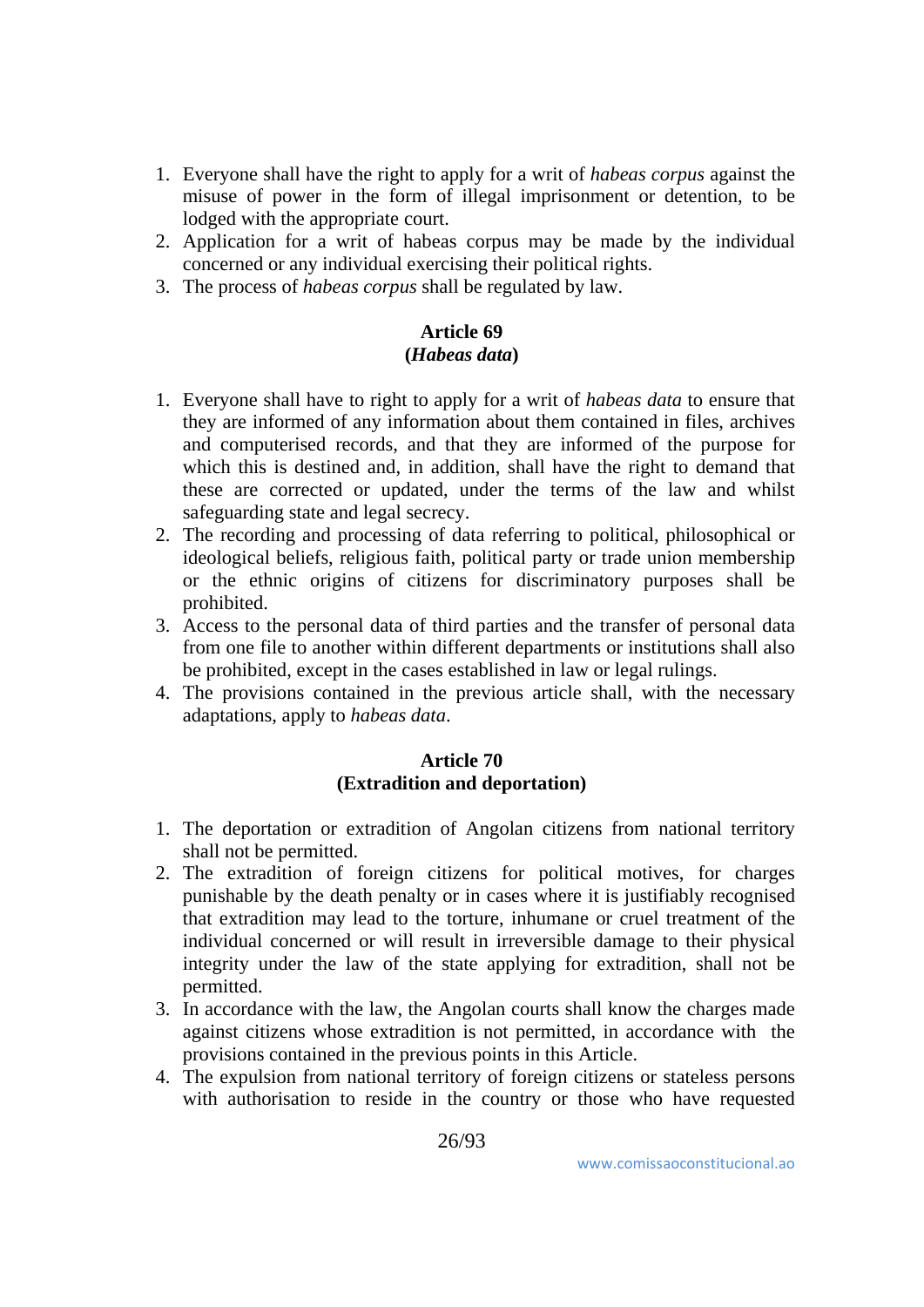- 1. Everyone shall have the right to apply for a writ of *habeas corpus* against the misuse of power in the form of illegal imprisonment or detention, to be lodged with the appropriate court.
- 2. Application for a writ of habeas corpus may be made by the individual concerned or any individual exercising their political rights.
- 3. The process of *habeas corpus* shall be regulated by law.

### **Article 69 (***Habeas data***)**

- 1. Everyone shall have to right to apply for a writ of *habeas data* to ensure that they are informed of any information about them contained in files, archives and computerised records, and that they are informed of the purpose for which this is destined and, in addition, shall have the right to demand that these are corrected or updated, under the terms of the law and whilst safeguarding state and legal secrecy.
- 2. The recording and processing of data referring to political, philosophical or ideological beliefs, religious faith, political party or trade union membership or the ethnic origins of citizens for discriminatory purposes shall be prohibited.
- 3. Access to the personal data of third parties and the transfer of personal data from one file to another within different departments or institutions shall also be prohibited, except in the cases established in law or legal rulings.
- 4. The provisions contained in the previous article shall, with the necessary adaptations, apply to *habeas data*.

# **Article 70 (Extradition and deportation)**

- 1. The deportation or extradition of Angolan citizens from national territory shall not be permitted.
- 2. The extradition of foreign citizens for political motives, for charges punishable by the death penalty or in cases where it is justifiably recognised that extradition may lead to the torture, inhumane or cruel treatment of the individual concerned or will result in irreversible damage to their physical integrity under the law of the state applying for extradition, shall not be permitted.
- 3. In accordance with the law, the Angolan courts shall know the charges made against citizens whose extradition is not permitted, in accordance with the provisions contained in the previous points in this Article.
- 4. The expulsion from national territory of foreign citizens or stateless persons with authorisation to reside in the country or those who have requested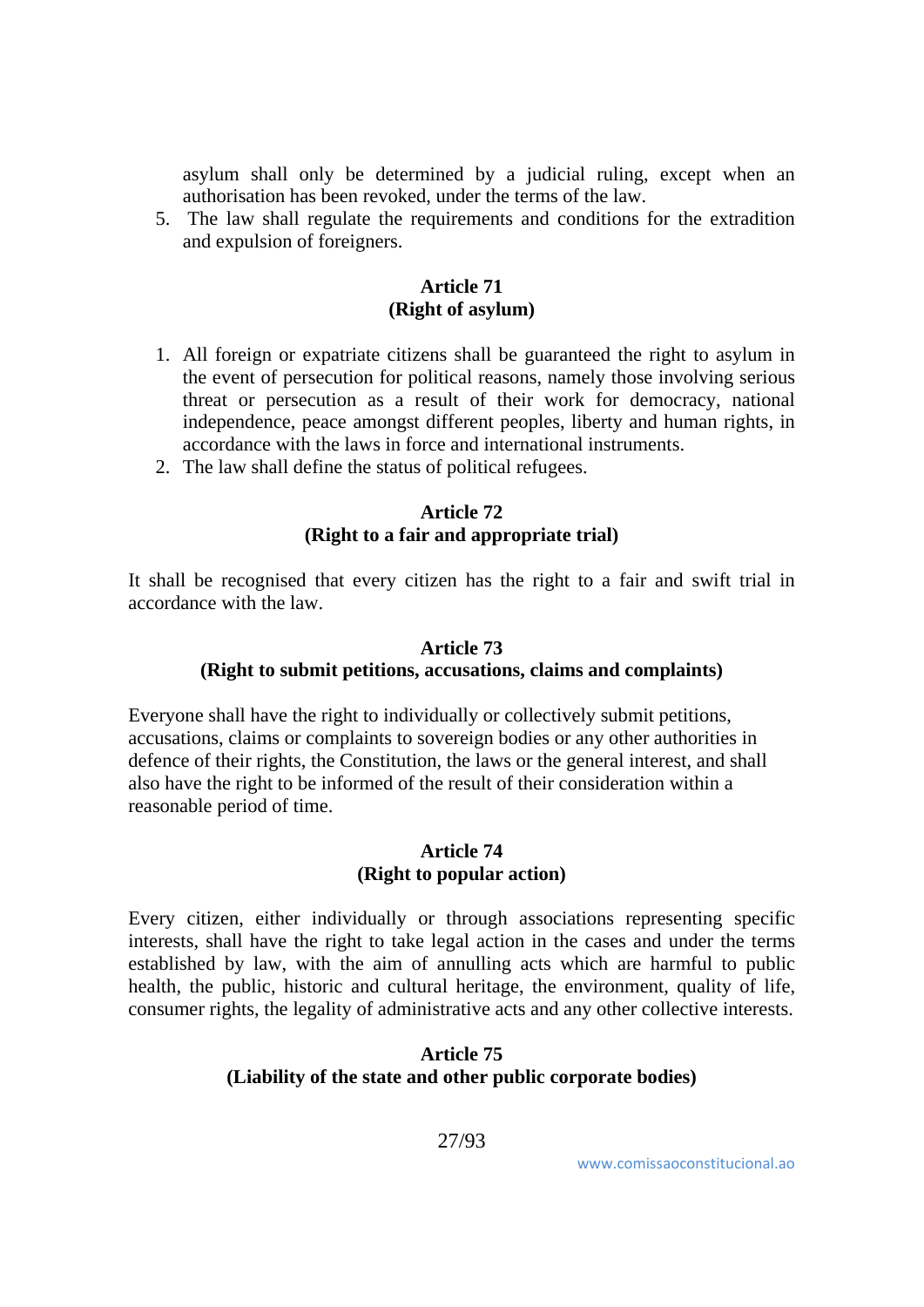asylum shall only be determined by a judicial ruling, except when an authorisation has been revoked, under the terms of the law.

5. The law shall regulate the requirements and conditions for the extradition and expulsion of foreigners.

#### **Article 71 (Right of asylum)**

- 1. All foreign or expatriate citizens shall be guaranteed the right to asylum in the event of persecution for political reasons, namely those involving serious threat or persecution as a result of their work for democracy, national independence, peace amongst different peoples, liberty and human rights, in accordance with the laws in force and international instruments.
- 2. The law shall define the status of political refugees.

## **Article 72 (Right to a fair and appropriate trial)**

It shall be recognised that every citizen has the right to a fair and swift trial in accordance with the law.

### **Article 73 (Right to submit petitions, accusations, claims and complaints)**

Everyone shall have the right to individually or collectively submit petitions, accusations, claims or complaints to sovereign bodies or any other authorities in defence of their rights, the Constitution, the laws or the general interest, and shall also have the right to be informed of the result of their consideration within a reasonable period of time.

#### **Article 74 (Right to popular action)**

Every citizen, either individually or through associations representing specific interests, shall have the right to take legal action in the cases and under the terms established by law, with the aim of annulling acts which are harmful to public health, the public, historic and cultural heritage, the environment, quality of life, consumer rights, the legality of administrative acts and any other collective interests.

# **Article 75 (Liability of the state and other public corporate bodies)**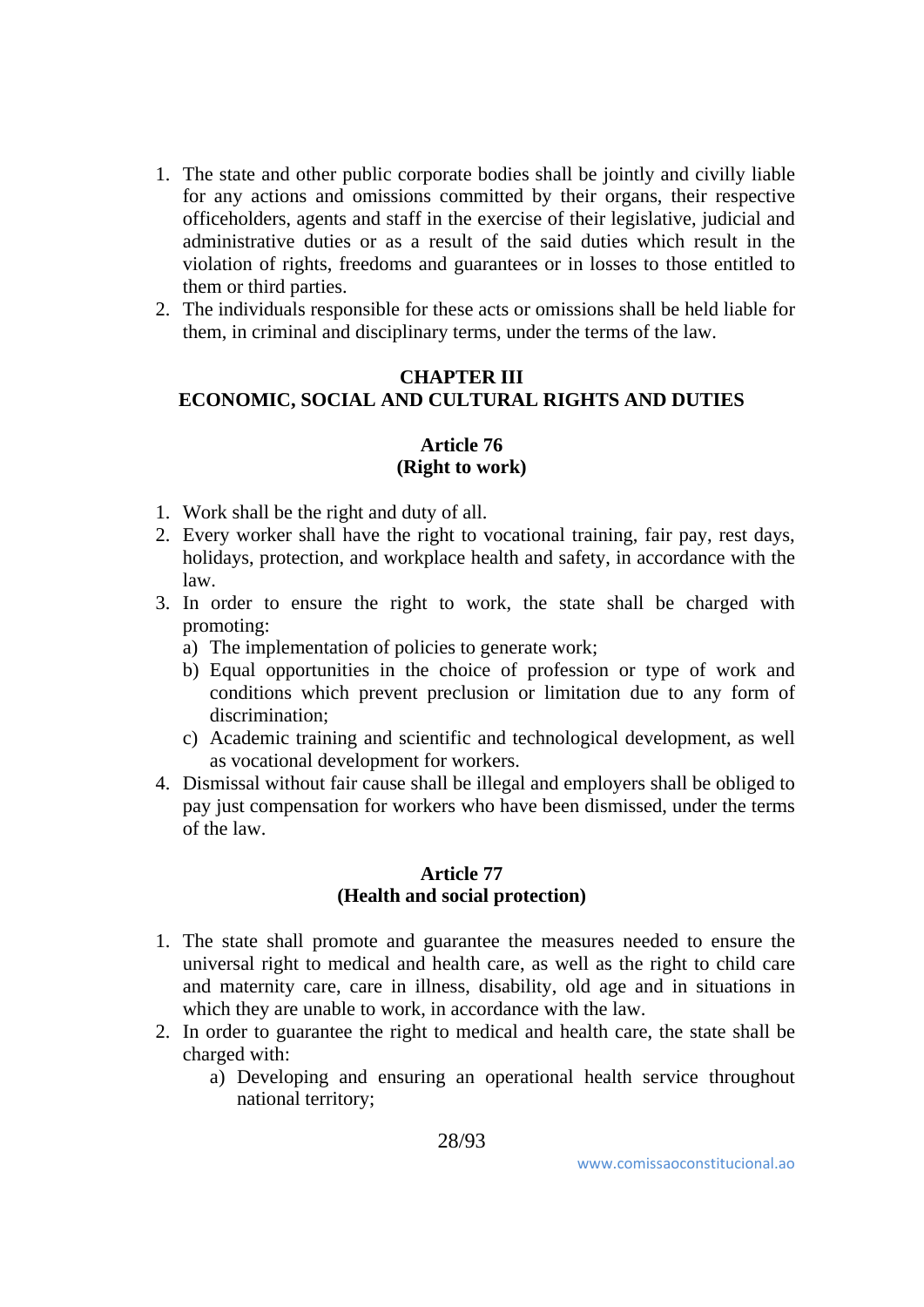- 1. The state and other public corporate bodies shall be jointly and civilly liable for any actions and omissions committed by their organs, their respective officeholders, agents and staff in the exercise of their legislative, judicial and administrative duties or as a result of the said duties which result in the violation of rights, freedoms and guarantees or in losses to those entitled to them or third parties.
- 2. The individuals responsible for these acts or omissions shall be held liable for them, in criminal and disciplinary terms, under the terms of the law.

## **CHAPTER III ECONOMIC, SOCIAL AND CULTURAL RIGHTS AND DUTIES**

## **Article 76 (Right to work)**

- 1. Work shall be the right and duty of all.
- 2. Every worker shall have the right to vocational training, fair pay, rest days, holidays, protection, and workplace health and safety, in accordance with the law.
- 3. In order to ensure the right to work, the state shall be charged with promoting:
	- a) The implementation of policies to generate work;
	- b) Equal opportunities in the choice of profession or type of work and conditions which prevent preclusion or limitation due to any form of discrimination;
	- c) Academic training and scientific and technological development, as well as vocational development for workers.
- 4. Dismissal without fair cause shall be illegal and employers shall be obliged to pay just compensation for workers who have been dismissed, under the terms of the law.

#### **Article 77 (Health and social protection)**

- 1. The state shall promote and guarantee the measures needed to ensure the universal right to medical and health care, as well as the right to child care and maternity care, care in illness, disability, old age and in situations in which they are unable to work, in accordance with the law.
- 2. In order to guarantee the right to medical and health care, the state shall be charged with:
	- a) Developing and ensuring an operational health service throughout national territory;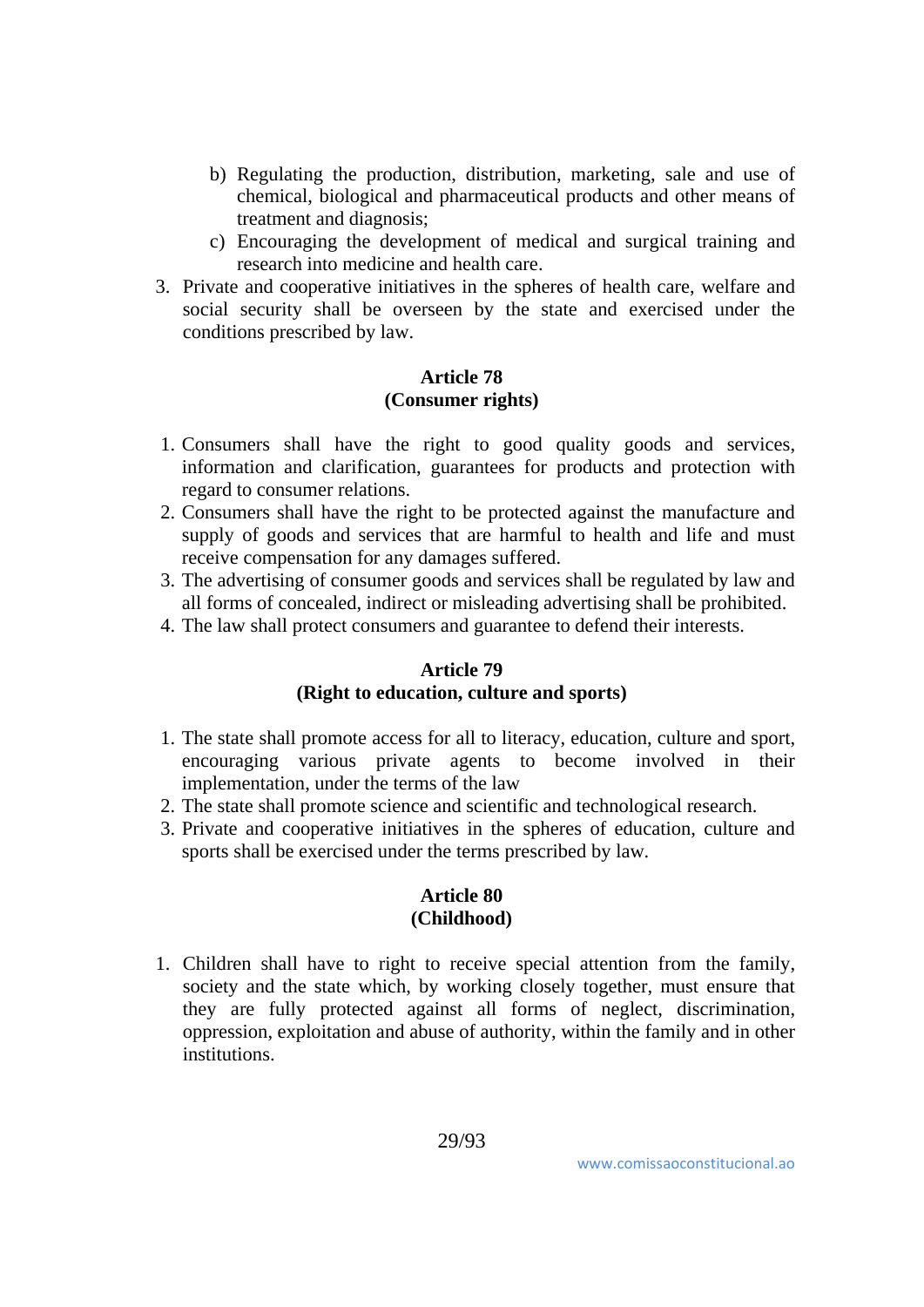- b) Regulating the production, distribution, marketing, sale and use of chemical, biological and pharmaceutical products and other means of treatment and diagnosis;
- c) Encouraging the development of medical and surgical training and research into medicine and health care.
- 3. Private and cooperative initiatives in the spheres of health care, welfare and social security shall be overseen by the state and exercised under the conditions prescribed by law.

#### **Article 78 (Consumer rights)**

- 1. Consumers shall have the right to good quality goods and services, information and clarification, guarantees for products and protection with regard to consumer relations.
- 2. Consumers shall have the right to be protected against the manufacture and supply of goods and services that are harmful to health and life and must receive compensation for any damages suffered.
- 3. The advertising of consumer goods and services shall be regulated by law and all forms of concealed, indirect or misleading advertising shall be prohibited.
- 4. The law shall protect consumers and guarantee to defend their interests.

## **Article 79**

## **(Right to education, culture and sports)**

- 1. The state shall promote access for all to literacy, education, culture and sport, encouraging various private agents to become involved in their implementation, under the terms of the law
- 2. The state shall promote science and scientific and technological research.
- 3. Private and cooperative initiatives in the spheres of education, culture and sports shall be exercised under the terms prescribed by law.

### **Article 80 (Childhood)**

1. Children shall have to right to receive special attention from the family, society and the state which, by working closely together, must ensure that they are fully protected against all forms of neglect, discrimination, oppression, exploitation and abuse of authority, within the family and in other institutions.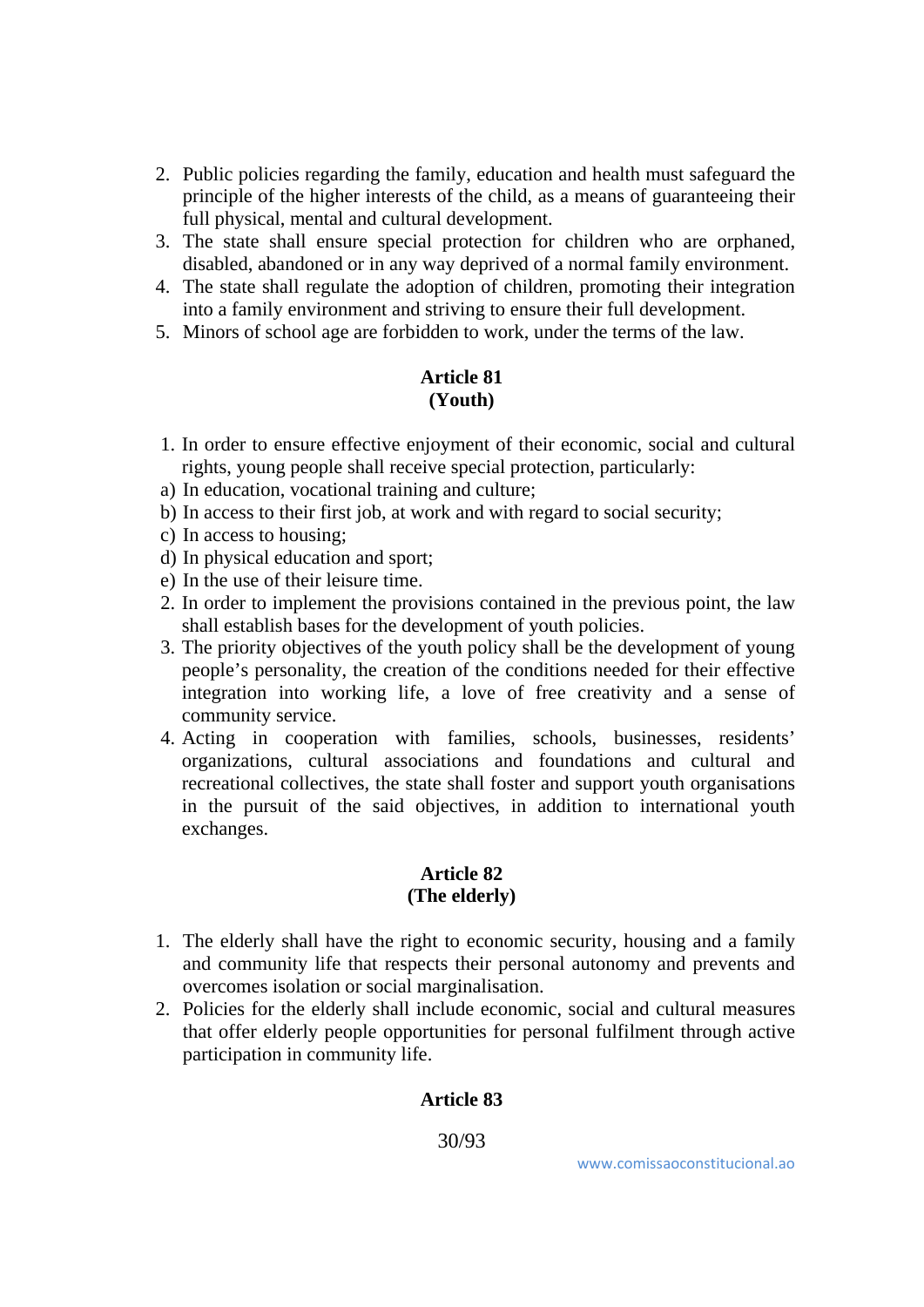- 2. Public policies regarding the family, education and health must safeguard the principle of the higher interests of the child, as a means of guaranteeing their full physical, mental and cultural development.
- 3. The state shall ensure special protection for children who are orphaned, disabled, abandoned or in any way deprived of a normal family environment.
- 4. The state shall regulate the adoption of children, promoting their integration into a family environment and striving to ensure their full development.
- 5. Minors of school age are forbidden to work, under the terms of the law.

#### **Article 81 (Youth)**

- 1. In order to ensure effective enjoyment of their economic, social and cultural rights, young people shall receive special protection, particularly:
- a) In education, vocational training and culture;
- b) In access to their first job, at work and with regard to social security;
- c) In access to housing;
- d) In physical education and sport;
- e) In the use of their leisure time.
- 2. In order to implement the provisions contained in the previous point, the law shall establish bases for the development of youth policies.
- 3. The priority objectives of the youth policy shall be the development of young people's personality, the creation of the conditions needed for their effective integration into working life, a love of free creativity and a sense of community service.
- 4. Acting in cooperation with families, schools, businesses, residents' organizations, cultural associations and foundations and cultural and recreational collectives, the state shall foster and support youth organisations in the pursuit of the said objectives, in addition to international youth exchanges.

### **Article 82 (The elderly)**

- 1. The elderly shall have the right to economic security, housing and a family and community life that respects their personal autonomy and prevents and overcomes isolation or social marginalisation.
- 2. Policies for the elderly shall include economic, social and cultural measures that offer elderly people opportunities for personal fulfilment through active participation in community life.

# **Article 83**

30/93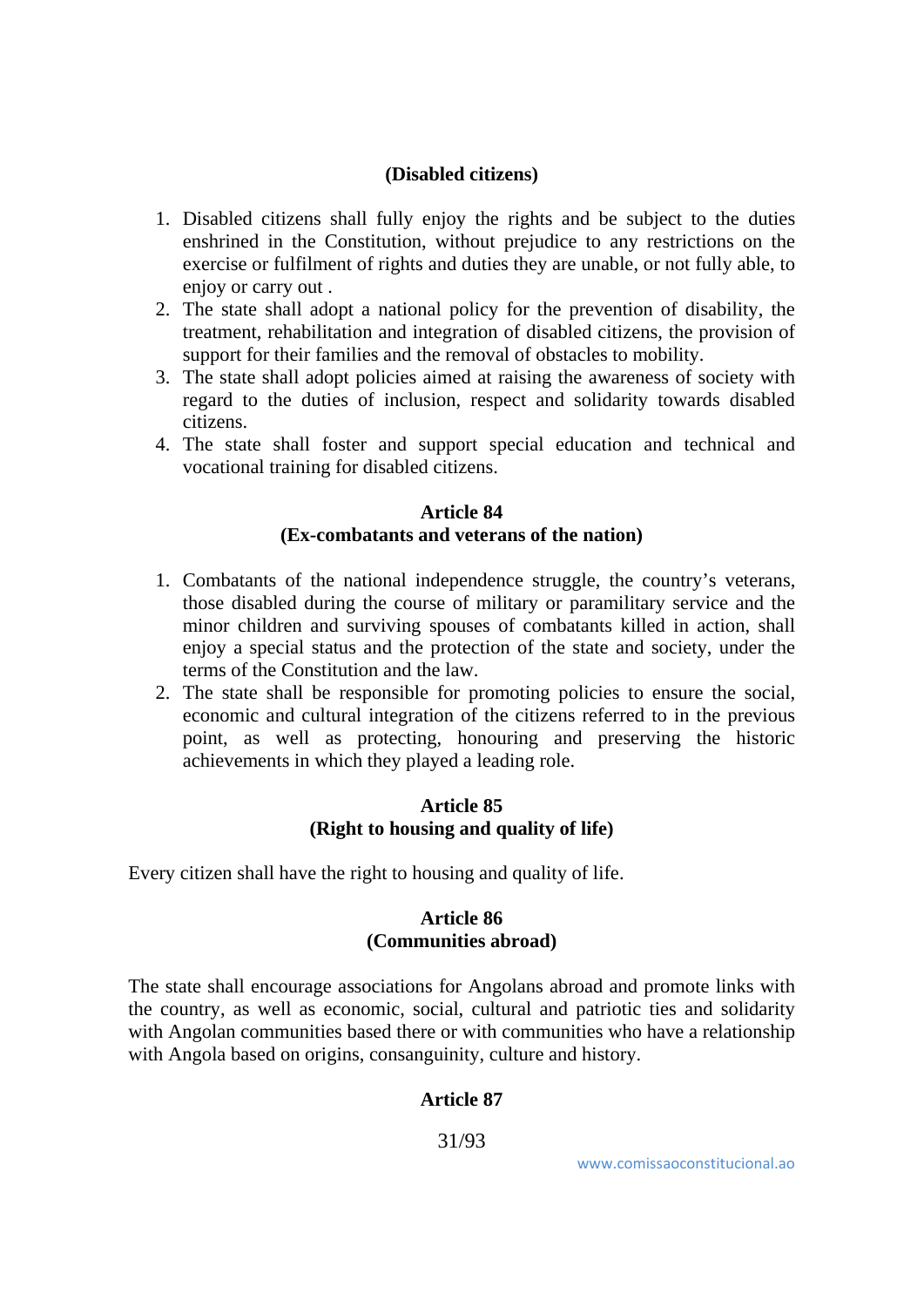### **(Disabled citizens)**

- 1. Disabled citizens shall fully enjoy the rights and be subject to the duties enshrined in the Constitution, without prejudice to any restrictions on the exercise or fulfilment of rights and duties they are unable, or not fully able, to enjoy or carry out .
- 2. The state shall adopt a national policy for the prevention of disability, the treatment, rehabilitation and integration of disabled citizens, the provision of support for their families and the removal of obstacles to mobility.
- 3. The state shall adopt policies aimed at raising the awareness of society with regard to the duties of inclusion, respect and solidarity towards disabled citizens.
- 4. The state shall foster and support special education and technical and vocational training for disabled citizens.

## **Article 84 (Ex-combatants and veterans of the nation)**

- 1. Combatants of the national independence struggle, the country's veterans, those disabled during the course of military or paramilitary service and the minor children and surviving spouses of combatants killed in action, shall enjoy a special status and the protection of the state and society, under the terms of the Constitution and the law.
- 2. The state shall be responsible for promoting policies to ensure the social, economic and cultural integration of the citizens referred to in the previous point, as well as protecting, honouring and preserving the historic achievements in which they played a leading role.

### **Article 85 (Right to housing and quality of life)**

Every citizen shall have the right to housing and quality of life.

#### **Article 86 (Communities abroad)**

The state shall encourage associations for Angolans abroad and promote links with the country, as well as economic, social, cultural and patriotic ties and solidarity with Angolan communities based there or with communities who have a relationship with Angola based on origins, consanguinity, culture and history.

# **Article 87**

31/93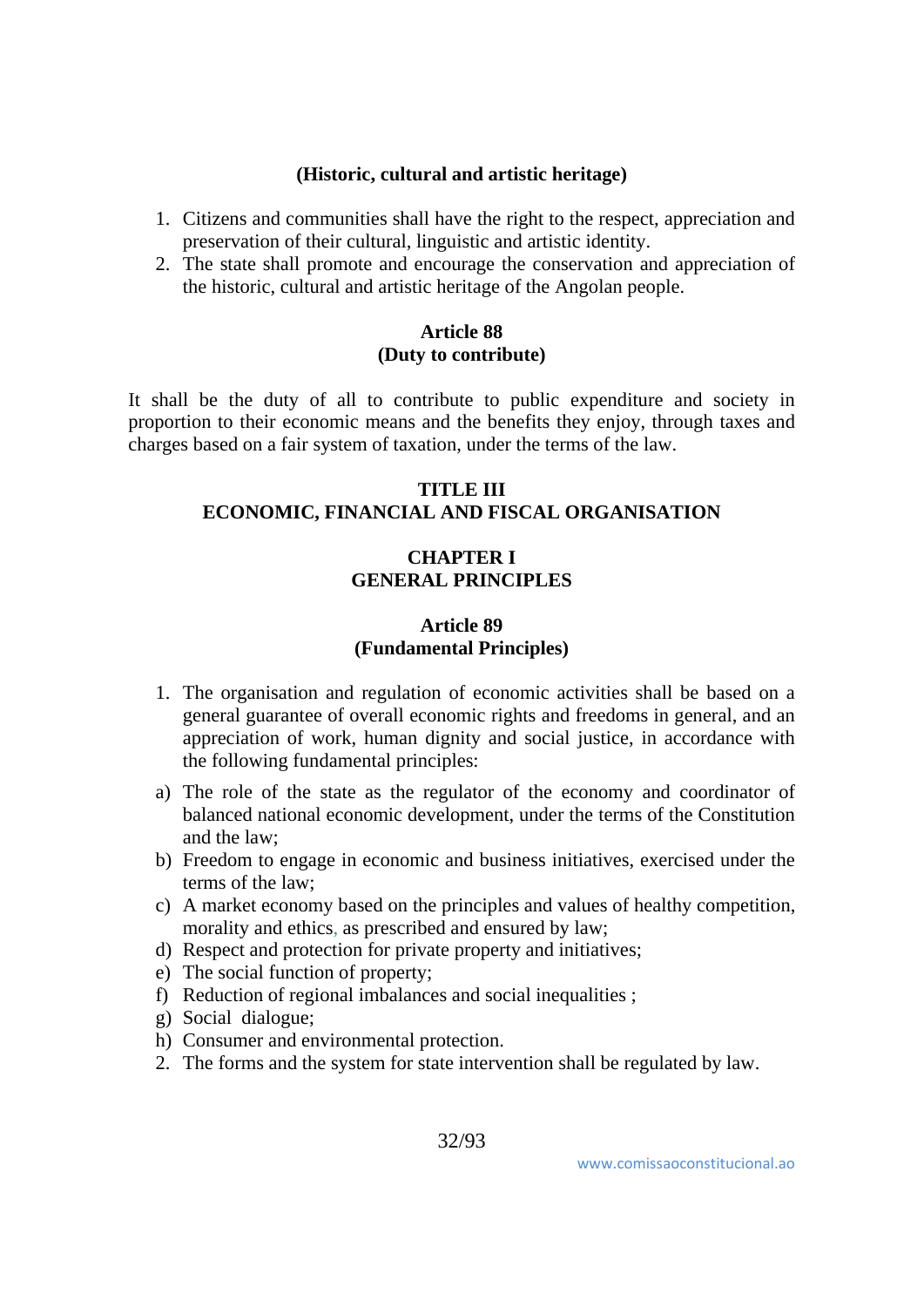### **(Historic, cultural and artistic heritage)**

- 1. Citizens and communities shall have the right to the respect, appreciation and preservation of their cultural, linguistic and artistic identity.
- 2. The state shall promote and encourage the conservation and appreciation of the historic, cultural and artistic heritage of the Angolan people.

#### **Article 88 (Duty to contribute)**

It shall be the duty of all to contribute to public expenditure and society in proportion to their economic means and the benefits they enjoy, through taxes and charges based on a fair system of taxation, under the terms of the law.

### **TITLE III ECONOMIC, FINANCIAL AND FISCAL ORGANISATION**

## **CHAPTER I GENERAL PRINCIPLES**

### **Article 89 (Fundamental Principles)**

- 1. The organisation and regulation of economic activities shall be based on a general guarantee of overall economic rights and freedoms in general, and an appreciation of work, human dignity and social justice, in accordance with the following fundamental principles:
- a) The role of the state as the regulator of the economy and coordinator of balanced national economic development, under the terms of the Constitution and the law;
- b) Freedom to engage in economic and business initiatives, exercised under the terms of the law;
- c) A market economy based on the principles and values of healthy competition, morality and ethics, as prescribed and ensured by law;
- d) Respect and protection for private property and initiatives;
- e) The social function of property;
- f) Reduction of regional imbalances and social inequalities ;
- g) Social dialogue;
- h) Consumer and environmental protection.
- 2. The forms and the system for state intervention shall be regulated by law.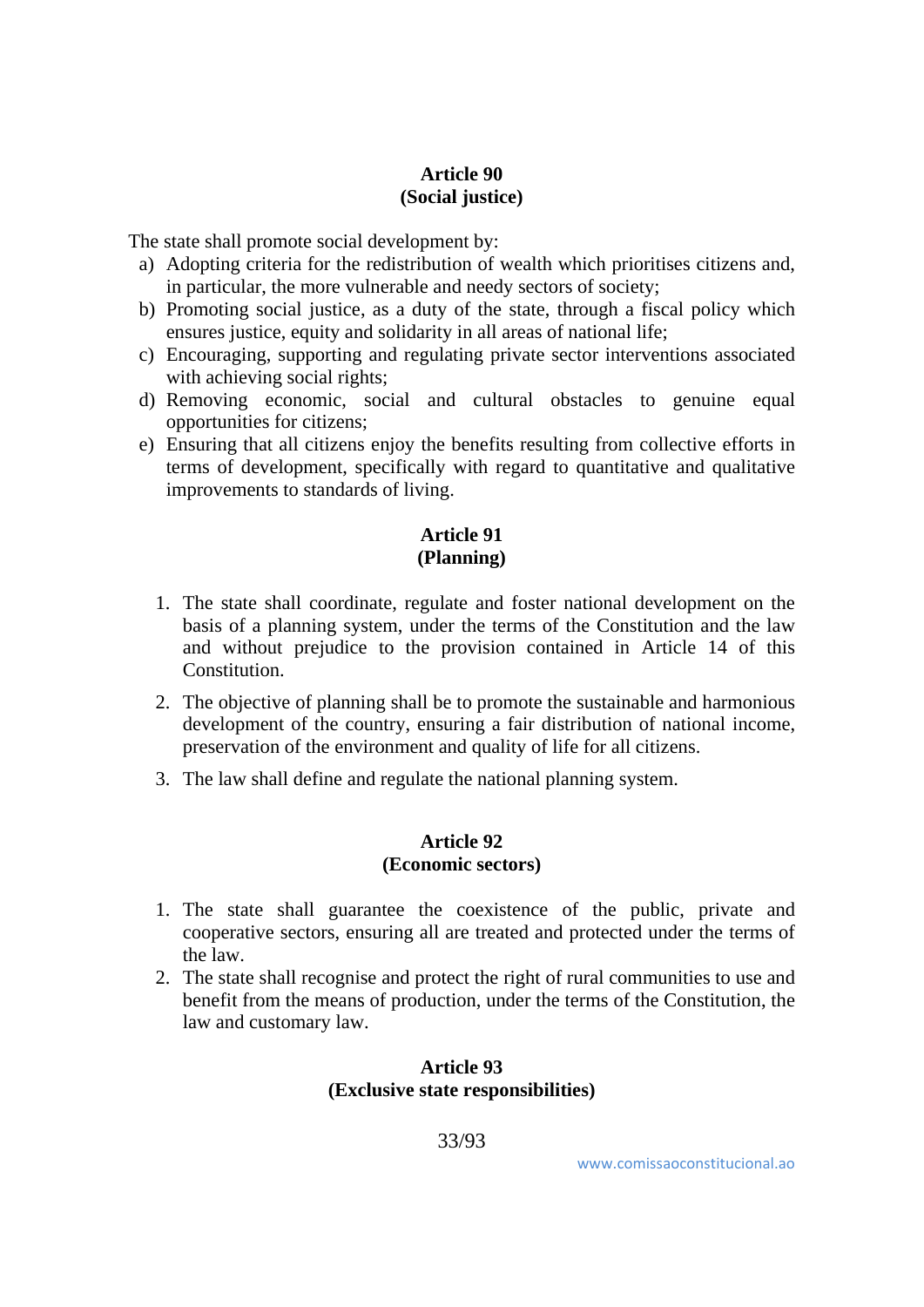# **Article 90 (Social justice)**

The state shall promote social development by:

- a) Adopting criteria for the redistribution of wealth which prioritises citizens and, in particular, the more vulnerable and needy sectors of society;
- b) Promoting social justice, as a duty of the state, through a fiscal policy which ensures justice, equity and solidarity in all areas of national life;
- c) Encouraging, supporting and regulating private sector interventions associated with achieving social rights;
- d) Removing economic, social and cultural obstacles to genuine equal opportunities for citizens;
- e) Ensuring that all citizens enjoy the benefits resulting from collective efforts in terms of development, specifically with regard to quantitative and qualitative improvements to standards of living.

## **Article 91 (Planning)**

- 1. The state shall coordinate, regulate and foster national development on the basis of a planning system, under the terms of the Constitution and the law and without prejudice to the provision contained in Article 14 of this Constitution.
- 2. The objective of planning shall be to promote the sustainable and harmonious development of the country, ensuring a fair distribution of national income, preservation of the environment and quality of life for all citizens.
- 3. The law shall define and regulate the national planning system.

### **Article 92 (Economic sectors)**

- 1. The state shall guarantee the coexistence of the public, private and cooperative sectors, ensuring all are treated and protected under the terms of the law.
- 2. The state shall recognise and protect the right of rural communities to use and benefit from the means of production, under the terms of the Constitution, the law and customary law.

### **Article 93 (Exclusive state responsibilities)**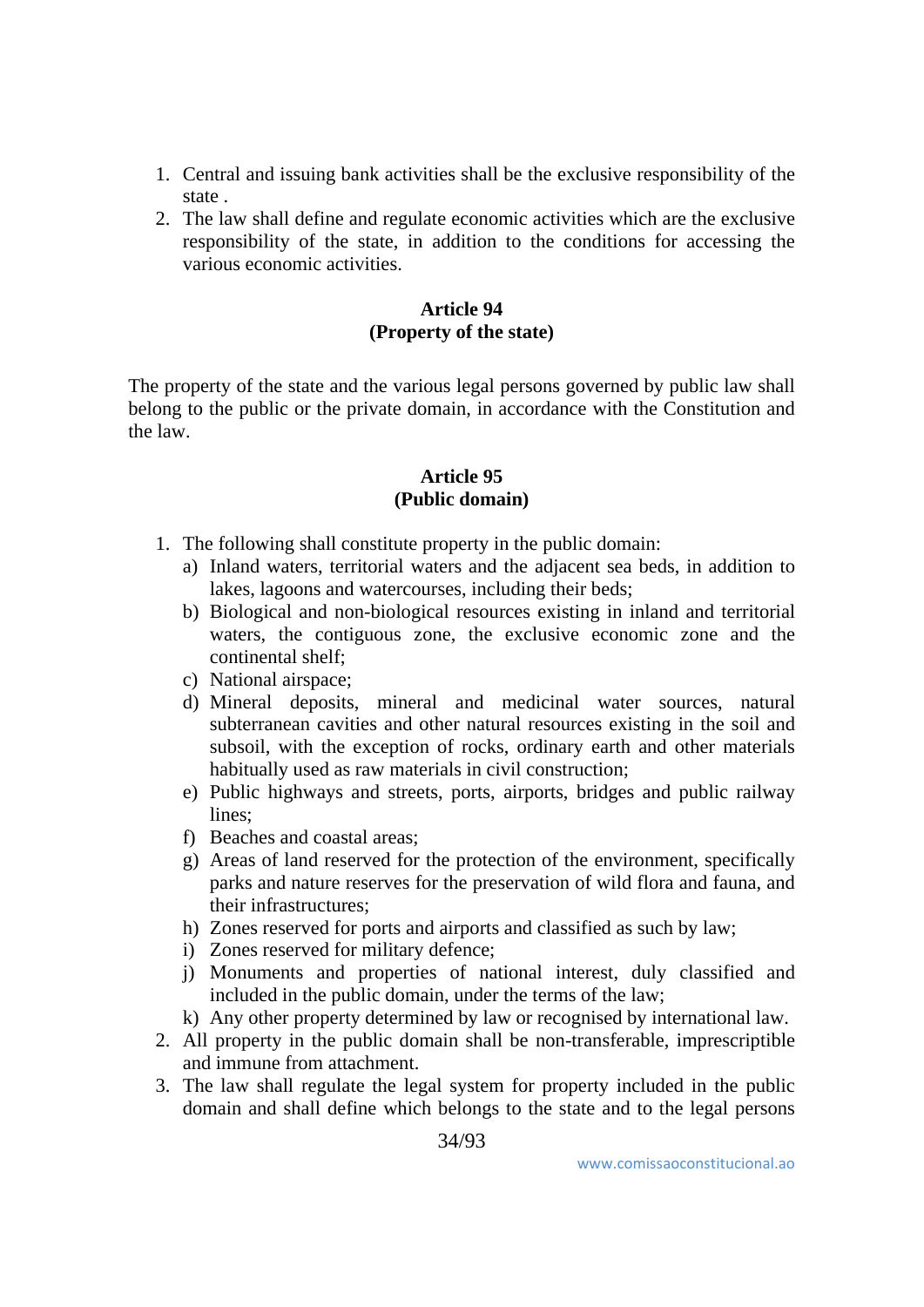- 1. Central and issuing bank activities shall be the exclusive responsibility of the state .
- 2. The law shall define and regulate economic activities which are the exclusive responsibility of the state, in addition to the conditions for accessing the various economic activities.

### **Article 94 (Property of the state)**

The property of the state and the various legal persons governed by public law shall belong to the public or the private domain, in accordance with the Constitution and the law.

### **Article 95 (Public domain)**

- 1. The following shall constitute property in the public domain:
	- a) Inland waters, territorial waters and the adjacent sea beds, in addition to lakes, lagoons and watercourses, including their beds;
	- b) Biological and non-biological resources existing in inland and territorial waters, the contiguous zone, the exclusive economic zone and the continental shelf;
	- c) National airspace;
	- d) Mineral deposits, mineral and medicinal water sources, natural subterranean cavities and other natural resources existing in the soil and subsoil, with the exception of rocks, ordinary earth and other materials habitually used as raw materials in civil construction;
	- e) Public highways and streets, ports, airports, bridges and public railway lines;
	- f) Beaches and coastal areas;
	- g) Areas of land reserved for the protection of the environment, specifically parks and nature reserves for the preservation of wild flora and fauna, and their infrastructures;
	- h) Zones reserved for ports and airports and classified as such by law;
	- i) Zones reserved for military defence;
	- j) Monuments and properties of national interest, duly classified and included in the public domain, under the terms of the law;
	- k) Any other property determined by law or recognised by international law.
- 2. All property in the public domain shall be non-transferable, imprescriptible and immune from attachment.
- 3. The law shall regulate the legal system for property included in the public domain and shall define which belongs to the state and to the legal persons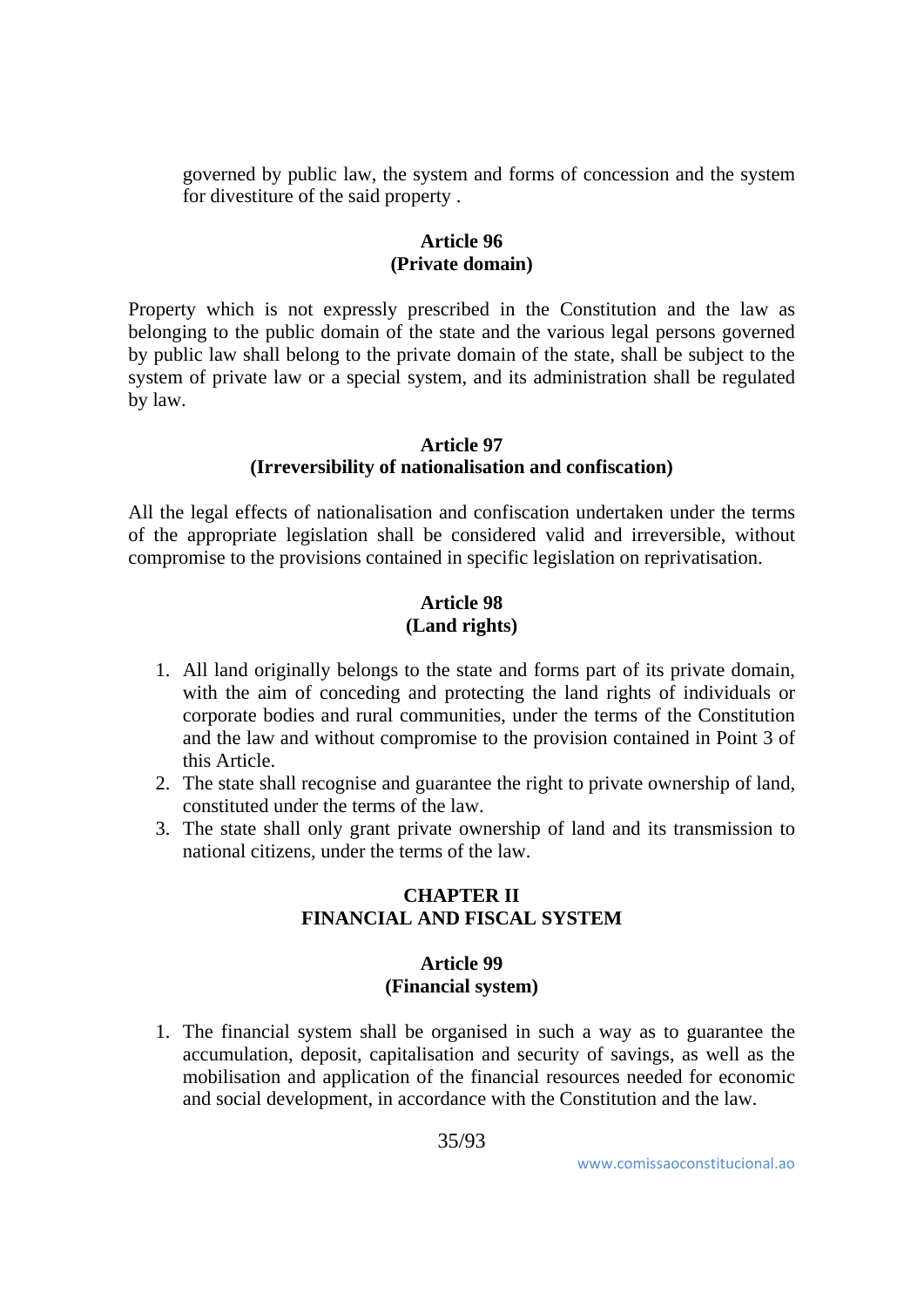governed by public law, the system and forms of concession and the system for divestiture of the said property .

## **Article 96 (Private domain)**

Property which is not expressly prescribed in the Constitution and the law as belonging to the public domain of the state and the various legal persons governed by public law shall belong to the private domain of the state, shall be subject to the system of private law or a special system, and its administration shall be regulated by law.

#### **Article 97 (Irreversibility of nationalisation and confiscation)**

All the legal effects of nationalisation and confiscation undertaken under the terms of the appropriate legislation shall be considered valid and irreversible, without compromise to the provisions contained in specific legislation on reprivatisation.

## **Article 98 (Land rights)**

- 1. All land originally belongs to the state and forms part of its private domain, with the aim of conceding and protecting the land rights of individuals or corporate bodies and rural communities, under the terms of the Constitution and the law and without compromise to the provision contained in Point 3 of this Article.
- 2. The state shall recognise and guarantee the right to private ownership of land, constituted under the terms of the law.
- 3. The state shall only grant private ownership of land and its transmission to national citizens, under the terms of the law.

### **CHAPTER II FINANCIAL AND FISCAL SYSTEM**

#### **Article 99 (Financial system)**

1. The financial system shall be organised in such a way as to guarantee the accumulation, deposit, capitalisation and security of savings, as well as the mobilisation and application of the financial resources needed for economic and social development, in accordance with the Constitution and the law.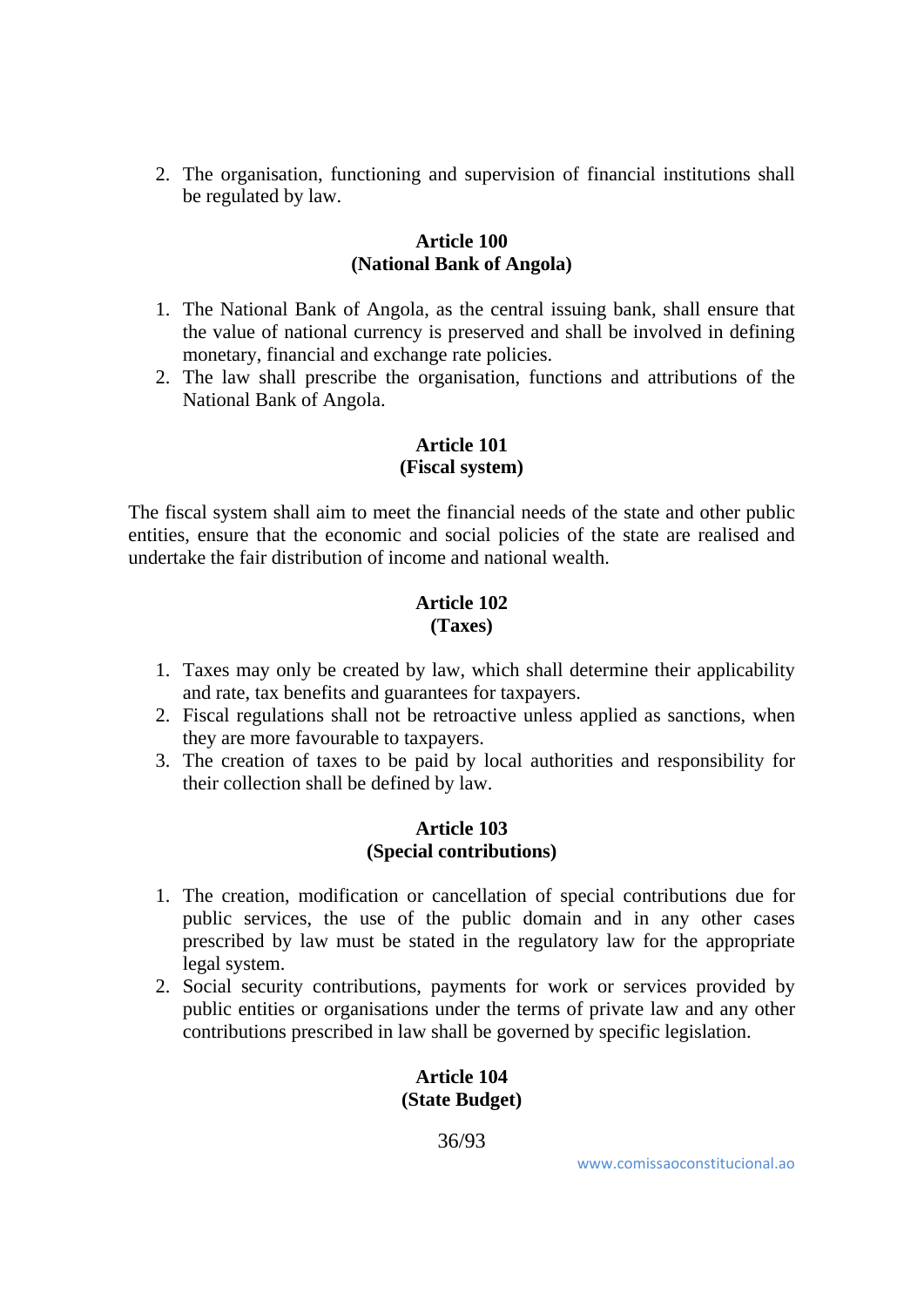2. The organisation, functioning and supervision of financial institutions shall be regulated by law.

#### **Article 100 (National Bank of Angola)**

- 1. The National Bank of Angola, as the central issuing bank, shall ensure that the value of national currency is preserved and shall be involved in defining monetary, financial and exchange rate policies.
- 2. The law shall prescribe the organisation, functions and attributions of the National Bank of Angola.

### **Article 101 (Fiscal system)**

The fiscal system shall aim to meet the financial needs of the state and other public entities, ensure that the economic and social policies of the state are realised and undertake the fair distribution of income and national wealth.

#### **Article 102 (Taxes)**

- 1. Taxes may only be created by law, which shall determine their applicability and rate, tax benefits and guarantees for taxpayers.
- 2. Fiscal regulations shall not be retroactive unless applied as sanctions, when they are more favourable to taxpayers.
- 3. The creation of taxes to be paid by local authorities and responsibility for their collection shall be defined by law.

#### **Article 103 (Special contributions)**

- 1. The creation, modification or cancellation of special contributions due for public services, the use of the public domain and in any other cases prescribed by law must be stated in the regulatory law for the appropriate legal system.
- 2. Social security contributions, payments for work or services provided by public entities or organisations under the terms of private law and any other contributions prescribed in law shall be governed by specific legislation.

## **Article 104 (State Budget)**

36/93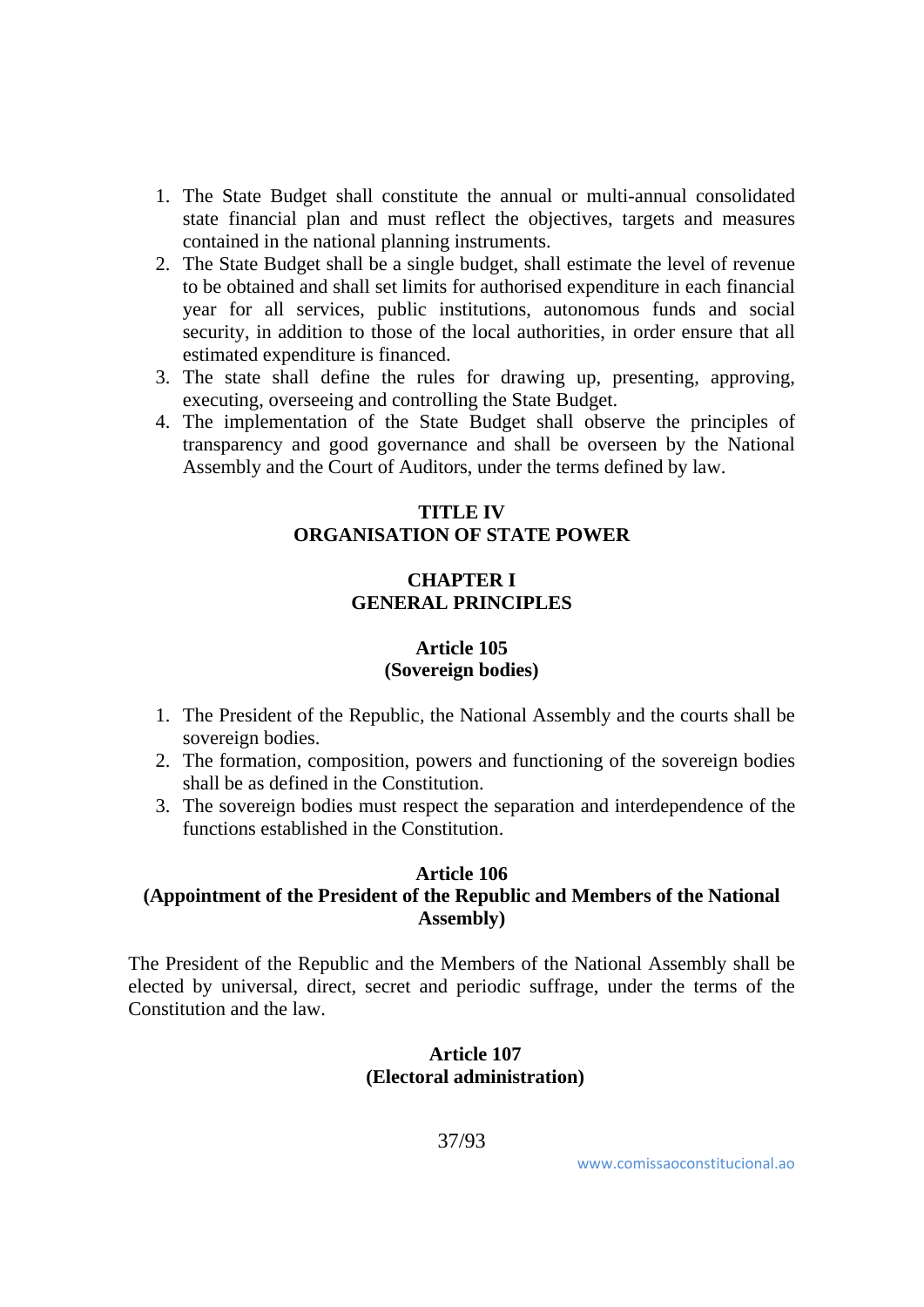- 1. The State Budget shall constitute the annual or multi-annual consolidated state financial plan and must reflect the objectives, targets and measures contained in the national planning instruments.
- 2. The State Budget shall be a single budget, shall estimate the level of revenue to be obtained and shall set limits for authorised expenditure in each financial year for all services, public institutions, autonomous funds and social security, in addition to those of the local authorities, in order ensure that all estimated expenditure is financed.
- 3. The state shall define the rules for drawing up, presenting, approving, executing, overseeing and controlling the State Budget.
- 4. The implementation of the State Budget shall observe the principles of transparency and good governance and shall be overseen by the National Assembly and the Court of Auditors, under the terms defined by law.

## **TITLE IV ORGANISATION OF STATE POWER**

# **CHAPTER I GENERAL PRINCIPLES**

#### **Article 105 (Sovereign bodies)**

- 1. The President of the Republic, the National Assembly and the courts shall be sovereign bodies.
- 2. The formation, composition, powers and functioning of the sovereign bodies shall be as defined in the Constitution.
- 3. The sovereign bodies must respect the separation and interdependence of the functions established in the Constitution.

# **Article 106**

# **(Appointment of the President of the Republic and Members of the National Assembly)**

The President of the Republic and the Members of the National Assembly shall be elected by universal, direct, secret and periodic suffrage, under the terms of the Constitution and the law.

# **Article 107 (Electoral administration)**

37/93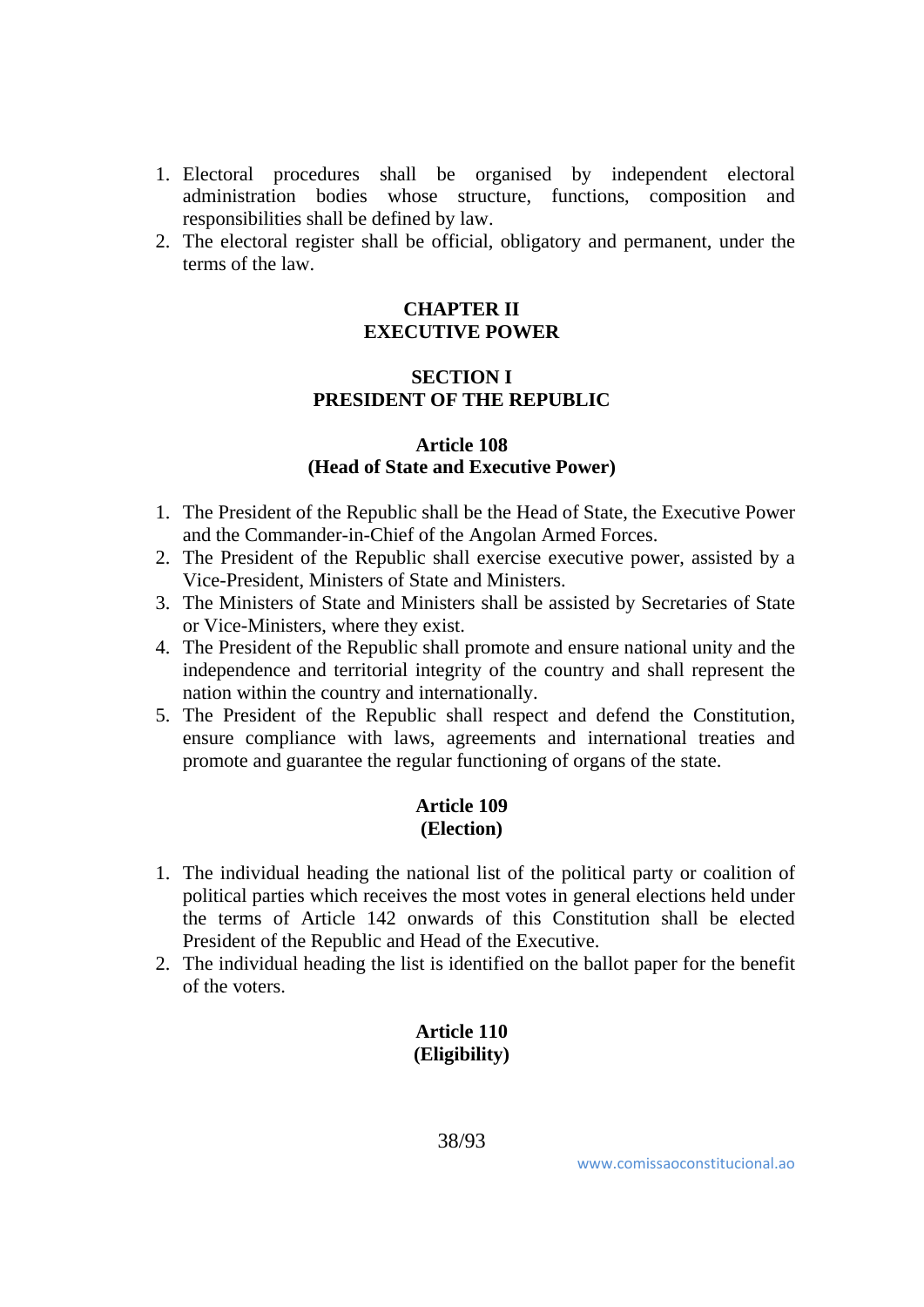- 1. Electoral procedures shall be organised by independent electoral administration bodies whose structure, functions, composition and responsibilities shall be defined by law.
- 2. The electoral register shall be official, obligatory and permanent, under the terms of the law.

## **CHAPTER II EXECUTIVE POWER**

## **SECTION I PRESIDENT OF THE REPUBLIC**

#### **Article 108 (Head of State and Executive Power)**

- 1. The President of the Republic shall be the Head of State, the Executive Power and the Commander-in-Chief of the Angolan Armed Forces.
- 2. The President of the Republic shall exercise executive power, assisted by a Vice-President, Ministers of State and Ministers.
- 3. The Ministers of State and Ministers shall be assisted by Secretaries of State or Vice-Ministers, where they exist.
- 4. The President of the Republic shall promote and ensure national unity and the independence and territorial integrity of the country and shall represent the nation within the country and internationally.
- 5. The President of the Republic shall respect and defend the Constitution, ensure compliance with laws, agreements and international treaties and promote and guarantee the regular functioning of organs of the state.

## **Article 109 (Election)**

- 1. The individual heading the national list of the political party or coalition of political parties which receives the most votes in general elections held under the terms of Article 142 onwards of this Constitution shall be elected President of the Republic and Head of the Executive.
- 2. The individual heading the list is identified on the ballot paper for the benefit of the voters.

# **Article 110 (Eligibility)**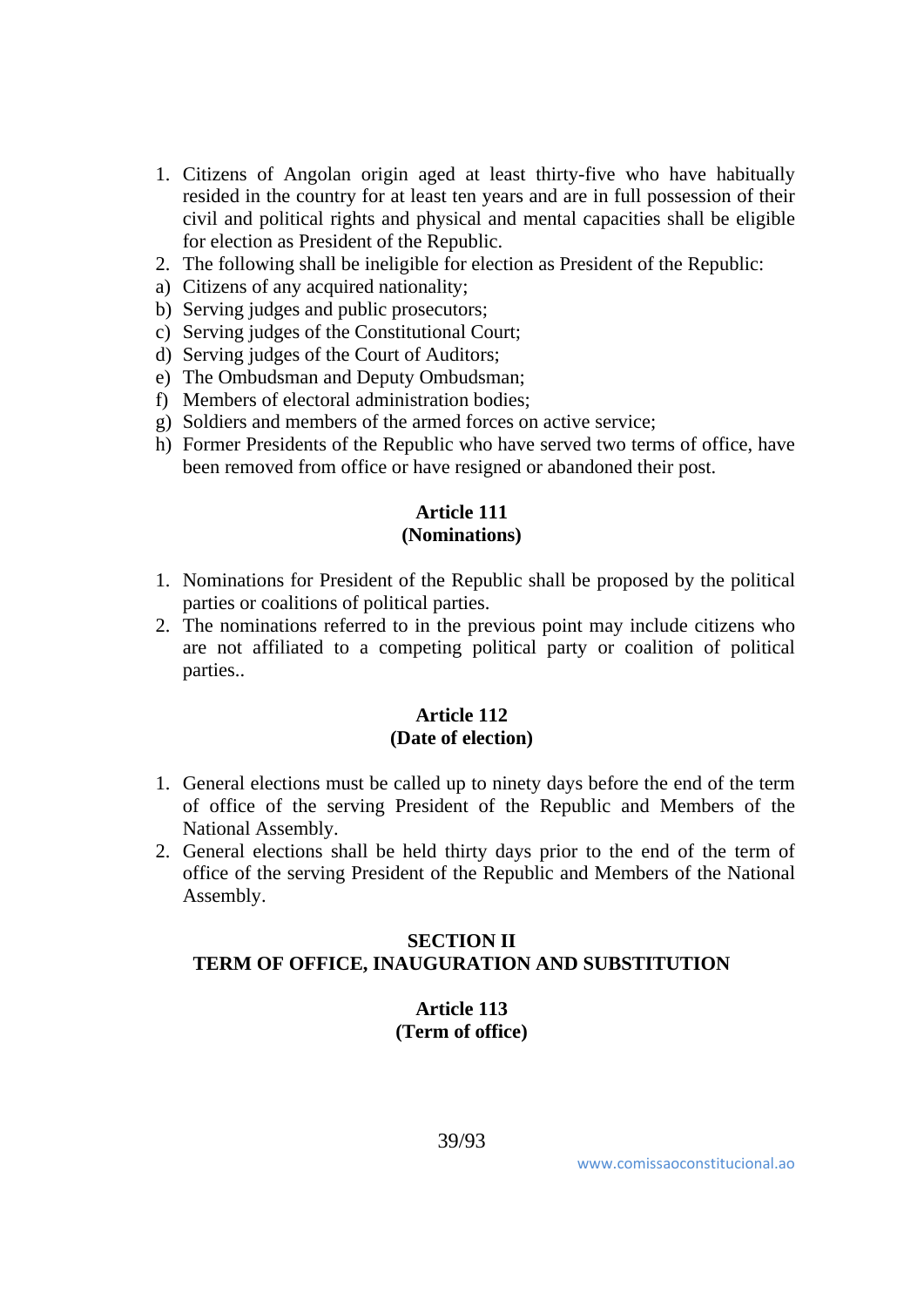- 1. Citizens of Angolan origin aged at least thirty-five who have habitually resided in the country for at least ten years and are in full possession of their civil and political rights and physical and mental capacities shall be eligible for election as President of the Republic.
- 2. The following shall be ineligible for election as President of the Republic:
- a) Citizens of any acquired nationality;
- b) Serving judges and public prosecutors;
- c) Serving judges of the Constitutional Court;
- d) Serving judges of the Court of Auditors;
- e) The Ombudsman and Deputy Ombudsman;
- f) Members of electoral administration bodies;
- g) Soldiers and members of the armed forces on active service;
- h) Former Presidents of the Republic who have served two terms of office, have been removed from office or have resigned or abandoned their post.

#### **Article 111 (Nominations)**

- 1. Nominations for President of the Republic shall be proposed by the political parties or coalitions of political parties.
- 2. The nominations referred to in the previous point may include citizens who are not affiliated to a competing political party or coalition of political parties..

#### **Article 112 (Date of election)**

- 1. General elections must be called up to ninety days before the end of the term of office of the serving President of the Republic and Members of the National Assembly.
- 2. General elections shall be held thirty days prior to the end of the term of office of the serving President of the Republic and Members of the National Assembly.

## **SECTION II TERM OF OFFICE, INAUGURATION AND SUBSTITUTION**

# **Article 113 (Term of office)**

39/93

www.comissaoconstitucional.ao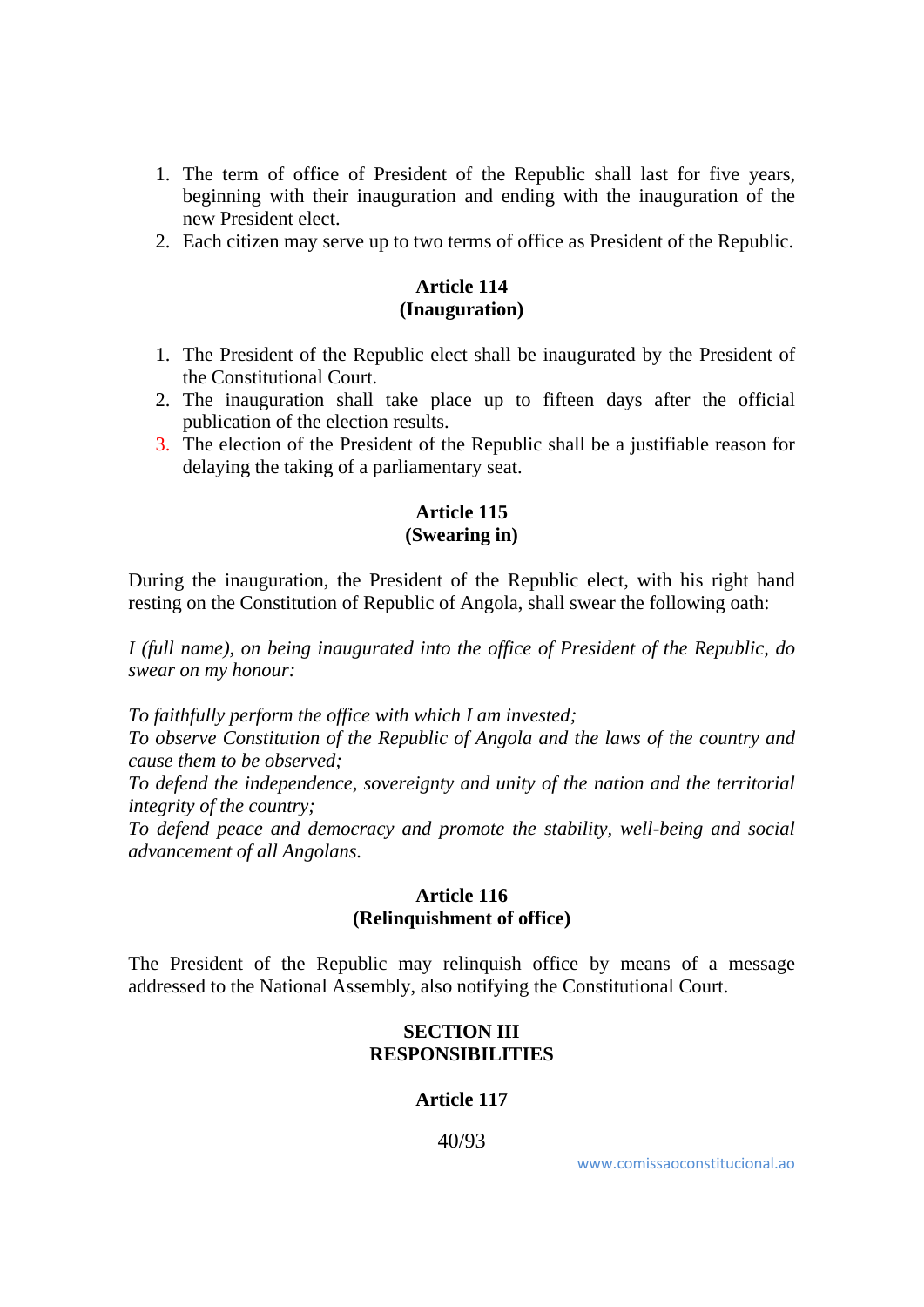- 1. The term of office of President of the Republic shall last for five years, beginning with their inauguration and ending with the inauguration of the new President elect.
- 2. Each citizen may serve up to two terms of office as President of the Republic.

## **Article 114 (Inauguration)**

- 1. The President of the Republic elect shall be inaugurated by the President of the Constitutional Court.
- 2. The inauguration shall take place up to fifteen days after the official publication of the election results.
- 3. The election of the President of the Republic shall be a justifiable reason for delaying the taking of a parliamentary seat.

#### **Article 115 (Swearing in)**

During the inauguration, the President of the Republic elect, with his right hand resting on the Constitution of Republic of Angola, shall swear the following oath:

*I (full name), on being inaugurated into the office of President of the Republic, do swear on my honour:* 

*To faithfully perform the office with which I am invested;* 

*To observe Constitution of the Republic of Angola and the laws of the country and cause them to be observed;* 

*To defend the independence, sovereignty and unity of the nation and the territorial integrity of the country;* 

*To defend peace and democracy and promote the stability, well-being and social advancement of all Angolans.* 

## **Article 116 (Relinquishment of office)**

The President of the Republic may relinquish office by means of a message addressed to the National Assembly, also notifying the Constitutional Court.

#### **SECTION III RESPONSIBILITIES**

# **Article 117**

40/93

www.comissaoconstitucional.ao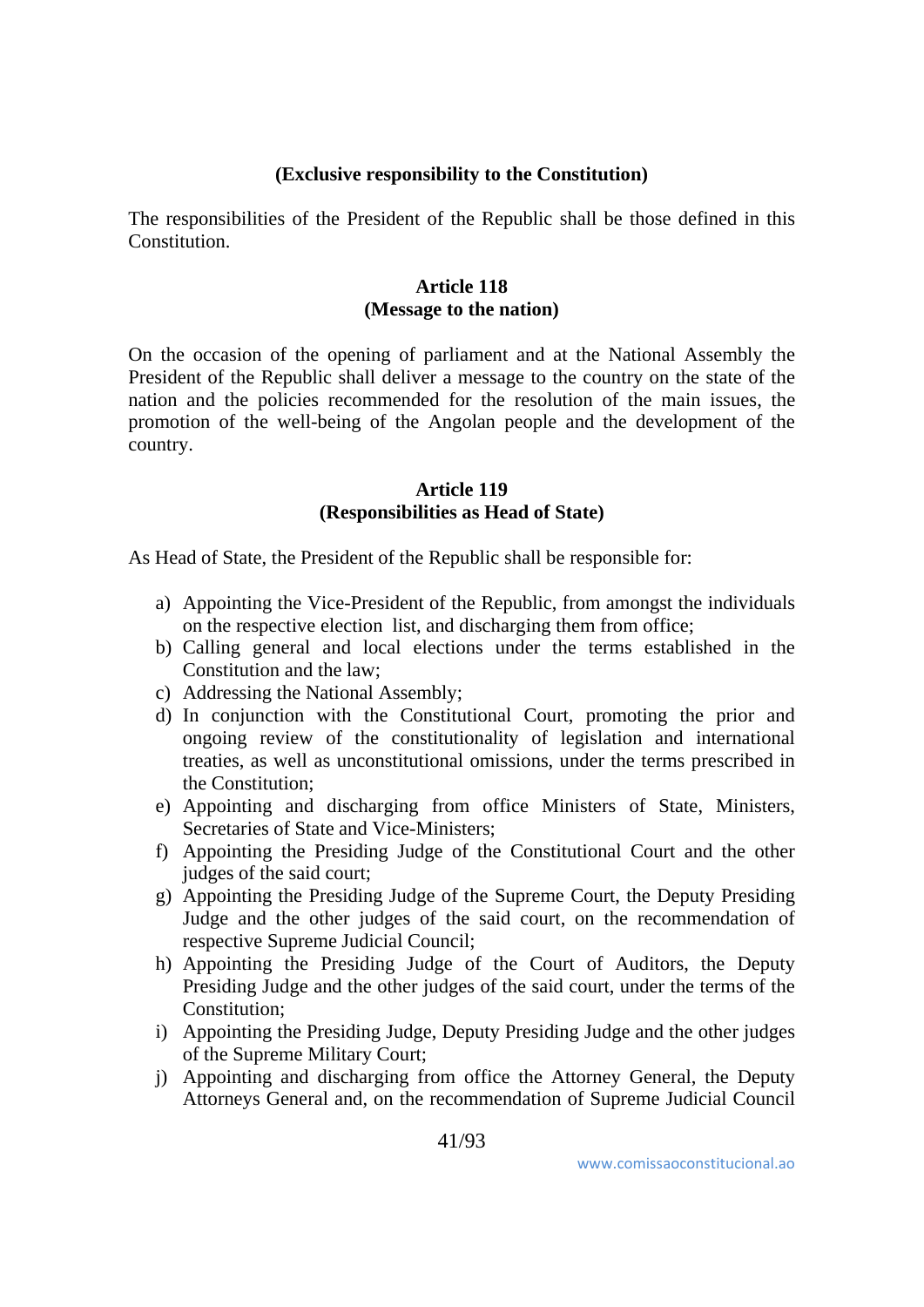## **(Exclusive responsibility to the Constitution)**

The responsibilities of the President of the Republic shall be those defined in this Constitution.

#### **Article 118 (Message to the nation)**

On the occasion of the opening of parliament and at the National Assembly the President of the Republic shall deliver a message to the country on the state of the nation and the policies recommended for the resolution of the main issues, the promotion of the well-being of the Angolan people and the development of the country.

#### **Article 119 (Responsibilities as Head of State)**

As Head of State, the President of the Republic shall be responsible for:

- a) Appointing the Vice-President of the Republic, from amongst the individuals on the respective election list, and discharging them from office;
- b) Calling general and local elections under the terms established in the Constitution and the law;
- c) Addressing the National Assembly;
- d) In conjunction with the Constitutional Court, promoting the prior and ongoing review of the constitutionality of legislation and international treaties, as well as unconstitutional omissions, under the terms prescribed in the Constitution;
- e) Appointing and discharging from office Ministers of State, Ministers, Secretaries of State and Vice-Ministers;
- f) Appointing the Presiding Judge of the Constitutional Court and the other judges of the said court;
- g) Appointing the Presiding Judge of the Supreme Court, the Deputy Presiding Judge and the other judges of the said court, on the recommendation of respective Supreme Judicial Council;
- h) Appointing the Presiding Judge of the Court of Auditors, the Deputy Presiding Judge and the other judges of the said court, under the terms of the Constitution;
- i) Appointing the Presiding Judge, Deputy Presiding Judge and the other judges of the Supreme Military Court;
- j) Appointing and discharging from office the Attorney General, the Deputy Attorneys General and, on the recommendation of Supreme Judicial Council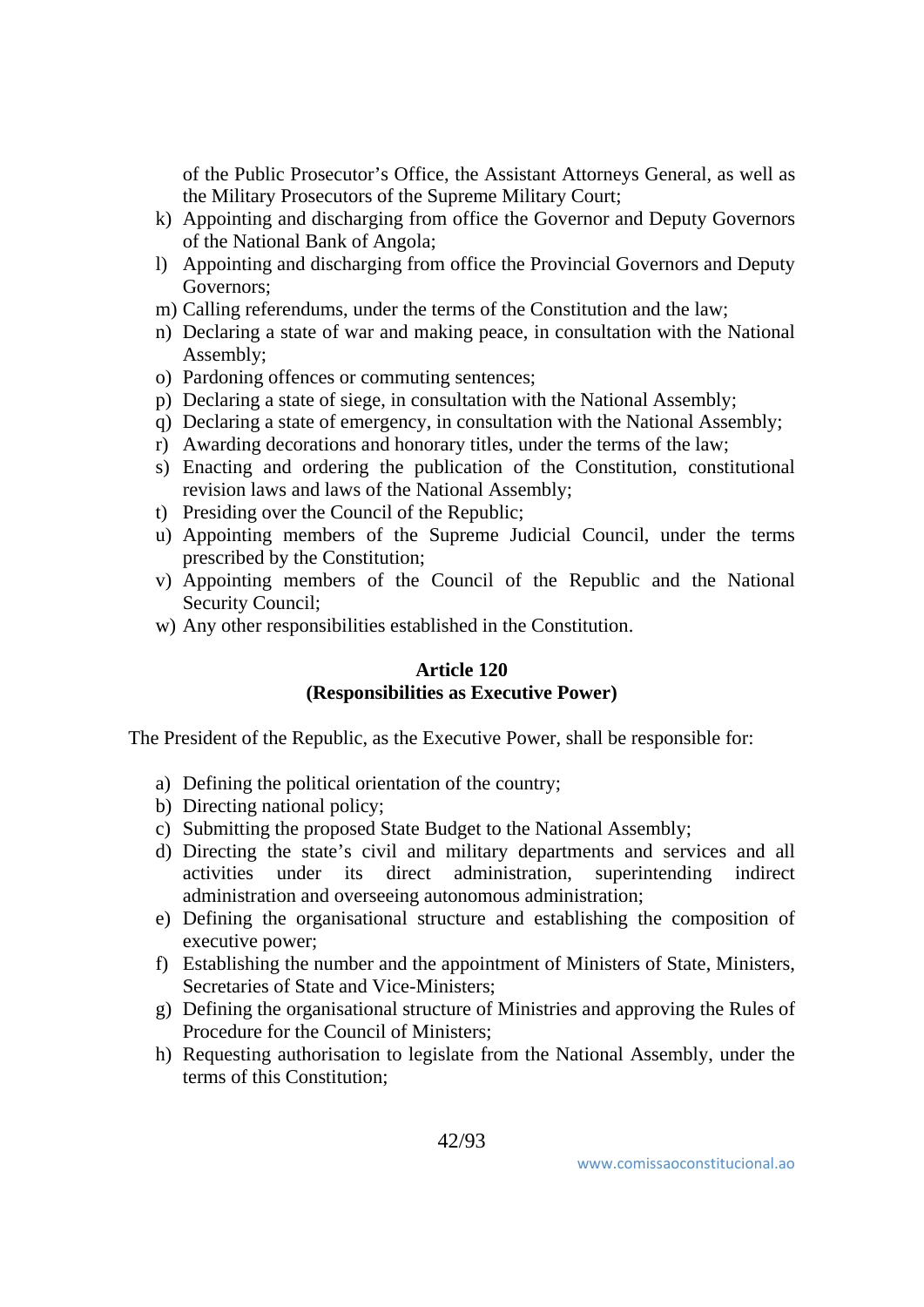of the Public Prosecutor's Office, the Assistant Attorneys General, as well as the Military Prosecutors of the Supreme Military Court;

- k) Appointing and discharging from office the Governor and Deputy Governors of the National Bank of Angola;
- l) Appointing and discharging from office the Provincial Governors and Deputy Governors;
- m) Calling referendums, under the terms of the Constitution and the law;
- n) Declaring a state of war and making peace, in consultation with the National Assembly;
- o) Pardoning offences or commuting sentences;
- p) Declaring a state of siege, in consultation with the National Assembly;
- q) Declaring a state of emergency, in consultation with the National Assembly;
- r) Awarding decorations and honorary titles, under the terms of the law;
- s) Enacting and ordering the publication of the Constitution, constitutional revision laws and laws of the National Assembly;
- t) Presiding over the Council of the Republic;
- u) Appointing members of the Supreme Judicial Council, under the terms prescribed by the Constitution;
- v) Appointing members of the Council of the Republic and the National Security Council;
- w) Any other responsibilities established in the Constitution.

## **Article 120 (Responsibilities as Executive Power)**

The President of the Republic, as the Executive Power, shall be responsible for:

- a) Defining the political orientation of the country;
- b) Directing national policy;
- c) Submitting the proposed State Budget to the National Assembly;
- d) Directing the state's civil and military departments and services and all activities under its direct administration, superintending indirect administration and overseeing autonomous administration;
- e) Defining the organisational structure and establishing the composition of executive power;
- f) Establishing the number and the appointment of Ministers of State, Ministers, Secretaries of State and Vice-Ministers;
- g) Defining the organisational structure of Ministries and approving the Rules of Procedure for the Council of Ministers;
- h) Requesting authorisation to legislate from the National Assembly, under the terms of this Constitution;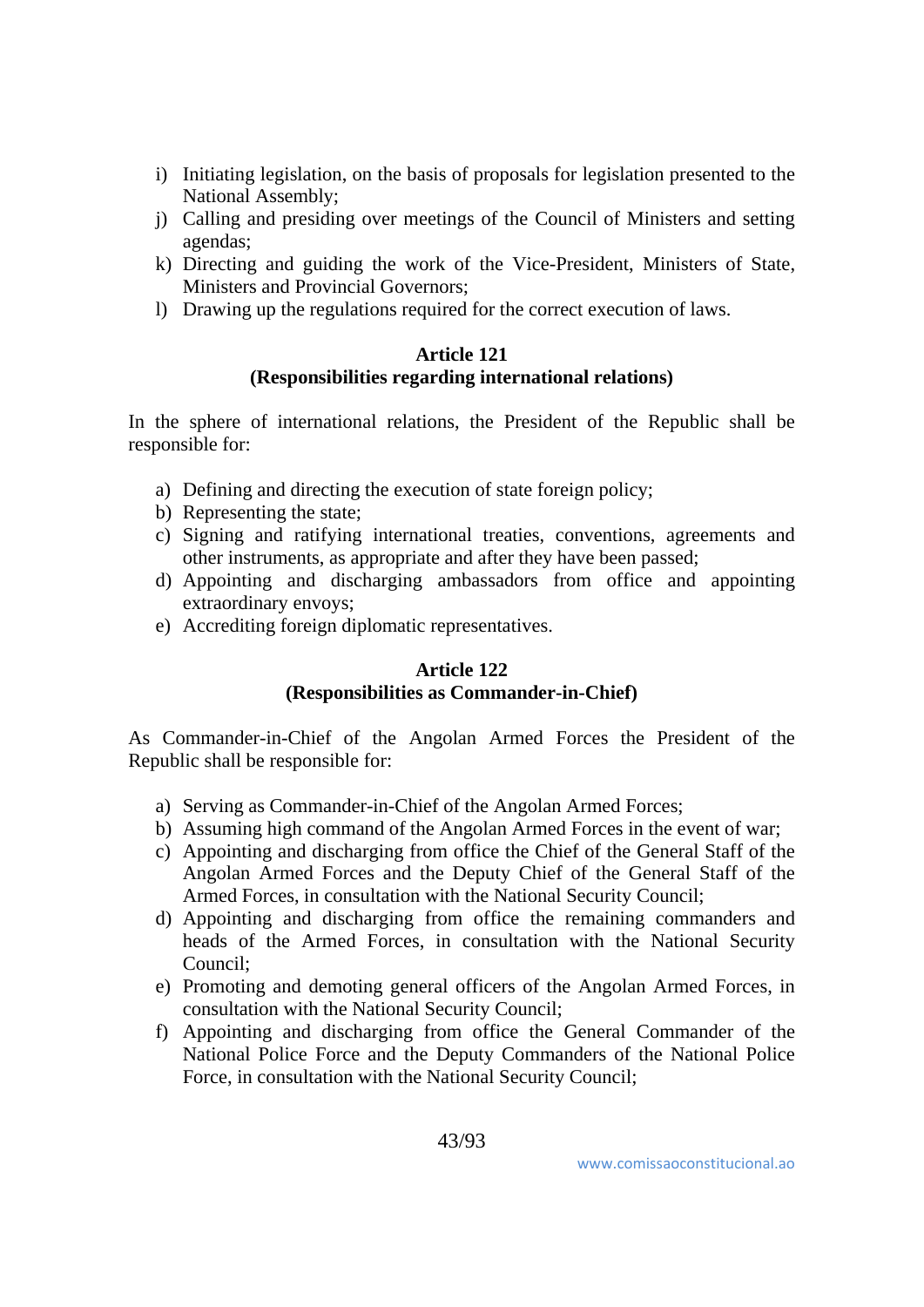- i) Initiating legislation, on the basis of proposals for legislation presented to the National Assembly;
- j) Calling and presiding over meetings of the Council of Ministers and setting agendas;
- k) Directing and guiding the work of the Vice-President, Ministers of State, Ministers and Provincial Governors;
- l) Drawing up the regulations required for the correct execution of laws.

## **Article 121 (Responsibilities regarding international relations)**

In the sphere of international relations, the President of the Republic shall be responsible for:

- a) Defining and directing the execution of state foreign policy;
- b) Representing the state;
- c) Signing and ratifying international treaties, conventions, agreements and other instruments, as appropriate and after they have been passed;
- d) Appointing and discharging ambassadors from office and appointing extraordinary envoys;
- e) Accrediting foreign diplomatic representatives.

# **Article 122 (Responsibilities as Commander-in-Chief)**

As Commander-in-Chief of the Angolan Armed Forces the President of the Republic shall be responsible for:

- a) Serving as Commander-in-Chief of the Angolan Armed Forces;
- b) Assuming high command of the Angolan Armed Forces in the event of war;
- c) Appointing and discharging from office the Chief of the General Staff of the Angolan Armed Forces and the Deputy Chief of the General Staff of the Armed Forces, in consultation with the National Security Council;
- d) Appointing and discharging from office the remaining commanders and heads of the Armed Forces, in consultation with the National Security Council;
- e) Promoting and demoting general officers of the Angolan Armed Forces, in consultation with the National Security Council;
- f) Appointing and discharging from office the General Commander of the National Police Force and the Deputy Commanders of the National Police Force, in consultation with the National Security Council;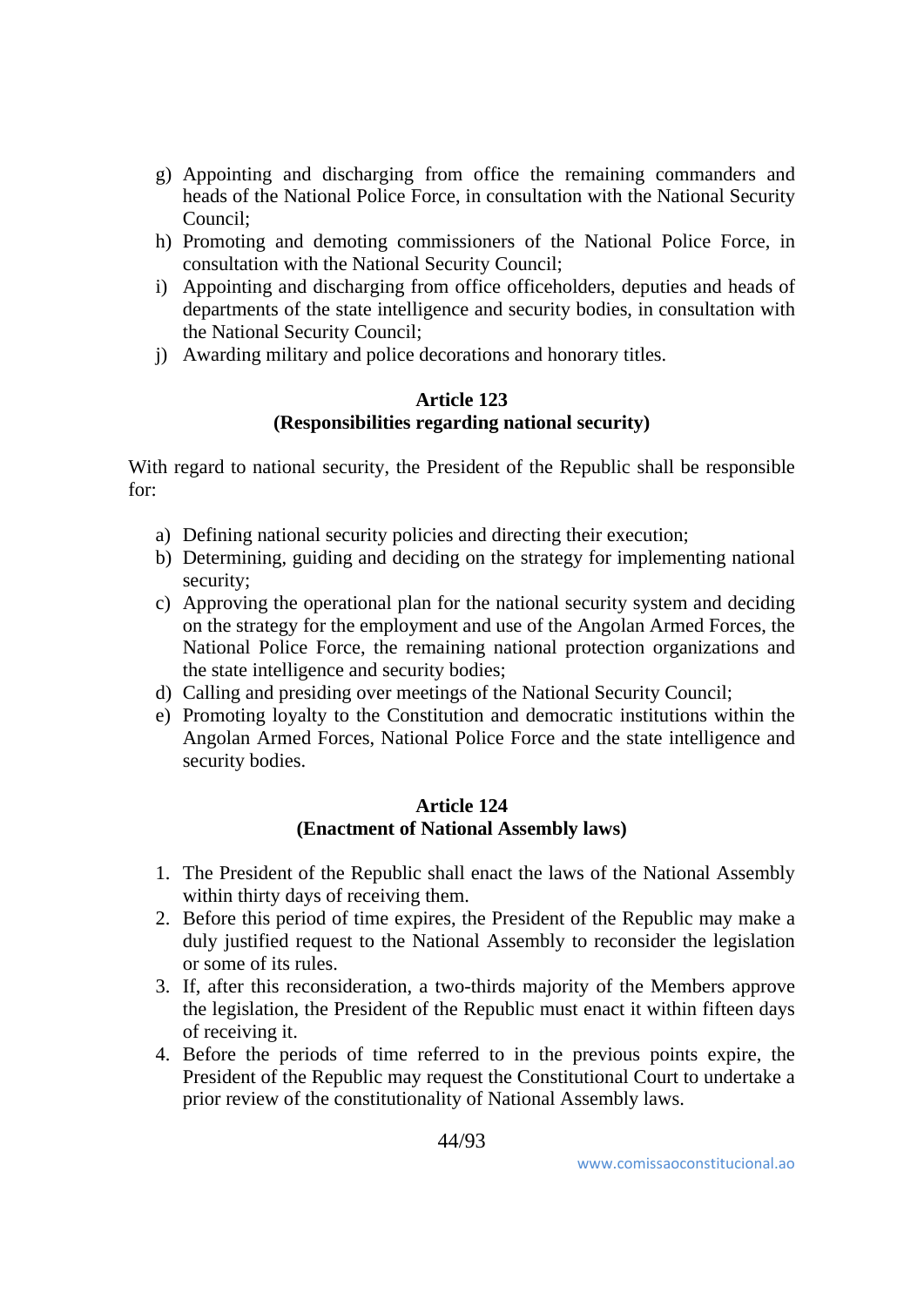- g) Appointing and discharging from office the remaining commanders and heads of the National Police Force, in consultation with the National Security Council;
- h) Promoting and demoting commissioners of the National Police Force, in consultation with the National Security Council;
- i) Appointing and discharging from office officeholders, deputies and heads of departments of the state intelligence and security bodies, in consultation with the National Security Council;
- j) Awarding military and police decorations and honorary titles.

## **Article 123 (Responsibilities regarding national security)**

With regard to national security, the President of the Republic shall be responsible for:

- a) Defining national security policies and directing their execution;
- b) Determining, guiding and deciding on the strategy for implementing national security;
- c) Approving the operational plan for the national security system and deciding on the strategy for the employment and use of the Angolan Armed Forces, the National Police Force, the remaining national protection organizations and the state intelligence and security bodies;
- d) Calling and presiding over meetings of the National Security Council;
- e) Promoting loyalty to the Constitution and democratic institutions within the Angolan Armed Forces, National Police Force and the state intelligence and security bodies.

#### **Article 124 (Enactment of National Assembly laws)**

- 1. The President of the Republic shall enact the laws of the National Assembly within thirty days of receiving them.
- 2. Before this period of time expires, the President of the Republic may make a duly justified request to the National Assembly to reconsider the legislation or some of its rules.
- 3. If, after this reconsideration, a two-thirds majority of the Members approve the legislation, the President of the Republic must enact it within fifteen days of receiving it.
- 4. Before the periods of time referred to in the previous points expire, the President of the Republic may request the Constitutional Court to undertake a prior review of the constitutionality of National Assembly laws.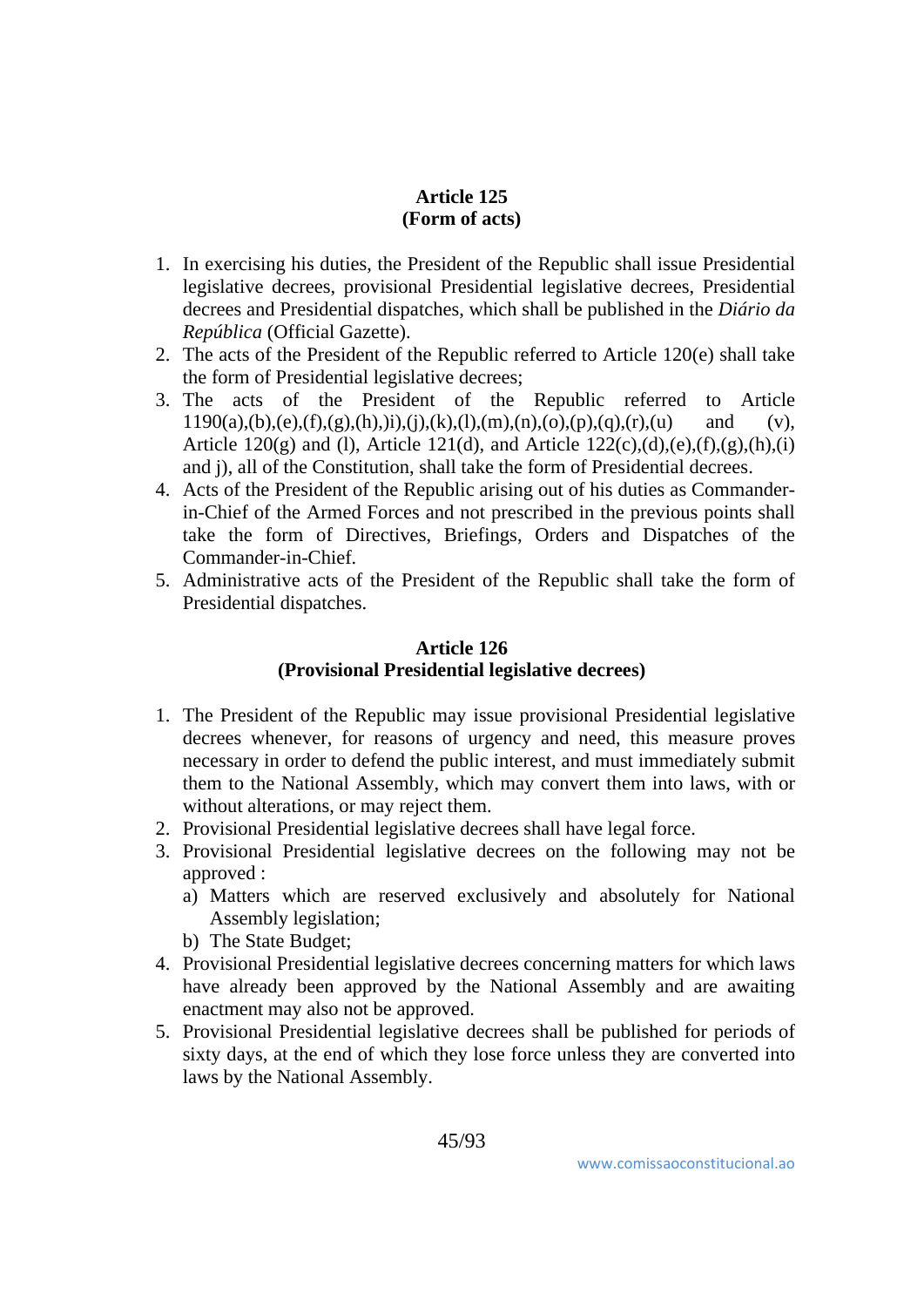## **Article 125 (Form of acts)**

- 1. In exercising his duties, the President of the Republic shall issue Presidential legislative decrees, provisional Presidential legislative decrees, Presidential decrees and Presidential dispatches, which shall be published in the *Diário da República* (Official Gazette).
- 2. The acts of the President of the Republic referred to Article 120(e) shall take the form of Presidential legislative decrees;
- 3. The acts of the President of the Republic referred to Article  $1190(a),(b),(e),(f),(g),(h),i),(i),(k),(l),(m),(n),(o),(p),(q),(r),(u)$  and (v), Article 120(g) and (l), Article 121(d), and Article 122(c),(d),(e),(f),(g),(h),(i) and j), all of the Constitution, shall take the form of Presidential decrees.
- 4. Acts of the President of the Republic arising out of his duties as Commanderin-Chief of the Armed Forces and not prescribed in the previous points shall take the form of Directives, Briefings, Orders and Dispatches of the Commander-in-Chief.
- 5. Administrative acts of the President of the Republic shall take the form of Presidential dispatches.

# **Article 126 (Provisional Presidential legislative decrees)**

- 1. The President of the Republic may issue provisional Presidential legislative decrees whenever, for reasons of urgency and need, this measure proves necessary in order to defend the public interest, and must immediately submit them to the National Assembly, which may convert them into laws, with or without alterations, or may reject them.
- 2. Provisional Presidential legislative decrees shall have legal force.
- 3. Provisional Presidential legislative decrees on the following may not be approved :
	- a) Matters which are reserved exclusively and absolutely for National Assembly legislation;
	- b) The State Budget;
- 4. Provisional Presidential legislative decrees concerning matters for which laws have already been approved by the National Assembly and are awaiting enactment may also not be approved.
- 5. Provisional Presidential legislative decrees shall be published for periods of sixty days, at the end of which they lose force unless they are converted into laws by the National Assembly.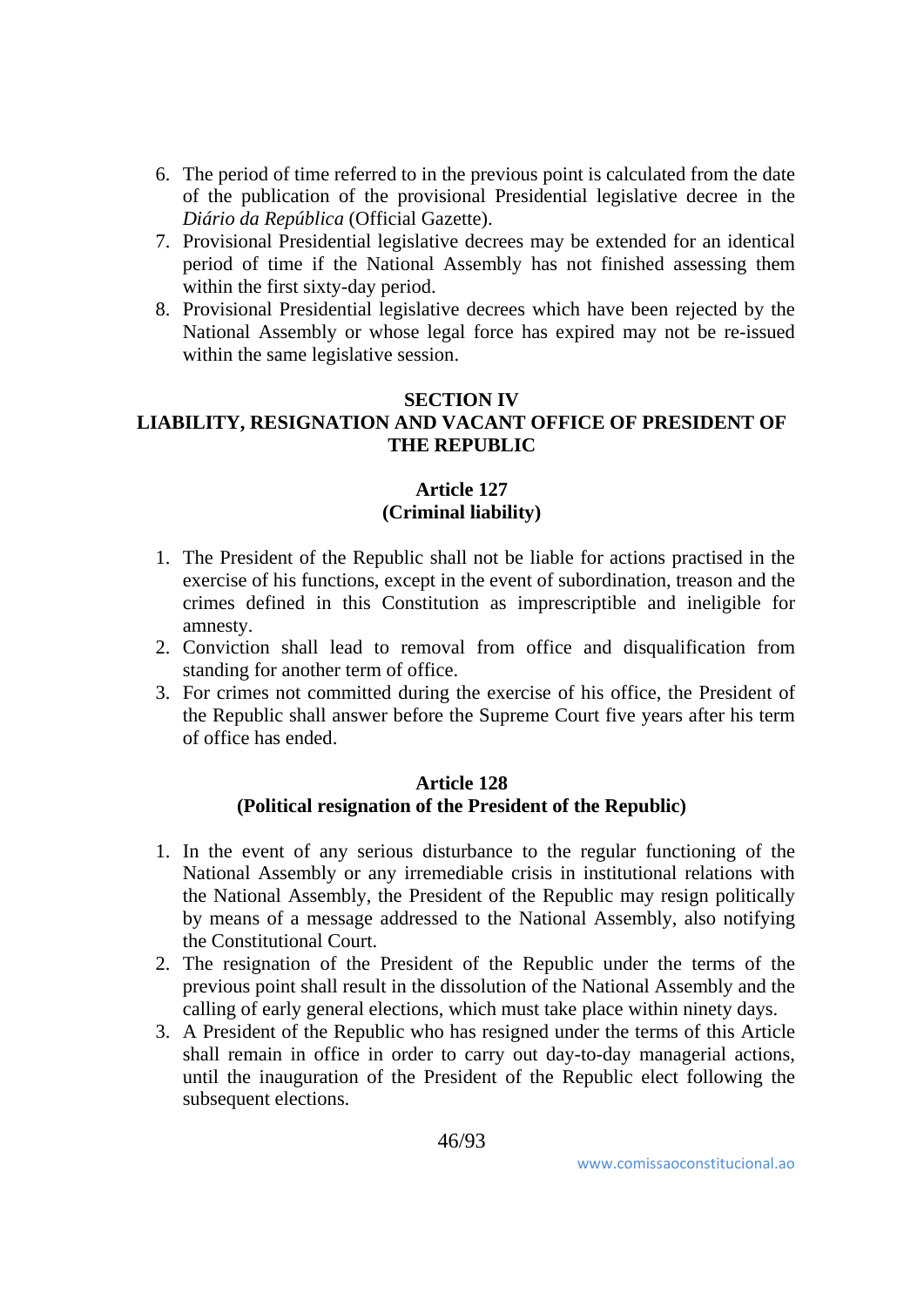- 6. The period of time referred to in the previous point is calculated from the date of the publication of the provisional Presidential legislative decree in the *Diário da República* (Official Gazette).
- 7. Provisional Presidential legislative decrees may be extended for an identical period of time if the National Assembly has not finished assessing them within the first sixty-day period.
- 8. Provisional Presidential legislative decrees which have been rejected by the National Assembly or whose legal force has expired may not be re-issued within the same legislative session.

#### **SECTION IV**

# **LIABILITY, RESIGNATION AND VACANT OFFICE OF PRESIDENT OF THE REPUBLIC**

## **Article 127 (Criminal liability)**

- 1. The President of the Republic shall not be liable for actions practised in the exercise of his functions, except in the event of subordination, treason and the crimes defined in this Constitution as imprescriptible and ineligible for amnesty.
- 2. Conviction shall lead to removal from office and disqualification from standing for another term of office.
- 3. For crimes not committed during the exercise of his office, the President of the Republic shall answer before the Supreme Court five years after his term of office has ended.

## **Article 128 (Political resignation of the President of the Republic)**

- 1. In the event of any serious disturbance to the regular functioning of the National Assembly or any irremediable crisis in institutional relations with the National Assembly, the President of the Republic may resign politically by means of a message addressed to the National Assembly, also notifying the Constitutional Court.
- 2. The resignation of the President of the Republic under the terms of the previous point shall result in the dissolution of the National Assembly and the calling of early general elections, which must take place within ninety days.
- 3. A President of the Republic who has resigned under the terms of this Article shall remain in office in order to carry out day-to-day managerial actions, until the inauguration of the President of the Republic elect following the subsequent elections.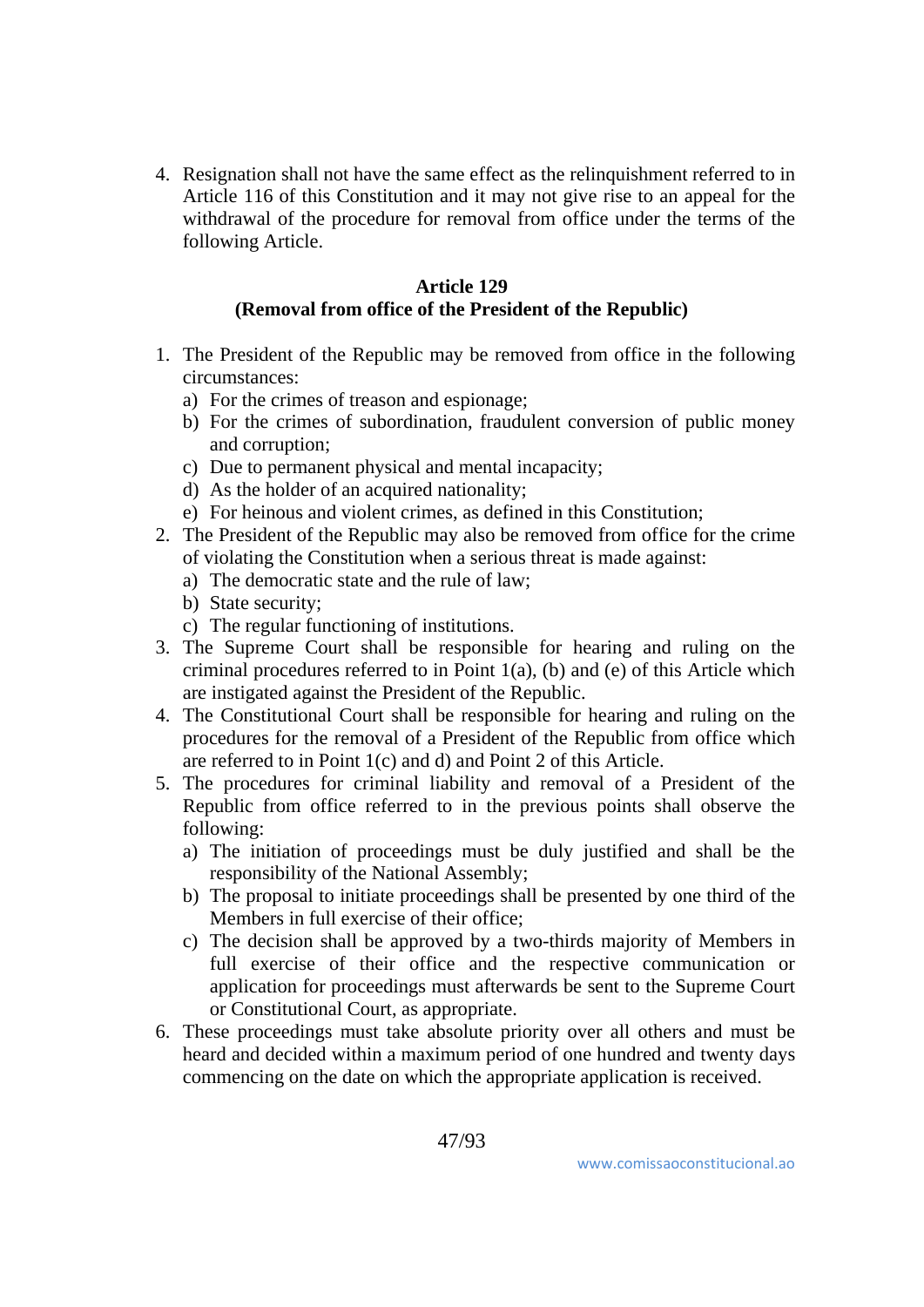4. Resignation shall not have the same effect as the relinquishment referred to in Article 116 of this Constitution and it may not give rise to an appeal for the withdrawal of the procedure for removal from office under the terms of the following Article.

#### **Article 129**

## **(Removal from office of the President of the Republic)**

- 1. The President of the Republic may be removed from office in the following circumstances:
	- a) For the crimes of treason and espionage;
	- b) For the crimes of subordination, fraudulent conversion of public money and corruption;
	- c) Due to permanent physical and mental incapacity;
	- d) As the holder of an acquired nationality;
	- e) For heinous and violent crimes, as defined in this Constitution;
- 2. The President of the Republic may also be removed from office for the crime of violating the Constitution when a serious threat is made against:
	- a) The democratic state and the rule of law;
	- b) State security;
	- c) The regular functioning of institutions.
- 3. The Supreme Court shall be responsible for hearing and ruling on the criminal procedures referred to in Point  $1(a)$ , (b) and (e) of this Article which are instigated against the President of the Republic.
- 4. The Constitutional Court shall be responsible for hearing and ruling on the procedures for the removal of a President of the Republic from office which are referred to in Point 1(c) and d) and Point 2 of this Article.
- 5. The procedures for criminal liability and removal of a President of the Republic from office referred to in the previous points shall observe the following:
	- a) The initiation of proceedings must be duly justified and shall be the responsibility of the National Assembly;
	- b) The proposal to initiate proceedings shall be presented by one third of the Members in full exercise of their office;
	- c) The decision shall be approved by a two-thirds majority of Members in full exercise of their office and the respective communication or application for proceedings must afterwards be sent to the Supreme Court or Constitutional Court, as appropriate.
- 6. These proceedings must take absolute priority over all others and must be heard and decided within a maximum period of one hundred and twenty days commencing on the date on which the appropriate application is received.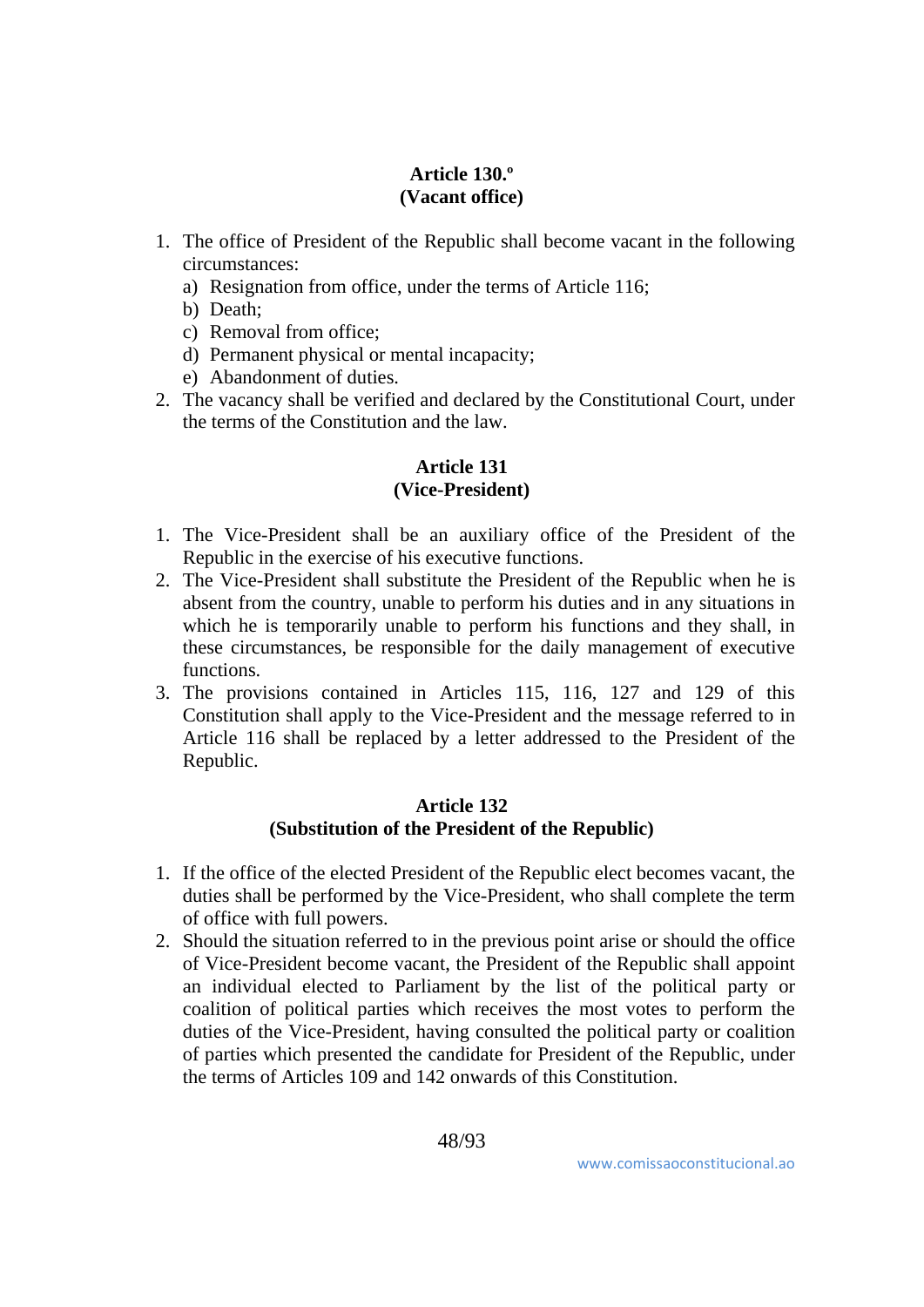# **Article 130.º (Vacant office)**

- 1. The office of President of the Republic shall become vacant in the following circumstances:
	- a) Resignation from office, under the terms of Article 116;
	- b) Death;
	- c) Removal from office;
	- d) Permanent physical or mental incapacity;
	- e) Abandonment of duties.
- 2. The vacancy shall be verified and declared by the Constitutional Court, under the terms of the Constitution and the law.

# **Article 131 (Vice-President)**

- 1. The Vice-President shall be an auxiliary office of the President of the Republic in the exercise of his executive functions.
- 2. The Vice-President shall substitute the President of the Republic when he is absent from the country, unable to perform his duties and in any situations in which he is temporarily unable to perform his functions and they shall, in these circumstances, be responsible for the daily management of executive functions.
- 3. The provisions contained in Articles 115, 116, 127 and 129 of this Constitution shall apply to the Vice-President and the message referred to in Article 116 shall be replaced by a letter addressed to the President of the Republic.

#### **Article 132 (Substitution of the President of the Republic)**

- 1. If the office of the elected President of the Republic elect becomes vacant, the duties shall be performed by the Vice-President, who shall complete the term of office with full powers.
- 2. Should the situation referred to in the previous point arise or should the office of Vice-President become vacant, the President of the Republic shall appoint an individual elected to Parliament by the list of the political party or coalition of political parties which receives the most votes to perform the duties of the Vice-President, having consulted the political party or coalition of parties which presented the candidate for President of the Republic, under the terms of Articles 109 and 142 onwards of this Constitution.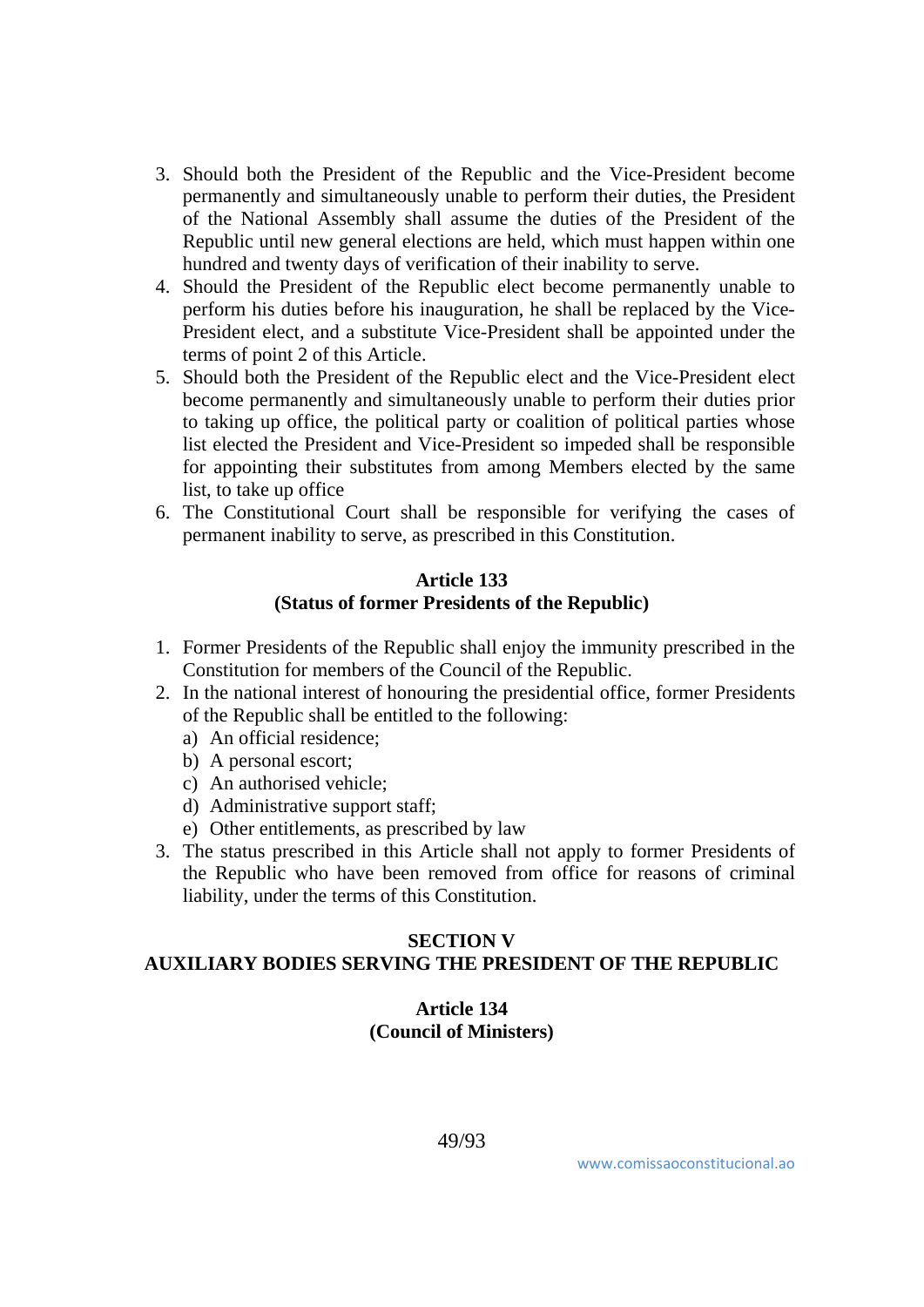- 3. Should both the President of the Republic and the Vice-President become permanently and simultaneously unable to perform their duties, the President of the National Assembly shall assume the duties of the President of the Republic until new general elections are held, which must happen within one hundred and twenty days of verification of their inability to serve.
- 4. Should the President of the Republic elect become permanently unable to perform his duties before his inauguration, he shall be replaced by the Vice-President elect, and a substitute Vice-President shall be appointed under the terms of point 2 of this Article.
- 5. Should both the President of the Republic elect and the Vice-President elect become permanently and simultaneously unable to perform their duties prior to taking up office, the political party or coalition of political parties whose list elected the President and Vice-President so impeded shall be responsible for appointing their substitutes from among Members elected by the same list, to take up office
- 6. The Constitutional Court shall be responsible for verifying the cases of permanent inability to serve, as prescribed in this Constitution.

# **Article 133 (Status of former Presidents of the Republic)**

- 1. Former Presidents of the Republic shall enjoy the immunity prescribed in the Constitution for members of the Council of the Republic.
- 2. In the national interest of honouring the presidential office, former Presidents of the Republic shall be entitled to the following:
	- a) An official residence;
	- b) A personal escort;
	- c) An authorised vehicle;
	- d) Administrative support staff;
	- e) Other entitlements, as prescribed by law
- 3. The status prescribed in this Article shall not apply to former Presidents of the Republic who have been removed from office for reasons of criminal liability, under the terms of this Constitution.

#### **SECTION V**

# **AUXILIARY BODIES SERVING THE PRESIDENT OF THE REPUBLIC**

## **Article 134 (Council of Ministers)**

49/93

www.comissaoconstitucional.ao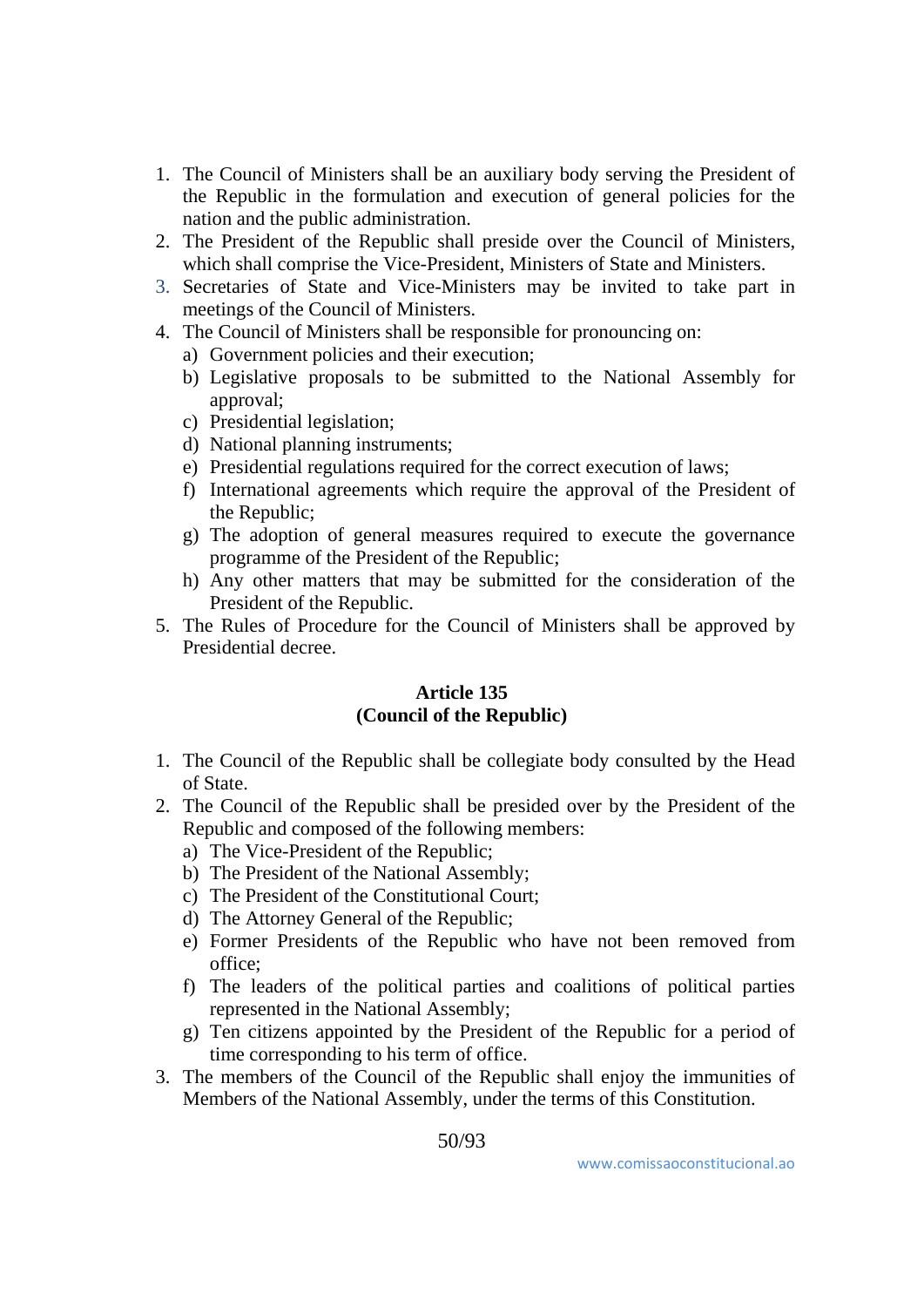- 1. The Council of Ministers shall be an auxiliary body serving the President of the Republic in the formulation and execution of general policies for the nation and the public administration.
- 2. The President of the Republic shall preside over the Council of Ministers, which shall comprise the Vice-President, Ministers of State and Ministers.
- 3. Secretaries of State and Vice-Ministers may be invited to take part in meetings of the Council of Ministers.
- 4. The Council of Ministers shall be responsible for pronouncing on:
	- a) Government policies and their execution;
	- b) Legislative proposals to be submitted to the National Assembly for approval;
	- c) Presidential legislation;
	- d) National planning instruments;
	- e) Presidential regulations required for the correct execution of laws;
	- f) International agreements which require the approval of the President of the Republic;
	- g) The adoption of general measures required to execute the governance programme of the President of the Republic;
	- h) Any other matters that may be submitted for the consideration of the President of the Republic.
- 5. The Rules of Procedure for the Council of Ministers shall be approved by Presidential decree.

#### **Article 135 (Council of the Republic)**

- 1. The Council of the Republic shall be collegiate body consulted by the Head of State.
- 2. The Council of the Republic shall be presided over by the President of the Republic and composed of the following members:
	- a) The Vice-President of the Republic;
	- b) The President of the National Assembly;
	- c) The President of the Constitutional Court;
	- d) The Attorney General of the Republic;
	- e) Former Presidents of the Republic who have not been removed from office;
	- f) The leaders of the political parties and coalitions of political parties represented in the National Assembly;
	- g) Ten citizens appointed by the President of the Republic for a period of time corresponding to his term of office.
- 3. The members of the Council of the Republic shall enjoy the immunities of Members of the National Assembly, under the terms of this Constitution.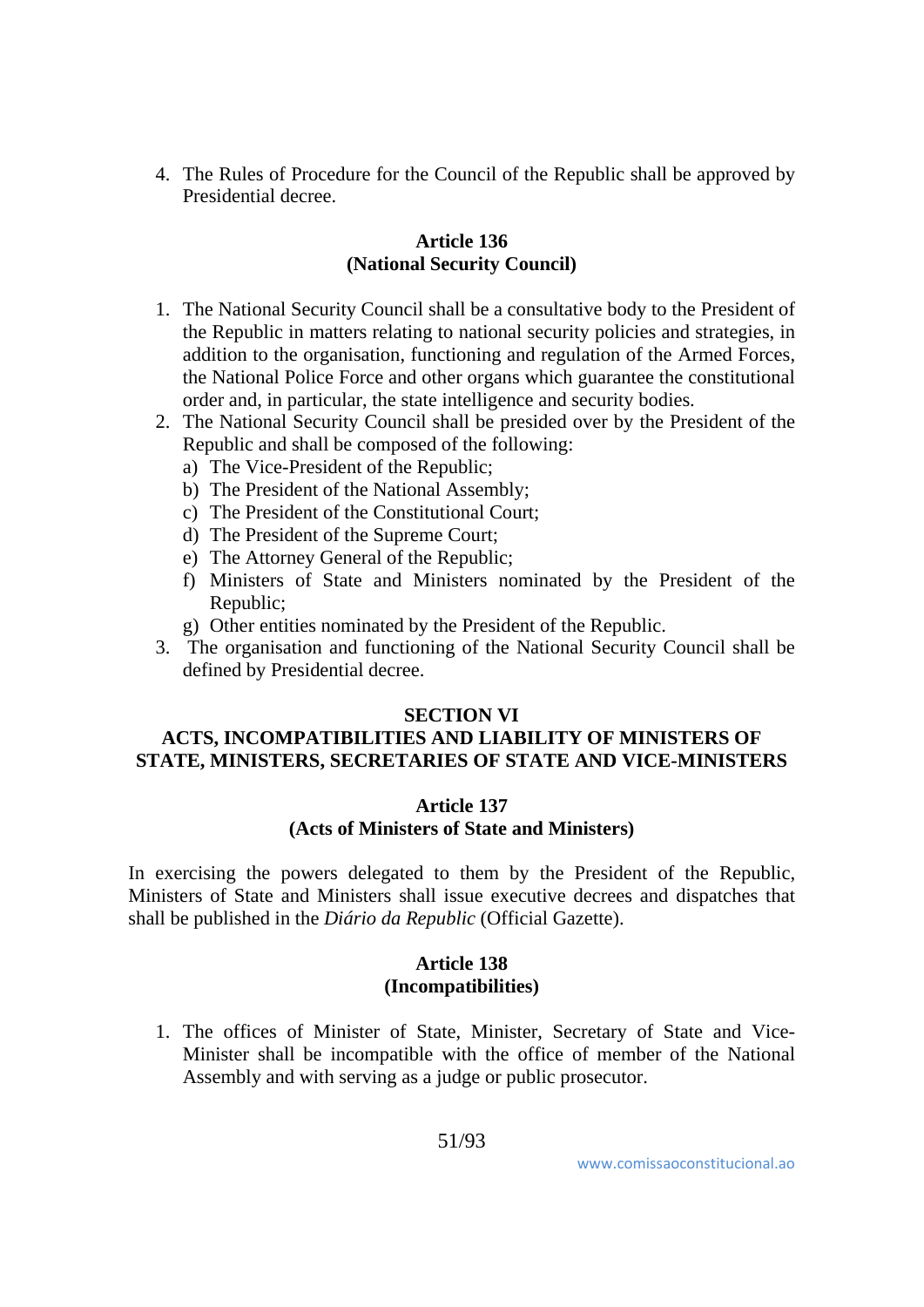4. The Rules of Procedure for the Council of the Republic shall be approved by Presidential decree.

#### **Article 136 (National Security Council)**

- 1. The National Security Council shall be a consultative body to the President of the Republic in matters relating to national security policies and strategies, in addition to the organisation, functioning and regulation of the Armed Forces, the National Police Force and other organs which guarantee the constitutional order and, in particular, the state intelligence and security bodies.
- 2. The National Security Council shall be presided over by the President of the Republic and shall be composed of the following:
	- a) The Vice-President of the Republic;
	- b) The President of the National Assembly;
	- c) The President of the Constitutional Court;
	- d) The President of the Supreme Court;
	- e) The Attorney General of the Republic;
	- f) Ministers of State and Ministers nominated by the President of the Republic;
	- g) Other entities nominated by the President of the Republic.
- 3. The organisation and functioning of the National Security Council shall be defined by Presidential decree.

#### **SECTION VI**

#### **ACTS, INCOMPATIBILITIES AND LIABILITY OF MINISTERS OF STATE, MINISTERS, SECRETARIES OF STATE AND VICE-MINISTERS**

#### **Article 137 (Acts of Ministers of State and Ministers)**

In exercising the powers delegated to them by the President of the Republic, Ministers of State and Ministers shall issue executive decrees and dispatches that shall be published in the *Diário da Republic* (Official Gazette).

#### **Article 138 (Incompatibilities)**

1. The offices of Minister of State, Minister, Secretary of State and Vice-Minister shall be incompatible with the office of member of the National Assembly and with serving as a judge or public prosecutor.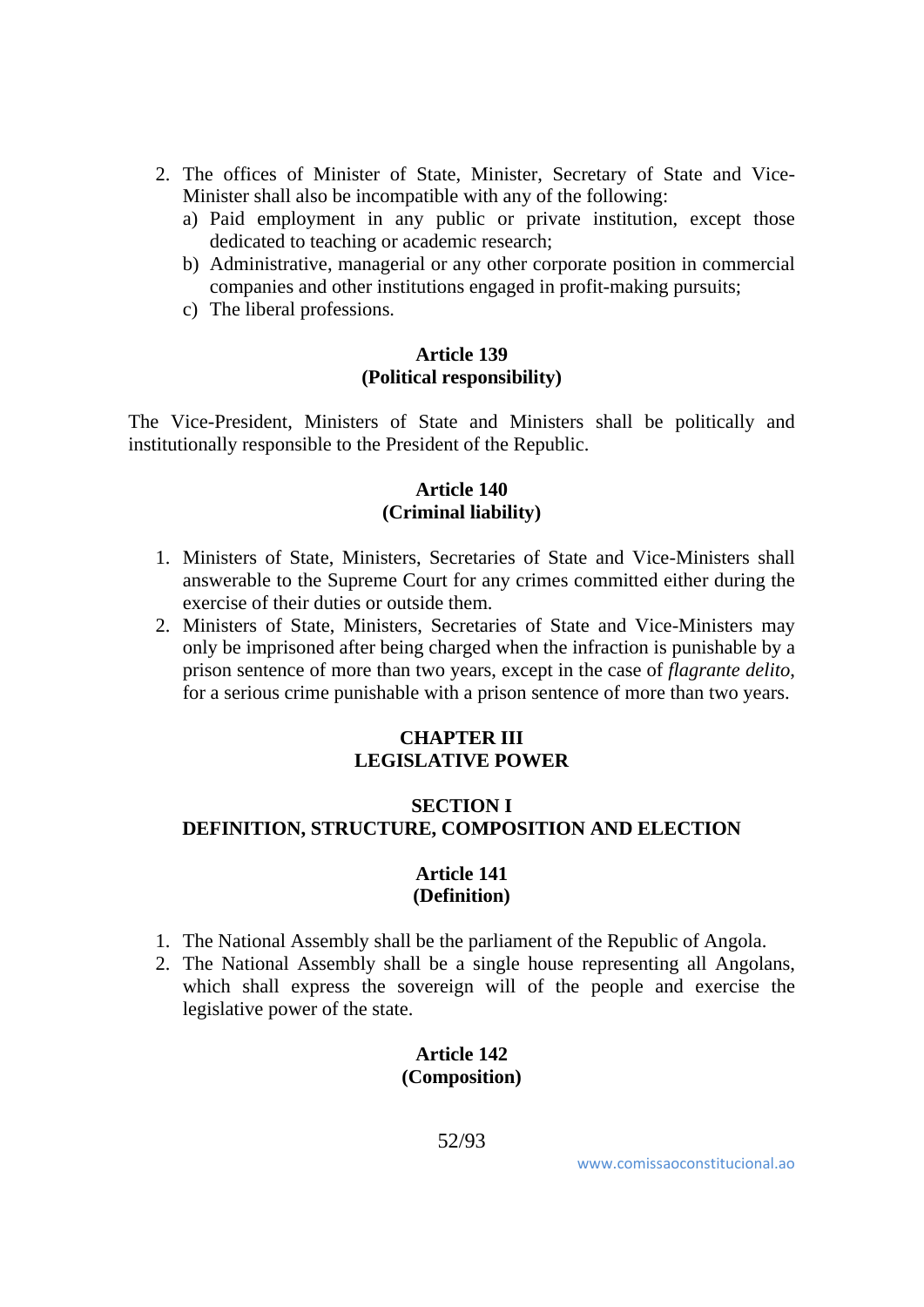- 2. The offices of Minister of State, Minister, Secretary of State and Vice-Minister shall also be incompatible with any of the following:
	- a) Paid employment in any public or private institution, except those dedicated to teaching or academic research;
	- b) Administrative, managerial or any other corporate position in commercial companies and other institutions engaged in profit-making pursuits;
	- c) The liberal professions.

## **Article 139 (Political responsibility)**

The Vice-President, Ministers of State and Ministers shall be politically and institutionally responsible to the President of the Republic.

## **Article 140 (Criminal liability)**

- 1. Ministers of State, Ministers, Secretaries of State and Vice-Ministers shall answerable to the Supreme Court for any crimes committed either during the exercise of their duties or outside them.
- 2. Ministers of State, Ministers, Secretaries of State and Vice-Ministers may only be imprisoned after being charged when the infraction is punishable by a prison sentence of more than two years, except in the case of *flagrante delito*, for a serious crime punishable with a prison sentence of more than two years.

#### **CHAPTER III LEGISLATIVE POWER**

# **SECTION I DEFINITION, STRUCTURE, COMPOSITION AND ELECTION**

# **Article 141 (Definition)**

- 1. The National Assembly shall be the parliament of the Republic of Angola.
- 2. The National Assembly shall be a single house representing all Angolans, which shall express the sovereign will of the people and exercise the legislative power of the state.

# **Article 142 (Composition)**

52/93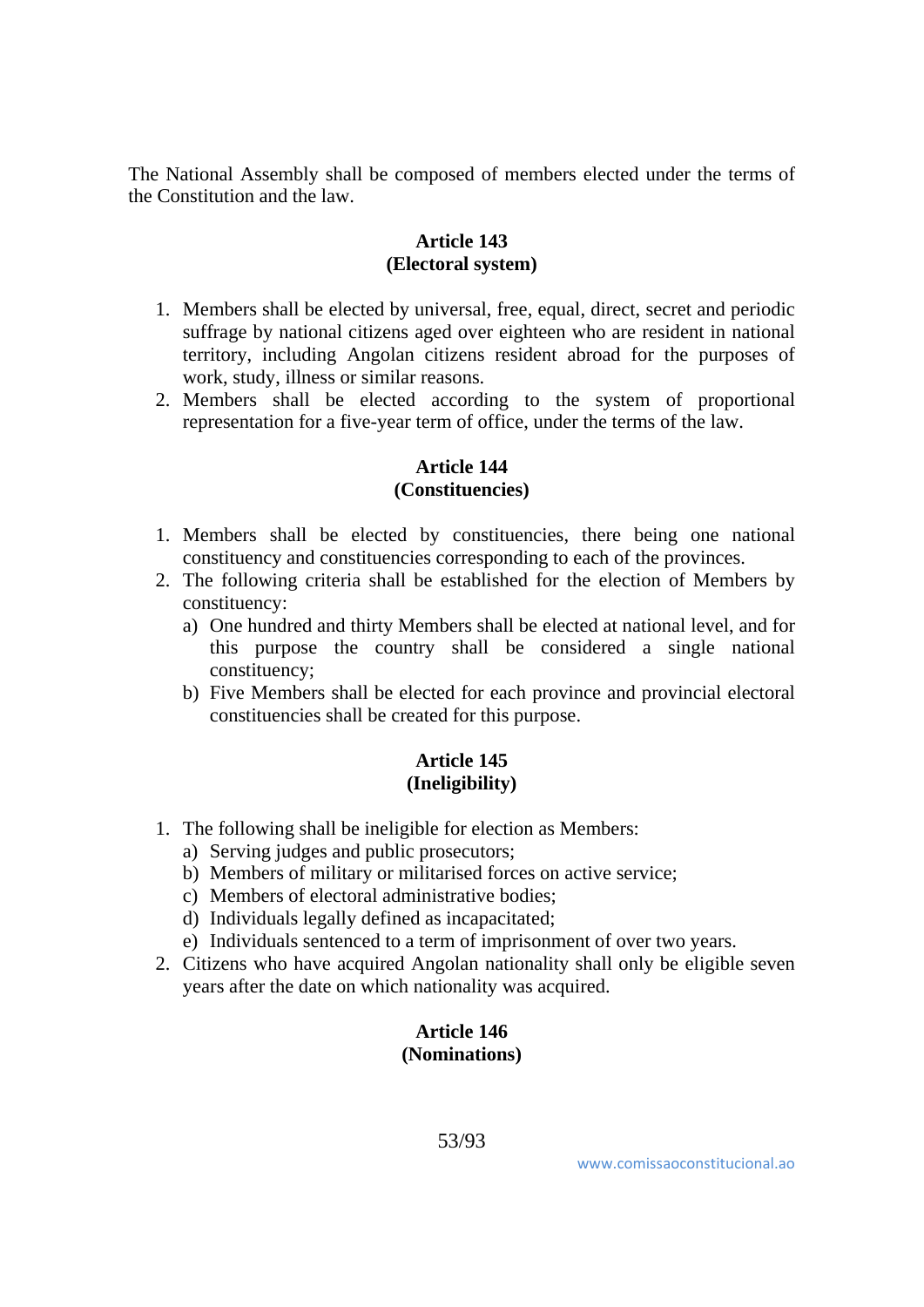The National Assembly shall be composed of members elected under the terms of the Constitution and the law.

## **Article 143 (Electoral system)**

- 1. Members shall be elected by universal, free, equal, direct, secret and periodic suffrage by national citizens aged over eighteen who are resident in national territory, including Angolan citizens resident abroad for the purposes of work, study, illness or similar reasons.
- 2. Members shall be elected according to the system of proportional representation for a five-year term of office, under the terms of the law.

#### **Article 144 (Constituencies)**

- 1. Members shall be elected by constituencies, there being one national constituency and constituencies corresponding to each of the provinces.
- 2. The following criteria shall be established for the election of Members by constituency:
	- a) One hundred and thirty Members shall be elected at national level, and for this purpose the country shall be considered a single national constituency;
	- b) Five Members shall be elected for each province and provincial electoral constituencies shall be created for this purpose.

# **Article 145 (Ineligibility)**

- 1. The following shall be ineligible for election as Members:
	- a) Serving judges and public prosecutors;
	- b) Members of military or militarised forces on active service;
	- c) Members of electoral administrative bodies;
	- d) Individuals legally defined as incapacitated;
	- e) Individuals sentenced to a term of imprisonment of over two years.
- 2. Citizens who have acquired Angolan nationality shall only be eligible seven years after the date on which nationality was acquired.

#### **Article 146 (Nominations)**

53/93

www.comissaoconstitucional.ao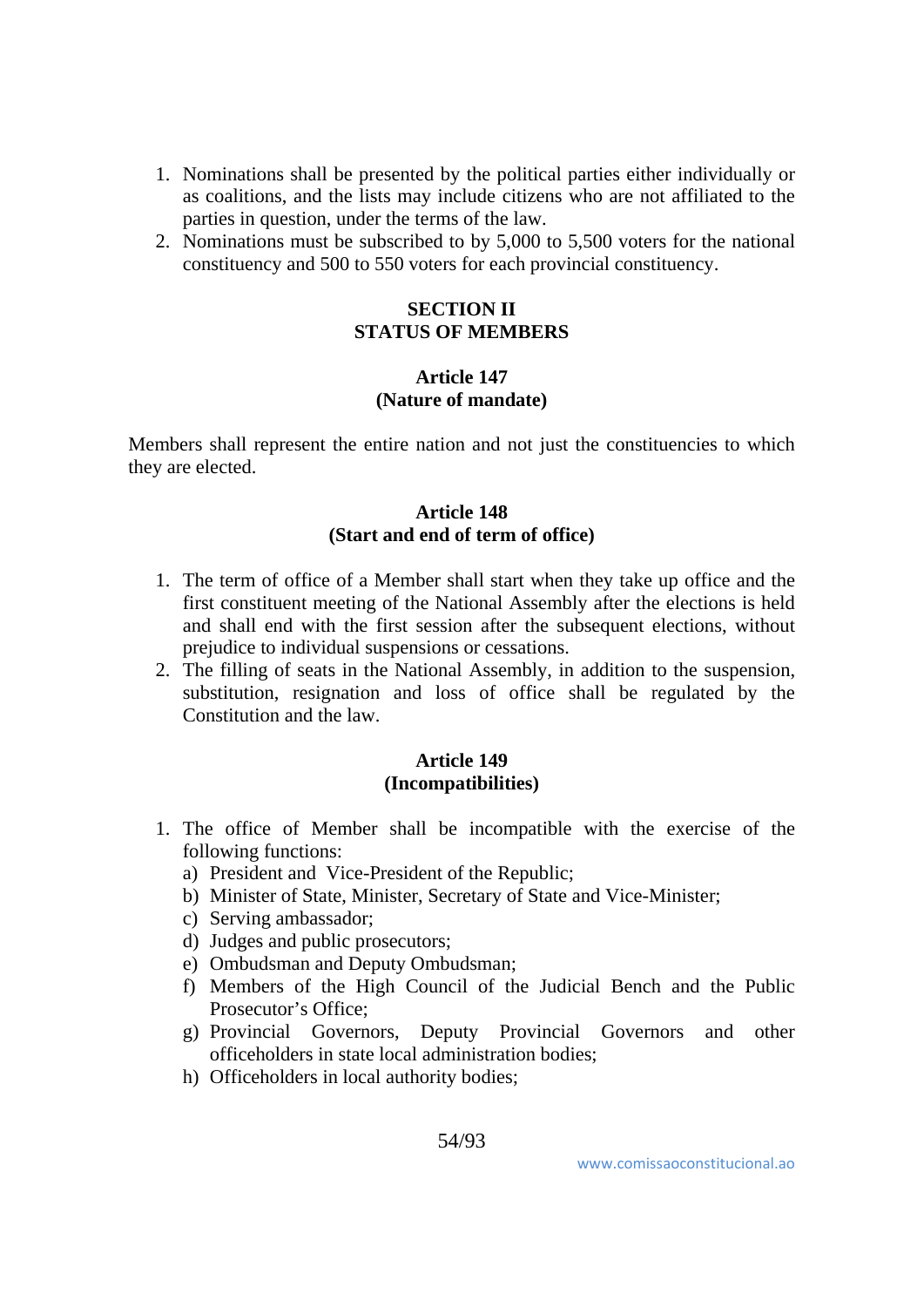- 1. Nominations shall be presented by the political parties either individually or as coalitions, and the lists may include citizens who are not affiliated to the parties in question, under the terms of the law.
- 2. Nominations must be subscribed to by 5,000 to 5,500 voters for the national constituency and 500 to 550 voters for each provincial constituency.

## **SECTION II STATUS OF MEMBERS**

## **Article 147 (Nature of mandate)**

Members shall represent the entire nation and not just the constituencies to which they are elected.

## **Article 148 (Start and end of term of office)**

- 1. The term of office of a Member shall start when they take up office and the first constituent meeting of the National Assembly after the elections is held and shall end with the first session after the subsequent elections, without prejudice to individual suspensions or cessations.
- 2. The filling of seats in the National Assembly, in addition to the suspension, substitution, resignation and loss of office shall be regulated by the Constitution and the law.

## **Article 149 (Incompatibilities)**

- 1. The office of Member shall be incompatible with the exercise of the following functions:
	- a) President and Vice-President of the Republic;
	- b) Minister of State, Minister, Secretary of State and Vice-Minister;
	- c) Serving ambassador;
	- d) Judges and public prosecutors;
	- e) Ombudsman and Deputy Ombudsman;
	- f) Members of the High Council of the Judicial Bench and the Public Prosecutor's Office;
	- g) Provincial Governors, Deputy Provincial Governors and other officeholders in state local administration bodies;
	- h) Officeholders in local authority bodies;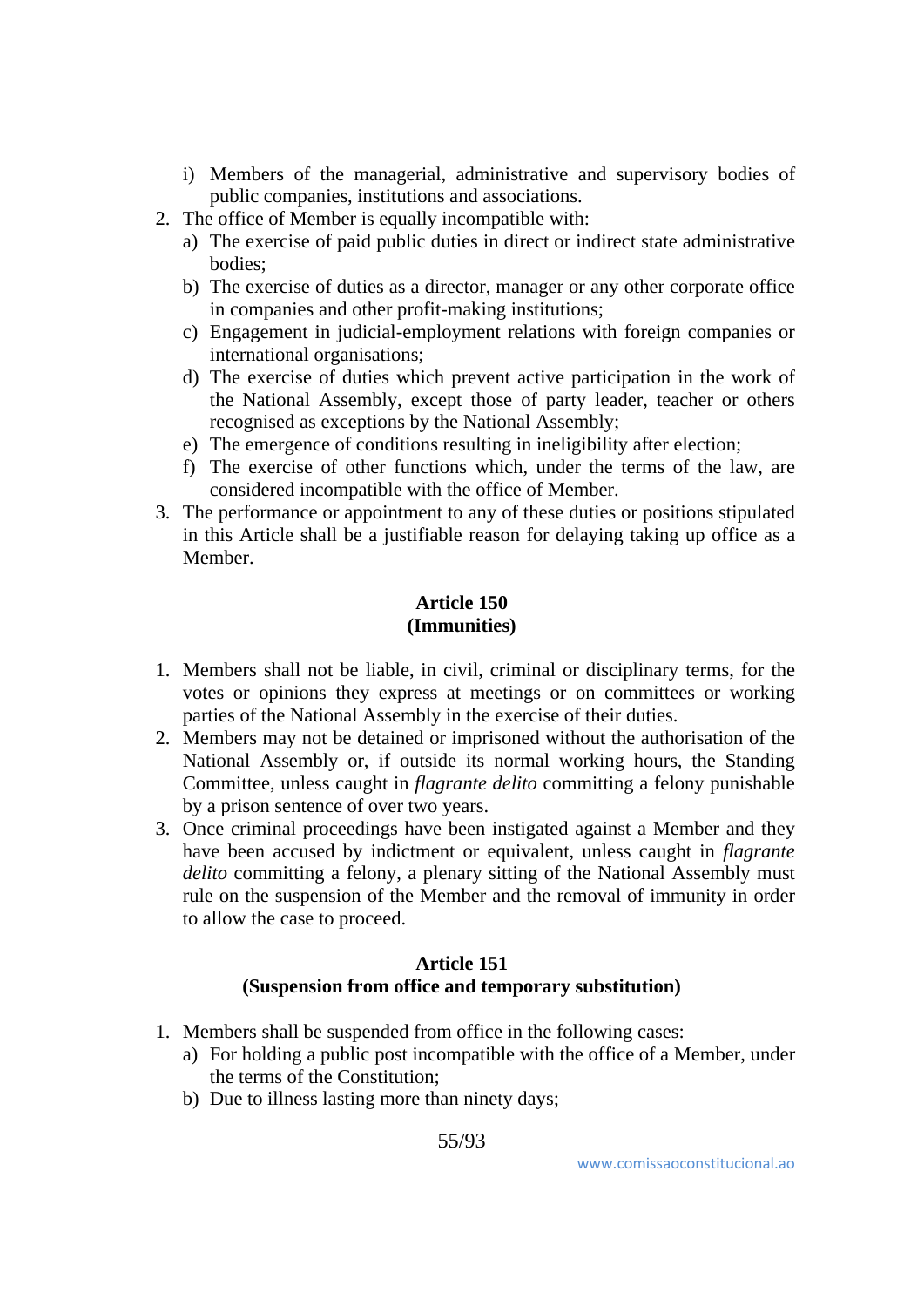- i) Members of the managerial, administrative and supervisory bodies of public companies, institutions and associations.
- 2. The office of Member is equally incompatible with:
	- a) The exercise of paid public duties in direct or indirect state administrative bodies;
	- b) The exercise of duties as a director, manager or any other corporate office in companies and other profit-making institutions;
	- c) Engagement in judicial-employment relations with foreign companies or international organisations;
	- d) The exercise of duties which prevent active participation in the work of the National Assembly, except those of party leader, teacher or others recognised as exceptions by the National Assembly;
	- e) The emergence of conditions resulting in ineligibility after election;
	- f) The exercise of other functions which, under the terms of the law, are considered incompatible with the office of Member.
- 3. The performance or appointment to any of these duties or positions stipulated in this Article shall be a justifiable reason for delaying taking up office as a Member.

# **Article 150 (Immunities)**

- 1. Members shall not be liable, in civil, criminal or disciplinary terms, for the votes or opinions they express at meetings or on committees or working parties of the National Assembly in the exercise of their duties.
- 2. Members may not be detained or imprisoned without the authorisation of the National Assembly or, if outside its normal working hours, the Standing Committee, unless caught in *flagrante delito* committing a felony punishable by a prison sentence of over two years.
- 3. Once criminal proceedings have been instigated against a Member and they have been accused by indictment or equivalent, unless caught in *flagrante delito* committing a felony, a plenary sitting of the National Assembly must rule on the suspension of the Member and the removal of immunity in order to allow the case to proceed.

#### **Article 151 (Suspension from office and temporary substitution)**

- 1. Members shall be suspended from office in the following cases:
	- a) For holding a public post incompatible with the office of a Member, under the terms of the Constitution;
	- b) Due to illness lasting more than ninety days;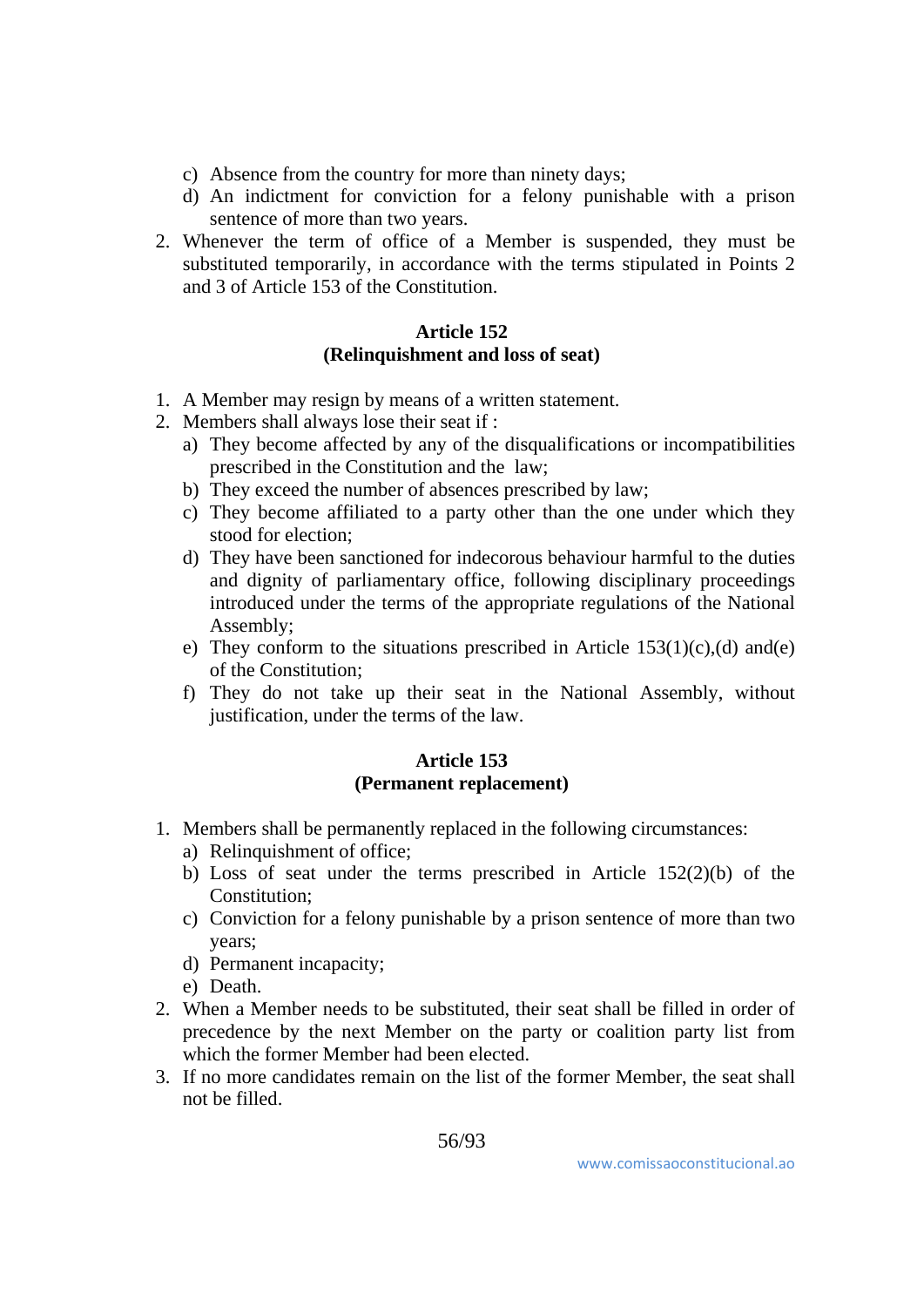- c) Absence from the country for more than ninety days;
- d) An indictment for conviction for a felony punishable with a prison sentence of more than two years.
- 2. Whenever the term of office of a Member is suspended, they must be substituted temporarily, in accordance with the terms stipulated in Points 2 and 3 of Article 153 of the Constitution.

#### **Article 152 (Relinquishment and loss of seat)**

- 1. A Member may resign by means of a written statement.
- 2. Members shall always lose their seat if :
	- a) They become affected by any of the disqualifications or incompatibilities prescribed in the Constitution and the law;
	- b) They exceed the number of absences prescribed by law;
	- c) They become affiliated to a party other than the one under which they stood for election;
	- d) They have been sanctioned for indecorous behaviour harmful to the duties and dignity of parliamentary office, following disciplinary proceedings introduced under the terms of the appropriate regulations of the National Assembly;
	- e) They conform to the situations prescribed in Article  $153(1)(c)$ , (d) and(e) of the Constitution;
	- f) They do not take up their seat in the National Assembly, without justification, under the terms of the law.

# **Article 153 (Permanent replacement)**

- 1. Members shall be permanently replaced in the following circumstances:
	- a) Relinquishment of office;
	- b) Loss of seat under the terms prescribed in Article 152(2)(b) of the Constitution;
	- c) Conviction for a felony punishable by a prison sentence of more than two years;
	- d) Permanent incapacity;
	- e) Death.
- 2. When a Member needs to be substituted, their seat shall be filled in order of precedence by the next Member on the party or coalition party list from which the former Member had been elected.
- 3. If no more candidates remain on the list of the former Member, the seat shall not be filled.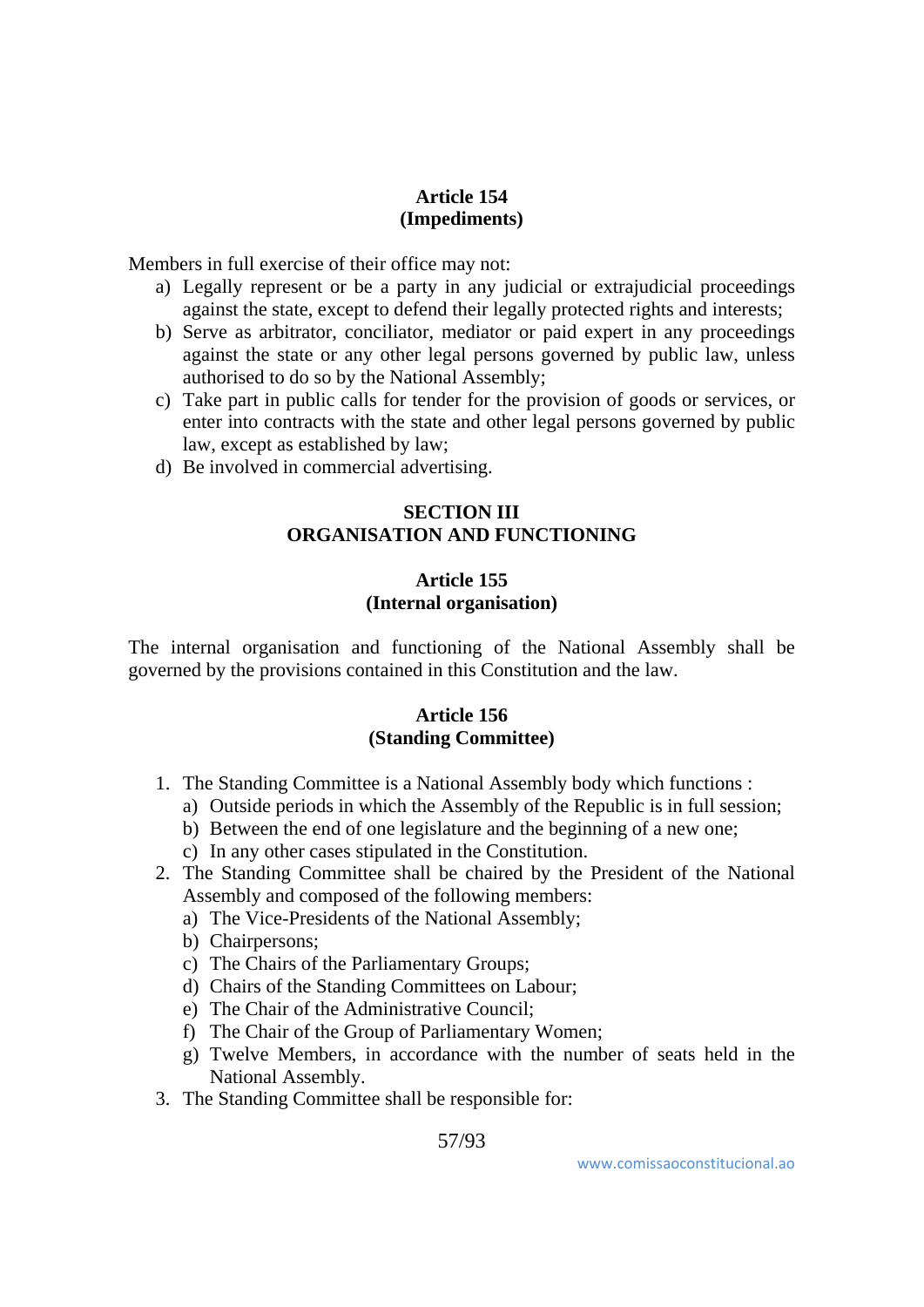#### **Article 154 (Impediments)**

Members in full exercise of their office may not:

- a) Legally represent or be a party in any judicial or extrajudicial proceedings against the state, except to defend their legally protected rights and interests;
- b) Serve as arbitrator, conciliator, mediator or paid expert in any proceedings against the state or any other legal persons governed by public law, unless authorised to do so by the National Assembly;
- c) Take part in public calls for tender for the provision of goods or services, or enter into contracts with the state and other legal persons governed by public law, except as established by law;
- d) Be involved in commercial advertising.

## **SECTION III ORGANISATION AND FUNCTIONING**

## **Article 155 (Internal organisation)**

The internal organisation and functioning of the National Assembly shall be governed by the provisions contained in this Constitution and the law.

#### **Article 156 (Standing Committee)**

- 1. The Standing Committee is a National Assembly body which functions :
	- a) Outside periods in which the Assembly of the Republic is in full session;
	- b) Between the end of one legislature and the beginning of a new one;
	- c) In any other cases stipulated in the Constitution.
- 2. The Standing Committee shall be chaired by the President of the National Assembly and composed of the following members:
	- a) The Vice-Presidents of the National Assembly;
	- b) Chairpersons;
	- c) The Chairs of the Parliamentary Groups;
	- d) Chairs of the Standing Committees on Labour;
	- e) The Chair of the Administrative Council;
	- f) The Chair of the Group of Parliamentary Women;
	- g) Twelve Members, in accordance with the number of seats held in the National Assembly.
- 3. The Standing Committee shall be responsible for: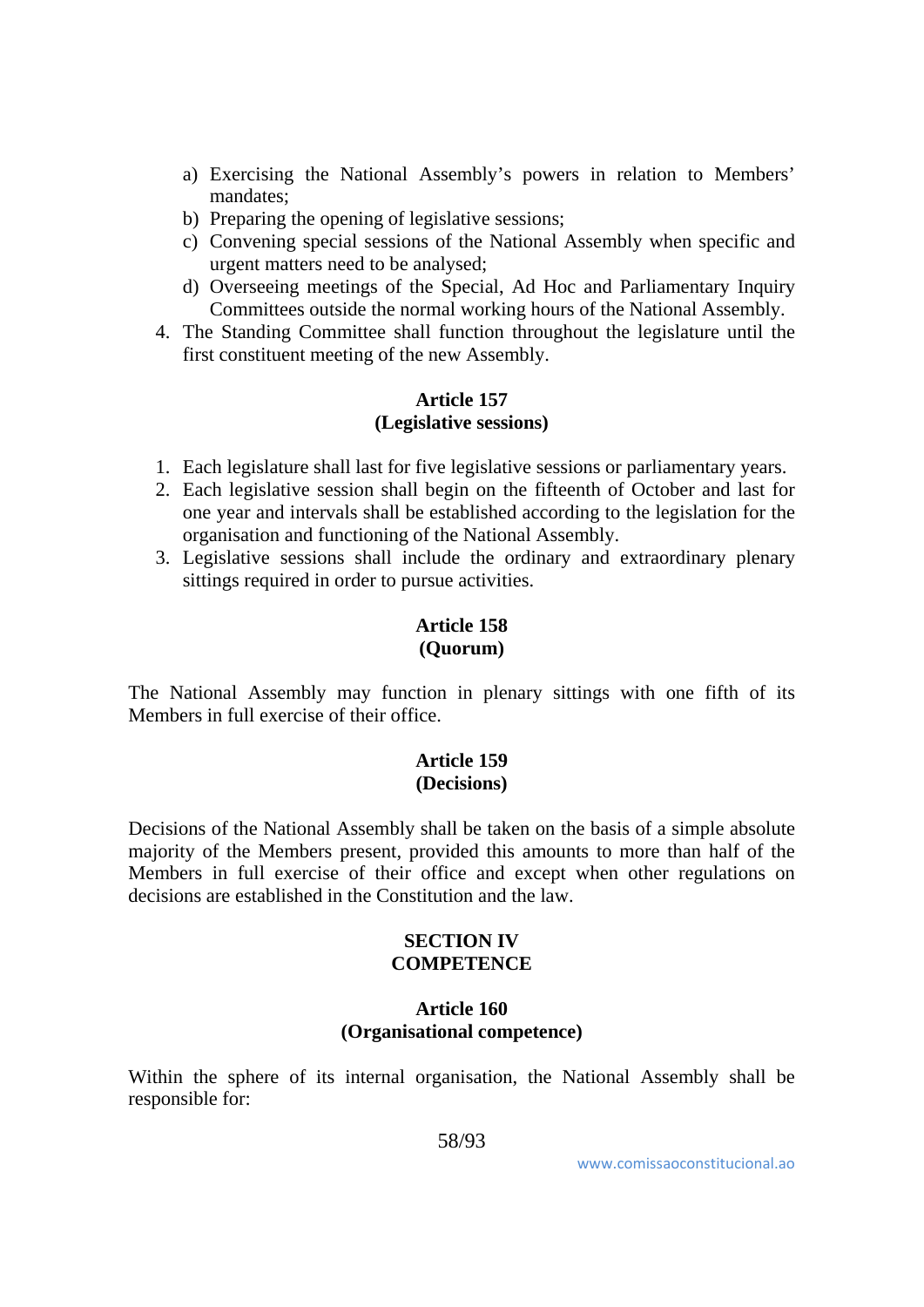- a) Exercising the National Assembly's powers in relation to Members' mandates;
- b) Preparing the opening of legislative sessions;
- c) Convening special sessions of the National Assembly when specific and urgent matters need to be analysed;
- d) Overseeing meetings of the Special, Ad Hoc and Parliamentary Inquiry Committees outside the normal working hours of the National Assembly.
- 4. The Standing Committee shall function throughout the legislature until the first constituent meeting of the new Assembly.

#### **Article 157 (Legislative sessions)**

- 1. Each legislature shall last for five legislative sessions or parliamentary years.
- 2. Each legislative session shall begin on the fifteenth of October and last for one year and intervals shall be established according to the legislation for the organisation and functioning of the National Assembly.
- 3. Legislative sessions shall include the ordinary and extraordinary plenary sittings required in order to pursue activities.

## **Article 158 (Quorum)**

The National Assembly may function in plenary sittings with one fifth of its Members in full exercise of their office.

#### **Article 159 (Decisions)**

Decisions of the National Assembly shall be taken on the basis of a simple absolute majority of the Members present, provided this amounts to more than half of the Members in full exercise of their office and except when other regulations on decisions are established in the Constitution and the law.

## **SECTION IV COMPETENCE**

#### **Article 160 (Organisational competence)**

Within the sphere of its internal organisation, the National Assembly shall be responsible for: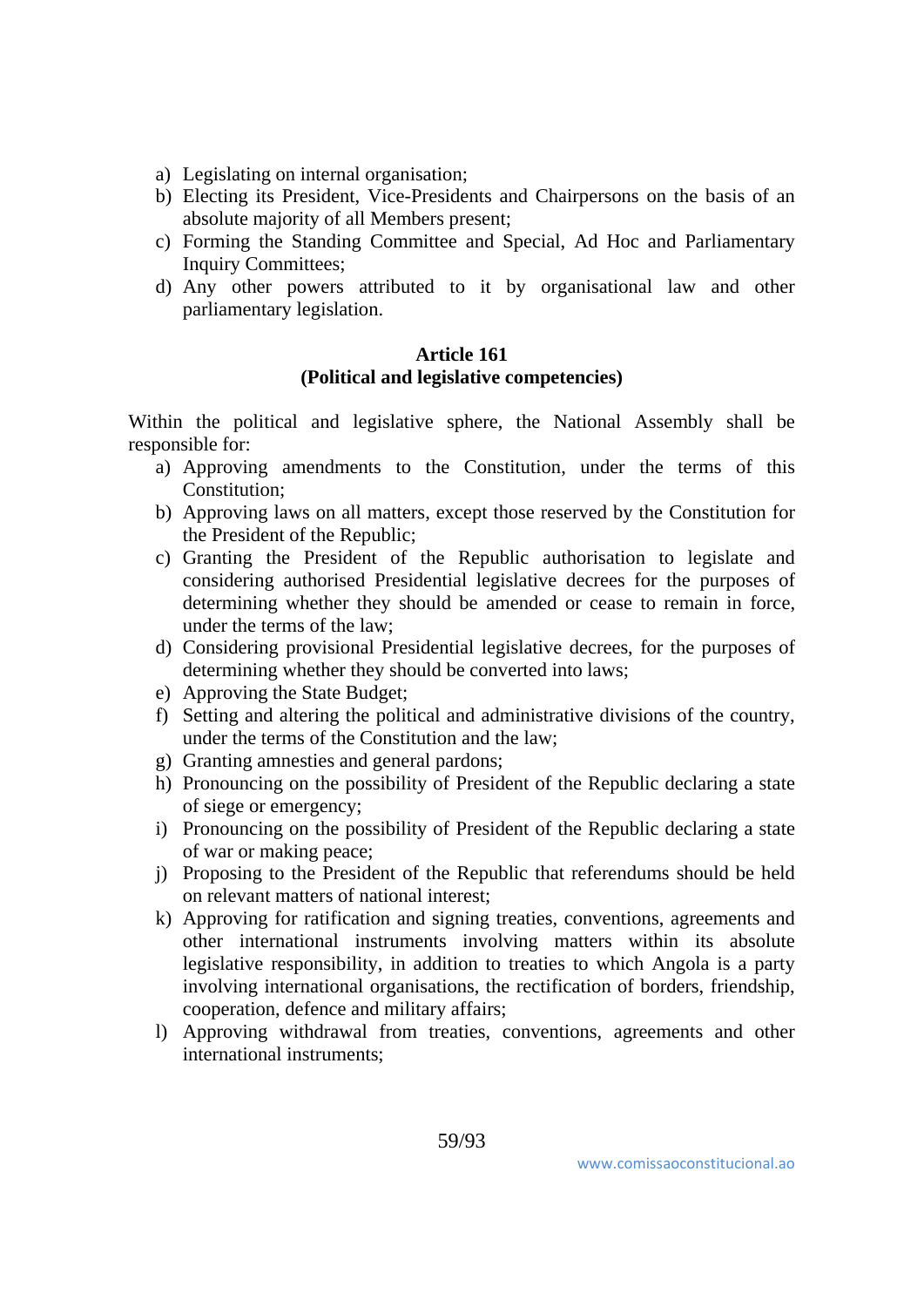- a) Legislating on internal organisation;
- b) Electing its President, Vice-Presidents and Chairpersons on the basis of an absolute majority of all Members present;
- c) Forming the Standing Committee and Special, Ad Hoc and Parliamentary Inquiry Committees;
- d) Any other powers attributed to it by organisational law and other parliamentary legislation.

## **Article 161 (Political and legislative competencies)**

Within the political and legislative sphere, the National Assembly shall be responsible for:

- a) Approving amendments to the Constitution, under the terms of this Constitution;
- b) Approving laws on all matters, except those reserved by the Constitution for the President of the Republic;
- c) Granting the President of the Republic authorisation to legislate and considering authorised Presidential legislative decrees for the purposes of determining whether they should be amended or cease to remain in force, under the terms of the law;
- d) Considering provisional Presidential legislative decrees, for the purposes of determining whether they should be converted into laws;
- e) Approving the State Budget;
- f) Setting and altering the political and administrative divisions of the country, under the terms of the Constitution and the law;
- g) Granting amnesties and general pardons;
- h) Pronouncing on the possibility of President of the Republic declaring a state of siege or emergency;
- i) Pronouncing on the possibility of President of the Republic declaring a state of war or making peace;
- j) Proposing to the President of the Republic that referendums should be held on relevant matters of national interest;
- k) Approving for ratification and signing treaties, conventions, agreements and other international instruments involving matters within its absolute legislative responsibility, in addition to treaties to which Angola is a party involving international organisations, the rectification of borders, friendship, cooperation, defence and military affairs;
- l) Approving withdrawal from treaties, conventions, agreements and other international instruments;

59/93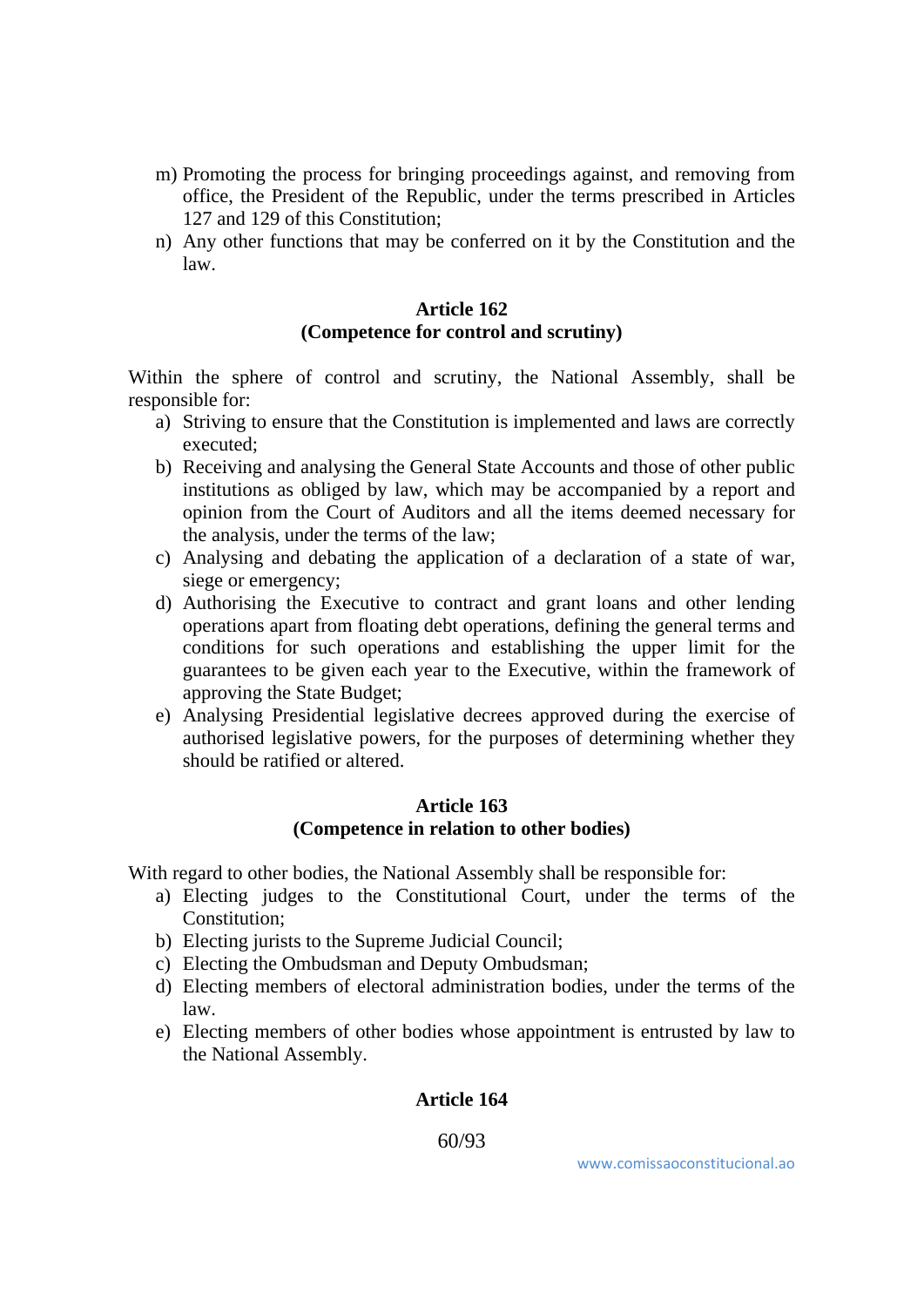- m) Promoting the process for bringing proceedings against, and removing from office, the President of the Republic, under the terms prescribed in Articles 127 and 129 of this Constitution;
- n) Any other functions that may be conferred on it by the Constitution and the law.

#### **Article 162 (Competence for control and scrutiny)**

Within the sphere of control and scrutiny, the National Assembly, shall be responsible for:

- a) Striving to ensure that the Constitution is implemented and laws are correctly executed;
- b) Receiving and analysing the General State Accounts and those of other public institutions as obliged by law, which may be accompanied by a report and opinion from the Court of Auditors and all the items deemed necessary for the analysis, under the terms of the law;
- c) Analysing and debating the application of a declaration of a state of war, siege or emergency;
- d) Authorising the Executive to contract and grant loans and other lending operations apart from floating debt operations, defining the general terms and conditions for such operations and establishing the upper limit for the guarantees to be given each year to the Executive, within the framework of approving the State Budget;
- e) Analysing Presidential legislative decrees approved during the exercise of authorised legislative powers, for the purposes of determining whether they should be ratified or altered.

#### **Article 163 (Competence in relation to other bodies)**

With regard to other bodies, the National Assembly shall be responsible for:

- a) Electing judges to the Constitutional Court, under the terms of the Constitution;
- b) Electing jurists to the Supreme Judicial Council;
- c) Electing the Ombudsman and Deputy Ombudsman;
- d) Electing members of electoral administration bodies, under the terms of the law.
- e) Electing members of other bodies whose appointment is entrusted by law to the National Assembly.

# **Article 164**

60/93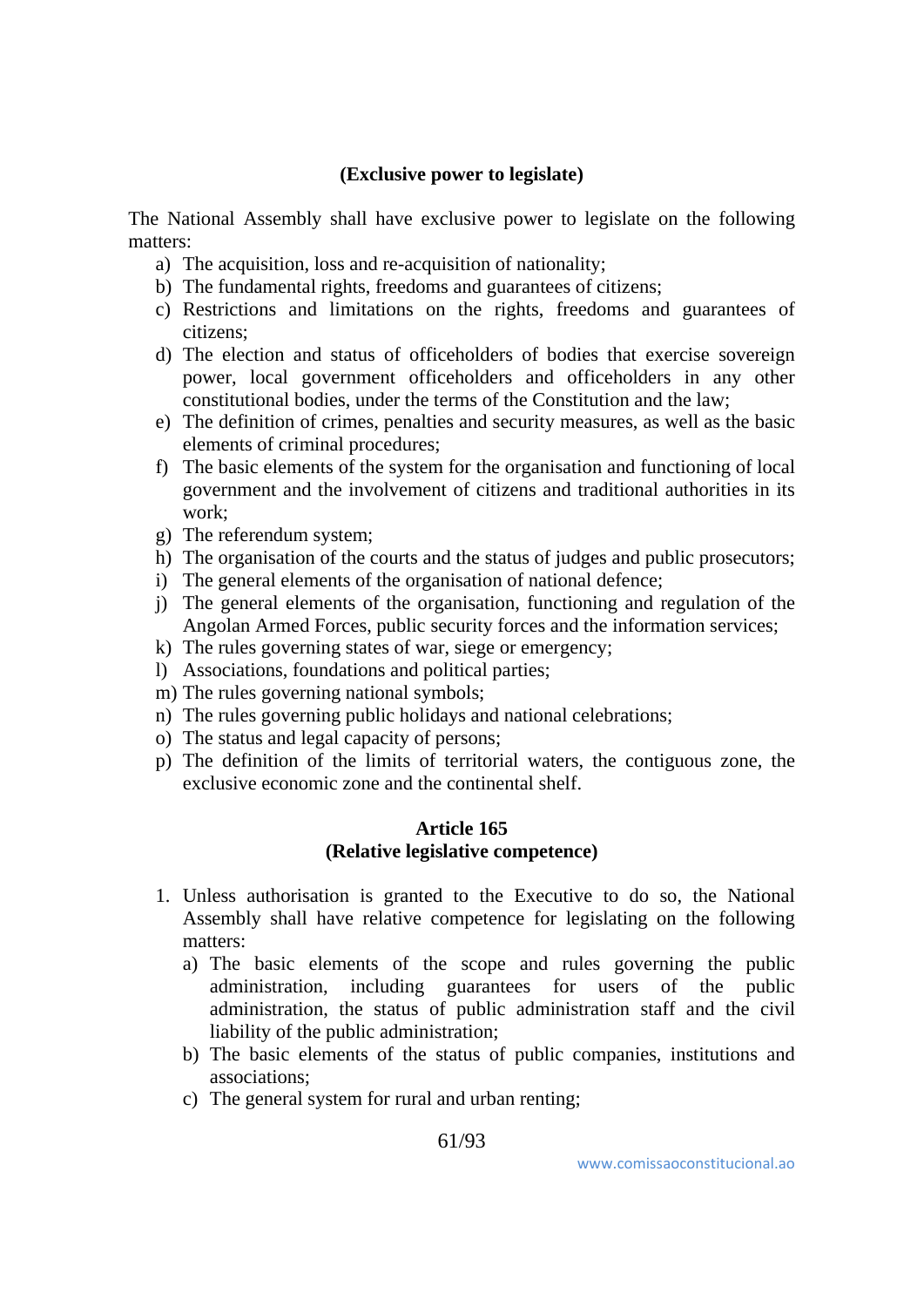## **(Exclusive power to legislate)**

The National Assembly shall have exclusive power to legislate on the following matters:

- a) The acquisition, loss and re-acquisition of nationality;
- b) The fundamental rights, freedoms and guarantees of citizens;
- c) Restrictions and limitations on the rights, freedoms and guarantees of citizens;
- d) The election and status of officeholders of bodies that exercise sovereign power, local government officeholders and officeholders in any other constitutional bodies, under the terms of the Constitution and the law;
- e) The definition of crimes, penalties and security measures, as well as the basic elements of criminal procedures;
- f) The basic elements of the system for the organisation and functioning of local government and the involvement of citizens and traditional authorities in its work;
- g) The referendum system;
- h) The organisation of the courts and the status of judges and public prosecutors;
- i) The general elements of the organisation of national defence;
- j) The general elements of the organisation, functioning and regulation of the Angolan Armed Forces, public security forces and the information services;
- k) The rules governing states of war, siege or emergency;
- l) Associations, foundations and political parties;
- m) The rules governing national symbols;
- n) The rules governing public holidays and national celebrations;
- o) The status and legal capacity of persons;
- p) The definition of the limits of territorial waters, the contiguous zone, the exclusive economic zone and the continental shelf.

#### **Article 165 (Relative legislative competence)**

- 1. Unless authorisation is granted to the Executive to do so, the National Assembly shall have relative competence for legislating on the following matters:
	- a) The basic elements of the scope and rules governing the public administration, including guarantees for users of the public administration, the status of public administration staff and the civil liability of the public administration;
	- b) The basic elements of the status of public companies, institutions and associations;
	- c) The general system for rural and urban renting;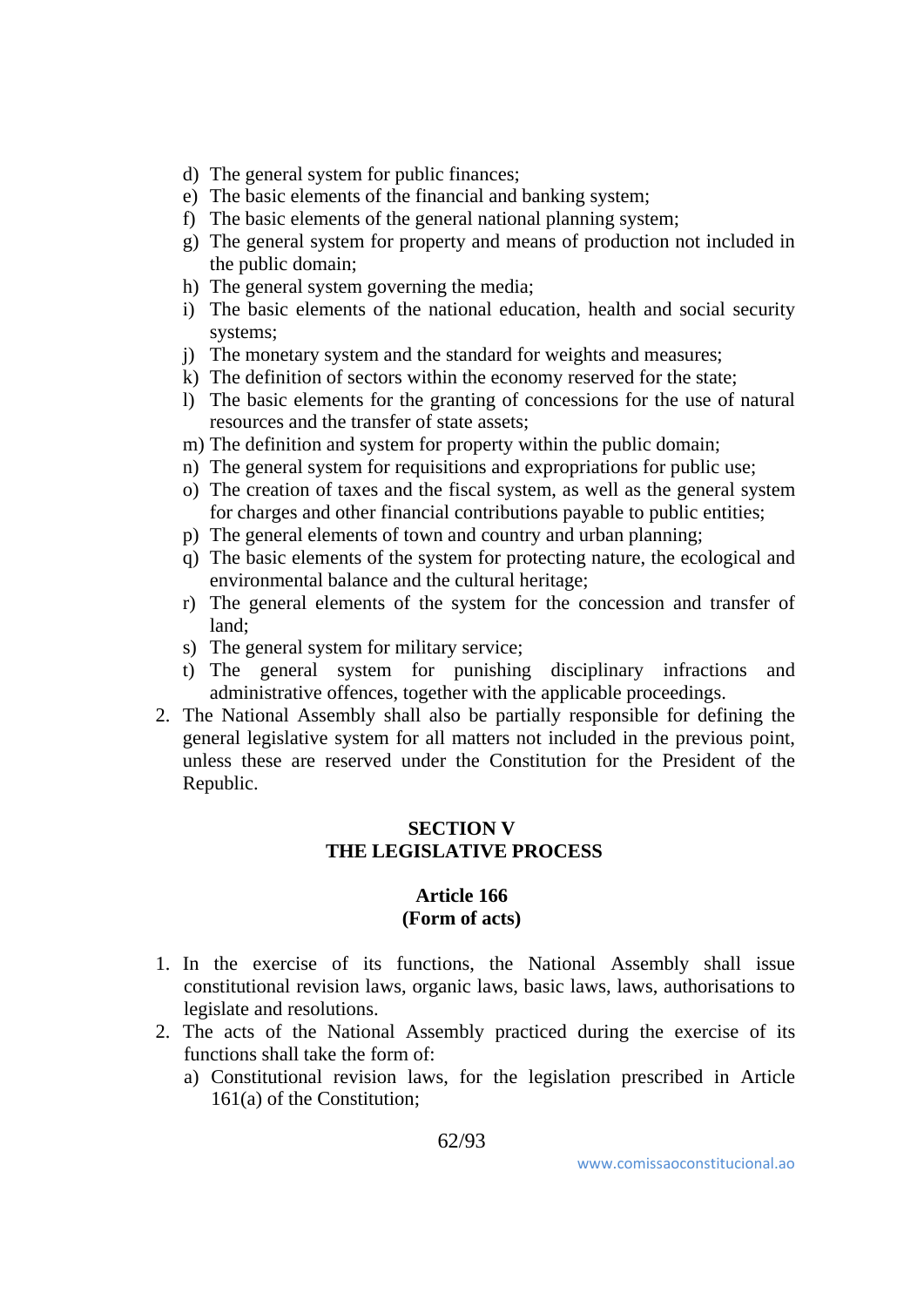- d) The general system for public finances;
- e) The basic elements of the financial and banking system;
- f) The basic elements of the general national planning system;
- g) The general system for property and means of production not included in the public domain;
- h) The general system governing the media;
- i) The basic elements of the national education, health and social security systems;
- j) The monetary system and the standard for weights and measures;
- k) The definition of sectors within the economy reserved for the state;
- l) The basic elements for the granting of concessions for the use of natural resources and the transfer of state assets;
- m) The definition and system for property within the public domain;
- n) The general system for requisitions and expropriations for public use;
- o) The creation of taxes and the fiscal system, as well as the general system for charges and other financial contributions payable to public entities;
- p) The general elements of town and country and urban planning;
- q) The basic elements of the system for protecting nature, the ecological and environmental balance and the cultural heritage;
- r) The general elements of the system for the concession and transfer of land;
- s) The general system for military service;
- t) The general system for punishing disciplinary infractions and administrative offences, together with the applicable proceedings.
- 2. The National Assembly shall also be partially responsible for defining the general legislative system for all matters not included in the previous point, unless these are reserved under the Constitution for the President of the Republic.

## **SECTION V THE LEGISLATIVE PROCESS**

#### **Article 166 (Form of acts)**

- 1. In the exercise of its functions, the National Assembly shall issue constitutional revision laws, organic laws, basic laws, laws, authorisations to legislate and resolutions.
- 2. The acts of the National Assembly practiced during the exercise of its functions shall take the form of:
	- a) Constitutional revision laws, for the legislation prescribed in Article 161(a) of the Constitution;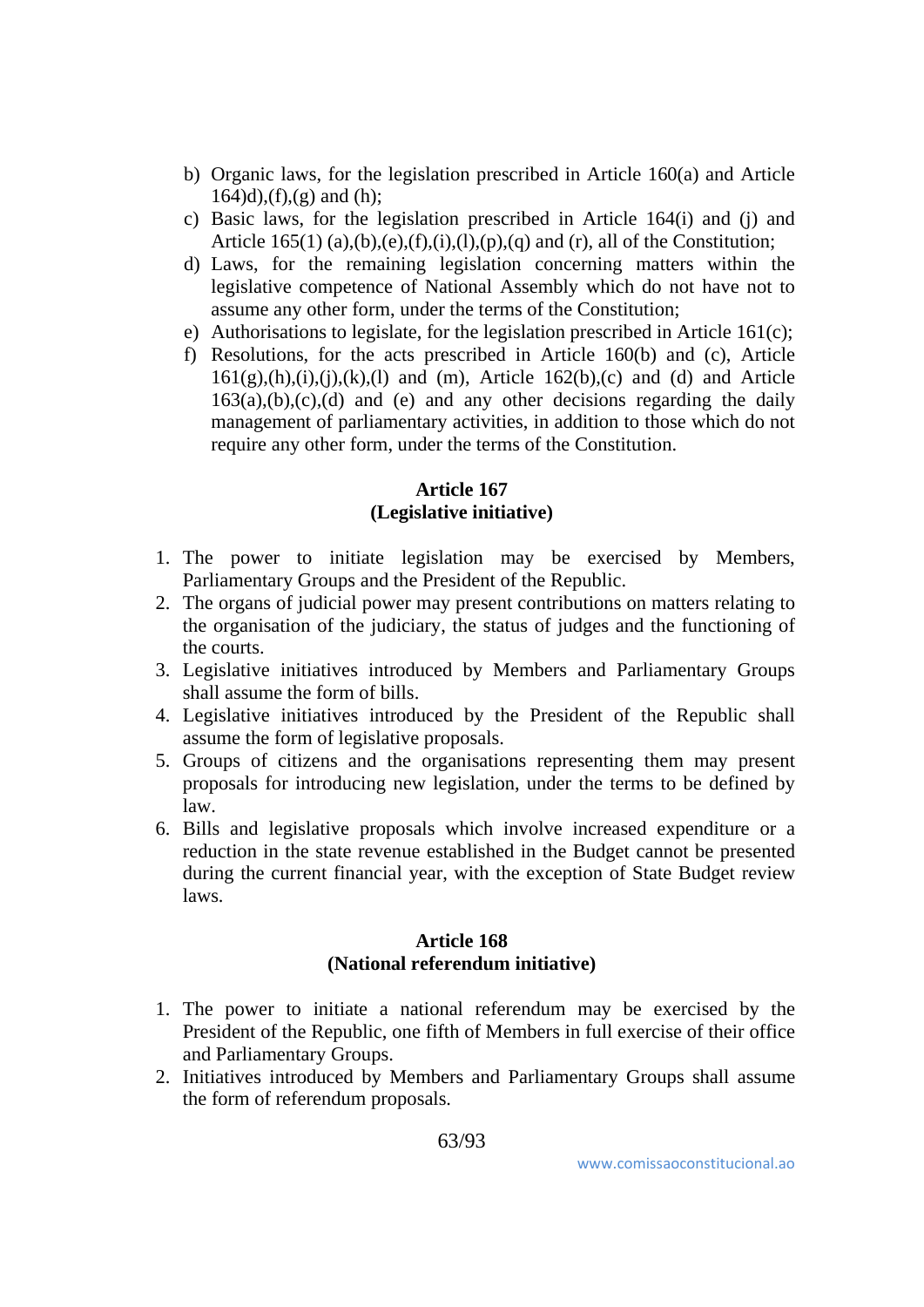- b) Organic laws, for the legislation prescribed in Article 160(a) and Article  $164$ )d),(f),(g) and (h);
- c) Basic laws, for the legislation prescribed in Article 164(i) and (j) and Article 165(1) (a),(b),(e),(f),(i),(l),(p),(q) and (r), all of the Constitution;
- d) Laws, for the remaining legislation concerning matters within the legislative competence of National Assembly which do not have not to assume any other form, under the terms of the Constitution;
- e) Authorisations to legislate, for the legislation prescribed in Article 161(c);
- f) Resolutions, for the acts prescribed in Article 160(b) and (c), Article  $161(g),(h),(i),(k),(l)$  and (m), Article  $162(b),(c)$  and (d) and Article  $163(a),(b),(c),(d)$  and (e) and any other decisions regarding the daily management of parliamentary activities, in addition to those which do not require any other form, under the terms of the Constitution.

## **Article 167 (Legislative initiative)**

- 1. The power to initiate legislation may be exercised by Members, Parliamentary Groups and the President of the Republic.
- 2. The organs of judicial power may present contributions on matters relating to the organisation of the judiciary, the status of judges and the functioning of the courts.
- 3. Legislative initiatives introduced by Members and Parliamentary Groups shall assume the form of bills.
- 4. Legislative initiatives introduced by the President of the Republic shall assume the form of legislative proposals.
- 5. Groups of citizens and the organisations representing them may present proposals for introducing new legislation, under the terms to be defined by law.
- 6. Bills and legislative proposals which involve increased expenditure or a reduction in the state revenue established in the Budget cannot be presented during the current financial year, with the exception of State Budget review laws.

## **Article 168 (National referendum initiative)**

- 1. The power to initiate a national referendum may be exercised by the President of the Republic, one fifth of Members in full exercise of their office and Parliamentary Groups.
- 2. Initiatives introduced by Members and Parliamentary Groups shall assume the form of referendum proposals.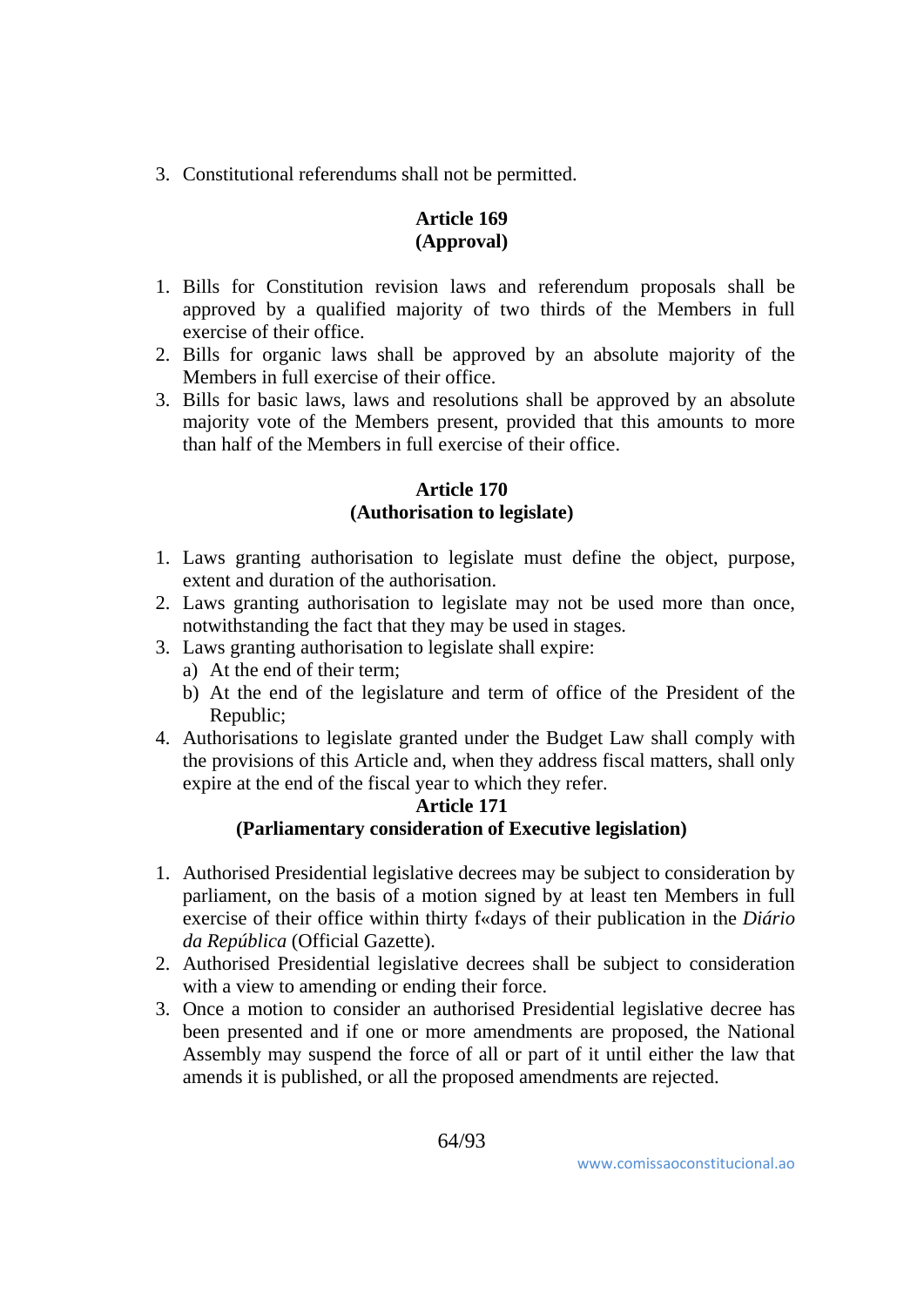3. Constitutional referendums shall not be permitted.

# **Article 169 (Approval)**

- 1. Bills for Constitution revision laws and referendum proposals shall be approved by a qualified majority of two thirds of the Members in full exercise of their office.
- 2. Bills for organic laws shall be approved by an absolute majority of the Members in full exercise of their office.
- 3. Bills for basic laws, laws and resolutions shall be approved by an absolute majority vote of the Members present, provided that this amounts to more than half of the Members in full exercise of their office.

## **Article 170 (Authorisation to legislate)**

- 1. Laws granting authorisation to legislate must define the object, purpose, extent and duration of the authorisation.
- 2. Laws granting authorisation to legislate may not be used more than once, notwithstanding the fact that they may be used in stages.
- 3. Laws granting authorisation to legislate shall expire:
	- a) At the end of their term;
	- b) At the end of the legislature and term of office of the President of the Republic;
- 4. Authorisations to legislate granted under the Budget Law shall comply with the provisions of this Article and, when they address fiscal matters, shall only expire at the end of the fiscal year to which they refer.

#### **Article 171 (Parliamentary consideration of Executive legislation)**

- 1. Authorised Presidential legislative decrees may be subject to consideration by parliament, on the basis of a motion signed by at least ten Members in full exercise of their office within thirty f«days of their publication in the *Diário da República* (Official Gazette).
- 2. Authorised Presidential legislative decrees shall be subject to consideration with a view to amending or ending their force.
- 3. Once a motion to consider an authorised Presidential legislative decree has been presented and if one or more amendments are proposed, the National Assembly may suspend the force of all or part of it until either the law that amends it is published, or all the proposed amendments are rejected.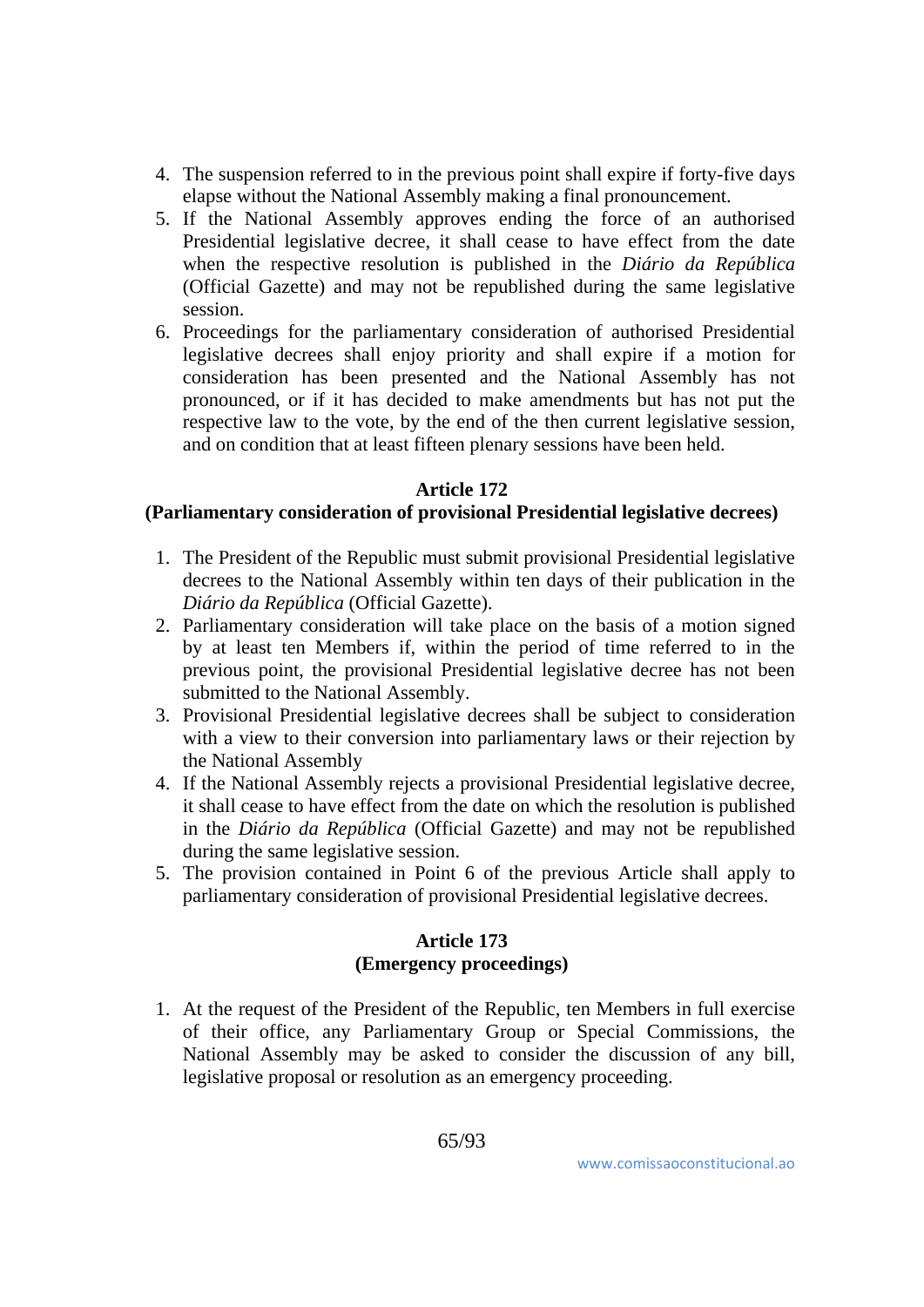- 4. The suspension referred to in the previous point shall expire if forty-five days elapse without the National Assembly making a final pronouncement.
- 5. If the National Assembly approves ending the force of an authorised Presidential legislative decree, it shall cease to have effect from the date when the respective resolution is published in the *Diário da República*  (Official Gazette) and may not be republished during the same legislative session.
- 6. Proceedings for the parliamentary consideration of authorised Presidential legislative decrees shall enjoy priority and shall expire if a motion for consideration has been presented and the National Assembly has not pronounced, or if it has decided to make amendments but has not put the respective law to the vote, by the end of the then current legislative session, and on condition that at least fifteen plenary sessions have been held.

## **Article 172**

## **(Parliamentary consideration of provisional Presidential legislative decrees)**

- 1. The President of the Republic must submit provisional Presidential legislative decrees to the National Assembly within ten days of their publication in the *Diário da República* (Official Gazette).
- 2. Parliamentary consideration will take place on the basis of a motion signed by at least ten Members if, within the period of time referred to in the previous point, the provisional Presidential legislative decree has not been submitted to the National Assembly.
- 3. Provisional Presidential legislative decrees shall be subject to consideration with a view to their conversion into parliamentary laws or their rejection by the National Assembly
- 4. If the National Assembly rejects a provisional Presidential legislative decree, it shall cease to have effect from the date on which the resolution is published in the *Diário da República* (Official Gazette) and may not be republished during the same legislative session.
- 5. The provision contained in Point 6 of the previous Article shall apply to parliamentary consideration of provisional Presidential legislative decrees.

## **Article 173 (Emergency proceedings)**

1. At the request of the President of the Republic, ten Members in full exercise of their office, any Parliamentary Group or Special Commissions, the National Assembly may be asked to consider the discussion of any bill, legislative proposal or resolution as an emergency proceeding.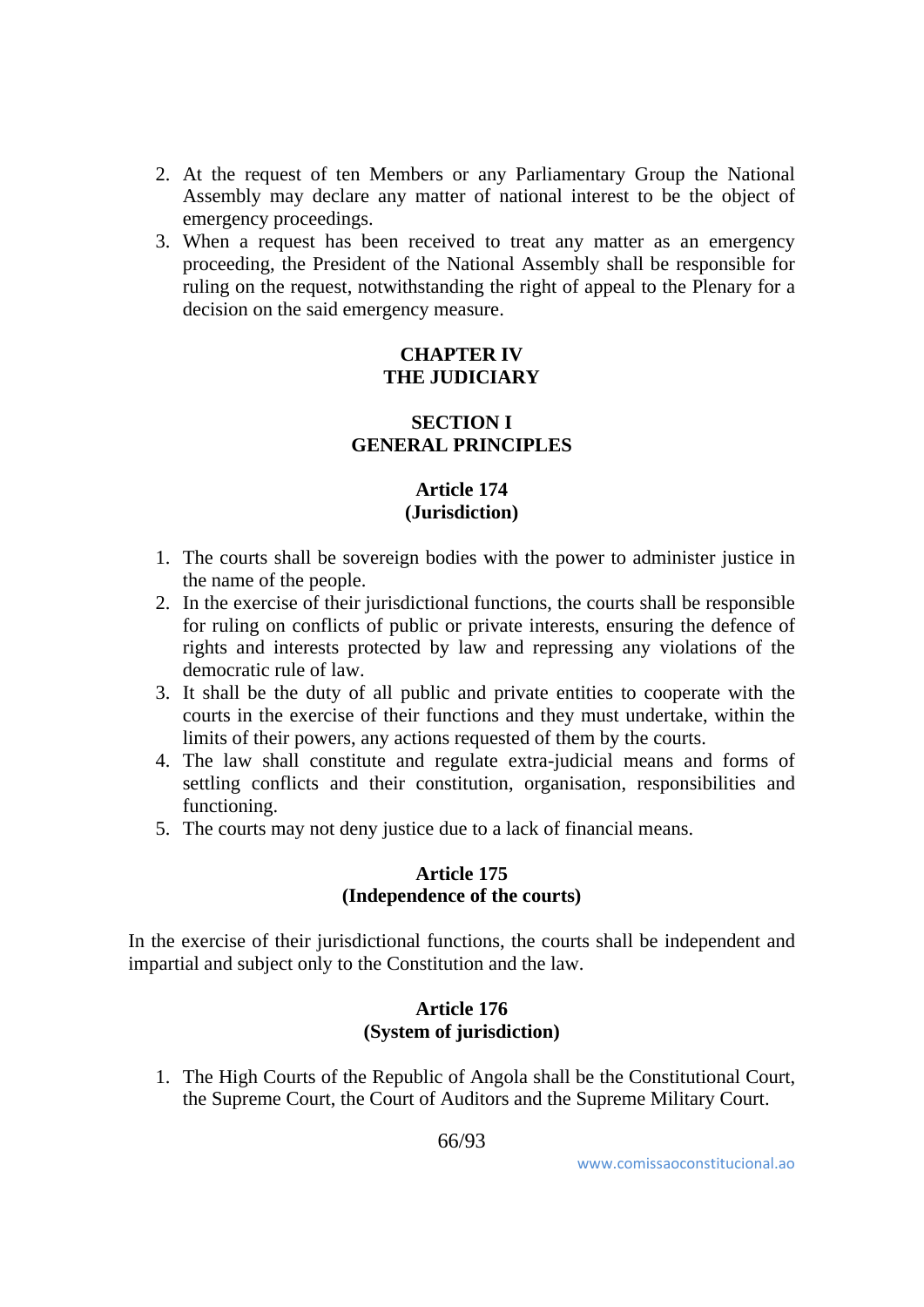- 2. At the request of ten Members or any Parliamentary Group the National Assembly may declare any matter of national interest to be the object of emergency proceedings.
- 3. When a request has been received to treat any matter as an emergency proceeding, the President of the National Assembly shall be responsible for ruling on the request, notwithstanding the right of appeal to the Plenary for a decision on the said emergency measure.

## **CHAPTER IV THE JUDICIARY**

## **SECTION I GENERAL PRINCIPLES**

# **Article 174 (Jurisdiction)**

- 1. The courts shall be sovereign bodies with the power to administer justice in the name of the people.
- 2. In the exercise of their jurisdictional functions, the courts shall be responsible for ruling on conflicts of public or private interests, ensuring the defence of rights and interests protected by law and repressing any violations of the democratic rule of law.
- 3. It shall be the duty of all public and private entities to cooperate with the courts in the exercise of their functions and they must undertake, within the limits of their powers, any actions requested of them by the courts.
- 4. The law shall constitute and regulate extra-judicial means and forms of settling conflicts and their constitution, organisation, responsibilities and functioning.
- 5. The courts may not deny justice due to a lack of financial means.

# **Article 175 (Independence of the courts)**

In the exercise of their jurisdictional functions, the courts shall be independent and impartial and subject only to the Constitution and the law.

## **Article 176 (System of jurisdiction)**

1. The High Courts of the Republic of Angola shall be the Constitutional Court, the Supreme Court, the Court of Auditors and the Supreme Military Court.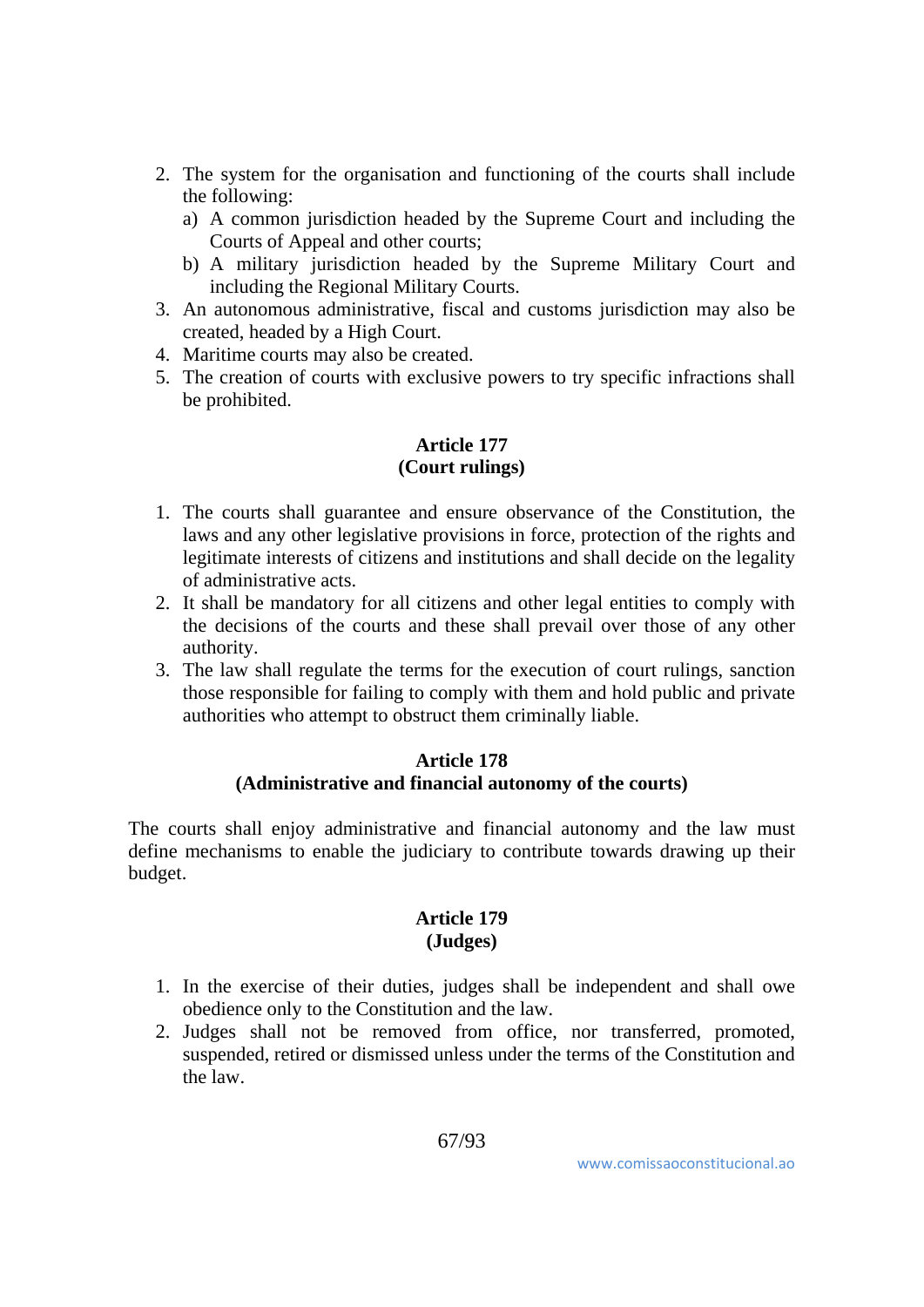- 2. The system for the organisation and functioning of the courts shall include the following:
	- a) A common jurisdiction headed by the Supreme Court and including the Courts of Appeal and other courts;
	- b) A military jurisdiction headed by the Supreme Military Court and including the Regional Military Courts.
- 3. An autonomous administrative, fiscal and customs jurisdiction may also be created, headed by a High Court.
- 4. Maritime courts may also be created.
- 5. The creation of courts with exclusive powers to try specific infractions shall be prohibited.

#### **Article 177 (Court rulings)**

- 1. The courts shall guarantee and ensure observance of the Constitution, the laws and any other legislative provisions in force, protection of the rights and legitimate interests of citizens and institutions and shall decide on the legality of administrative acts.
- 2. It shall be mandatory for all citizens and other legal entities to comply with the decisions of the courts and these shall prevail over those of any other authority.
- 3. The law shall regulate the terms for the execution of court rulings, sanction those responsible for failing to comply with them and hold public and private authorities who attempt to obstruct them criminally liable.

#### **Article 178 (Administrative and financial autonomy of the courts)**

The courts shall enjoy administrative and financial autonomy and the law must define mechanisms to enable the judiciary to contribute towards drawing up their budget.

## **Article 179 (Judges)**

- 1. In the exercise of their duties, judges shall be independent and shall owe obedience only to the Constitution and the law.
- 2. Judges shall not be removed from office, nor transferred, promoted, suspended, retired or dismissed unless under the terms of the Constitution and the law.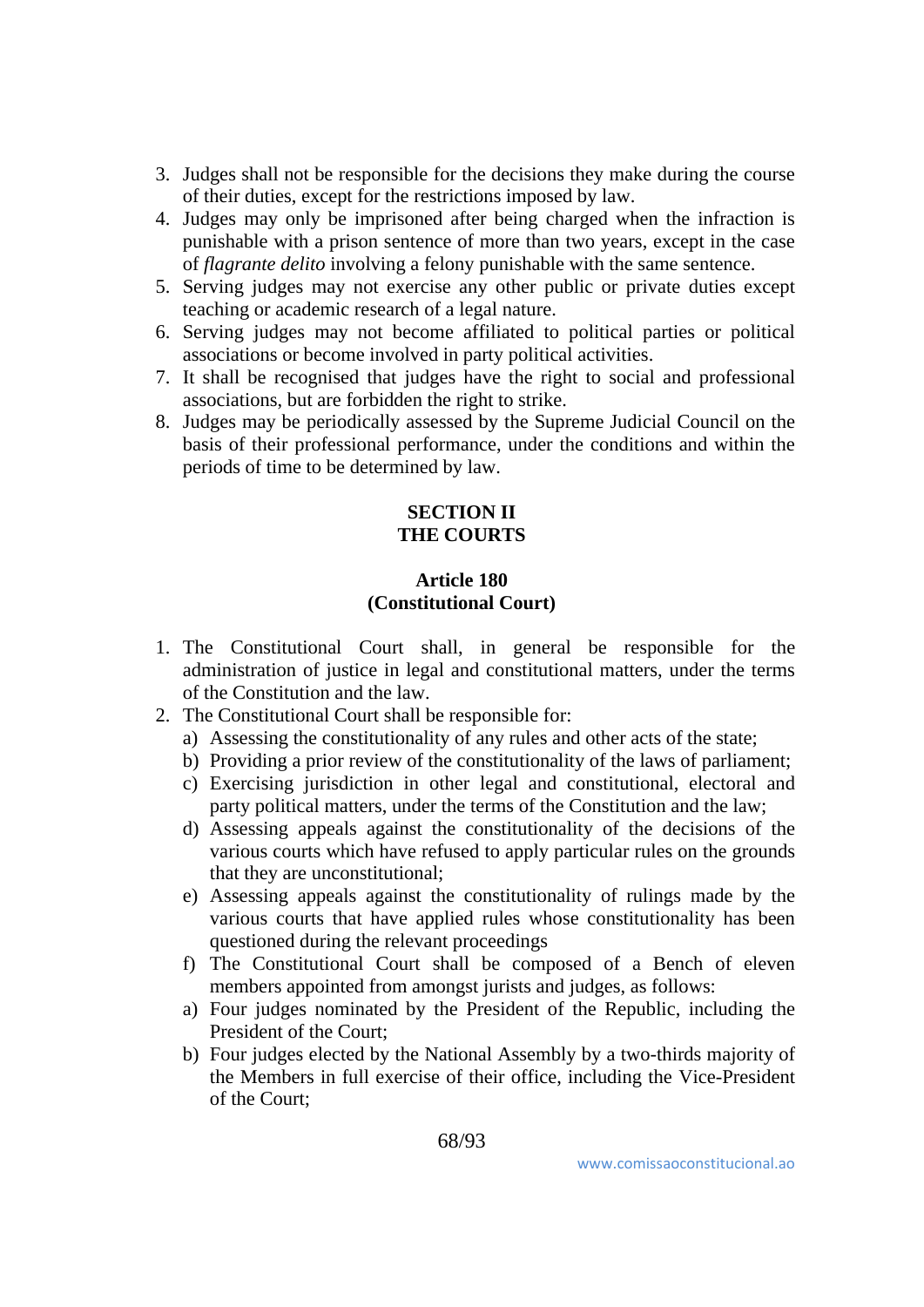- 3. Judges shall not be responsible for the decisions they make during the course of their duties, except for the restrictions imposed by law.
- 4. Judges may only be imprisoned after being charged when the infraction is punishable with a prison sentence of more than two years, except in the case of *flagrante delito* involving a felony punishable with the same sentence.
- 5. Serving judges may not exercise any other public or private duties except teaching or academic research of a legal nature.
- 6. Serving judges may not become affiliated to political parties or political associations or become involved in party political activities.
- 7. It shall be recognised that judges have the right to social and professional associations, but are forbidden the right to strike.
- 8. Judges may be periodically assessed by the Supreme Judicial Council on the basis of their professional performance, under the conditions and within the periods of time to be determined by law.

# **SECTION II THE COURTS**

## **Article 180 (Constitutional Court)**

- 1. The Constitutional Court shall, in general be responsible for the administration of justice in legal and constitutional matters, under the terms of the Constitution and the law.
- 2. The Constitutional Court shall be responsible for:
	- a) Assessing the constitutionality of any rules and other acts of the state;
	- b) Providing a prior review of the constitutionality of the laws of parliament;
	- c) Exercising jurisdiction in other legal and constitutional, electoral and party political matters, under the terms of the Constitution and the law;
	- d) Assessing appeals against the constitutionality of the decisions of the various courts which have refused to apply particular rules on the grounds that they are unconstitutional;
	- e) Assessing appeals against the constitutionality of rulings made by the various courts that have applied rules whose constitutionality has been questioned during the relevant proceedings
	- f) The Constitutional Court shall be composed of a Bench of eleven members appointed from amongst jurists and judges, as follows:
	- a) Four judges nominated by the President of the Republic, including the President of the Court;
	- b) Four judges elected by the National Assembly by a two-thirds majority of the Members in full exercise of their office, including the Vice-President of the Court;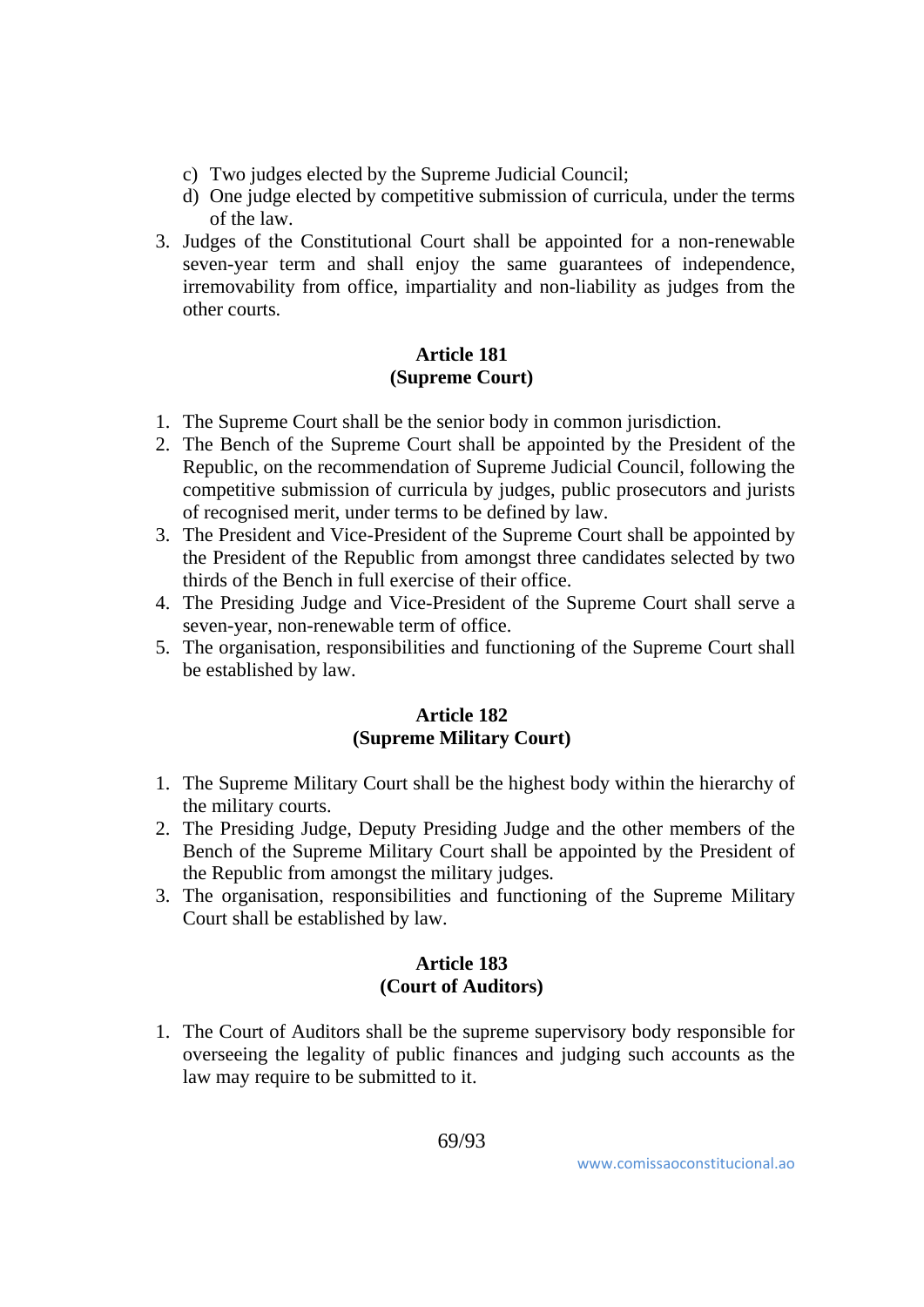- c) Two judges elected by the Supreme Judicial Council;
- d) One judge elected by competitive submission of curricula, under the terms of the law.
- 3. Judges of the Constitutional Court shall be appointed for a non-renewable seven-year term and shall enjoy the same guarantees of independence, irremovability from office, impartiality and non-liability as judges from the other courts.

# **Article 181 (Supreme Court)**

- 1. The Supreme Court shall be the senior body in common jurisdiction.
- 2. The Bench of the Supreme Court shall be appointed by the President of the Republic, on the recommendation of Supreme Judicial Council, following the competitive submission of curricula by judges, public prosecutors and jurists of recognised merit, under terms to be defined by law.
- 3. The President and Vice-President of the Supreme Court shall be appointed by the President of the Republic from amongst three candidates selected by two thirds of the Bench in full exercise of their office.
- 4. The Presiding Judge and Vice-President of the Supreme Court shall serve a seven-year, non-renewable term of office.
- 5. The organisation, responsibilities and functioning of the Supreme Court shall be established by law.

## **Article 182 (Supreme Military Court)**

- 1. The Supreme Military Court shall be the highest body within the hierarchy of the military courts.
- 2. The Presiding Judge, Deputy Presiding Judge and the other members of the Bench of the Supreme Military Court shall be appointed by the President of the Republic from amongst the military judges.
- 3. The organisation, responsibilities and functioning of the Supreme Military Court shall be established by law.

#### **Article 183 (Court of Auditors)**

1. The Court of Auditors shall be the supreme supervisory body responsible for overseeing the legality of public finances and judging such accounts as the law may require to be submitted to it.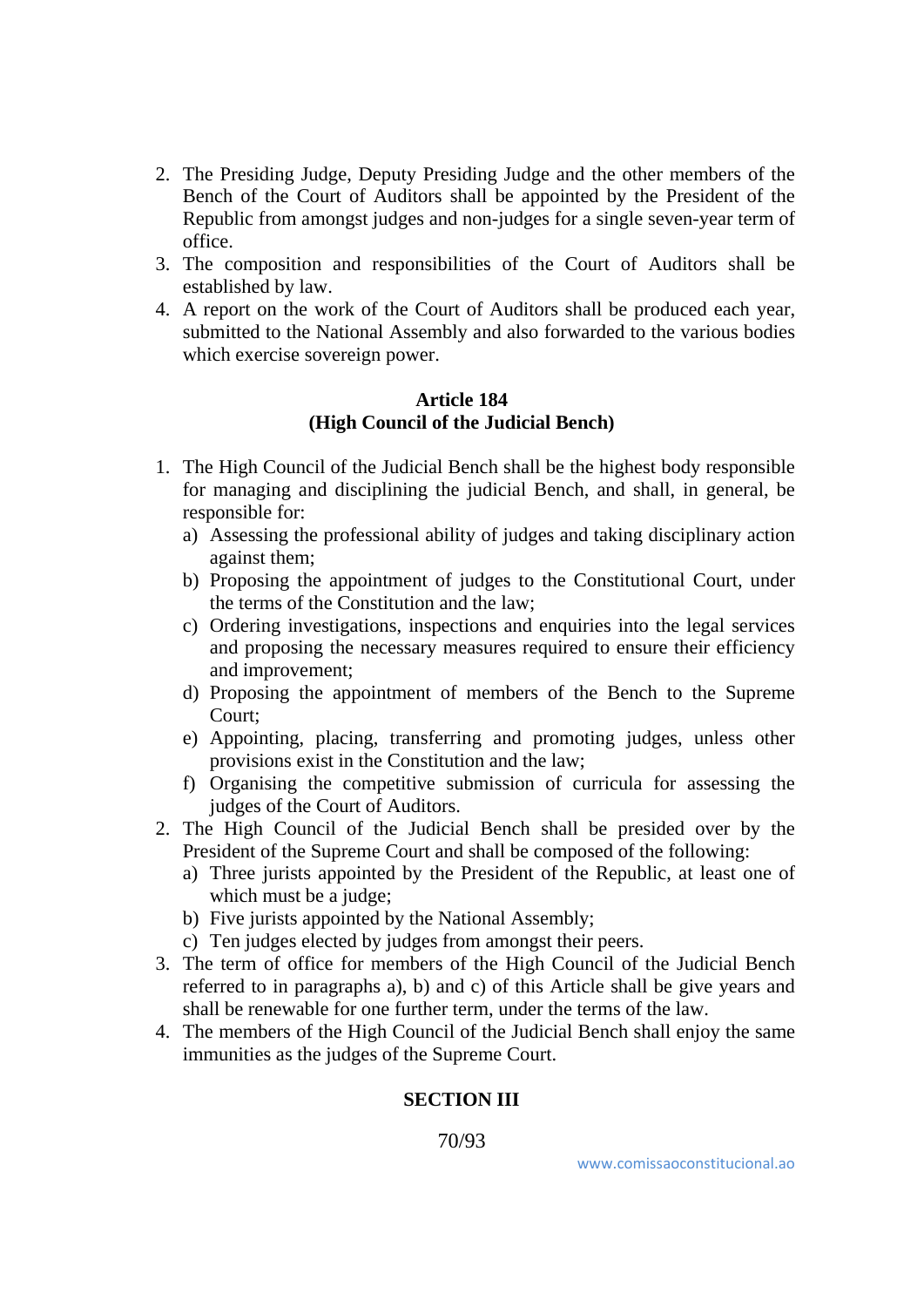- 2. The Presiding Judge, Deputy Presiding Judge and the other members of the Bench of the Court of Auditors shall be appointed by the President of the Republic from amongst judges and non-judges for a single seven-year term of office.
- 3. The composition and responsibilities of the Court of Auditors shall be established by law.
- 4. A report on the work of the Court of Auditors shall be produced each year, submitted to the National Assembly and also forwarded to the various bodies which exercise sovereign power.

#### **Article 184 (High Council of the Judicial Bench)**

- 1. The High Council of the Judicial Bench shall be the highest body responsible for managing and disciplining the judicial Bench, and shall, in general, be responsible for:
	- a) Assessing the professional ability of judges and taking disciplinary action against them;
	- b) Proposing the appointment of judges to the Constitutional Court, under the terms of the Constitution and the law;
	- c) Ordering investigations, inspections and enquiries into the legal services and proposing the necessary measures required to ensure their efficiency and improvement;
	- d) Proposing the appointment of members of the Bench to the Supreme Court;
	- e) Appointing, placing, transferring and promoting judges, unless other provisions exist in the Constitution and the law;
	- f) Organising the competitive submission of curricula for assessing the judges of the Court of Auditors.
- 2. The High Council of the Judicial Bench shall be presided over by the President of the Supreme Court and shall be composed of the following:
	- a) Three jurists appointed by the President of the Republic, at least one of which must be a judge;
	- b) Five jurists appointed by the National Assembly;
	- c) Ten judges elected by judges from amongst their peers.
- 3. The term of office for members of the High Council of the Judicial Bench referred to in paragraphs a), b) and c) of this Article shall be give years and shall be renewable for one further term, under the terms of the law.
- 4. The members of the High Council of the Judicial Bench shall enjoy the same immunities as the judges of the Supreme Court.

# **SECTION III**

70/93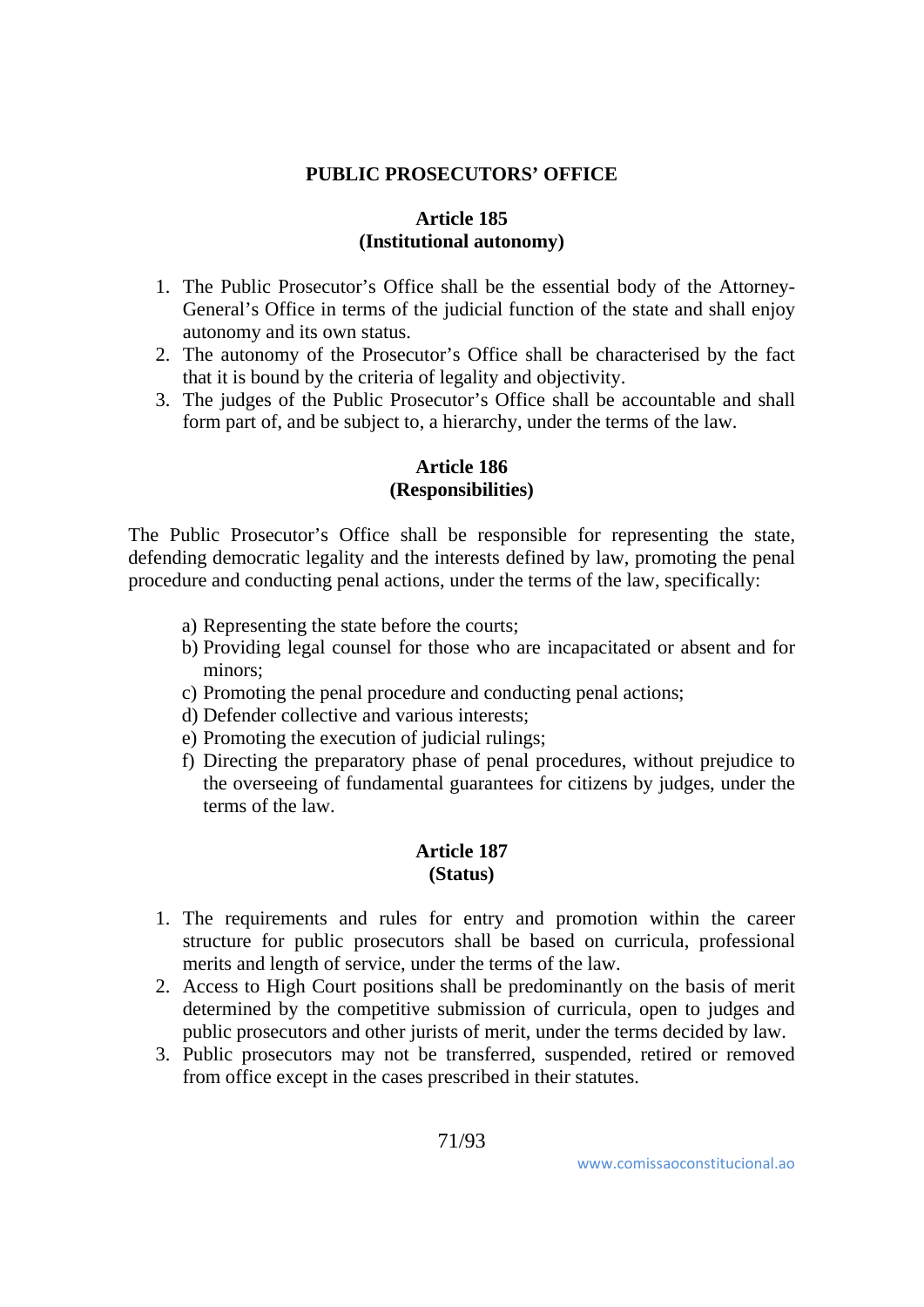## **PUBLIC PROSECUTORS' OFFICE**

#### **Article 185 (Institutional autonomy)**

- 1. The Public Prosecutor's Office shall be the essential body of the Attorney-General's Office in terms of the judicial function of the state and shall enjoy autonomy and its own status.
- 2. The autonomy of the Prosecutor's Office shall be characterised by the fact that it is bound by the criteria of legality and objectivity.
- 3. The judges of the Public Prosecutor's Office shall be accountable and shall form part of, and be subject to, a hierarchy, under the terms of the law.

#### **Article 186 (Responsibilities)**

The Public Prosecutor's Office shall be responsible for representing the state, defending democratic legality and the interests defined by law, promoting the penal procedure and conducting penal actions, under the terms of the law, specifically:

- a) Representing the state before the courts;
- b) Providing legal counsel for those who are incapacitated or absent and for minors;
- c) Promoting the penal procedure and conducting penal actions;
- d) Defender collective and various interests;
- e) Promoting the execution of judicial rulings;
- f) Directing the preparatory phase of penal procedures, without prejudice to the overseeing of fundamental guarantees for citizens by judges, under the terms of the law.

## **Article 187 (Status)**

- 1. The requirements and rules for entry and promotion within the career structure for public prosecutors shall be based on curricula, professional merits and length of service, under the terms of the law.
- 2. Access to High Court positions shall be predominantly on the basis of merit determined by the competitive submission of curricula, open to judges and public prosecutors and other jurists of merit, under the terms decided by law.
- 3. Public prosecutors may not be transferred, suspended, retired or removed from office except in the cases prescribed in their statutes.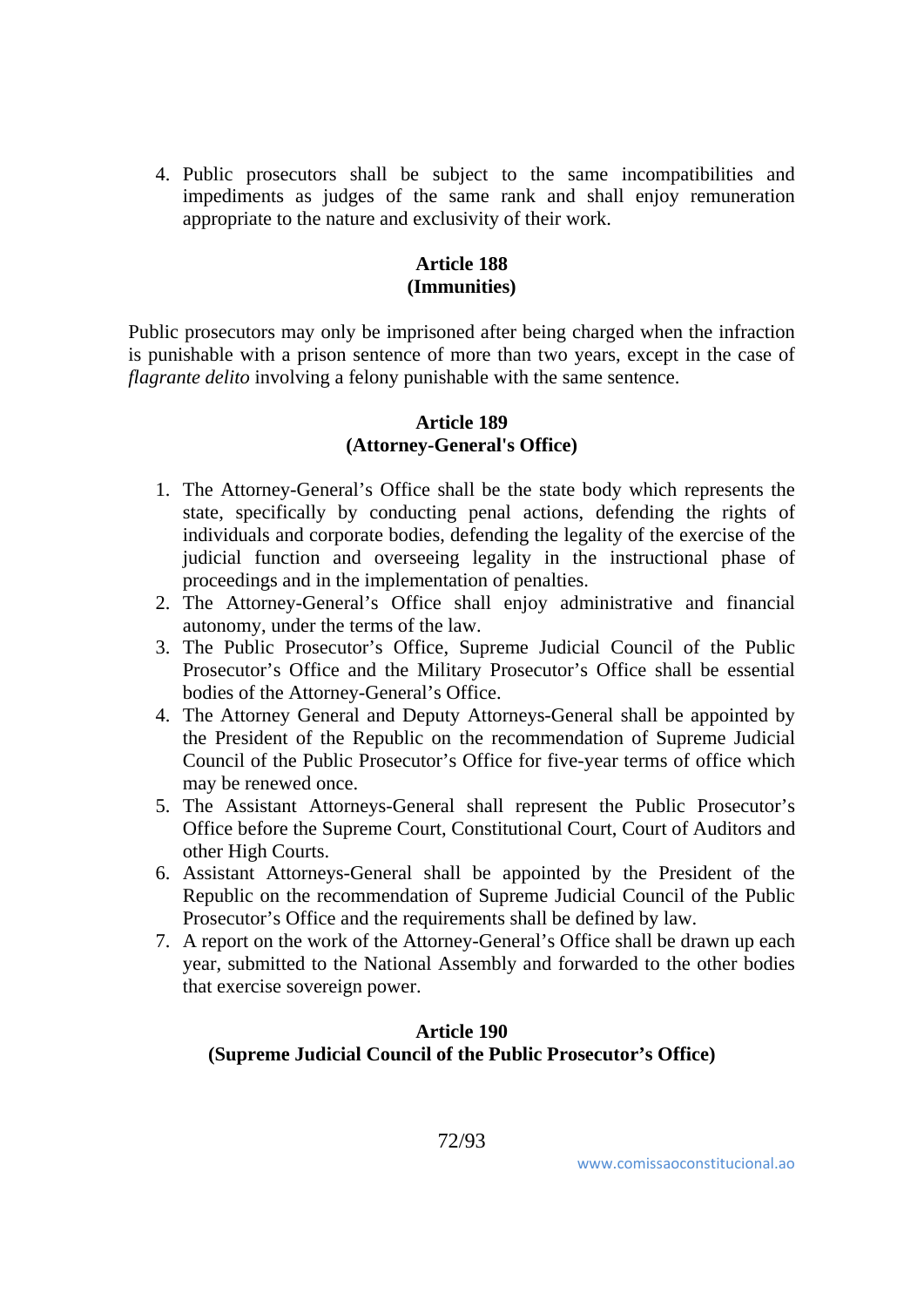4. Public prosecutors shall be subject to the same incompatibilities and impediments as judges of the same rank and shall enjoy remuneration appropriate to the nature and exclusivity of their work.

## **Article 188 (Immunities)**

Public prosecutors may only be imprisoned after being charged when the infraction is punishable with a prison sentence of more than two years, except in the case of *flagrante delito* involving a felony punishable with the same sentence.

## **Article 189 (Attorney-General's Office)**

- 1. The Attorney-General's Office shall be the state body which represents the state, specifically by conducting penal actions, defending the rights of individuals and corporate bodies, defending the legality of the exercise of the judicial function and overseeing legality in the instructional phase of proceedings and in the implementation of penalties.
- 2. The Attorney-General's Office shall enjoy administrative and financial autonomy, under the terms of the law.
- 3. The Public Prosecutor's Office, Supreme Judicial Council of the Public Prosecutor's Office and the Military Prosecutor's Office shall be essential bodies of the Attorney-General's Office.
- 4. The Attorney General and Deputy Attorneys-General shall be appointed by the President of the Republic on the recommendation of Supreme Judicial Council of the Public Prosecutor's Office for five-year terms of office which may be renewed once.
- 5. The Assistant Attorneys-General shall represent the Public Prosecutor's Office before the Supreme Court, Constitutional Court, Court of Auditors and other High Courts.
- 6. Assistant Attorneys-General shall be appointed by the President of the Republic on the recommendation of Supreme Judicial Council of the Public Prosecutor's Office and the requirements shall be defined by law.
- 7. A report on the work of the Attorney-General's Office shall be drawn up each year, submitted to the National Assembly and forwarded to the other bodies that exercise sovereign power.

## **Article 190 (Supreme Judicial Council of the Public Prosecutor's Office)**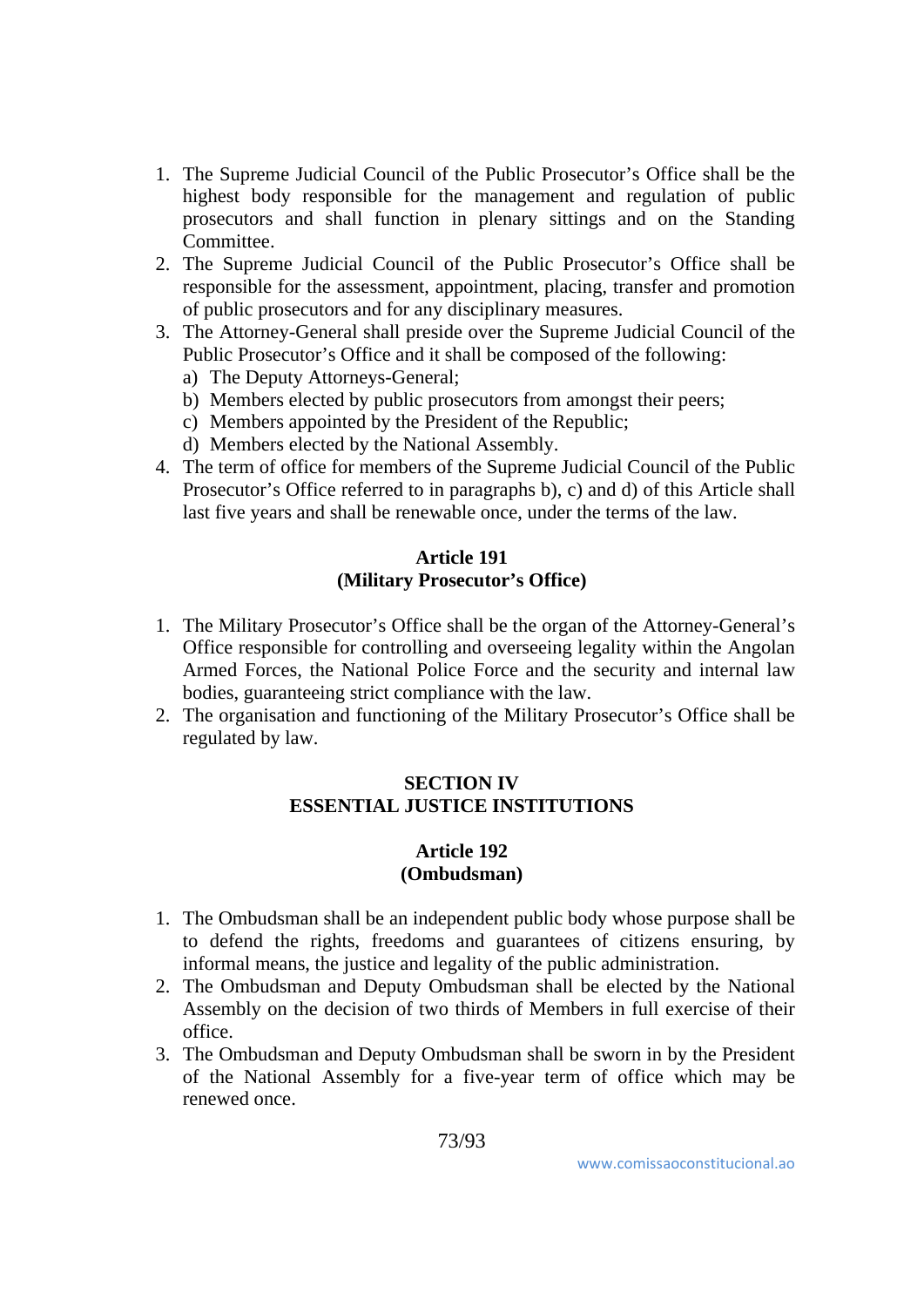- 1. The Supreme Judicial Council of the Public Prosecutor's Office shall be the highest body responsible for the management and regulation of public prosecutors and shall function in plenary sittings and on the Standing Committee.
- 2. The Supreme Judicial Council of the Public Prosecutor's Office shall be responsible for the assessment, appointment, placing, transfer and promotion of public prosecutors and for any disciplinary measures.
- 3. The Attorney-General shall preside over the Supreme Judicial Council of the Public Prosecutor's Office and it shall be composed of the following:
	- a) The Deputy Attorneys-General;
	- b) Members elected by public prosecutors from amongst their peers;
	- c) Members appointed by the President of the Republic;
	- d) Members elected by the National Assembly.
- 4. The term of office for members of the Supreme Judicial Council of the Public Prosecutor's Office referred to in paragraphs b), c) and d) of this Article shall last five years and shall be renewable once, under the terms of the law.

### **Article 191 (Military Prosecutor's Office)**

- 1. The Military Prosecutor's Office shall be the organ of the Attorney-General's Office responsible for controlling and overseeing legality within the Angolan Armed Forces, the National Police Force and the security and internal law bodies, guaranteeing strict compliance with the law.
- 2. The organisation and functioning of the Military Prosecutor's Office shall be regulated by law.

### **SECTION IV ESSENTIAL JUSTICE INSTITUTIONS**

### **Article 192 (Ombudsman)**

- 1. The Ombudsman shall be an independent public body whose purpose shall be to defend the rights, freedoms and guarantees of citizens ensuring, by informal means, the justice and legality of the public administration.
- 2. The Ombudsman and Deputy Ombudsman shall be elected by the National Assembly on the decision of two thirds of Members in full exercise of their office.
- 3. The Ombudsman and Deputy Ombudsman shall be sworn in by the President of the National Assembly for a five-year term of office which may be renewed once.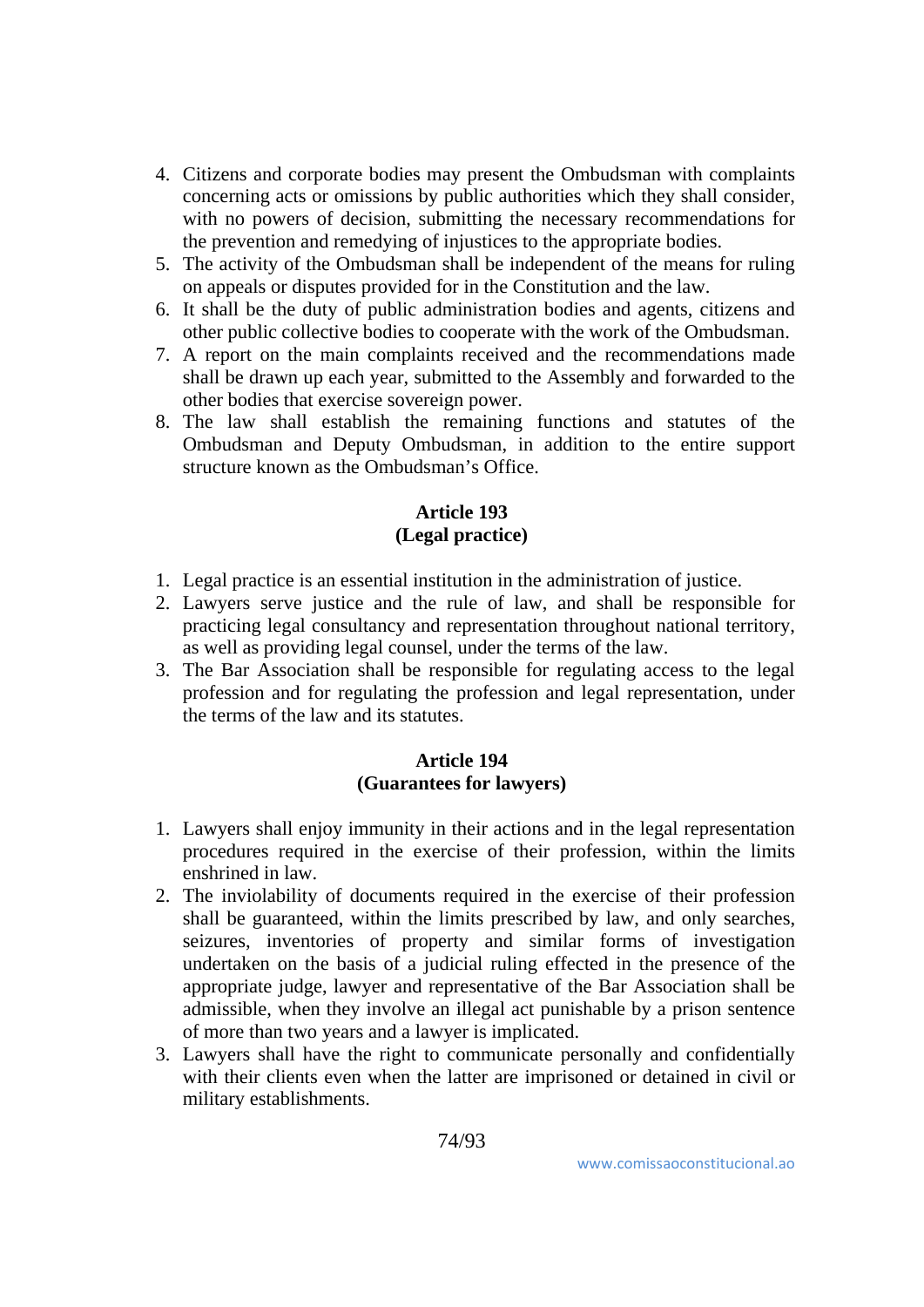- 4. Citizens and corporate bodies may present the Ombudsman with complaints concerning acts or omissions by public authorities which they shall consider, with no powers of decision, submitting the necessary recommendations for the prevention and remedying of injustices to the appropriate bodies.
- 5. The activity of the Ombudsman shall be independent of the means for ruling on appeals or disputes provided for in the Constitution and the law.
- 6. It shall be the duty of public administration bodies and agents, citizens and other public collective bodies to cooperate with the work of the Ombudsman.
- 7. A report on the main complaints received and the recommendations made shall be drawn up each year, submitted to the Assembly and forwarded to the other bodies that exercise sovereign power.
- 8. The law shall establish the remaining functions and statutes of the Ombudsman and Deputy Ombudsman, in addition to the entire support structure known as the Ombudsman's Office.

# **Article 193 (Legal practice)**

- 1. Legal practice is an essential institution in the administration of justice.
- 2. Lawyers serve justice and the rule of law, and shall be responsible for practicing legal consultancy and representation throughout national territory, as well as providing legal counsel, under the terms of the law.
- 3. The Bar Association shall be responsible for regulating access to the legal profession and for regulating the profession and legal representation, under the terms of the law and its statutes.

# **Article 194 (Guarantees for lawyers)**

- 1. Lawyers shall enjoy immunity in their actions and in the legal representation procedures required in the exercise of their profession, within the limits enshrined in law.
- 2. The inviolability of documents required in the exercise of their profession shall be guaranteed, within the limits prescribed by law, and only searches, seizures, inventories of property and similar forms of investigation undertaken on the basis of a judicial ruling effected in the presence of the appropriate judge, lawyer and representative of the Bar Association shall be admissible, when they involve an illegal act punishable by a prison sentence of more than two years and a lawyer is implicated.
- 3. Lawyers shall have the right to communicate personally and confidentially with their clients even when the latter are imprisoned or detained in civil or military establishments.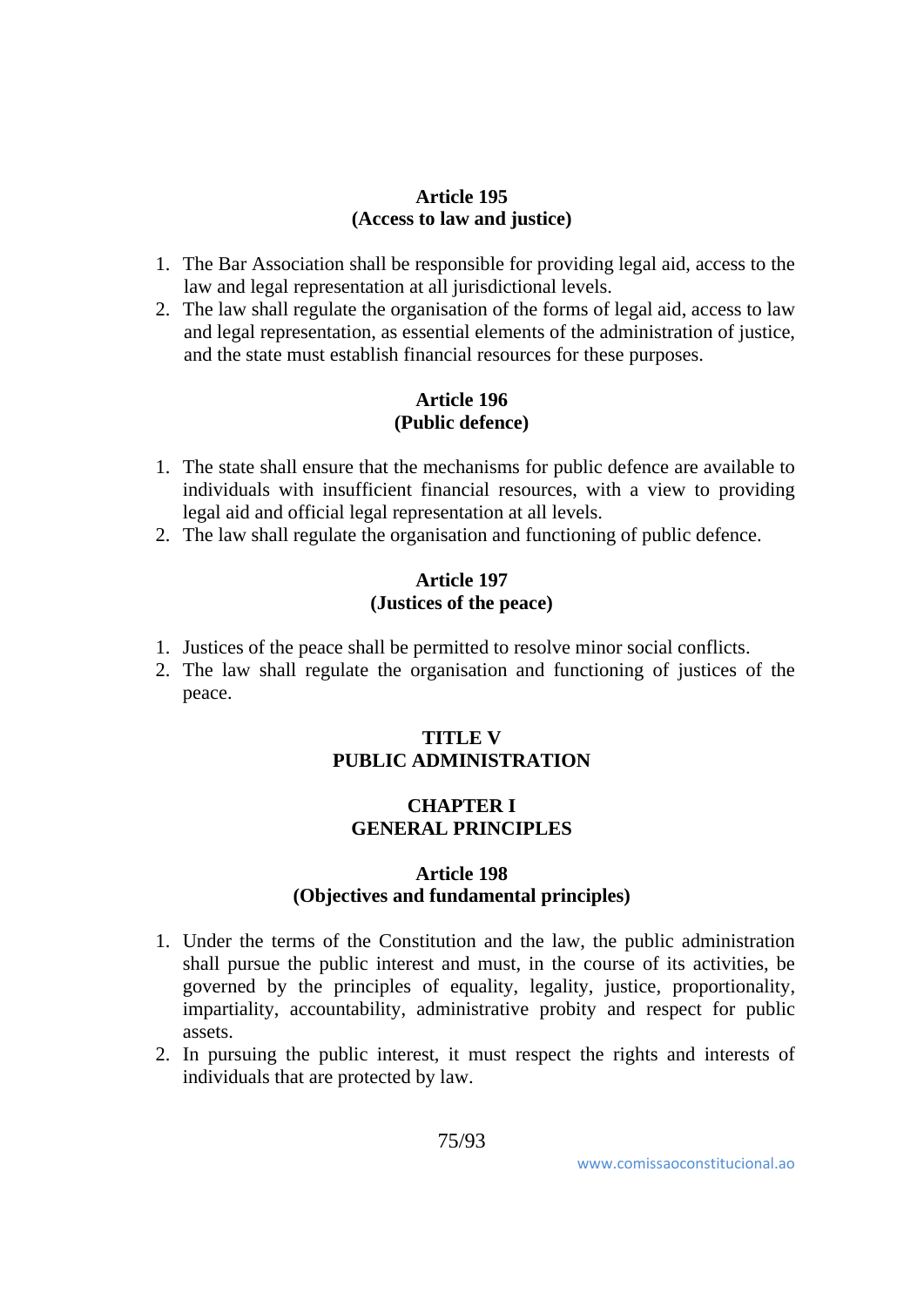### **Article 195 (Access to law and justice)**

- 1. The Bar Association shall be responsible for providing legal aid, access to the law and legal representation at all jurisdictional levels.
- 2. The law shall regulate the organisation of the forms of legal aid, access to law and legal representation, as essential elements of the administration of justice, and the state must establish financial resources for these purposes.

# **Article 196 (Public defence)**

- 1. The state shall ensure that the mechanisms for public defence are available to individuals with insufficient financial resources, with a view to providing legal aid and official legal representation at all levels.
- 2. The law shall regulate the organisation and functioning of public defence.

### **Article 197 (Justices of the peace)**

- 1. Justices of the peace shall be permitted to resolve minor social conflicts.
- 2. The law shall regulate the organisation and functioning of justices of the peace.

# **TITLE V PUBLIC ADMINISTRATION**

# **CHAPTER I GENERAL PRINCIPLES**

# **Article 198 (Objectives and fundamental principles)**

- 1. Under the terms of the Constitution and the law, the public administration shall pursue the public interest and must, in the course of its activities, be governed by the principles of equality, legality, justice, proportionality, impartiality, accountability, administrative probity and respect for public assets.
- 2. In pursuing the public interest, it must respect the rights and interests of individuals that are protected by law.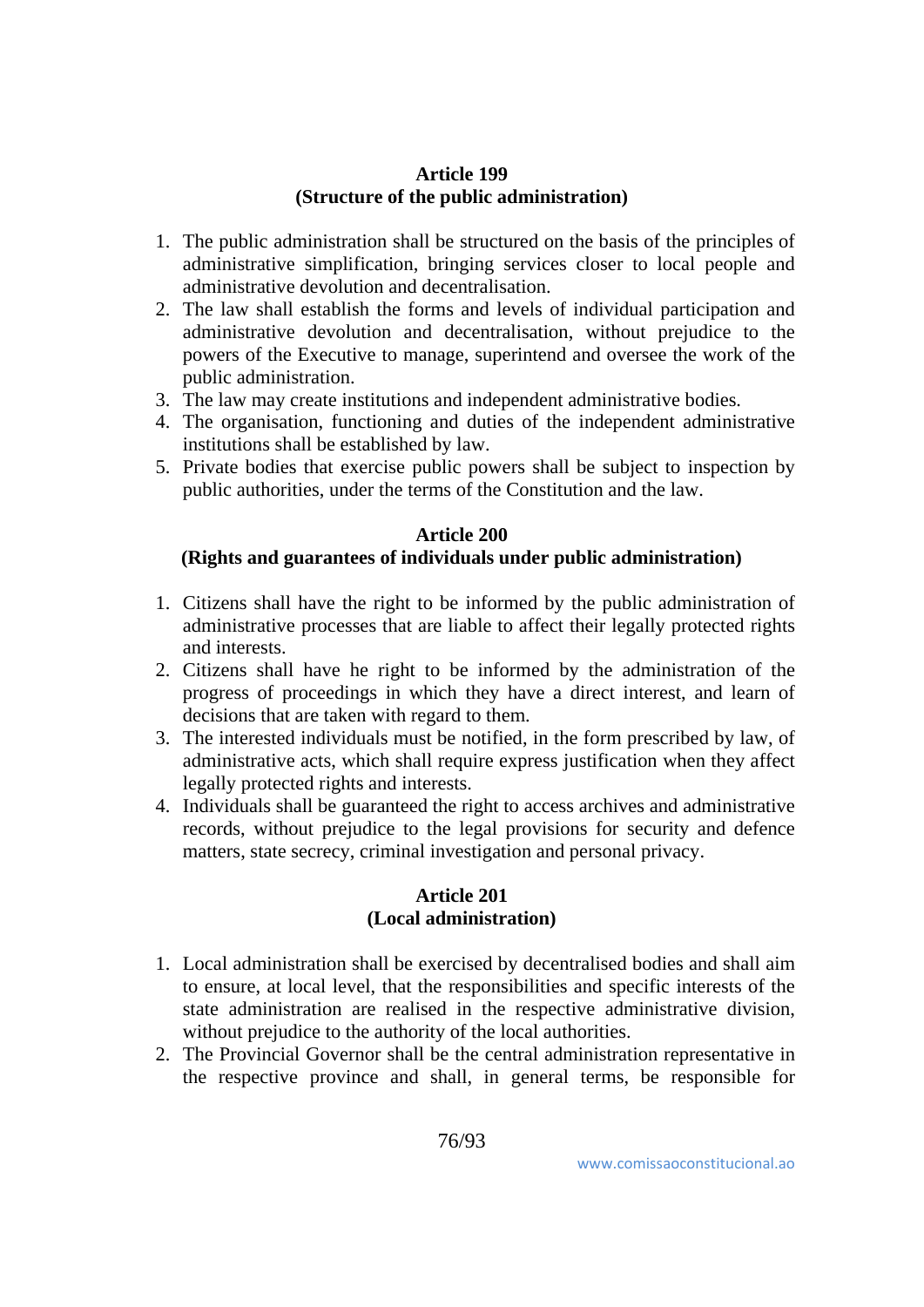### **Article 199 (Structure of the public administration)**

- 1. The public administration shall be structured on the basis of the principles of administrative simplification, bringing services closer to local people and administrative devolution and decentralisation.
- 2. The law shall establish the forms and levels of individual participation and administrative devolution and decentralisation, without prejudice to the powers of the Executive to manage, superintend and oversee the work of the public administration.
- 3. The law may create institutions and independent administrative bodies.
- 4. The organisation, functioning and duties of the independent administrative institutions shall be established by law.
- 5. Private bodies that exercise public powers shall be subject to inspection by public authorities, under the terms of the Constitution and the law.

# **Article 200**

# **(Rights and guarantees of individuals under public administration)**

- 1. Citizens shall have the right to be informed by the public administration of administrative processes that are liable to affect their legally protected rights and interests.
- 2. Citizens shall have he right to be informed by the administration of the progress of proceedings in which they have a direct interest, and learn of decisions that are taken with regard to them.
- 3. The interested individuals must be notified, in the form prescribed by law, of administrative acts, which shall require express justification when they affect legally protected rights and interests.
- 4. Individuals shall be guaranteed the right to access archives and administrative records, without prejudice to the legal provisions for security and defence matters, state secrecy, criminal investigation and personal privacy.

### **Article 201 (Local administration)**

- 1. Local administration shall be exercised by decentralised bodies and shall aim to ensure, at local level, that the responsibilities and specific interests of the state administration are realised in the respective administrative division, without prejudice to the authority of the local authorities.
- 2. The Provincial Governor shall be the central administration representative in the respective province and shall, in general terms, be responsible for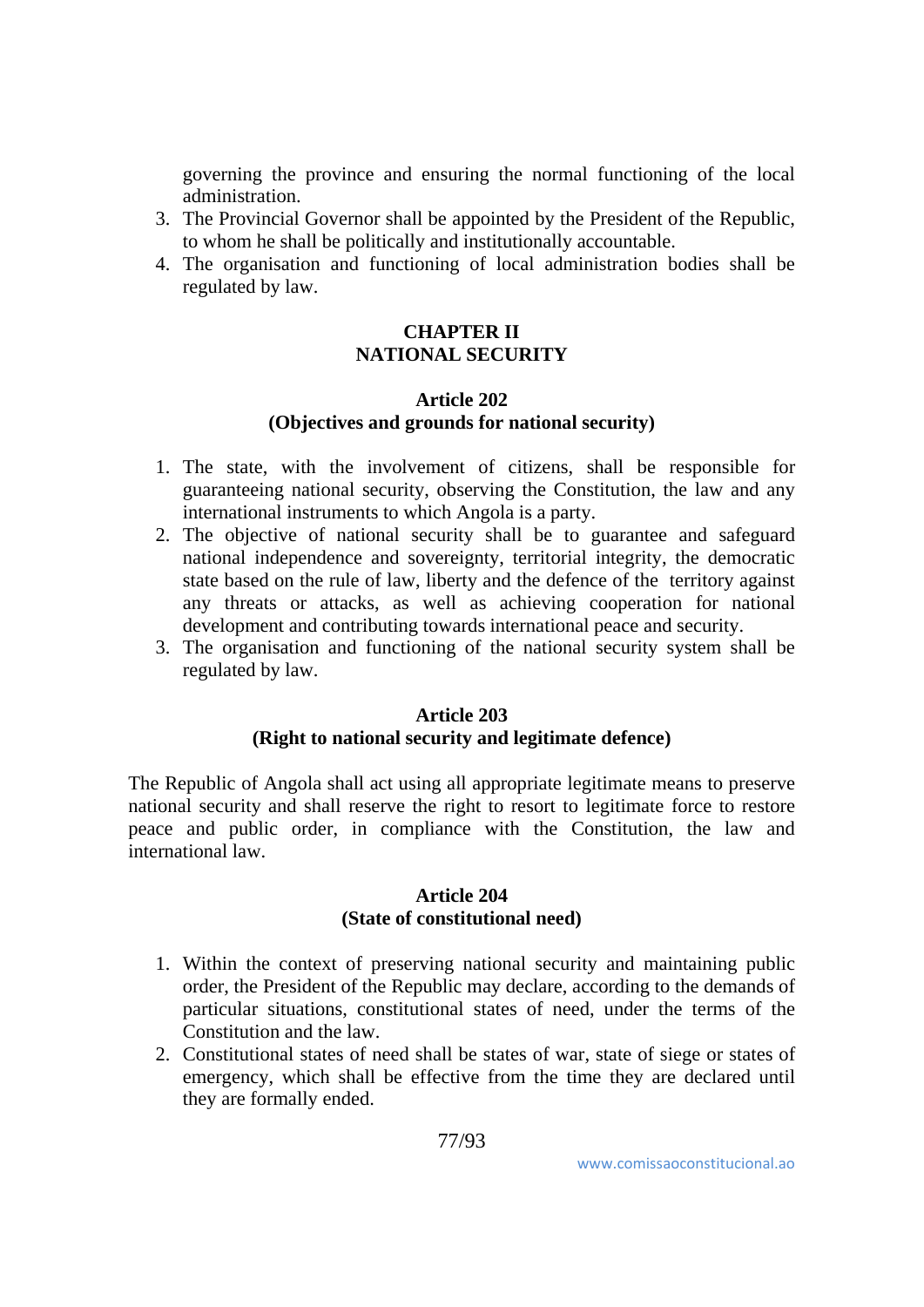governing the province and ensuring the normal functioning of the local administration.

- 3. The Provincial Governor shall be appointed by the President of the Republic, to whom he shall be politically and institutionally accountable.
- 4. The organisation and functioning of local administration bodies shall be regulated by law.

# **CHAPTER II NATIONAL SECURITY**

### **Article 202 (Objectives and grounds for national security)**

- 1. The state, with the involvement of citizens, shall be responsible for guaranteeing national security, observing the Constitution, the law and any international instruments to which Angola is a party.
- 2. The objective of national security shall be to guarantee and safeguard national independence and sovereignty, territorial integrity, the democratic state based on the rule of law, liberty and the defence of the territory against any threats or attacks, as well as achieving cooperation for national development and contributing towards international peace and security.
- 3. The organisation and functioning of the national security system shall be regulated by law.

# **Article 203**

# **(Right to national security and legitimate defence)**

The Republic of Angola shall act using all appropriate legitimate means to preserve national security and shall reserve the right to resort to legitimate force to restore peace and public order, in compliance with the Constitution, the law and international law.

### **Article 204 (State of constitutional need)**

- 1. Within the context of preserving national security and maintaining public order, the President of the Republic may declare, according to the demands of particular situations, constitutional states of need, under the terms of the Constitution and the law.
- 2. Constitutional states of need shall be states of war, state of siege or states of emergency, which shall be effective from the time they are declared until they are formally ended.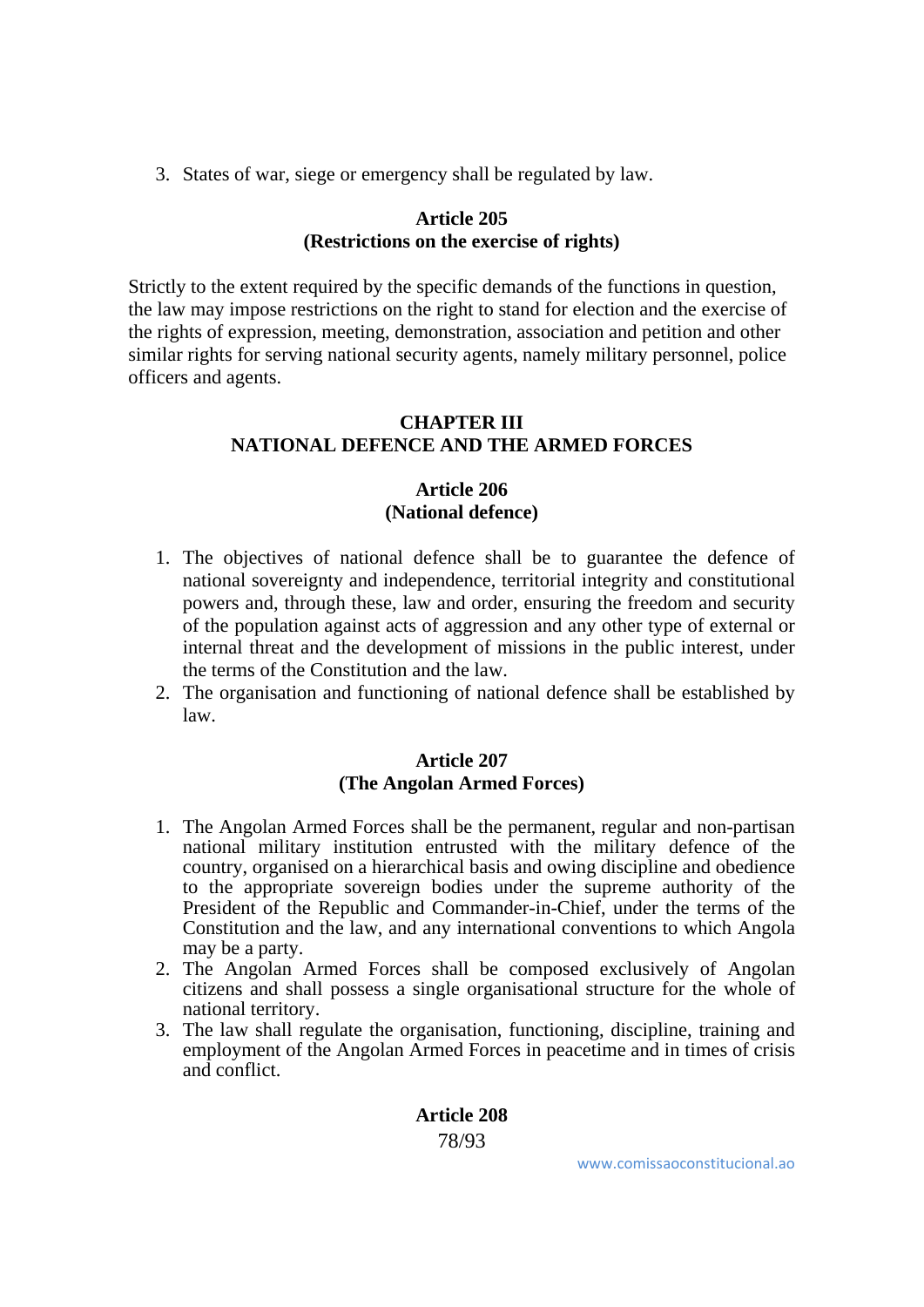3. States of war, siege or emergency shall be regulated by law.

## **Article 205 (Restrictions on the exercise of rights)**

Strictly to the extent required by the specific demands of the functions in question, the law may impose restrictions on the right to stand for election and the exercise of the rights of expression, meeting, demonstration, association and petition and other similar rights for serving national security agents, namely military personnel, police officers and agents.

# **CHAPTER III NATIONAL DEFENCE AND THE ARMED FORCES**

### **Article 206 (National defence)**

- 1. The objectives of national defence shall be to guarantee the defence of national sovereignty and independence, territorial integrity and constitutional powers and, through these, law and order, ensuring the freedom and security of the population against acts of aggression and any other type of external or internal threat and the development of missions in the public interest, under the terms of the Constitution and the law.
- 2. The organisation and functioning of national defence shall be established by law.

# **Article 207 (The Angolan Armed Forces)**

- 1. The Angolan Armed Forces shall be the permanent, regular and non-partisan national military institution entrusted with the military defence of the country, organised on a hierarchical basis and owing discipline and obedience to the appropriate sovereign bodies under the supreme authority of the President of the Republic and Commander-in-Chief, under the terms of the Constitution and the law, and any international conventions to which Angola may be a party.
- 2. The Angolan Armed Forces shall be composed exclusively of Angolan citizens and shall possess a single organisational structure for the whole of national territory.
- 3. The law shall regulate the organisation, functioning, discipline, training and employment of the Angolan Armed Forces in peacetime and in times of crisis and conflict.

78/93 **Article 208**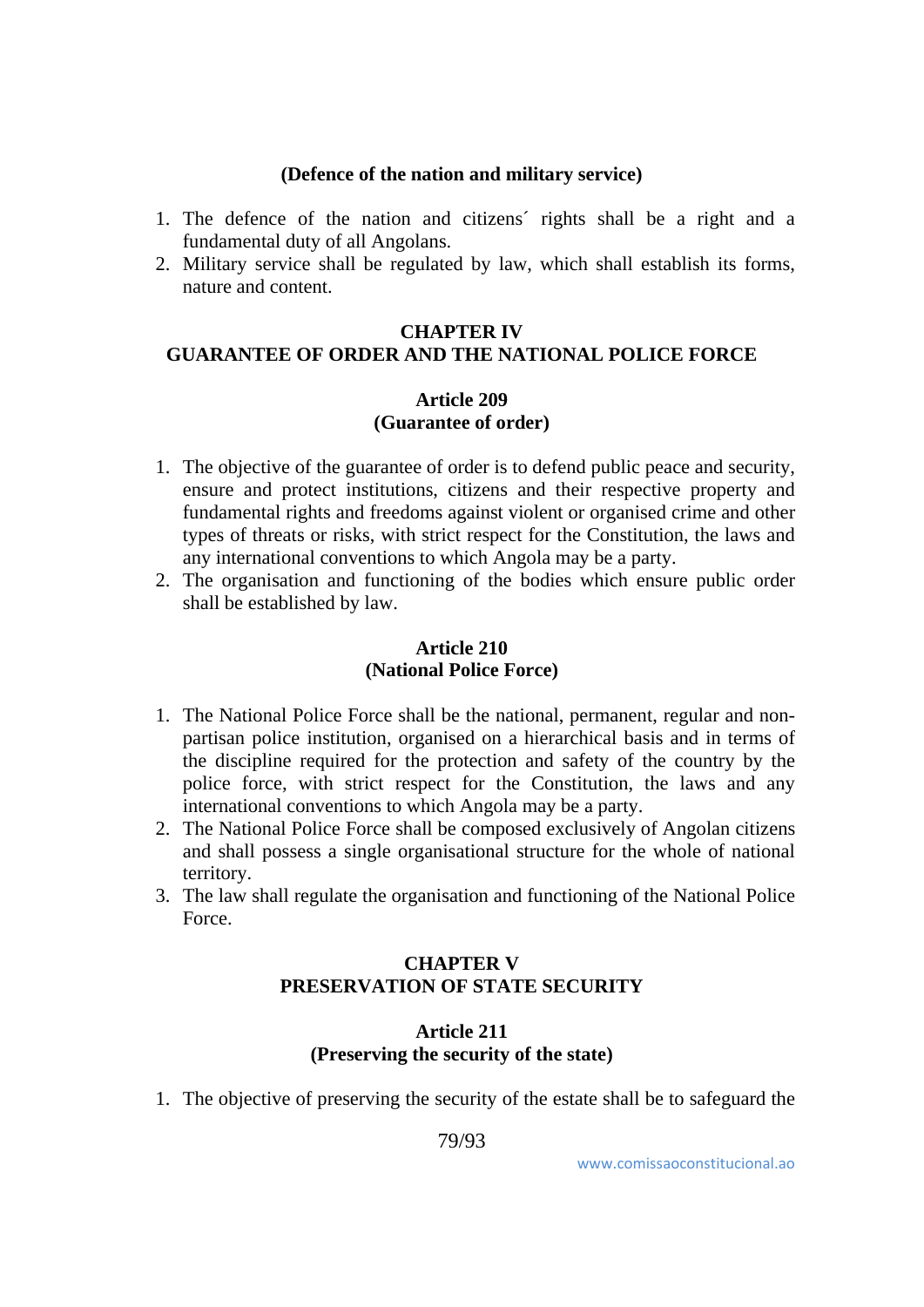#### **(Defence of the nation and military service)**

- 1. The defence of the nation and citizens´ rights shall be a right and a fundamental duty of all Angolans.
- 2. Military service shall be regulated by law, which shall establish its forms, nature and content.

### **CHAPTER IV GUARANTEE OF ORDER AND THE NATIONAL POLICE FORCE**

### **Article 209 (Guarantee of order)**

- 1. The objective of the guarantee of order is to defend public peace and security, ensure and protect institutions, citizens and their respective property and fundamental rights and freedoms against violent or organised crime and other types of threats or risks, with strict respect for the Constitution, the laws and any international conventions to which Angola may be a party.
- 2. The organisation and functioning of the bodies which ensure public order shall be established by law.

### **Article 210 (National Police Force)**

- 1. The National Police Force shall be the national, permanent, regular and nonpartisan police institution, organised on a hierarchical basis and in terms of the discipline required for the protection and safety of the country by the police force, with strict respect for the Constitution, the laws and any international conventions to which Angola may be a party.
- 2. The National Police Force shall be composed exclusively of Angolan citizens and shall possess a single organisational structure for the whole of national territory.
- 3. The law shall regulate the organisation and functioning of the National Police Force.

# **CHAPTER V PRESERVATION OF STATE SECURITY**

### **Article 211 (Preserving the security of the state)**

1. The objective of preserving the security of the estate shall be to safeguard the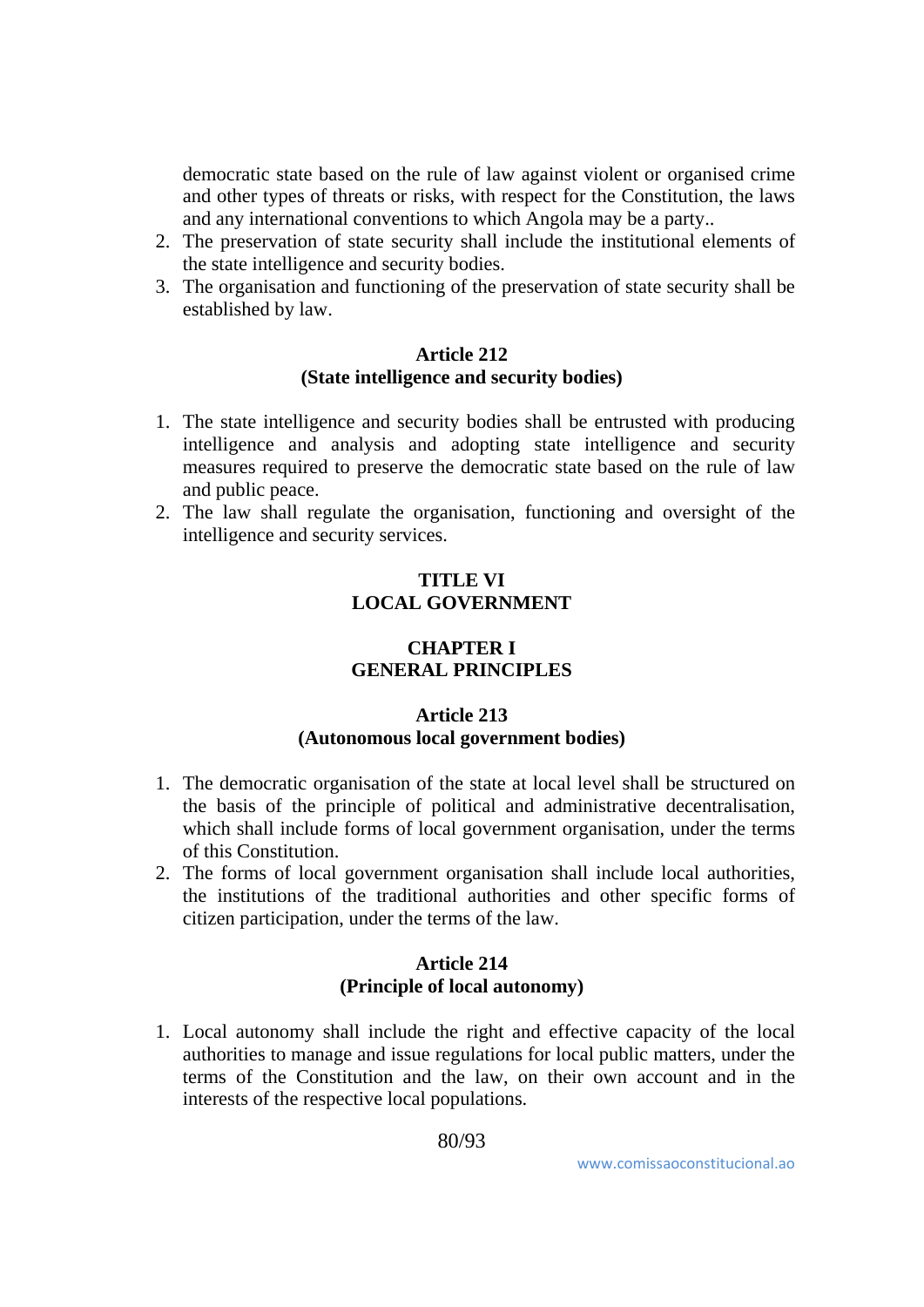democratic state based on the rule of law against violent or organised crime and other types of threats or risks, with respect for the Constitution, the laws and any international conventions to which Angola may be a party..

- 2. The preservation of state security shall include the institutional elements of the state intelligence and security bodies.
- 3. The organisation and functioning of the preservation of state security shall be established by law.

## **Article 212 (State intelligence and security bodies)**

- 1. The state intelligence and security bodies shall be entrusted with producing intelligence and analysis and adopting state intelligence and security measures required to preserve the democratic state based on the rule of law and public peace.
- 2. The law shall regulate the organisation, functioning and oversight of the intelligence and security services.

# **TITLE VI LOCAL GOVERNMENT**

# **CHAPTER I GENERAL PRINCIPLES**

# **Article 213 (Autonomous local government bodies)**

- 1. The democratic organisation of the state at local level shall be structured on the basis of the principle of political and administrative decentralisation, which shall include forms of local government organisation, under the terms of this Constitution.
- 2. The forms of local government organisation shall include local authorities, the institutions of the traditional authorities and other specific forms of citizen participation, under the terms of the law.

### **Article 214 (Principle of local autonomy)**

1. Local autonomy shall include the right and effective capacity of the local authorities to manage and issue regulations for local public matters, under the terms of the Constitution and the law, on their own account and in the interests of the respective local populations.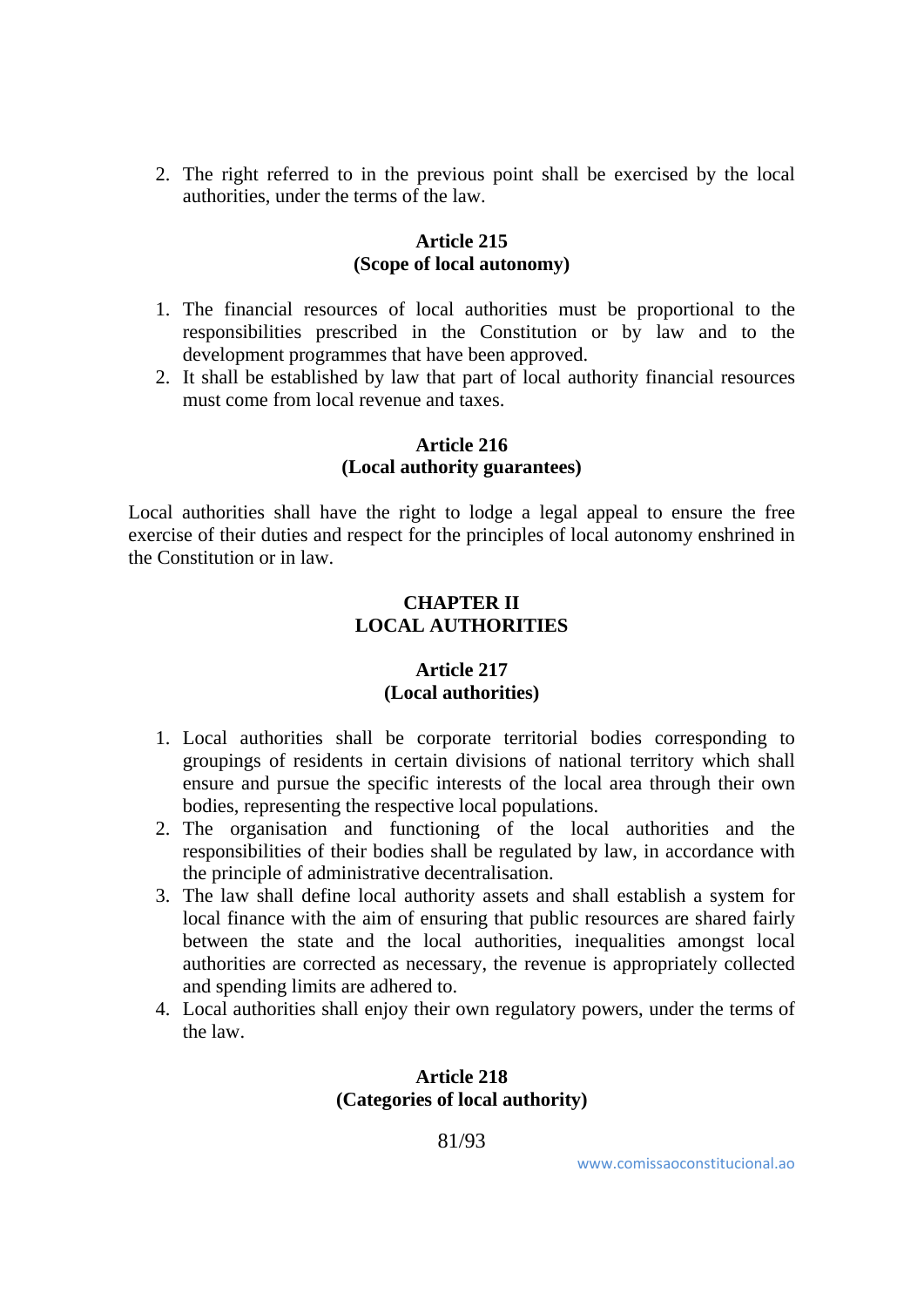2. The right referred to in the previous point shall be exercised by the local authorities, under the terms of the law.

### **Article 215 (Scope of local autonomy)**

- 1. The financial resources of local authorities must be proportional to the responsibilities prescribed in the Constitution or by law and to the development programmes that have been approved.
- 2. It shall be established by law that part of local authority financial resources must come from local revenue and taxes.

### **Article 216 (Local authority guarantees)**

Local authorities shall have the right to lodge a legal appeal to ensure the free exercise of their duties and respect for the principles of local autonomy enshrined in the Constitution or in law.

## **CHAPTER II LOCAL AUTHORITIES**

### **Article 217 (Local authorities)**

- 1. Local authorities shall be corporate territorial bodies corresponding to groupings of residents in certain divisions of national territory which shall ensure and pursue the specific interests of the local area through their own bodies, representing the respective local populations.
- 2. The organisation and functioning of the local authorities and the responsibilities of their bodies shall be regulated by law, in accordance with the principle of administrative decentralisation.
- 3. The law shall define local authority assets and shall establish a system for local finance with the aim of ensuring that public resources are shared fairly between the state and the local authorities, inequalities amongst local authorities are corrected as necessary, the revenue is appropriately collected and spending limits are adhered to.
- 4. Local authorities shall enjoy their own regulatory powers, under the terms of the law.

# **Article 218 (Categories of local authority)**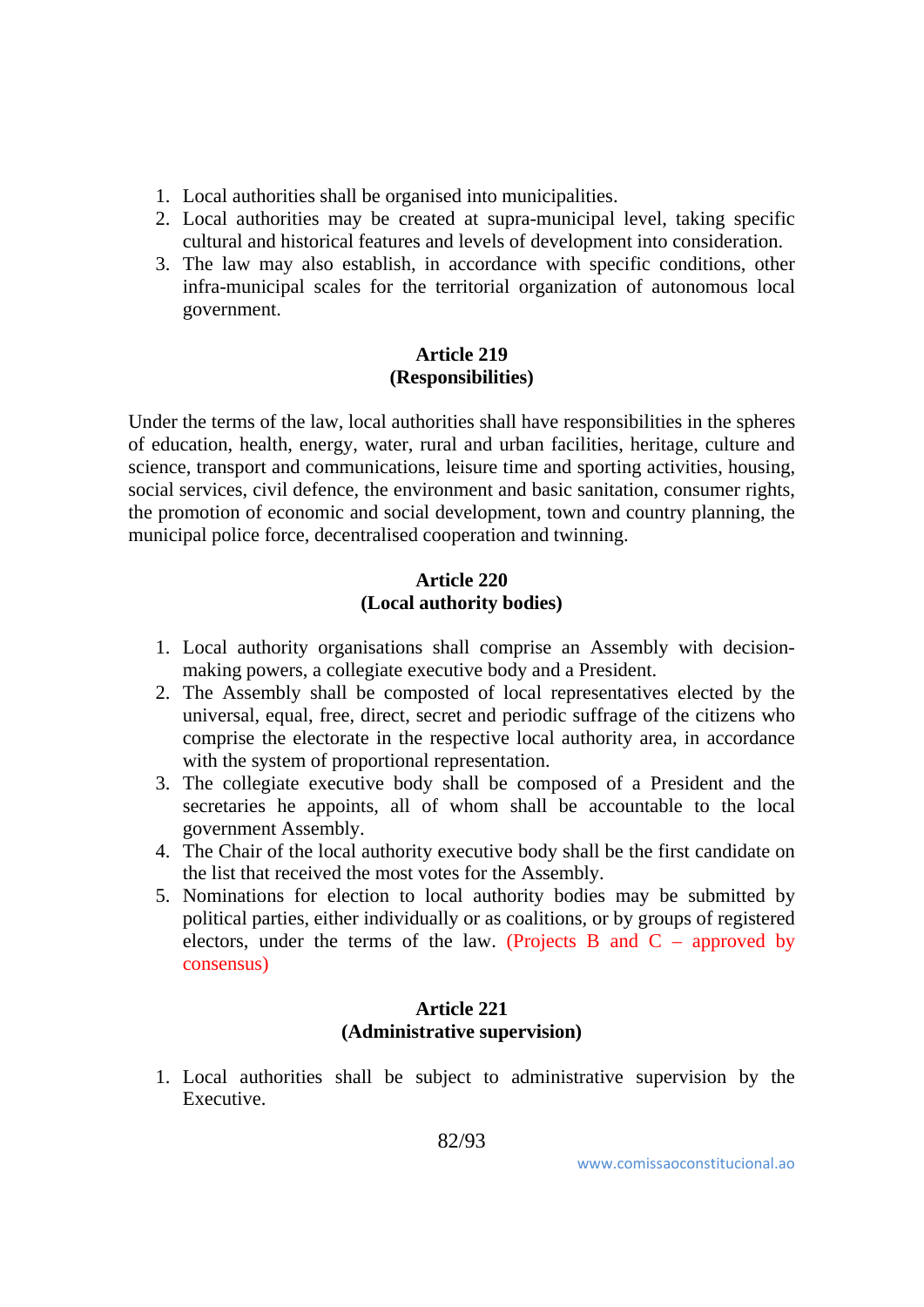- 1. Local authorities shall be organised into municipalities.
- 2. Local authorities may be created at supra-municipal level, taking specific cultural and historical features and levels of development into consideration.
- 3. The law may also establish, in accordance with specific conditions, other infra-municipal scales for the territorial organization of autonomous local government.

# **Article 219 (Responsibilities)**

Under the terms of the law, local authorities shall have responsibilities in the spheres of education, health, energy, water, rural and urban facilities, heritage, culture and science, transport and communications, leisure time and sporting activities, housing, social services, civil defence, the environment and basic sanitation, consumer rights, the promotion of economic and social development, town and country planning, the municipal police force, decentralised cooperation and twinning.

# **Article 220 (Local authority bodies)**

- 1. Local authority organisations shall comprise an Assembly with decisionmaking powers, a collegiate executive body and a President.
- 2. The Assembly shall be composted of local representatives elected by the universal, equal, free, direct, secret and periodic suffrage of the citizens who comprise the electorate in the respective local authority area, in accordance with the system of proportional representation.
- 3. The collegiate executive body shall be composed of a President and the secretaries he appoints, all of whom shall be accountable to the local government Assembly.
- 4. The Chair of the local authority executive body shall be the first candidate on the list that received the most votes for the Assembly.
- 5. Nominations for election to local authority bodies may be submitted by political parties, either individually or as coalitions, or by groups of registered electors, under the terms of the law. (Projects B and  $C$  – approved by consensus)

# **Article 221 (Administrative supervision)**

1. Local authorities shall be subject to administrative supervision by the Executive.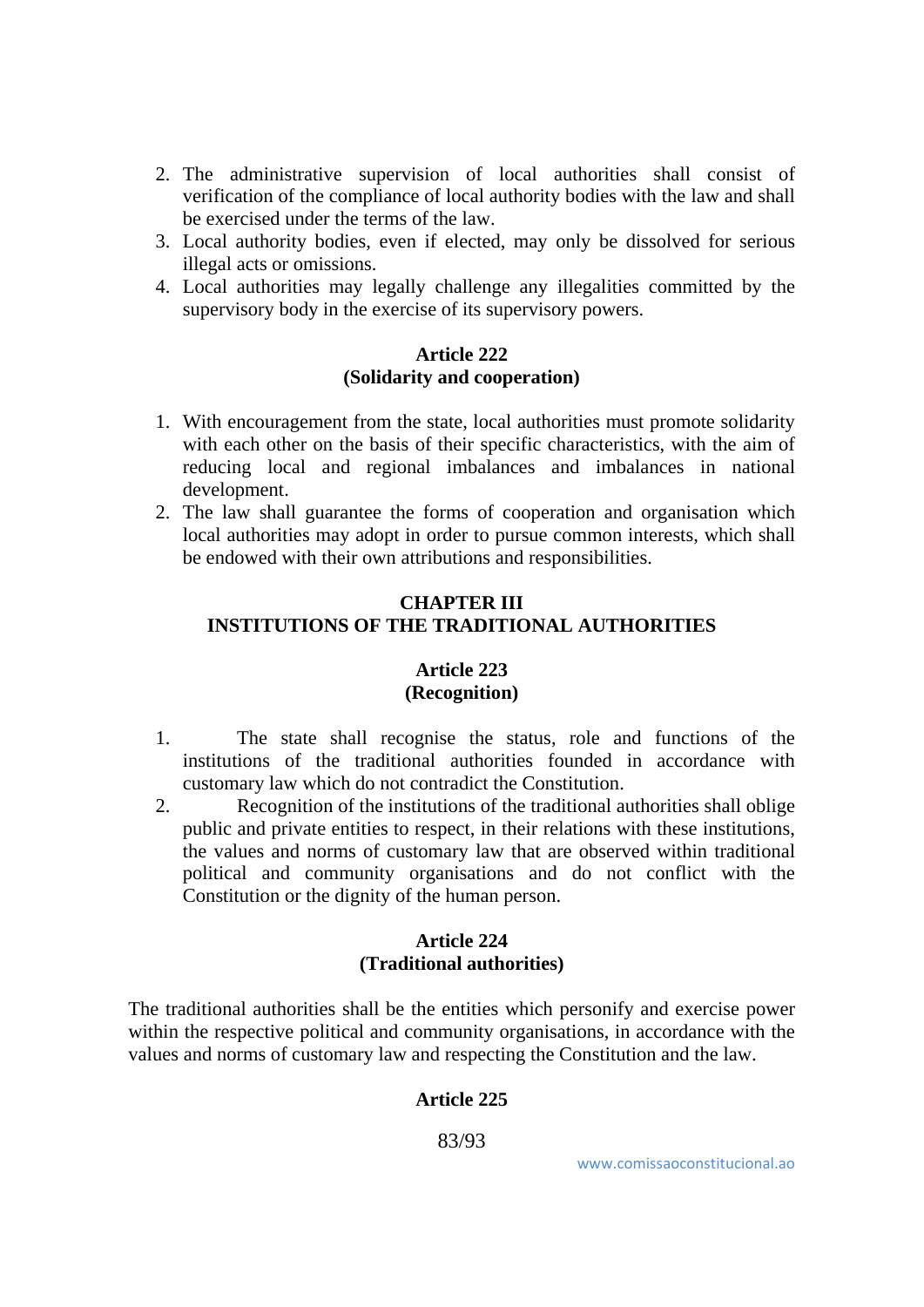- 2. The administrative supervision of local authorities shall consist of verification of the compliance of local authority bodies with the law and shall be exercised under the terms of the law.
- 3. Local authority bodies, even if elected, may only be dissolved for serious illegal acts or omissions.
- 4. Local authorities may legally challenge any illegalities committed by the supervisory body in the exercise of its supervisory powers.

### **Article 222 (Solidarity and cooperation)**

- 1. With encouragement from the state, local authorities must promote solidarity with each other on the basis of their specific characteristics, with the aim of reducing local and regional imbalances and imbalances in national development.
- 2. The law shall guarantee the forms of cooperation and organisation which local authorities may adopt in order to pursue common interests, which shall be endowed with their own attributions and responsibilities.

# **CHAPTER III INSTITUTIONS OF THE TRADITIONAL AUTHORITIES**

### **Article 223 (Recognition)**

- 1. The state shall recognise the status, role and functions of the institutions of the traditional authorities founded in accordance with customary law which do not contradict the Constitution.
- 2. Recognition of the institutions of the traditional authorities shall oblige public and private entities to respect, in their relations with these institutions, the values and norms of customary law that are observed within traditional political and community organisations and do not conflict with the Constitution or the dignity of the human person.

# **Article 224 (Traditional authorities)**

The traditional authorities shall be the entities which personify and exercise power within the respective political and community organisations, in accordance with the values and norms of customary law and respecting the Constitution and the law.

# **Article 225**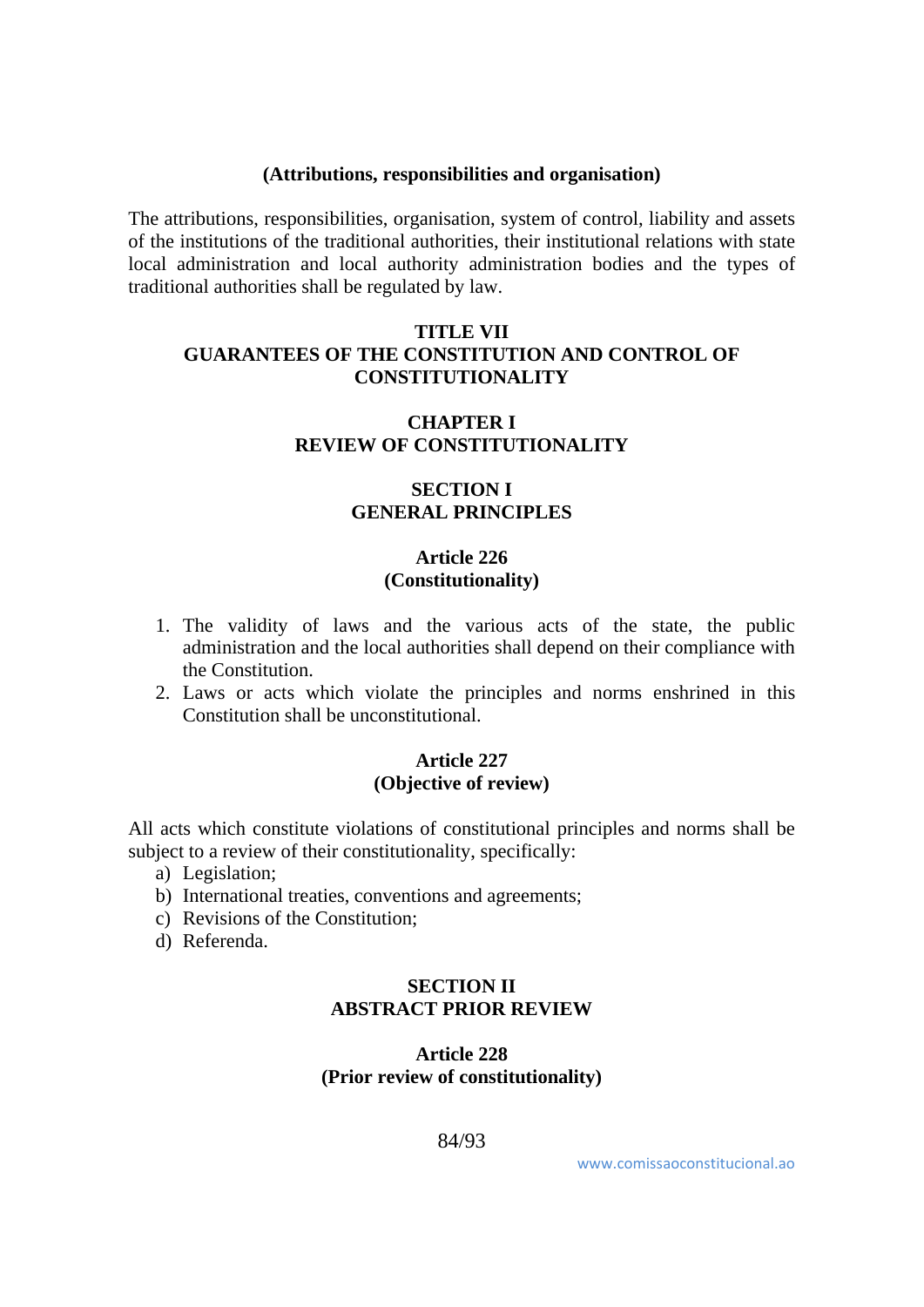#### **(Attributions, responsibilities and organisation)**

The attributions, responsibilities, organisation, system of control, liability and assets of the institutions of the traditional authorities, their institutional relations with state local administration and local authority administration bodies and the types of traditional authorities shall be regulated by law.

### **TITLE VII GUARANTEES OF THE CONSTITUTION AND CONTROL OF CONSTITUTIONALITY**

### **CHAPTER I REVIEW OF CONSTITUTIONALITY**

# **SECTION I GENERAL PRINCIPLES**

### **Article 226 (Constitutionality)**

- 1. The validity of laws and the various acts of the state, the public administration and the local authorities shall depend on their compliance with the Constitution.
- 2. Laws or acts which violate the principles and norms enshrined in this Constitution shall be unconstitutional.

### **Article 227 (Objective of review)**

All acts which constitute violations of constitutional principles and norms shall be subject to a review of their constitutionality, specifically:

- a) Legislation;
- b) International treaties, conventions and agreements;
- c) Revisions of the Constitution;
- d) Referenda.

## **SECTION II ABSTRACT PRIOR REVIEW**

### **Article 228 (Prior review of constitutionality)**

84/93

www.comissaoconstitucional.ao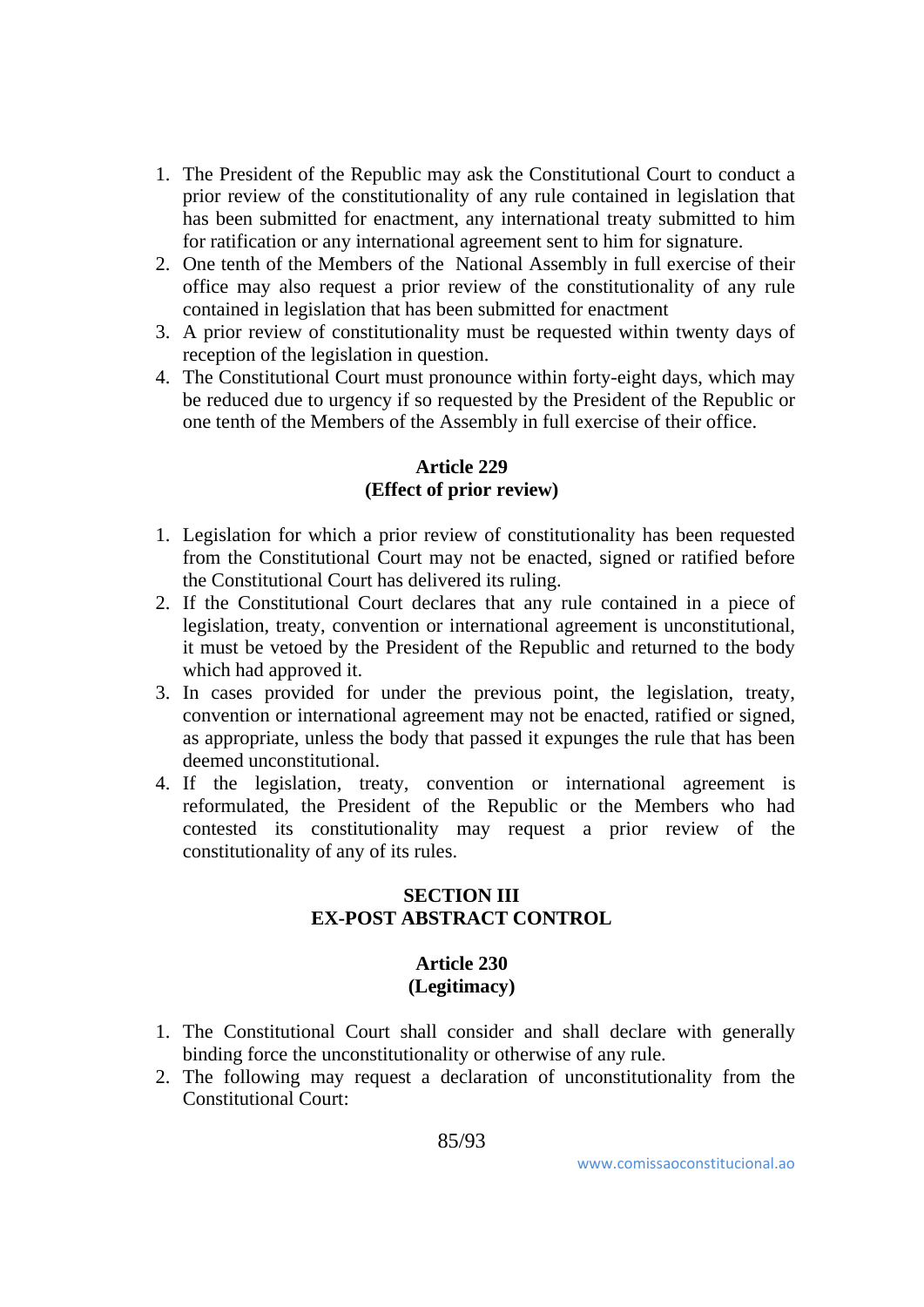- 1. The President of the Republic may ask the Constitutional Court to conduct a prior review of the constitutionality of any rule contained in legislation that has been submitted for enactment, any international treaty submitted to him for ratification or any international agreement sent to him for signature.
- 2. One tenth of the Members of the National Assembly in full exercise of their office may also request a prior review of the constitutionality of any rule contained in legislation that has been submitted for enactment
- 3. A prior review of constitutionality must be requested within twenty days of reception of the legislation in question.
- 4. The Constitutional Court must pronounce within forty-eight days, which may be reduced due to urgency if so requested by the President of the Republic or one tenth of the Members of the Assembly in full exercise of their office.

### **Article 229 (Effect of prior review)**

- 1. Legislation for which a prior review of constitutionality has been requested from the Constitutional Court may not be enacted, signed or ratified before the Constitutional Court has delivered its ruling.
- 2. If the Constitutional Court declares that any rule contained in a piece of legislation, treaty, convention or international agreement is unconstitutional, it must be vetoed by the President of the Republic and returned to the body which had approved it.
- 3. In cases provided for under the previous point, the legislation, treaty, convention or international agreement may not be enacted, ratified or signed, as appropriate, unless the body that passed it expunges the rule that has been deemed unconstitutional.
- 4. If the legislation, treaty, convention or international agreement is reformulated, the President of the Republic or the Members who had contested its constitutionality may request a prior review of the constitutionality of any of its rules.

### **SECTION III EX-POST ABSTRACT CONTROL**

#### **Article 230 (Legitimacy)**

- 1. The Constitutional Court shall consider and shall declare with generally binding force the unconstitutionality or otherwise of any rule.
- 2. The following may request a declaration of unconstitutionality from the Constitutional Court: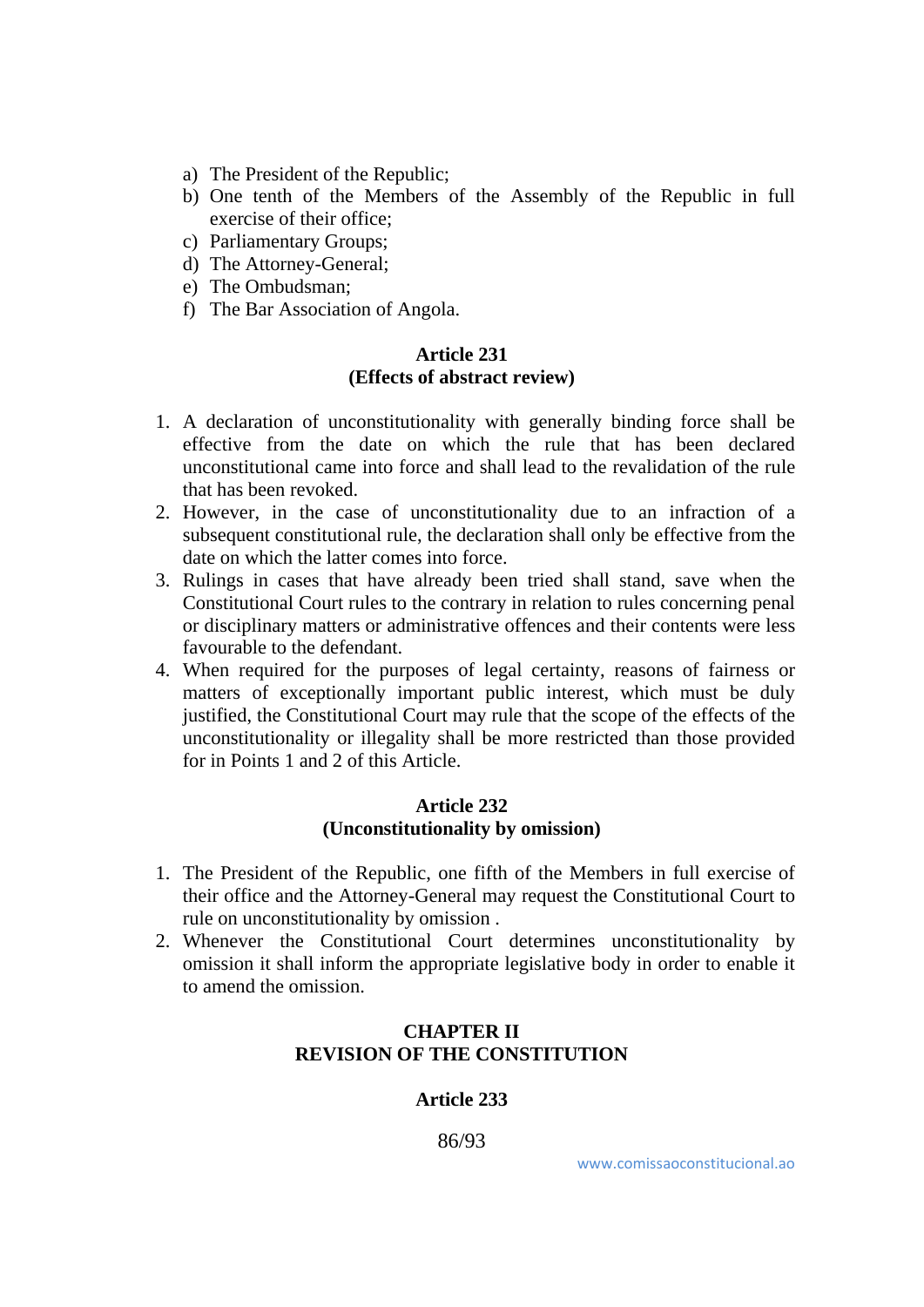- a) The President of the Republic;
- b) One tenth of the Members of the Assembly of the Republic in full exercise of their office;
- c) Parliamentary Groups;
- d) The Attorney-General;
- e) The Ombudsman;
- f) The Bar Association of Angola.

## **Article 231 (Effects of abstract review)**

- 1. A declaration of unconstitutionality with generally binding force shall be effective from the date on which the rule that has been declared unconstitutional came into force and shall lead to the revalidation of the rule that has been revoked.
- 2. However, in the case of unconstitutionality due to an infraction of a subsequent constitutional rule, the declaration shall only be effective from the date on which the latter comes into force.
- 3. Rulings in cases that have already been tried shall stand, save when the Constitutional Court rules to the contrary in relation to rules concerning penal or disciplinary matters or administrative offences and their contents were less favourable to the defendant.
- 4. When required for the purposes of legal certainty, reasons of fairness or matters of exceptionally important public interest, which must be duly justified, the Constitutional Court may rule that the scope of the effects of the unconstitutionality or illegality shall be more restricted than those provided for in Points 1 and 2 of this Article.

#### **Article 232 (Unconstitutionality by omission)**

- 1. The President of the Republic, one fifth of the Members in full exercise of their office and the Attorney-General may request the Constitutional Court to rule on unconstitutionality by omission .
- 2. Whenever the Constitutional Court determines unconstitutionality by omission it shall inform the appropriate legislative body in order to enable it to amend the omission.

# **CHAPTER II REVISION OF THE CONSTITUTION**

### **Article 233**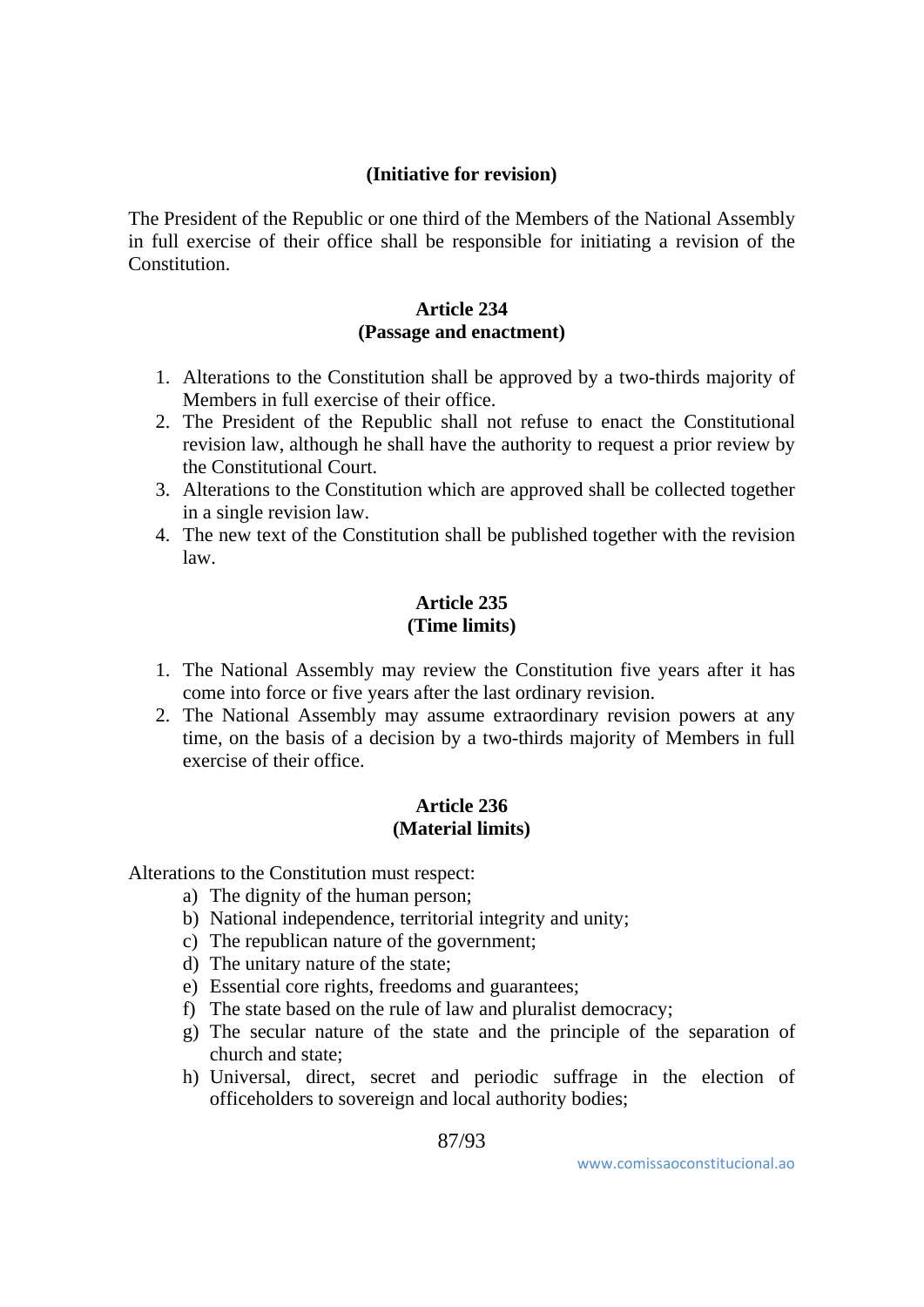### **(Initiative for revision)**

The President of the Republic or one third of the Members of the National Assembly in full exercise of their office shall be responsible for initiating a revision of the Constitution.

#### **Article 234 (Passage and enactment)**

- 1. Alterations to the Constitution shall be approved by a two-thirds majority of Members in full exercise of their office.
- 2. The President of the Republic shall not refuse to enact the Constitutional revision law, although he shall have the authority to request a prior review by the Constitutional Court.
- 3. Alterations to the Constitution which are approved shall be collected together in a single revision law.
- 4. The new text of the Constitution shall be published together with the revision law.

# **Article 235 (Time limits)**

- 1. The National Assembly may review the Constitution five years after it has come into force or five years after the last ordinary revision.
- 2. The National Assembly may assume extraordinary revision powers at any time, on the basis of a decision by a two-thirds majority of Members in full exercise of their office.

### **Article 236 (Material limits)**

Alterations to the Constitution must respect:

- a) The dignity of the human person;
- b) National independence, territorial integrity and unity;
- c) The republican nature of the government;
- d) The unitary nature of the state;
- e) Essential core rights, freedoms and guarantees;
- f) The state based on the rule of law and pluralist democracy;
- g) The secular nature of the state and the principle of the separation of church and state;
- h) Universal, direct, secret and periodic suffrage in the election of officeholders to sovereign and local authority bodies;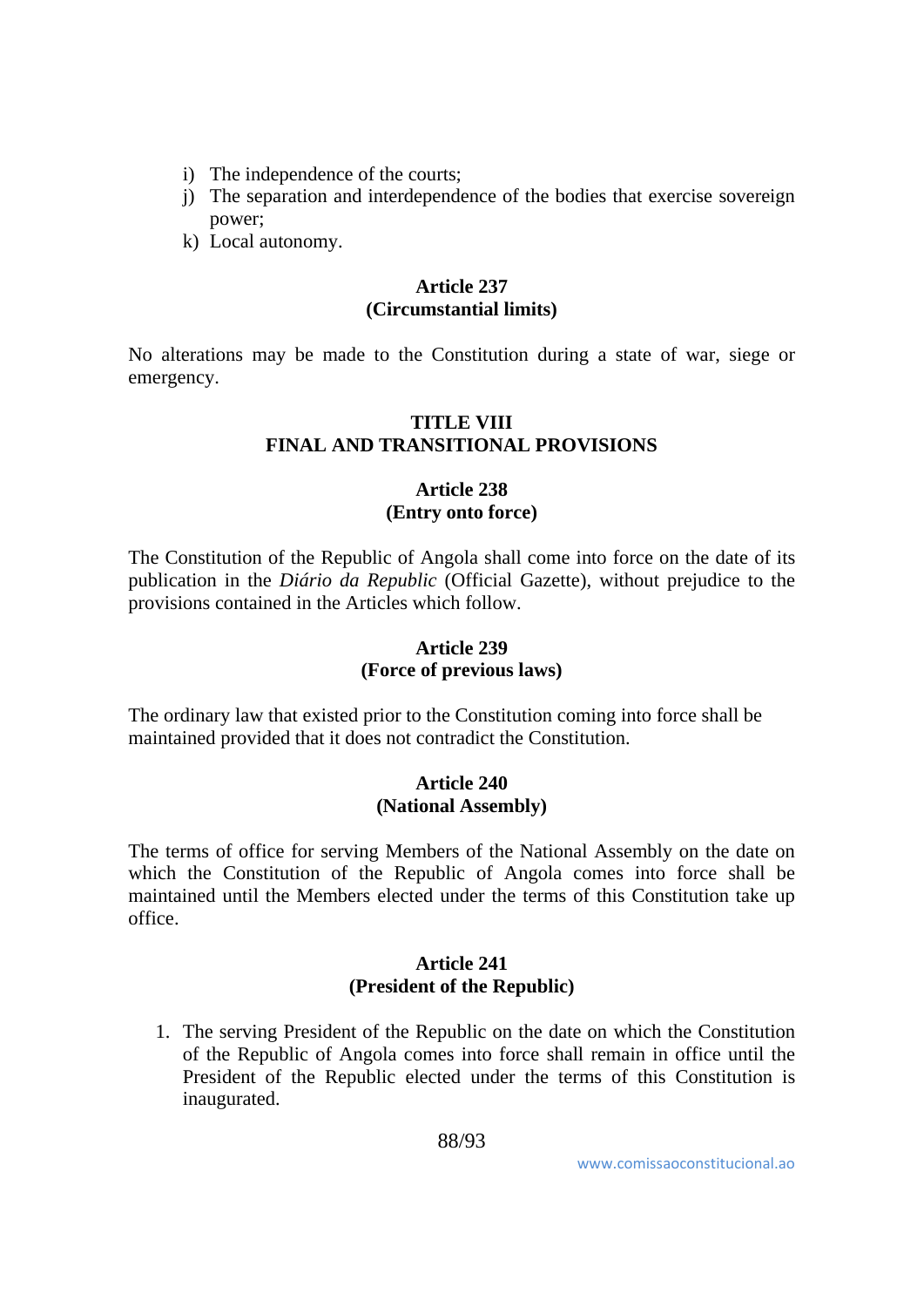- i) The independence of the courts;
- j) The separation and interdependence of the bodies that exercise sovereign power;
- k) Local autonomy.

# **Article 237**

### **(Circumstantial limits)**

No alterations may be made to the Constitution during a state of war, siege or emergency.

## **TITLE VIII FINAL AND TRANSITIONAL PROVISIONS**

# **Article 238 (Entry onto force)**

The Constitution of the Republic of Angola shall come into force on the date of its publication in the *Diário da Republic* (Official Gazette), without prejudice to the provisions contained in the Articles which follow.

# **Article 239 (Force of previous laws)**

The ordinary law that existed prior to the Constitution coming into force shall be maintained provided that it does not contradict the Constitution.

### **Article 240 (National Assembly)**

The terms of office for serving Members of the National Assembly on the date on which the Constitution of the Republic of Angola comes into force shall be maintained until the Members elected under the terms of this Constitution take up office.

### **Article 241 (President of the Republic)**

1. The serving President of the Republic on the date on which the Constitution of the Republic of Angola comes into force shall remain in office until the President of the Republic elected under the terms of this Constitution is inaugurated.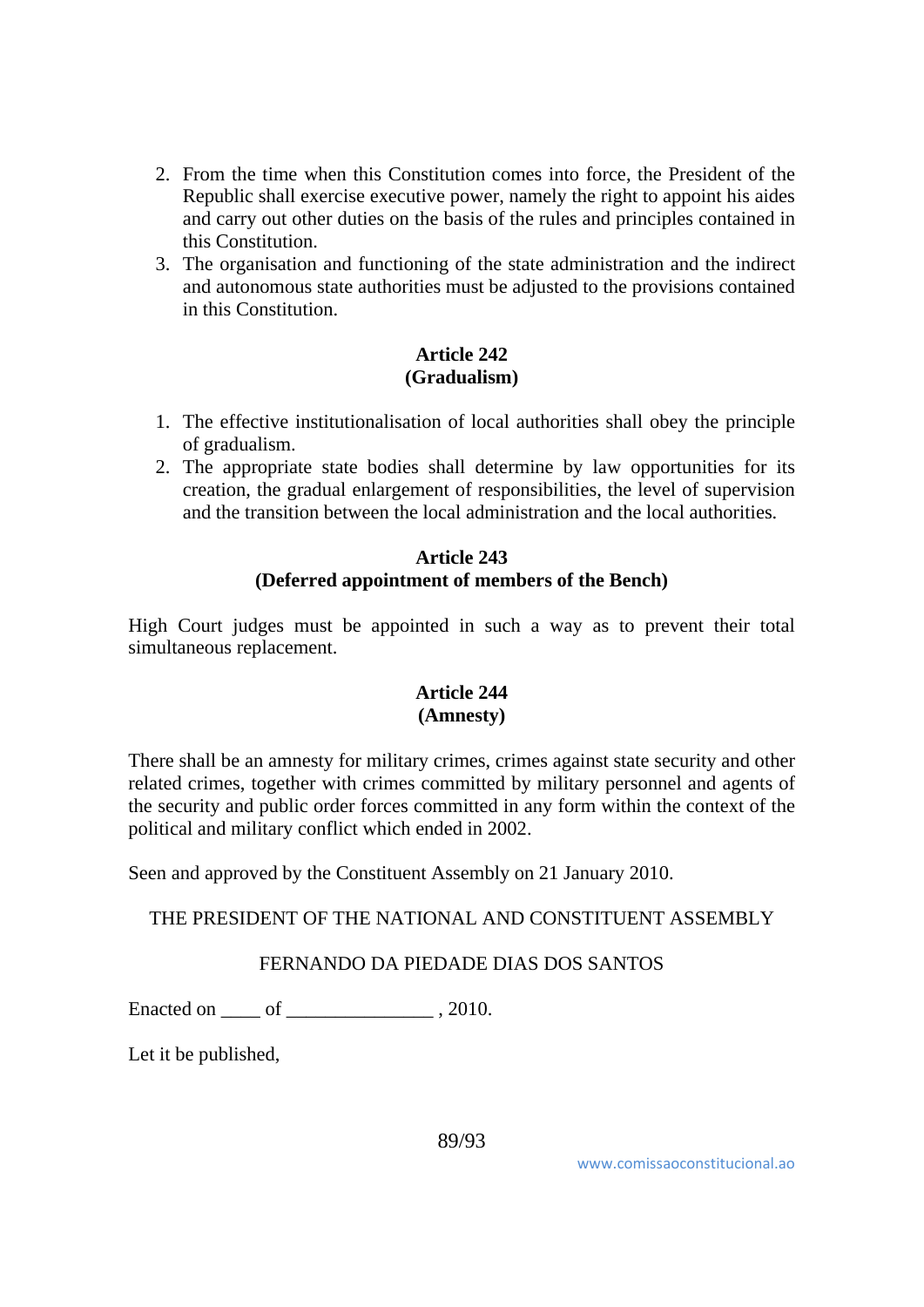- 2. From the time when this Constitution comes into force, the President of the Republic shall exercise executive power, namely the right to appoint his aides and carry out other duties on the basis of the rules and principles contained in this Constitution.
- 3. The organisation and functioning of the state administration and the indirect and autonomous state authorities must be adjusted to the provisions contained in this Constitution.

# **Article 242 (Gradualism)**

- 1. The effective institutionalisation of local authorities shall obey the principle of gradualism.
- 2. The appropriate state bodies shall determine by law opportunities for its creation, the gradual enlargement of responsibilities, the level of supervision and the transition between the local administration and the local authorities.

# **Article 243 (Deferred appointment of members of the Bench)**

High Court judges must be appointed in such a way as to prevent their total simultaneous replacement.

# **Article 244 (Amnesty)**

There shall be an amnesty for military crimes, crimes against state security and other related crimes, together with crimes committed by military personnel and agents of the security and public order forces committed in any form within the context of the political and military conflict which ended in 2002.

Seen and approved by the Constituent Assembly on 21 January 2010.

# THE PRESIDENT OF THE NATIONAL AND CONSTITUENT ASSEMBLY

# FERNANDO DA PIEDADE DIAS DOS SANTOS

Enacted on \_\_\_\_ of \_\_\_\_\_\_\_\_\_\_\_\_\_\_\_ , 2010.

Let it be published,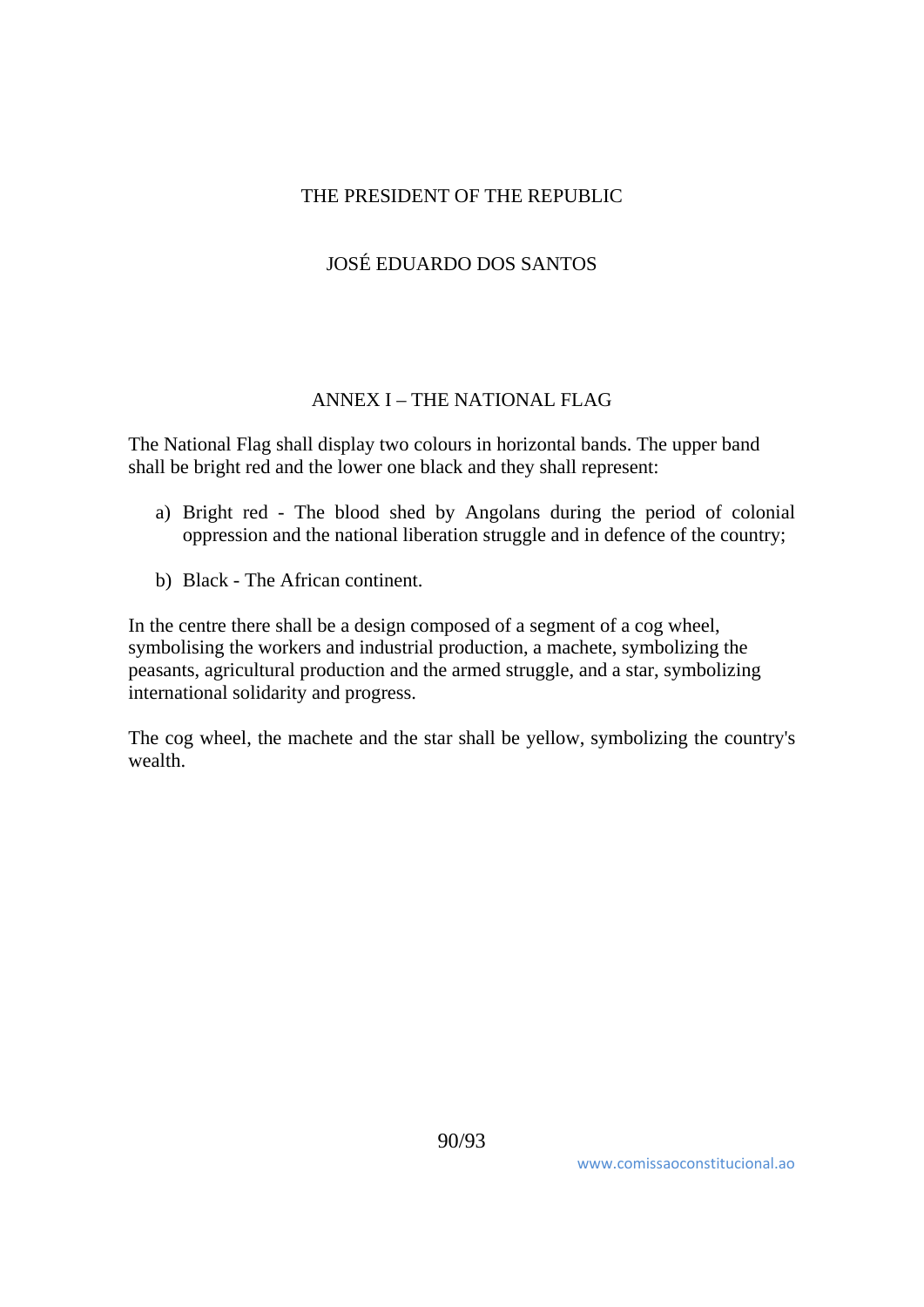# THE PRESIDENT OF THE REPUBLIC

# JOSÉ EDUARDO DOS SANTOS

# ANNEX I – THE NATIONAL FLAG

The National Flag shall display two colours in horizontal bands. The upper band shall be bright red and the lower one black and they shall represent:

- a) Bright red The blood shed by Angolans during the period of colonial oppression and the national liberation struggle and in defence of the country;
- b) Black The African continent.

In the centre there shall be a design composed of a segment of a cog wheel, symbolising the workers and industrial production, a machete, symbolizing the peasants, agricultural production and the armed struggle, and a star, symbolizing international solidarity and progress.

The cog wheel, the machete and the star shall be yellow, symbolizing the country's wealth.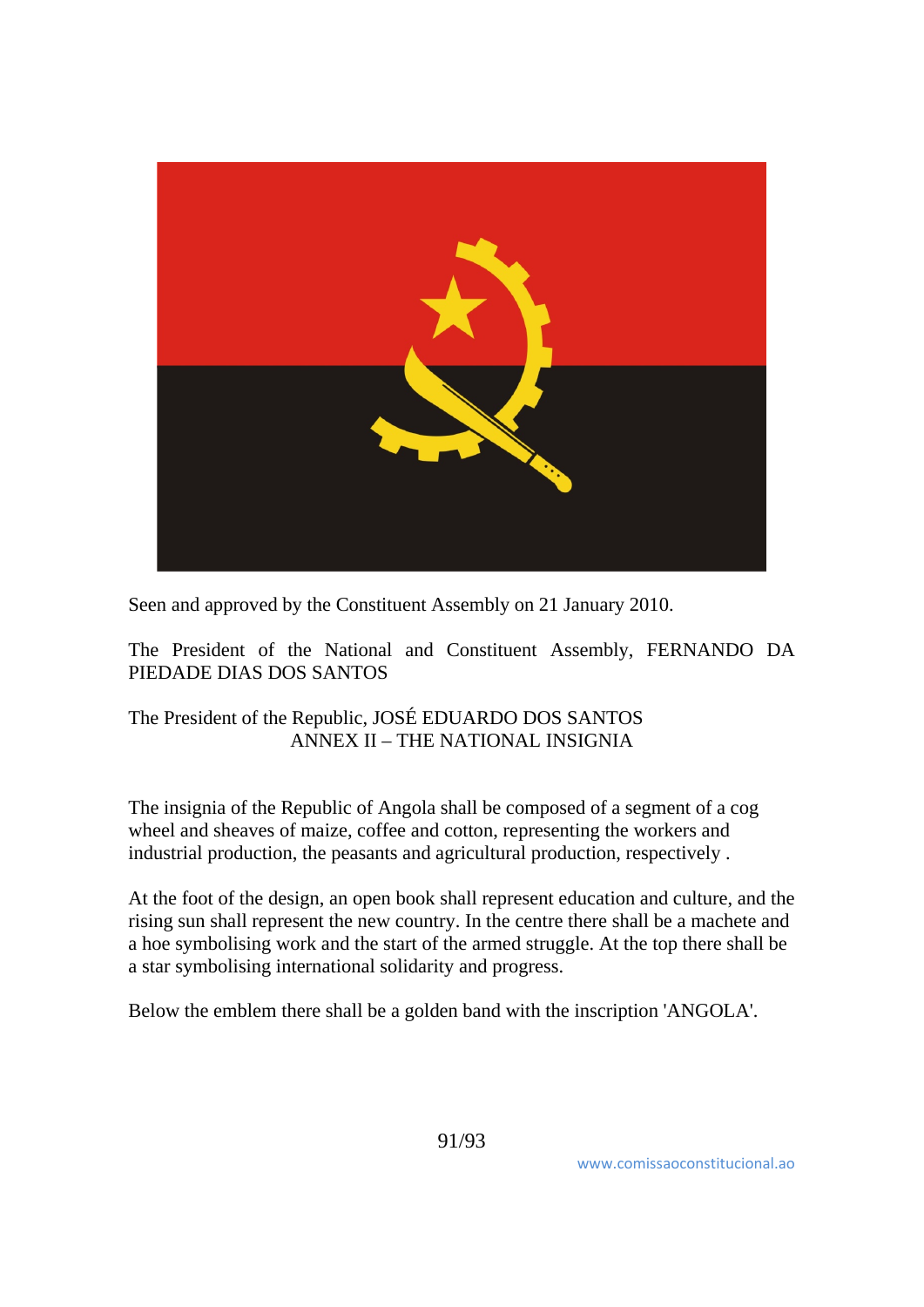

Seen and approved by the Constituent Assembly on 21 January 2010.

The President of the National and Constituent Assembly, FERNANDO DA PIEDADE DIAS DOS SANTOS

# The President of the Republic, JOSÉ EDUARDO DOS SANTOS ANNEX II – THE NATIONAL INSIGNIA

The insignia of the Republic of Angola shall be composed of a segment of a cog wheel and sheaves of maize, coffee and cotton, representing the workers and industrial production, the peasants and agricultural production, respectively .

At the foot of the design, an open book shall represent education and culture, and the rising sun shall represent the new country. In the centre there shall be a machete and a hoe symbolising work and the start of the armed struggle. At the top there shall be a star symbolising international solidarity and progress.

Below the emblem there shall be a golden band with the inscription 'ANGOLA'.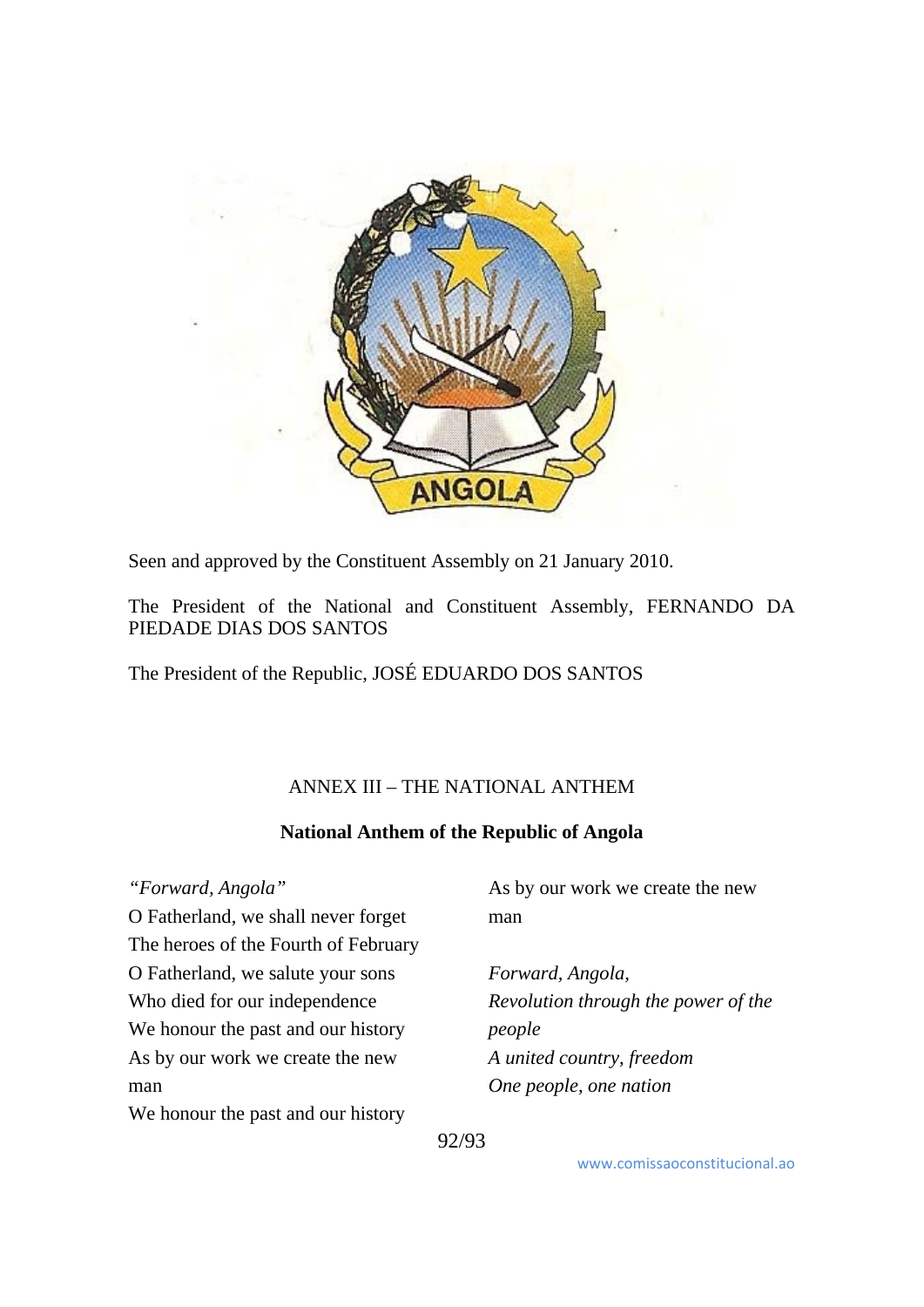

Seen and approved by the Constituent Assembly on 21 January 2010.

The President of the National and Constituent Assembly, FERNANDO DA PIEDADE DIAS DOS SANTOS

The President of the Republic, JOSÉ EDUARDO DOS SANTOS

# ANNEX III – THE NATIONAL ANTHEM

# **National Anthem of the Republic of Angola**

| "Forward, Angola"                    | As by our work we create the new    |
|--------------------------------------|-------------------------------------|
| O Fatherland, we shall never forget  | man                                 |
| The heroes of the Fourth of February |                                     |
| O Fatherland, we salute your sons    | Forward, Angola,                    |
| Who died for our independence        | Revolution through the power of the |
| We honour the past and our history   | people                              |
| As by our work we create the new     | A united country, freedom           |
| man                                  | One people, one nation              |
| We honour the past and our history   |                                     |